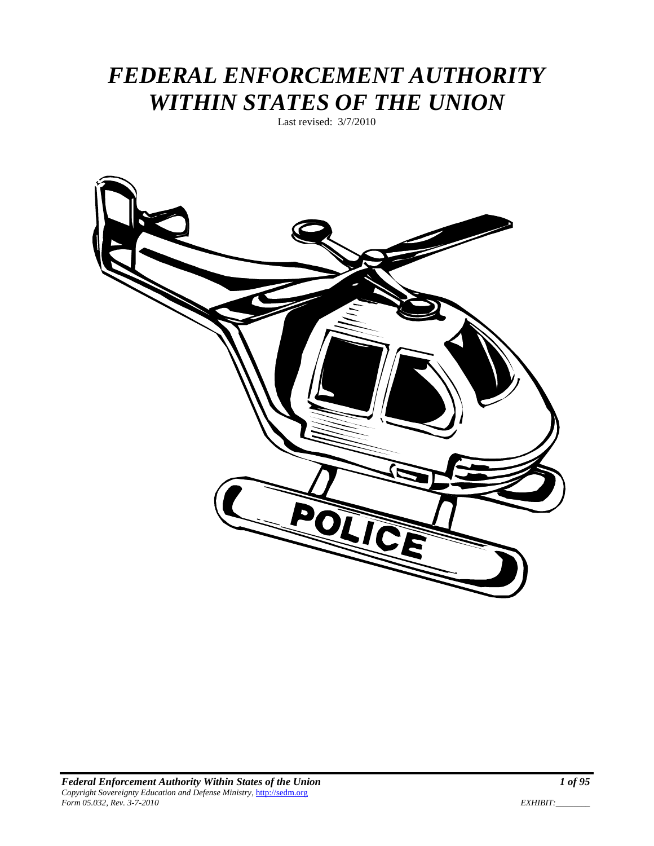# *FEDERAL ENFORCEMENT AUTHORITY WITHIN STATES OF THE UNION*

Last revised: 3/7/2010

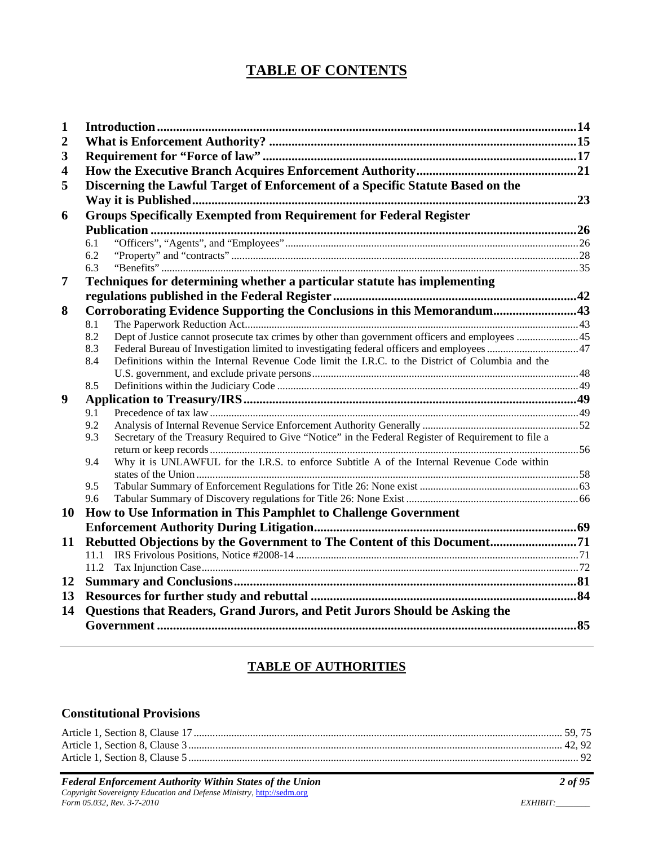# **TABLE OF CONTENTS**

| $\mathbf{1}$            |                                                                                                             |  |
|-------------------------|-------------------------------------------------------------------------------------------------------------|--|
| $\boldsymbol{2}$        |                                                                                                             |  |
| 3                       |                                                                                                             |  |
| $\overline{\mathbf{4}}$ |                                                                                                             |  |
| 5                       | Discerning the Lawful Target of Enforcement of a Specific Statute Based on the                              |  |
|                         |                                                                                                             |  |
| 6                       | <b>Groups Specifically Exempted from Requirement for Federal Register</b>                                   |  |
|                         |                                                                                                             |  |
|                         | 6.1                                                                                                         |  |
|                         | 6.2                                                                                                         |  |
|                         | 6.3                                                                                                         |  |
| 7                       | Techniques for determining whether a particular statute has implementing                                    |  |
|                         |                                                                                                             |  |
| 8                       | Corroborating Evidence Supporting the Conclusions in this Memorandum43                                      |  |
|                         | 8.1                                                                                                         |  |
|                         | Dept of Justice cannot prosecute tax crimes by other than government officers and employees 45<br>8.2       |  |
|                         | Federal Bureau of Investigation limited to investigating federal officers and employees 47<br>8.3           |  |
|                         | Definitions within the Internal Revenue Code limit the I.R.C. to the District of Columbia and the<br>8.4    |  |
|                         |                                                                                                             |  |
|                         | 8.5                                                                                                         |  |
| 9                       |                                                                                                             |  |
|                         | 9.1                                                                                                         |  |
|                         | 9.2                                                                                                         |  |
|                         | Secretary of the Treasury Required to Give "Notice" in the Federal Register of Requirement to file a<br>9.3 |  |
|                         | Why it is UNLAWFUL for the I.R.S. to enforce Subtitle A of the Internal Revenue Code within<br>9.4          |  |
|                         |                                                                                                             |  |
|                         | 9.5                                                                                                         |  |
|                         | 9.6                                                                                                         |  |
| 10                      | How to Use Information in This Pamphlet to Challenge Government                                             |  |
|                         |                                                                                                             |  |
| 11                      | Rebutted Objections by the Government to The Content of this Document71                                     |  |
|                         | 11.1                                                                                                        |  |
|                         | 11.2                                                                                                        |  |
| 12                      |                                                                                                             |  |
| 13                      |                                                                                                             |  |
| 14                      | Questions that Readers, Grand Jurors, and Petit Jurors Should be Asking the                                 |  |
|                         |                                                                                                             |  |
|                         |                                                                                                             |  |

# **TABLE OF AUTHORITIES**

### **Constitutional Provisions**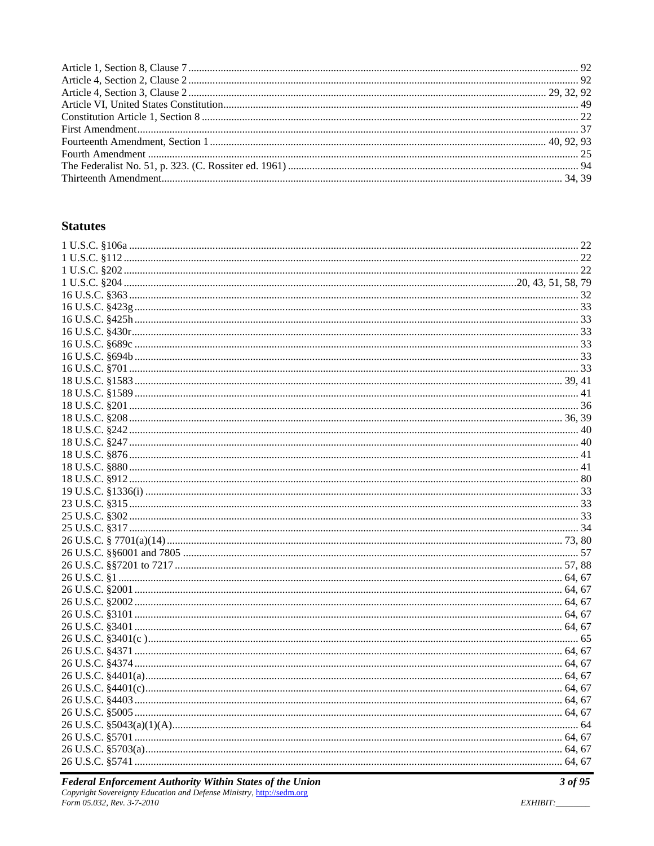## **Statutes**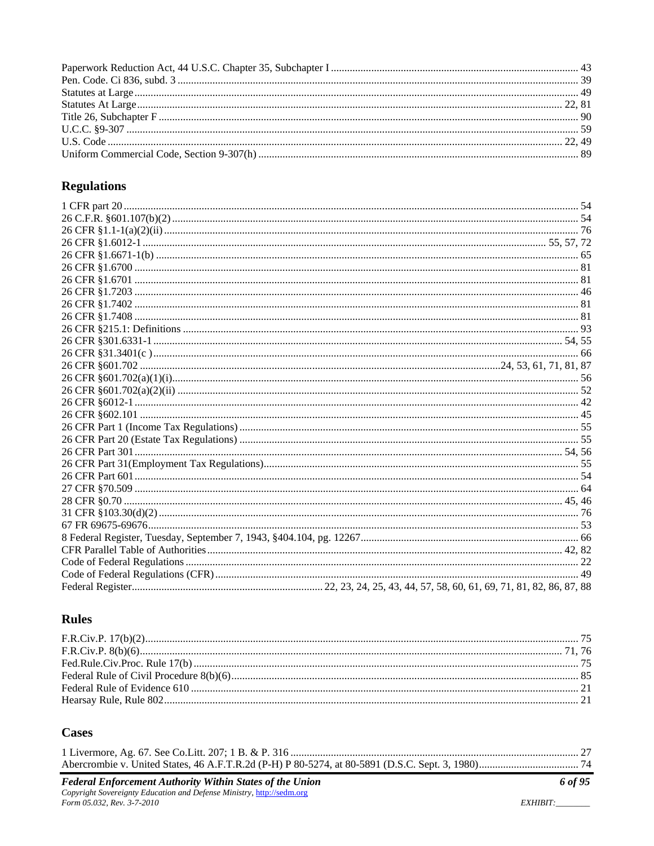# **Regulations**

# **Rules**

# **Cases**

| <b>Federal Enforcement Authority Within States of the Union</b><br>Convright Sovereignty Education and Defense Ministry, http://sedm.org | 6 of 95 |
|------------------------------------------------------------------------------------------------------------------------------------------|---------|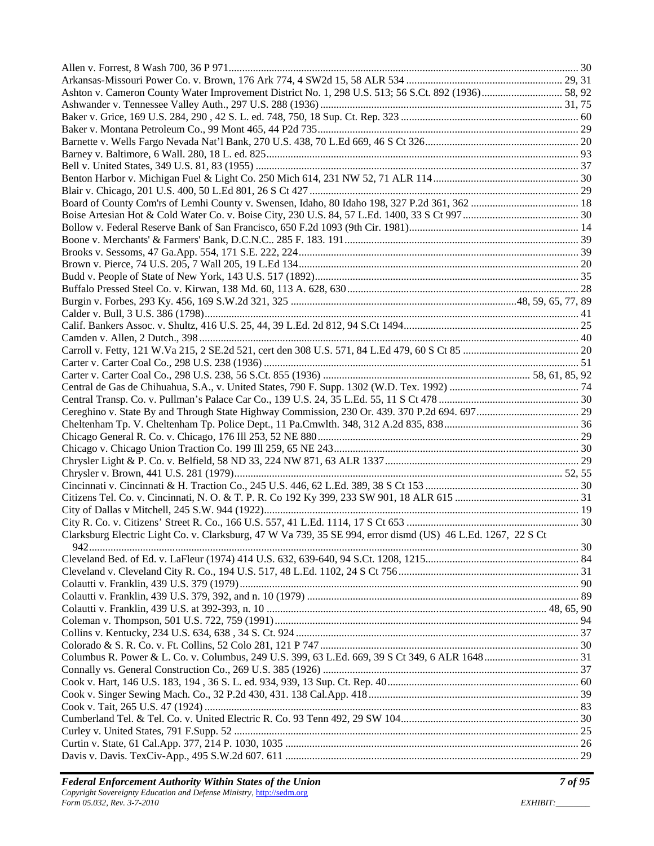| Clarksburg Electric Light Co. v. Clarksburg, 47 W Va 739, 35 SE 994, error dismd (US) 46 L.Ed. 1267, 22 S Ct |  |
|--------------------------------------------------------------------------------------------------------------|--|
|                                                                                                              |  |
|                                                                                                              |  |
|                                                                                                              |  |
|                                                                                                              |  |
|                                                                                                              |  |
|                                                                                                              |  |
|                                                                                                              |  |
|                                                                                                              |  |
|                                                                                                              |  |
|                                                                                                              |  |
|                                                                                                              |  |
|                                                                                                              |  |
|                                                                                                              |  |
|                                                                                                              |  |
|                                                                                                              |  |
|                                                                                                              |  |
|                                                                                                              |  |
|                                                                                                              |  |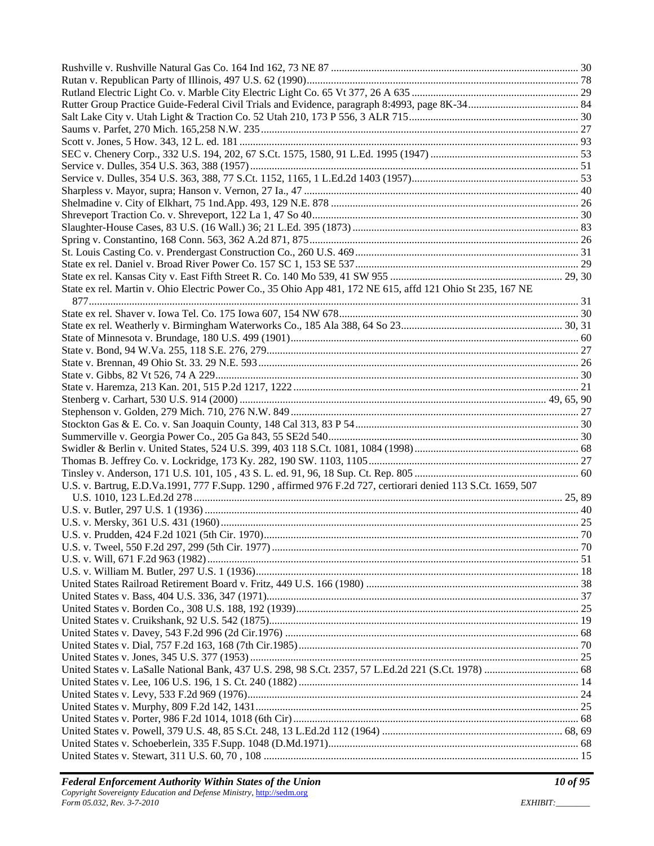| State ex rel. Martin v. Ohio Electric Power Co., 35 Ohio App 481, 172 NE 615, affd 121 Ohio St 235, 167 NE   |  |
|--------------------------------------------------------------------------------------------------------------|--|
|                                                                                                              |  |
|                                                                                                              |  |
|                                                                                                              |  |
|                                                                                                              |  |
|                                                                                                              |  |
|                                                                                                              |  |
|                                                                                                              |  |
|                                                                                                              |  |
|                                                                                                              |  |
|                                                                                                              |  |
|                                                                                                              |  |
|                                                                                                              |  |
|                                                                                                              |  |
|                                                                                                              |  |
| U.S. v. Bartrug, E.D.Va.1991, 777 F.Supp. 1290, affirmed 976 F.2d 727, certiorari denied 113 S.Ct. 1659, 507 |  |
|                                                                                                              |  |
|                                                                                                              |  |
|                                                                                                              |  |
|                                                                                                              |  |
|                                                                                                              |  |
|                                                                                                              |  |
|                                                                                                              |  |
|                                                                                                              |  |
|                                                                                                              |  |
|                                                                                                              |  |
|                                                                                                              |  |
|                                                                                                              |  |
|                                                                                                              |  |
|                                                                                                              |  |
|                                                                                                              |  |
|                                                                                                              |  |
|                                                                                                              |  |
|                                                                                                              |  |
|                                                                                                              |  |
|                                                                                                              |  |
|                                                                                                              |  |
|                                                                                                              |  |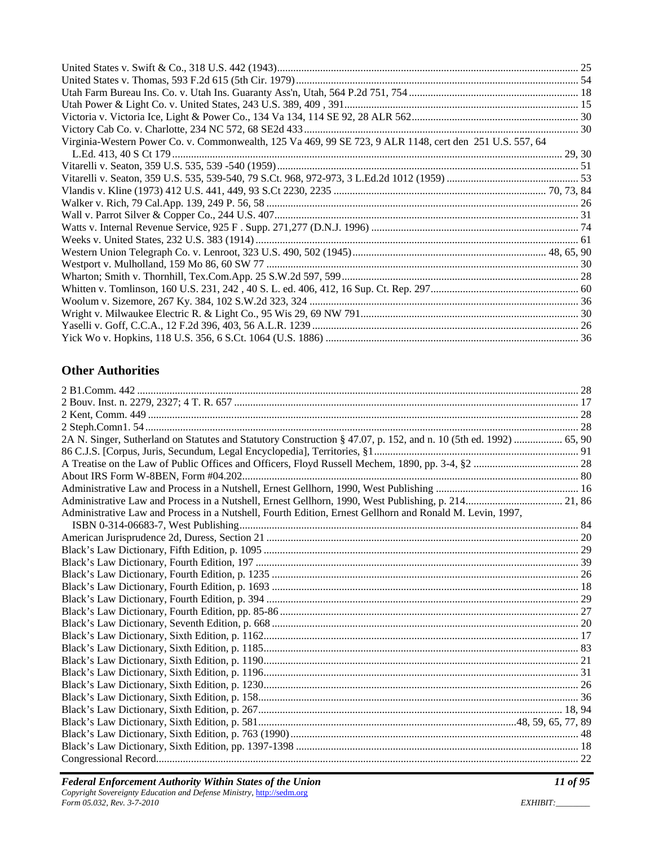| Virginia-Western Power Co. v. Commonwealth, 125 Va 469, 99 SE 723, 9 ALR 1148, cert den 251 U.S. 557, 64 |  |
|----------------------------------------------------------------------------------------------------------|--|
|                                                                                                          |  |
|                                                                                                          |  |
|                                                                                                          |  |
|                                                                                                          |  |
|                                                                                                          |  |
|                                                                                                          |  |
|                                                                                                          |  |
|                                                                                                          |  |
|                                                                                                          |  |
|                                                                                                          |  |
|                                                                                                          |  |
|                                                                                                          |  |
|                                                                                                          |  |
|                                                                                                          |  |
|                                                                                                          |  |
|                                                                                                          |  |

# **Other Authorities**

| Administrative Law and Process in a Nutshell, Fourth Edition, Ernest Gellhorn and Ronald M. Levin, 1997, |  |
|----------------------------------------------------------------------------------------------------------|--|
|                                                                                                          |  |
|                                                                                                          |  |
|                                                                                                          |  |
|                                                                                                          |  |
|                                                                                                          |  |
|                                                                                                          |  |
|                                                                                                          |  |
|                                                                                                          |  |
|                                                                                                          |  |
|                                                                                                          |  |
|                                                                                                          |  |
|                                                                                                          |  |
|                                                                                                          |  |
|                                                                                                          |  |
|                                                                                                          |  |
|                                                                                                          |  |
|                                                                                                          |  |
|                                                                                                          |  |
|                                                                                                          |  |
|                                                                                                          |  |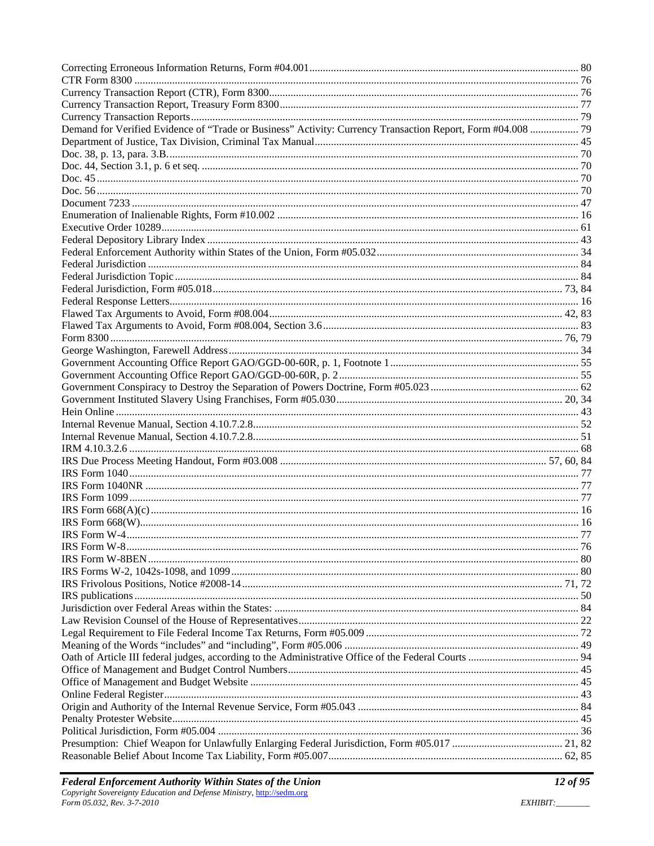| Demand for Verified Evidence of "Trade or Business" Activity: Currency Transaction Report, Form #04.008  79 |  |
|-------------------------------------------------------------------------------------------------------------|--|
|                                                                                                             |  |
|                                                                                                             |  |
|                                                                                                             |  |
|                                                                                                             |  |
|                                                                                                             |  |
|                                                                                                             |  |
|                                                                                                             |  |
|                                                                                                             |  |
|                                                                                                             |  |
|                                                                                                             |  |
|                                                                                                             |  |
|                                                                                                             |  |
|                                                                                                             |  |
|                                                                                                             |  |
|                                                                                                             |  |
|                                                                                                             |  |
|                                                                                                             |  |
|                                                                                                             |  |
|                                                                                                             |  |
|                                                                                                             |  |
|                                                                                                             |  |
|                                                                                                             |  |
|                                                                                                             |  |
|                                                                                                             |  |
|                                                                                                             |  |
|                                                                                                             |  |
|                                                                                                             |  |
|                                                                                                             |  |
|                                                                                                             |  |
|                                                                                                             |  |
|                                                                                                             |  |
|                                                                                                             |  |
|                                                                                                             |  |
|                                                                                                             |  |
|                                                                                                             |  |
|                                                                                                             |  |
|                                                                                                             |  |
|                                                                                                             |  |
|                                                                                                             |  |
|                                                                                                             |  |
|                                                                                                             |  |
|                                                                                                             |  |
|                                                                                                             |  |
|                                                                                                             |  |
|                                                                                                             |  |
|                                                                                                             |  |
|                                                                                                             |  |
|                                                                                                             |  |
|                                                                                                             |  |
|                                                                                                             |  |
|                                                                                                             |  |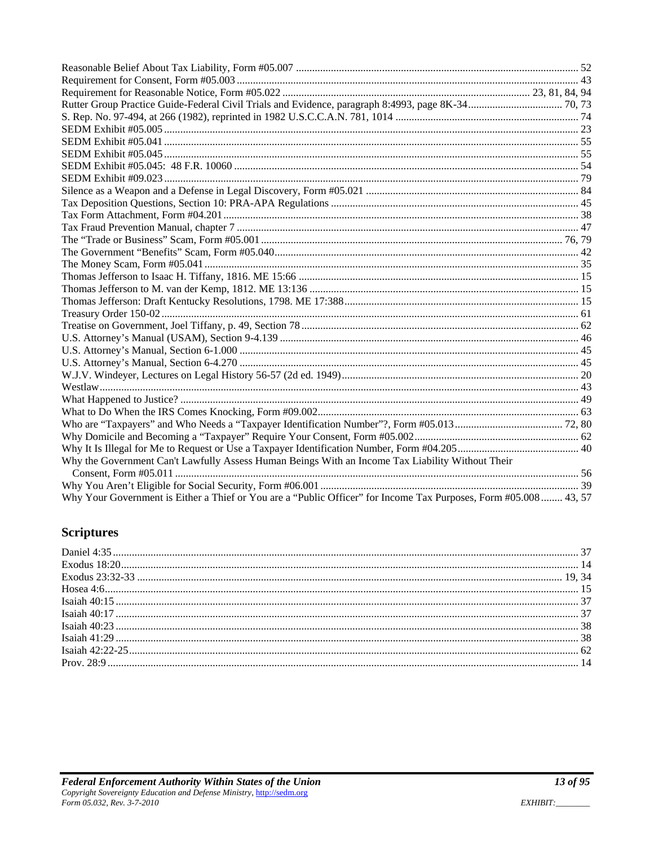| Why the Government Can't Lawfully Assess Human Beings With an Income Tax Liability Without Their                  |  |
|-------------------------------------------------------------------------------------------------------------------|--|
|                                                                                                                   |  |
|                                                                                                                   |  |
| Why Your Government is Either a Thief or You are a "Public Officer" for Income Tax Purposes, Form #05.008  43, 57 |  |

# **Scriptures**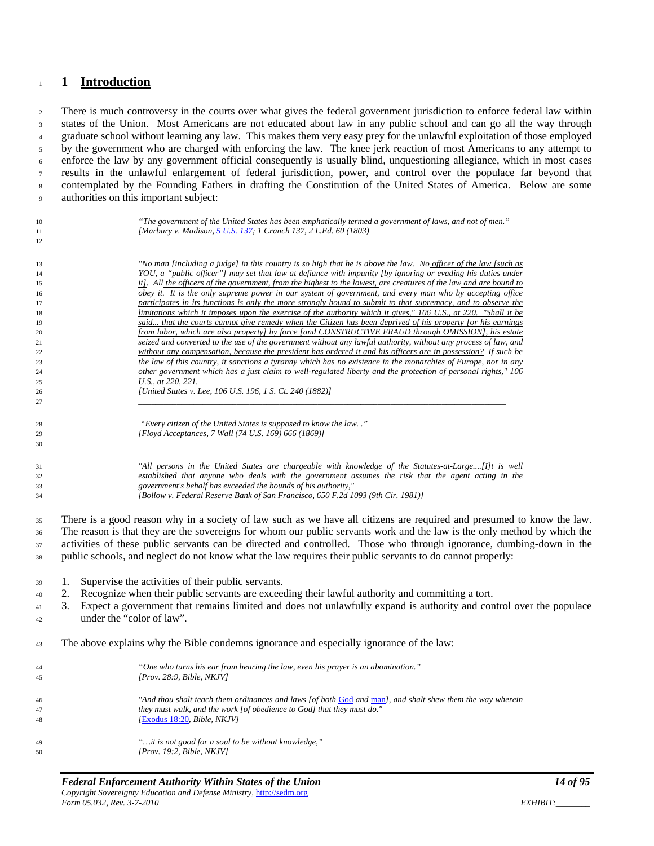#### <span id="page-13-0"></span>**1 Introduction**

2 There is much controversy in the courts over what gives the federal government jurisdiction to enforce federal law within states of the Union. Most Americans are not educated about law in any public school and can go all the way through graduate school without learning any law. This makes them very easy prey for the unlawful exploitation of those employed by the government who are charged with enforcing the law. The knee jerk reaction of most Americans to any attempt to enforce the law by any government official consequently is usually blind, unquestioning allegiance, which in most cases results in the unlawful enlargement of federal jurisdiction, power, and control over the populace far beyond that contemplated by the Founding Fathers in drafting the Constitution of the United States of America. Below are some authorities on this important subject:

| 10<br>11<br>12 | "The government of the United States has been emphatically termed a government of laws, and not of men."<br>[Marbury v. Madison, 5 U.S. 137; 1 Cranch 137, 2 L.Ed. 60 (1803)                                                   |
|----------------|--------------------------------------------------------------------------------------------------------------------------------------------------------------------------------------------------------------------------------|
|                |                                                                                                                                                                                                                                |
| 13             | "No man [including a judge] in this country is so high that he is above the law. No officer of the law [such as                                                                                                                |
| 14             | YOU, a "public officer"] may set that law at defiance with impunity (by ignoring or evading his duties under                                                                                                                   |
| 15             | it]. All the officers of the government, from the highest to the lowest, are creatures of the law and are bound to                                                                                                             |
| 16             | obey it. It is the only supreme power in our system of government, and every man who by accepting office                                                                                                                       |
| 17             | participates in its functions is only the more strongly bound to submit to that supremacy, and to observe the                                                                                                                  |
| 18             | limitations which it imposes upon the exercise of the authority which it gives," 106 U.S., at 220. "Shall it be<br>said that the courts cannot give remedy when the Citizen has been deprived of his property [or his earnings |
| 19<br>20       | from labor, which are also property] by force [and CONSTRUCTIVE FRAUD through OMISSION], his estate                                                                                                                            |
| 21             | seized and converted to the use of the government without any lawful authority, without any process of law, and                                                                                                                |
| 22             | without any compensation, because the president has ordered it and his officers are in possession? If such be                                                                                                                  |
| 23             | the law of this country, it sanctions a tyranny which has no existence in the monarchies of Europe, nor in any                                                                                                                 |
| 24             | other government which has a just claim to well-regulated liberty and the protection of personal rights," 106                                                                                                                  |
| 25             | U.S., at 220, 221.                                                                                                                                                                                                             |
| 26             | [United States v. Lee, 106 U.S. 196, 1 S. Ct. 240 (1882)]                                                                                                                                                                      |
| 27             |                                                                                                                                                                                                                                |
| 28             | "Every citizen of the United States is supposed to know the law"                                                                                                                                                               |
| 29             | [Floyd Acceptances, 7 Wall (74 U.S. 169) 666 (1869)]                                                                                                                                                                           |
| 30             |                                                                                                                                                                                                                                |
|                |                                                                                                                                                                                                                                |
| 31             | "All persons in the United States are chargeable with knowledge of the Statutes-at-Large[I]t is well                                                                                                                           |
| 32             | established that anyone who deals with the government assumes the risk that the agent acting in the                                                                                                                            |
| 33             | government's behalf has exceeded the bounds of his authority,"<br>[Bollow v. Federal Reserve Bank of San Francisco, 650 F.2d 1093 (9th Cir. 1981)]                                                                             |
| 34             |                                                                                                                                                                                                                                |
| 35             | There is a good reason why in a society of law such as we have all citizens are required and presumed to know the law.                                                                                                         |
|                | The reason is that they are the sovereigns for whom our public servants work and the law is the only method by which the                                                                                                       |
| 36             |                                                                                                                                                                                                                                |
| 37             | activities of these public servants can be directed and controlled. Those who through ignorance, dumbing-down in the                                                                                                           |
| 38             | public schools, and neglect do not know what the law requires their public servants to do cannot properly:                                                                                                                     |
| 39             | Supervise the activities of their public servants.<br>1.                                                                                                                                                                       |
| 40             | Recognize when their public servants are exceeding their lawful authority and committing a tort.<br>2.                                                                                                                         |
|                | Expect a government that remains limited and does not unlawfully expand is authority and control over the populace                                                                                                             |
| 41             | 3.                                                                                                                                                                                                                             |
| 42             | under the "color of law".                                                                                                                                                                                                      |
| 43             | The above explains why the Bible condemns ignorance and especially ignorance of the law:                                                                                                                                       |
|                |                                                                                                                                                                                                                                |
| 44             | "One who turns his ear from hearing the law, even his prayer is an abomination."                                                                                                                                               |
| 45             | [ $Prov. 28:9, Bible, NKJV$ ]                                                                                                                                                                                                  |
| 46             | "And thou shalt teach them ordinances and laws [of both God and man], and shalt shew them the way wherein                                                                                                                      |
| 47             | they must walk, and the work [of obedience to God] that they must do."                                                                                                                                                         |
| 48             | [Exodus 18:20, Bible, NKJV]                                                                                                                                                                                                    |
| 49             | "it is not good for a soul to be without knowledge,"                                                                                                                                                                           |
| 50             | [Prov. 19:2, Bible, NKJV]                                                                                                                                                                                                      |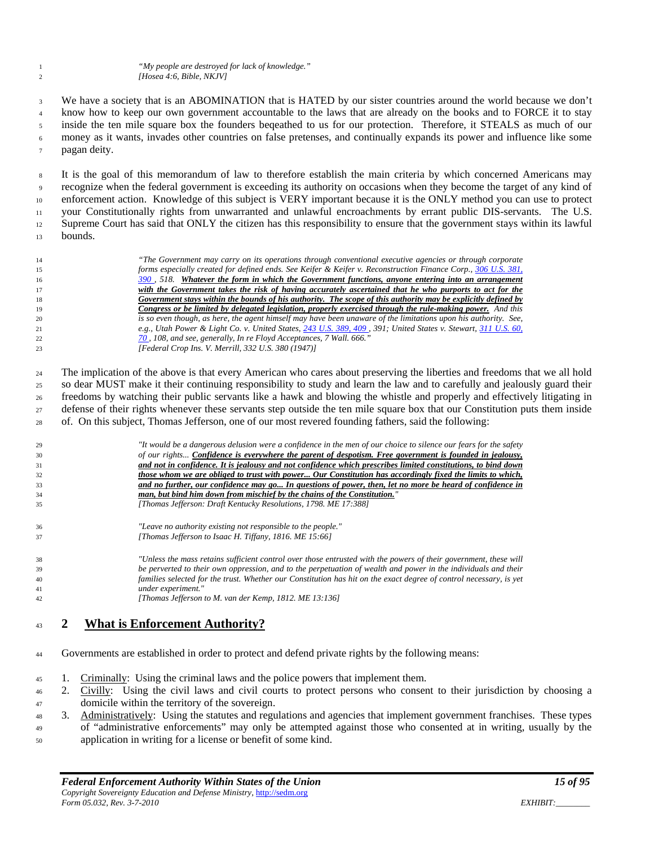We have a society that is an ABOMINATION that is HATED by our sister countries around the world because we don't know how to keep our own government accountable to the laws that are already on the books and to FORCE it to stay inside the ten mile square box the founders beqeathed to us for our protection. Therefore, it STEALS as much of our money as it wants, invades other countries on false pretenses, and continually expands its power and influence like some pagan deity.

 It is the goal of this memorandum of law to therefore establish the main criteria by which concerned Americans may recognize when the federal government is exceeding its authority on occasions when they become the target of any kind of enforcement action. Knowledge of this subject is VERY important because it is the ONLY method you can use to protect 11 your Constitutionally rights from unwarranted and unlawful encroachments by errant public DIS-servants. The U.S. Supreme Court has said that ONLY the citizen has this responsibility to ensure that the government stays within its lawful bounds.

 *"The Government may carry on its operations through conventional executive agencies or through corporate forms especially created for defined ends. See Keifer & Keifer v. Reconstruction Finance Corp., [306 U.S. 381,](http://caselaw.lp.findlaw.com/cgi-bin/getcase.pl?navby=case&court=us&vol=306&invol=381#390)  [390 ,](http://caselaw.lp.findlaw.com/cgi-bin/getcase.pl?navby=case&court=us&vol=306&invol=381#390) 518. Whatever the form in which the Government functions, anyone entering into an arrangement with the Government takes the risk of having accurately ascertained that he who purports to act for the Government stays within the bounds of his authority. The scope of this authority may be explicitly defined by Congress or be limited by delegated legislation, properly exercised through the rule-making power. And this is so even though, as here, the agent himself may have been unaware of the limitations upon his authority. See, e.g., Utah Power & Light Co. v. United States, [243 U.S. 389, 409 ,](http://caselaw.lp.findlaw.com/cgi-bin/getcase.pl?court=us&vol=243&invol=389#409) 391; United States v. Stewart, [311 U.S. 60,](http://caselaw.lp.findlaw.com/cgi-bin/getcase.pl?navby=case&court=us&vol=311&invol=60#70)  [70 ,](http://caselaw.lp.findlaw.com/cgi-bin/getcase.pl?navby=case&court=us&vol=311&invol=60#70) 108, and see, generally, In re Floyd Acceptances, 7 Wall. 666." [Federal Crop Ins. V. Merrill, 332 U.S. 380 (1947)]*

 The implication of the above is that every American who cares about preserving the liberties and freedoms that we all hold so dear MUST make it their continuing responsibility to study and learn the law and to carefully and jealously guard their freedoms by watching their public servants like a hawk and blowing the whistle and properly and effectively litigating in defense of their rights whenever these servants step outside the ten mile square box that our Constitution puts them inside of. On this subject, Thomas Jefferson, one of our most revered founding fathers, said the following:

| 29 | "It would be a dangerous delusion were a confidence in the men of our choice to silence our fears for the safety |
|----|------------------------------------------------------------------------------------------------------------------|
| 30 | of our rights Confidence is everywhere the parent of despotism. Free government is founded in jealousy,          |
| 31 | and not in confidence. It is jealousy and not confidence which prescribes limited constitutions, to bind down    |
| 32 | those whom we are obliged to trust with power Our Constitution has accordingly fixed the limits to which,        |
| 33 | and no further, our confidence may go In questions of power, then, let no more be heard of confidence in         |
| 34 | man, but bind him down from mischief by the chains of the Constitution."                                         |
| 35 | [Thomas Jefferson: Draft Kentucky Resolutions, 1798. ME 17:388]                                                  |
| 36 | "Leave no authority existing not responsible to the people."                                                     |
| 37 | [Thomas Jefferson to Isaac H. Tiffany, 1816. ME 15:66]                                                           |
|    |                                                                                                                  |

 *"Unless the mass retains sufficient control over those entrusted with the powers of their government, these will be perverted to their own oppression, and to the perpetuation of wealth and power in the individuals and their families selected for the trust. Whether our Constitution has hit on the exact degree of control necessary, is yet under experiment." [Thomas Jefferson to M. van der Kemp, 1812. ME 13:136]*

### <span id="page-14-0"></span>**2 What is Enforcement Authority?**

- Governments are established in order to protect and defend private rights by the following means:
- 45 1. Criminally: Using the criminal laws and the police powers that implement them.
- 2. Civilly: Using the civil laws and civil courts to protect persons who consent to their jurisdiction by choosing a domicile within the territory of the sovereign.
- 48 3. Administratively: Using the statutes and regulations and agencies that implement government franchises. These types of "administrative enforcements" may only be attempted against those who consented at in writing, usually by the application in writing for a license or benefit of some kind.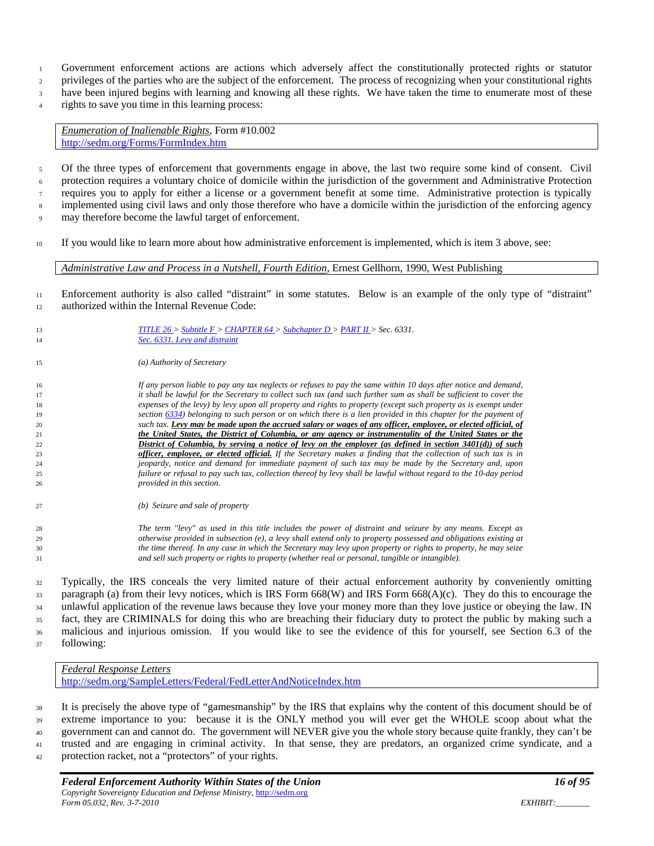- Government enforcement actions are actions which adversely affect the constitutionally protected rights or statutor
- privileges of the parties who are the subject of the enforcement. The process of recognizing when your constitutional rights
- have been injured begins with learning and knowing all these rights. We have taken the time to enumerate most of these
- rights to save you time in this learning process:

*Enumeration of Inalienable Rights*, Form #10.002 <http://sedm.org/Forms/FormIndex.htm>

- Of the three types of enforcement that governments engage in above, the last two require some kind of consent. Civil protection requires a voluntary choice of domicile within the jurisdiction of the government and Administrative Protection requires you to apply for either a license or a government benefit at some time. Administrative protection is typically <sup>8</sup> implemented using civil laws and only those therefore who have a domicile within the jurisdiction of the enforcing agency
- may therefore become the lawful target of enforcement.
- If you would like to learn more about how administrative enforcement is implemented, which is item 3 above, see:

*Administrative Law and Process in a Nutshell, Fourth Edition*, Ernest Gellhorn, 1990, West Publishing

- Enforcement authority is also called "distraint" in some statutes. Below is an example of the only type of "distraint" 12 authorized within the Internal Revenue Code:
- *[TITLE 26 >](http://www4.law.cornell.edu/uscode/26/index.html) [Subtitle F >](http://www4.law.cornell.edu/uscode/26/stF.html) [CHAPTER 64 >](http://www4.law.cornell.edu/uscode/26/stFch64.html) [Subchapter D >](http://www4.law.cornell.edu/uscode/26/stFch64schD.html) [PART II >](http://www4.law.cornell.edu/uscode/26/stFch64schDpII.html) Sec. 6331. [Sec. 6331. Levy and distraint](http://www4.law.cornell.edu/uscode/26/6331.html) (a) Authority of Secretary If any person liable to pay any tax neglects or refuses to pay the same within 10 days after notice and demand, it shall be lawful for the Secretary to collect such tax (and such further sum as shall be sufficient to cover the expenses of the levy) by levy upon all property and rights to property (except such property as is exempt under sectio[n 6334\)](http://www4.law.cornell.edu/uscode/26/6334.html) belonging to such person or on which there is a lien provided in this chapter for the payment of such tax. Levy may be made upon the accrued salary or wages of any officer, employee, or elected official, of the United States, the District of Columbia, or any agency or instrumentality of the United States or the District of Columbia, by serving a notice of levy on the employer (as defined in section 3401(d)) of such officer, employee, or elected official. If the Secretary makes a finding that the collection of such tax is in jeopardy, notice and demand for immediate payment of such tax may be made by the Secretary and, upon failure or refusal to pay such tax, collection thereof by levy shall be lawful without regard to the 10-day period provided in this section. (b) Seizure and sale of property The term ''levy'' as used in this title includes the power of distraint and seizure by any means. Except as otherwise provided in subsection (e), a levy shall extend only to property possessed and obligations existing at the time thereof. In any case in which the Secretary may levy upon property or rights to property, he may seize and sell such property or rights to property (whether real or personal, tangible or intangible).*

 Typically, the IRS conceals the very limited nature of their actual enforcement authority by conveniently omitting paragraph (a) from their levy notices, which is IRS Form 668(W) and IRS Form 668(A)(c). They do this to encourage the <sup>34</sup> unlawful application of the revenue laws because they love your money more than they love justice or obeying the law. IN fact, they are CRIMINALS for doing this who are breaching their fiduciary duty to protect the public by making such a malicious and injurious omission. If you would like to see the evidence of this for yourself, see Section 6.3 of the following:

*Federal Response Letters* <http://sedm.org/SampleLetters/Federal/FedLetterAndNoticeIndex.htm>

 It is precisely the above type of "gamesmanship" by the IRS that explains why the content of this document should be of extreme importance to you: because it is the ONLY method you will ever get the WHOLE scoop about what the government can and cannot do. The government will NEVER give you the whole story because quite frankly, they can't be trusted and are engaging in criminal activity. In that sense, they are predators, an organized crime syndicate, and a protection racket, not a "protectors" of your rights.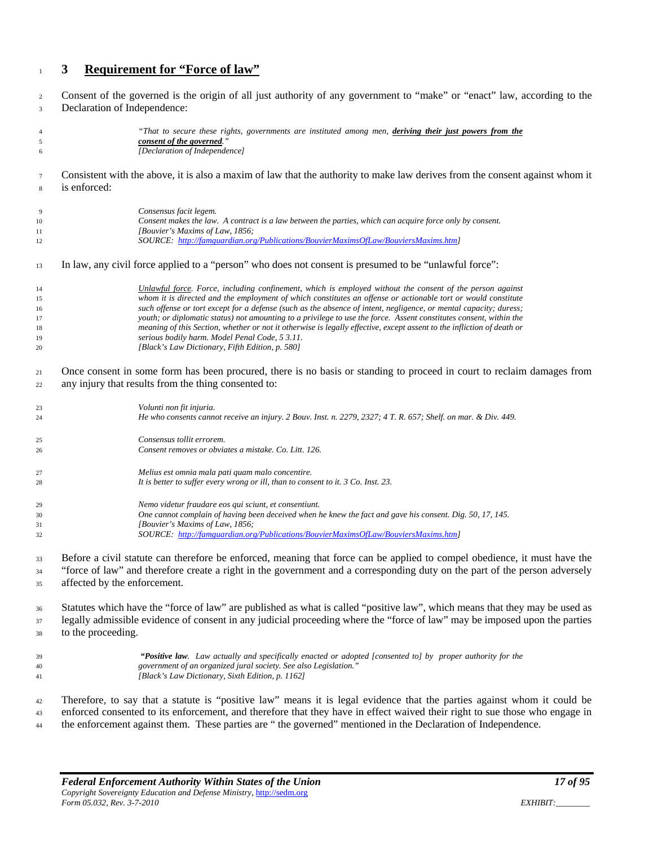#### <span id="page-16-0"></span>**3 Requirement for "Force of law"**

 Consent of the governed is the origin of all just authority of any government to "make" or "enact" law, according to the Declaration of Independence:

| $\overline{4}$<br>$\sqrt{5}$<br>6 | "That to secure these rights, governments are instituted among men, deriving their just powers from the<br>consent of the governed.'<br>[Declaration of Independence] |  |  |  |  |
|-----------------------------------|-----------------------------------------------------------------------------------------------------------------------------------------------------------------------|--|--|--|--|
| $\tau$                            | Consistent with the above, it is also a maxim of law that the authority to make law derives from the consent against whom it                                          |  |  |  |  |
| $\,$ 8 $\,$                       | is enforced:                                                                                                                                                          |  |  |  |  |
| 9                                 | Consensus facit legem.                                                                                                                                                |  |  |  |  |
| 10                                | Consent makes the law. A contract is a law between the parties, which can acquire force only by consent.                                                              |  |  |  |  |
| 11                                | [Bouvier's Maxims of Law, 1856;                                                                                                                                       |  |  |  |  |
| 12                                | SOURCE: http://famguardian.org/Publications/BouvierMaximsOfLaw/BouviersMaxims.htm]                                                                                    |  |  |  |  |
| 13                                | In law, any civil force applied to a "person" who does not consent is presumed to be "unlawful force":                                                                |  |  |  |  |
| 14                                | Unlawful force. Force, including confinement, which is employed without the consent of the person against                                                             |  |  |  |  |
| 15                                | whom it is directed and the employment of which constitutes an offense or actionable tort or would constitute                                                         |  |  |  |  |
| 16                                | such offense or tort except for a defense (such as the absence of intent, negligence, or mental capacity; duress;                                                     |  |  |  |  |
| 17                                | youth; or diplomatic status) not amounting to a privilege to use the force. Assent constitutes consent, within the                                                    |  |  |  |  |
| 18                                | meaning of this Section, whether or not it otherwise is legally effective, except assent to the infliction of death or                                                |  |  |  |  |
| 19                                | serious bodily harm. Model Penal Code, 5 3.11.                                                                                                                        |  |  |  |  |
| 20                                | [Black's Law Dictionary, Fifth Edition, p. 580]                                                                                                                       |  |  |  |  |
| 21                                | Once consent in some form has been procured, there is no basis or standing to proceed in court to reclaim damages from                                                |  |  |  |  |
| 22                                | any injury that results from the thing consented to:                                                                                                                  |  |  |  |  |
|                                   |                                                                                                                                                                       |  |  |  |  |
| 23                                | Volunti non fit injuria.                                                                                                                                              |  |  |  |  |
| 24                                | He who consents cannot receive an injury. 2 Bouv. Inst. n. 2279, 2327; 4 T. R. 657; Shelf. on mar. & Div. 449.                                                        |  |  |  |  |
| 25                                | Consensus tollit errorem.                                                                                                                                             |  |  |  |  |
| 26                                | Consent removes or obviates a mistake. Co. Litt. 126.                                                                                                                 |  |  |  |  |
| 27                                | Melius est omnia mala pati quam malo concentire.                                                                                                                      |  |  |  |  |
| 28                                | It is better to suffer every wrong or ill, than to consent to it. 3 Co. Inst. 23.                                                                                     |  |  |  |  |
| 29                                | Nemo videtur fraudare eos qui sciunt, et consentiunt.                                                                                                                 |  |  |  |  |
| 30                                | One cannot complain of having been deceived when he knew the fact and gave his consent. Dig. 50, 17, 145.                                                             |  |  |  |  |
| 31                                | [Bouvier's Maxims of Law, 1856;                                                                                                                                       |  |  |  |  |
| 32                                | SOURCE: http://famguardian.org/Publications/BouvierMaximsOfLaw/BouviersMaxims.htm]                                                                                    |  |  |  |  |
|                                   |                                                                                                                                                                       |  |  |  |  |
| 33                                | Before a civil statute can therefore be enforced, meaning that force can be applied to compel obedience, it must have the                                             |  |  |  |  |
| 34                                | "force of law" and therefore create a right in the government and a corresponding duty on the part of the person adversely                                            |  |  |  |  |
| 35                                | affected by the enforcement.                                                                                                                                          |  |  |  |  |
|                                   |                                                                                                                                                                       |  |  |  |  |
| 36                                | Statutes which have the "force of law" are published as what is called "positive law", which means that they may be used as                                           |  |  |  |  |
| 37                                | legally admissible evidence of consent in any judicial proceeding where the "force of law" may be imposed upon the parties                                            |  |  |  |  |
| 38                                | to the proceeding.                                                                                                                                                    |  |  |  |  |
| 39                                | "Positive law. Law actually and specifically enacted or adopted [consented to] by proper authority for the                                                            |  |  |  |  |
| 40                                | government of an organized jural society. See also Legislation."                                                                                                      |  |  |  |  |
| 41                                | [Black's Law Dictionary, Sixth Edition, p. 1162]                                                                                                                      |  |  |  |  |
|                                   |                                                                                                                                                                       |  |  |  |  |
| 42                                | Therefore, to say that a statute is "positive law" means it is legal evidence that the parties against whom it could be                                               |  |  |  |  |
| 43                                | enforced consented to its enforcement, and therefore that they have in effect waived their right to sue those who engage in                                           |  |  |  |  |
| 44                                | the enforcement against them. These parties are "the governed" mentioned in the Declaration of Independence.                                                          |  |  |  |  |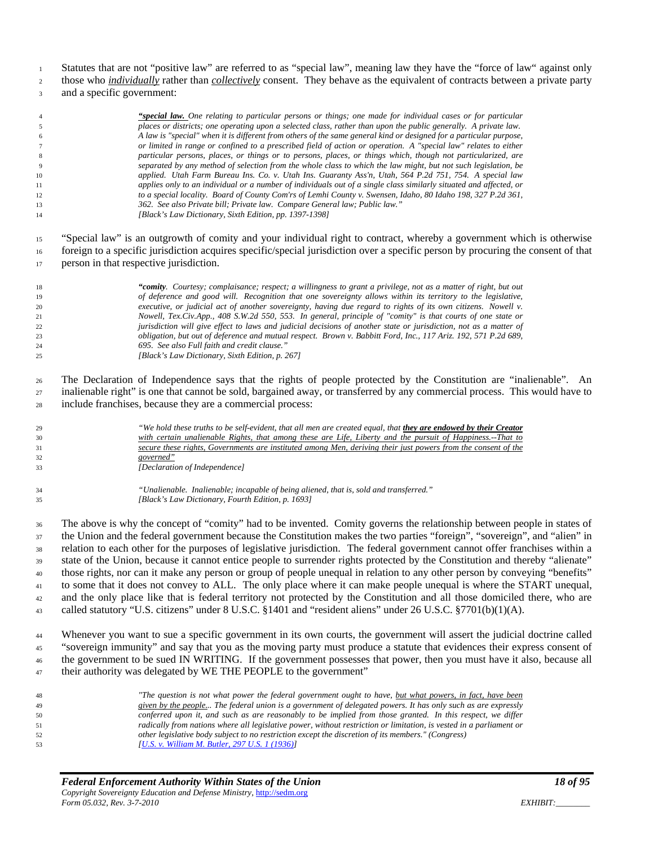Statutes that are not "positive law" are referred to as "special law", meaning law they have the "force of law" against only

 those who *individually* rather than *collectively* consent. They behave as the equivalent of contracts between a private party and a specific government:

#### *"special law. One relating to particular persons or things; one made for individual cases or for particular places or districts; one operating upon a selected class, rather than upon the public generally. A private law. A law is "special" when it is different from others of the same general kind or designed for a particular purpose, or limited in range or confined to a prescribed field of action or operation. A "special law" relates to either particular persons, places, or things or to persons, places, or things which, though not particularized, are separated by any method of selection from the whole class to which the law might, but not such legislation, be applied. Utah Farm Bureau Ins. Co. v. Utah Ins. Guaranty Ass'n, Utah, 564 P.2d 751, 754. A special law applies only to an individual or a number of individuals out of a single class similarly situated and affected, or to a special locality. Board of County Com'rs of Lemhi County v. Swensen, Idaho, 80 Idaho 198, 327 P.2d 361, 362. See also Private bill; Private law. Compare General law; Public law." [Black's Law Dictionary, Sixth Edition, pp. 1397-1398]*

 "Special law" is an outgrowth of comity and your individual right to contract, whereby a government which is otherwise foreign to a specific jurisdiction acquires specific/special jurisdiction over a specific person by procuring the consent of that 17 person in that respective jurisdiction.

 *"comity. Courtesy; complaisance; respect; a willingness to grant a privilege, not as a matter of right, but out of deference and good will. Recognition that one sovereignty allows within its territory to the legislative, executive, or judicial act of another sovereignty, having due regard to rights of its own citizens. Nowell v. Nowell, Tex.Civ.App., 408 S.W.2d 550, 553. In general, principle of "comity" is that courts of one state or jurisdiction will give effect to laws and judicial decisions of another state or jurisdiction, not as a matter of obligation, but out of deference and mutual respect. Brown v. Babbitt Ford, Inc., 117 Ariz. 192, 571 P.2d 689, 695. See also Full faith and credit clause." [Black's Law Dictionary, Sixth Edition, p. 267]*

 The Declaration of Independence says that the rights of people protected by the Constitution are "inalienable". An <sub>27</sub> inalienable right" is one that cannot be sold, bargained away, or transferred by any commercial process. This would have to include franchises, because they are a commercial process:



 *"Unalienable. Inalienable; incapable of being aliened, that is, sold and transferred." [Black's Law Dictionary, Fourth Edition, p. 1693]*

 The above is why the concept of "comity" had to be invented. Comity governs the relationship between people in states of the Union and the federal government because the Constitution makes the two parties "foreign", "sovereign", and "alien" in relation to each other for the purposes of legislative jurisdiction. The federal government cannot offer franchises within a state of the Union, because it cannot entice people to surrender rights protected by the Constitution and thereby "alienate" those rights, nor can it make any person or group of people unequal in relation to any other person by conveying "benefits" to some that it does not convey to ALL. The only place where it can make people unequal is where the START unequal, <sup>42</sup> and the only place like that is federal territory not protected by the Constitution and all those domiciled there, who are called statutory "U.S. citizens" under 8 U.S.C. §1401 and "resident aliens" under 26 U.S.C. §7701(b)(1)(A).

 Whenever you want to sue a specific government in its own courts, the government will assert the judicial doctrine called "sovereign immunity" and say that you as the moving party must produce a statute that evidences their express consent of the government to be sued IN WRITING. If the government possesses that power, then you must have it also, because all 47 their authority was delegated by WE THE PEOPLE to the government"

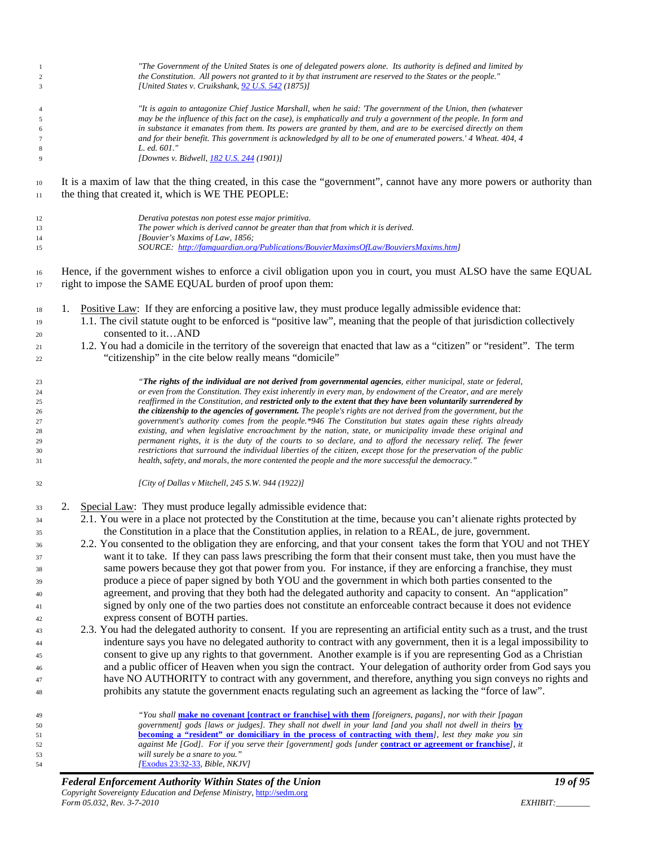| $\mathbf{1}$<br>$\sqrt{2}$ | "The Government of the United States is one of delegated powers alone. Its authority is defined and limited by<br>the Constitution. All powers not granted to it by that instrument are reserved to the States or the people."     |  |  |  |  |  |
|----------------------------|------------------------------------------------------------------------------------------------------------------------------------------------------------------------------------------------------------------------------------|--|--|--|--|--|
| 3                          | [United States v. Cruikshank, 92 U.S. 542 (1875)]                                                                                                                                                                                  |  |  |  |  |  |
| $\overline{4}$             | "It is again to antagonize Chief Justice Marshall, when he said: 'The government of the Union, then (whatever                                                                                                                      |  |  |  |  |  |
| 5                          | may be the influence of this fact on the case), is emphatically and truly a government of the people. In form and                                                                                                                  |  |  |  |  |  |
| 6                          | in substance it emanates from them. Its powers are granted by them, and are to be exercised directly on them                                                                                                                       |  |  |  |  |  |
| $\tau$                     | and for their benefit. This government is acknowledged by all to be one of enumerated powers.' 4 Wheat. 404, 4                                                                                                                     |  |  |  |  |  |
| $\,$ 8 $\,$                | L. ed. 601."<br>[Downes v. Bidwell, 182 U.S. 244 (1901)]                                                                                                                                                                           |  |  |  |  |  |
| 9                          |                                                                                                                                                                                                                                    |  |  |  |  |  |
| 10                         | It is a maxim of law that the thing created, in this case the "government", cannot have any more powers or authority than                                                                                                          |  |  |  |  |  |
| 11                         | the thing that created it, which is WE THE PEOPLE:                                                                                                                                                                                 |  |  |  |  |  |
| 12                         | Derativa potestas non potest esse major primitiva.                                                                                                                                                                                 |  |  |  |  |  |
| 13                         | The power which is derived cannot be greater than that from which it is derived.                                                                                                                                                   |  |  |  |  |  |
| 14                         | [Bouvier's Maxims of Law, 1856;                                                                                                                                                                                                    |  |  |  |  |  |
| 15                         | SOURCE: http://famguardian.org/Publications/BouvierMaximsOfLaw/BouviersMaxims.htm]                                                                                                                                                 |  |  |  |  |  |
| 16<br>17                   | Hence, if the government wishes to enforce a civil obligation upon you in court, you must ALSO have the same EQUAL<br>right to impose the SAME EQUAL burden of proof upon them:                                                    |  |  |  |  |  |
| 18                         | Positive Law: If they are enforcing a positive law, they must produce legally admissible evidence that:<br>1.                                                                                                                      |  |  |  |  |  |
| 19                         | 1.1. The civil statute ought to be enforced is "positive law", meaning that the people of that jurisdiction collectively                                                                                                           |  |  |  |  |  |
| 20                         | consented to itAND                                                                                                                                                                                                                 |  |  |  |  |  |
|                            | 1.2. You had a domicile in the territory of the sovereign that enacted that law as a "citizen" or "resident". The term                                                                                                             |  |  |  |  |  |
| 21                         |                                                                                                                                                                                                                                    |  |  |  |  |  |
| 22                         | "citizenship" in the cite below really means "domicile"                                                                                                                                                                            |  |  |  |  |  |
| 23                         | "The rights of the individual are not derived from governmental agencies, either municipal, state or federal,                                                                                                                      |  |  |  |  |  |
| 24                         | or even from the Constitution. They exist inherently in every man, by endowment of the Creator, and are merely                                                                                                                     |  |  |  |  |  |
| 25                         | reaffirmed in the Constitution, and restricted only to the extent that they have been voluntarily surrendered by                                                                                                                   |  |  |  |  |  |
| 26                         | the citizenship to the agencies of government. The people's rights are not derived from the government, but the                                                                                                                    |  |  |  |  |  |
| 27                         | government's authority comes from the people.*946 The Constitution but states again these rights already                                                                                                                           |  |  |  |  |  |
| 28                         | existing, and when legislative encroachment by the nation, state, or municipality invade these original and                                                                                                                        |  |  |  |  |  |
| 29                         | permanent rights, it is the duty of the courts to so declare, and to afford the necessary relief. The fewer<br>restrictions that surround the individual liberties of the citizen, except those for the preservation of the public |  |  |  |  |  |
| 30<br>31                   | health, safety, and morals, the more contented the people and the more successful the democracy."                                                                                                                                  |  |  |  |  |  |
| 32                         | [City of Dallas v Mitchell, 245 S.W. 944 (1922)]                                                                                                                                                                                   |  |  |  |  |  |
| 33                         | Special Law: They must produce legally admissible evidence that:<br>2.                                                                                                                                                             |  |  |  |  |  |
| 34                         | 2.1. You were in a place not protected by the Constitution at the time, because you can't alienate rights protected by                                                                                                             |  |  |  |  |  |
| 35                         | the Constitution in a place that the Constitution applies, in relation to a REAL, de jure, government.                                                                                                                             |  |  |  |  |  |
| 36                         | 2.2. You consented to the obligation they are enforcing, and that your consent takes the form that YOU and not THEY                                                                                                                |  |  |  |  |  |
| 37                         | want it to take. If they can pass laws prescribing the form that their consent must take, then you must have the                                                                                                                   |  |  |  |  |  |
| 38                         | same powers because they got that power from you. For instance, if they are enforcing a franchise, they must                                                                                                                       |  |  |  |  |  |
|                            | produce a piece of paper signed by both YOU and the government in which both parties consented to the                                                                                                                              |  |  |  |  |  |
| 39                         |                                                                                                                                                                                                                                    |  |  |  |  |  |
| 40                         | agreement, and proving that they both had the delegated authority and capacity to consent. An "application"                                                                                                                        |  |  |  |  |  |
| 41                         | signed by only one of the two parties does not constitute an enforceable contract because it does not evidence                                                                                                                     |  |  |  |  |  |
| 42                         | express consent of BOTH parties.                                                                                                                                                                                                   |  |  |  |  |  |
| 43                         | 2.3. You had the delegated authority to consent. If you are representing an artificial entity such as a trust, and the trust                                                                                                       |  |  |  |  |  |
| 44                         | indenture says you have no delegated authority to contract with any government, then it is a legal impossibility to                                                                                                                |  |  |  |  |  |
| 45                         | consent to give up any rights to that government. Another example is if you are representing God as a Christian                                                                                                                    |  |  |  |  |  |
| 46                         | and a public officer of Heaven when you sign the contract. Your delegation of authority order from God says you                                                                                                                    |  |  |  |  |  |
| 47                         | have NO AUTHORITY to contract with any government, and therefore, anything you sign conveys no rights and                                                                                                                          |  |  |  |  |  |
| 48                         | prohibits any statute the government enacts regulating such an agreement as lacking the "force of law".                                                                                                                            |  |  |  |  |  |
| 49                         | "You shall make no covenant [contract or franchise] with them [foreigners, pagans], nor with their [pagan                                                                                                                          |  |  |  |  |  |
| 50                         | government] gods [laws or judges]. They shall not dwell in your land [and you shall not dwell in theirs by                                                                                                                         |  |  |  |  |  |
| 51                         | becoming a "resident" or domiciliary in the process of contracting with them], lest they make you sin                                                                                                                              |  |  |  |  |  |
| 52                         | against Me [God]. For if you serve their [government] gods [under contract or agreement or franchise], it                                                                                                                          |  |  |  |  |  |
| 53                         | will surely be a snare to you."                                                                                                                                                                                                    |  |  |  |  |  |
| 54                         | [Exodus 23:32-33, Bible, NKJV]                                                                                                                                                                                                     |  |  |  |  |  |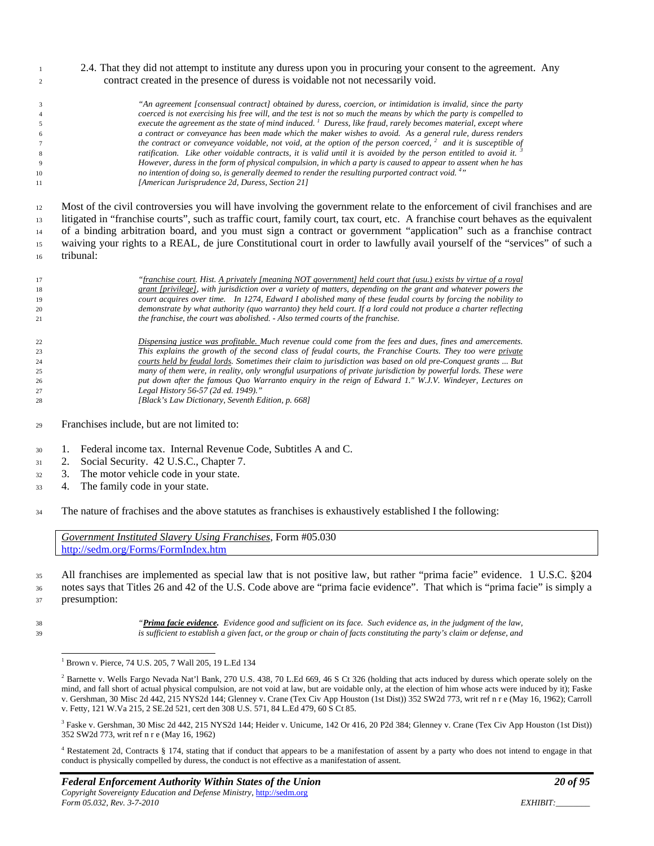2.4. That they did not attempt to institute any duress upon you in procuring your consent to the agreement. Any contract created in the presence of duress is voidable not not necessarily void.

 *"An agreement [consensual contract] obtained by duress, coercion, or intimidation is invalid, since the party coerced is not exercising his free will, and the test is not so much the means by which the party is compelled to execute the agreement as the state of mind induced. 1 Duress, like fraud, rarely becomes material, except where a contract or conveyance has been made which the maker wishes to avoid. As a general rule, duress renders the contract or conveyance voidable, not void, at the option of the person coerced,* <sup>2</sup> *and it is susceptible of ratification. Like other voidable contracts, it is valid until it is avoided by the person entitled to avoid it. <sup>3</sup> However, duress in the form of physical compulsion, in which a party is caused to appear to assent when he has no intention of doing so, is generally deemed to render the resulting purported contract void. 4 " [American Jurisprudence 2d, Duress, Section 21]*

 Most of the civil controversies you will have involving the government relate to the enforcement of civil franchises and are litigated in "franchise courts", such as traffic court, family court, tax court, etc. A franchise court behaves as the equivalent of a binding arbitration board, and you must sign a contract or government "application" such as a franchise contract waiving your rights to a REAL, de jure Constitutional court in order to lawfully avail yourself of the "services" of such a tribunal:

*"franchise court. Hist. A privately [meaning NOT government] held court that (usu.) exists by virtue of a royal* 

 *grant [privilege], with jurisdiction over a variety of matters, depending on the grant and whatever powers the court acquires over time. In 1274, Edward I abolished many of these feudal courts by forcing the nobility to demonstrate by what authority (quo warranto) they held court. If a lord could not produce a charter reflecting the franchise, the court was abolished. - Also termed courts of the franchise.*

- *Dispensing justice was profitable. Much revenue could come from the fees and dues, fines and amercements. This explains the growth of the second class of feudal courts, the Franchise Courts. They too were private courts held by feudal lords. Sometimes their claim to jurisdiction was based on old pre-Conquest grants ... But many of them were, in reality, only wrongful usurpations of private jurisdiction by powerful lords. These were put down after the famous Quo Warranto enquiry in the reign of Edward 1." W.J.V. Windeyer, Lectures on Legal History 56-57 (2d ed. 1949)." [Black's Law Dictionary, Seventh Edition, p. 668]*
- Franchises include, but are not limited to:
- 1. Federal income tax. Internal Revenue Code, Subtitles A and C.
- 2. Social Security. 42 U.S.C., Chapter 7.
- 3. The motor vehicle code in your state.
- 4. The family code in your state.
- The nature of frachises and the above statutes as franchises is exhaustively established I the following:

*Government Instituted Slavery Using Franchises*, Form #05.030 <http://sedm.org/Forms/FormIndex.htm>

 All franchises are implemented as special law that is not positive law, but rather "prima facie" evidence. 1 U.S.C. §204 notes says that Titles 26 and 42 of the U.S. Code above are "prima facie evidence". That which is "prima facie" is simply a presumption:

 *"Prima facie evidence. Evidence good and sufficient on its face. Such evidence as, in the judgment of the law, is sufficient to establish a given fact, or the group or chain of facts constituting the party's claim or defense, and* 

<sup>3</sup> Faske v. Gershman, 30 Misc 2d 442, 215 NYS2d 144; Heider v. Unicume, 142 Or 416, 20 P2d 384; Glenney v. Crane (Tex Civ App Houston (1st Dist)) 352 SW2d 773, writ ref n r e (May 16, 1962)

<sup>&</sup>lt;sup>1</sup> Brown v. Pierce, 74 U.S. 205, 7 Wall 205, 19 L.Ed 134

 $^2$  Barnette v. Wells Fargo Nevada Nat'l Bank, 270 U.S. 438, 70 L.Ed 669, 46 S Ct 326 (holding that acts induced by duress which operate solely on the mind, and fall short of actual physical compulsion, are not void at law, but are voidable only, at the election of him whose acts were induced by it); Faske v. Gershman, 30 Misc 2d 442, 215 NYS2d 144; Glenney v. Crane (Tex Civ App Houston (1st Dist)) 352 SW2d 773, writ ref n r e (May 16, 1962); Carroll v. Fetty, 121 W.Va 215, 2 SE.2d 521, cert den 308 U.S. 571, 84 L.Ed 479, 60 S Ct 85.

<sup>&</sup>lt;sup>4</sup> Restatement 2d, Contracts § 174, stating that if conduct that appears to be a manifestation of assent by a party who does not intend to engage in that conduct is physically compelled by duress, the conduct is not effective as a manifestation of assent.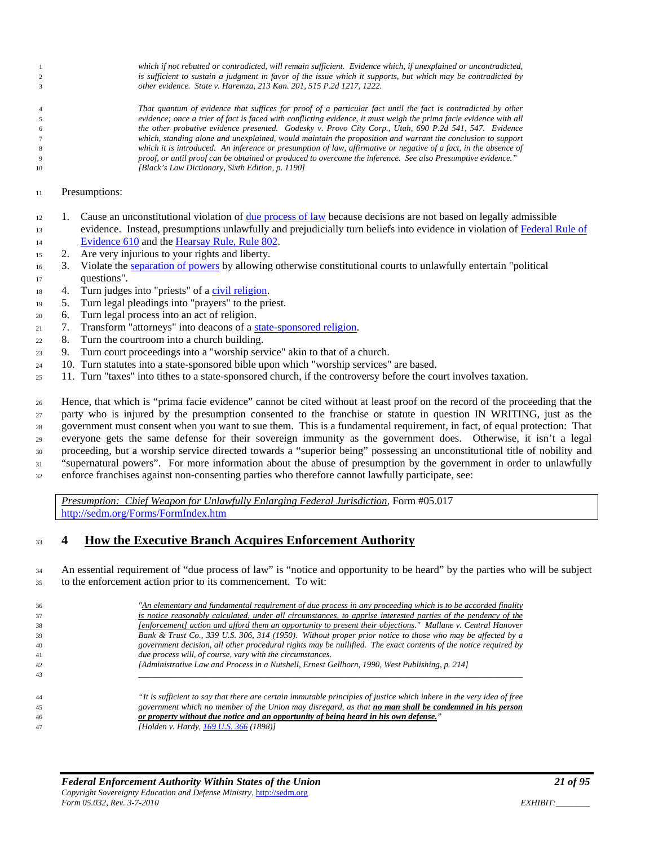*which if not rebutted or contradicted, will remain sufficient. Evidence which, if unexplained or uncontradicted, is sufficient to sustain a judgment in favor of the issue which it supports, but which may be contradicted by other evidence. State v. Haremza, 213 Kan. 201, 515 P.2d 1217, 1222.*

 *That quantum of evidence that suffices for proof of a particular fact until the fact is contradicted by other evidence; once a trier of fact is faced with conflicting evidence, it must weigh the prima facie evidence with all the other probative evidence presented. Godesky v. Provo City Corp., Utah, 690 P.2d 541, 547. Evidence which, standing alone and unexplained, would maintain the proposition and warrant the conclusion to support which it is introduced. An inference or presumption of law, affirmative or negative of a fact, in the absence of proof, or until proof can be obtained or produced to overcome the inference. See also Presumptive evidence." [Black's Law Dictionary, Sixth Edition, p. 1190]*

Presumptions:

- 1. Cause an unconstitutional violation of [due process of law](http://famguardian.org/TaxFreedom/CitesByTopic/DueProcess.htm) because decisions are not based on legally admissible 13 evidence. Instead, presumptions unlawfully and prejudicially turn beliefs into evidence in violation of Federal Rule of [Evidence 610](http://www.law.cornell.edu/rules/fre/rules.htm#Rule610) and th[e Hearsay Rule, Rule 802.](http://www.law.cornell.edu/rules/fre/rules.htm#Rule802)
- 2. Are very injurious to your rights and liberty.
- 3. Violate the [separation of powers](http://sedm.org/Forms/MemLaw/SeparationOfPowers.pdf) by allowing otherwise constitutional courts to unlawfully entertain "political questions".
- 4. Turn judges into "priests" of [a civil religion.](http://sedm.org/Forms/MemLaw/SocialismCivilReligion.pdf)
- 5. Turn legal pleadings into "prayers" to the priest.
- 6. Turn legal process into an act of religion.
- 7. Transform "attorneys" into deacons of a [state-sponsored religion.](http://sedm.org/Forms/MemLaw/SocialismCivilReligion.pdf)
- 8. Turn the courtroom into a church building.
- 9. Turn court proceedings into a "worship service" akin to that of a church.
- 10. Turn statutes into a state-sponsored bible upon which "worship services" are based.
- 11. Turn "taxes" into tithes to a state-sponsored church, if the controversy before the court involves taxation.

 Hence, that which is "prima facie evidence" cannot be cited without at least proof on the record of the proceeding that the party who is injured by the presumption consented to the franchise or statute in question IN WRITING, just as the government must consent when you want to sue them. This is a fundamental requirement, in fact, of equal protection: That everyone gets the same defense for their sovereign immunity as the government does. Otherwise, it isn't a legal proceeding, but a worship service directed towards a "superior being" possessing an unconstitutional title of nobility and "supernatural powers". For more information about the abuse of presumption by the government in order to unlawfully enforce franchises against non-consenting parties who therefore cannot lawfully participate, see:

<span id="page-20-0"></span>*Presumption: Chief Weapon for Unlawfully Enlarging Federal Jurisdiction*, Form #05.017 <http://sedm.org/Forms/FormIndex.htm>

### **4 How the Executive Branch Acquires Enforcement Authority**

 An essential requirement of "due process of law" is "notice and opportunity to be heard" by the parties who will be subject to the enforcement action prior to its commencement. To wit:

 *"An elementary and fundamental requirement of due process in any proceeding which is to be accorded finality is notice reasonably calculated, under all circumstances, to apprise interested parties of the pendency of the [enforcement] action and afford them an opportunity to present their objections." Mullane v. Central Hanover Bank & Trust Co., 339 U.S. 306, 314 (1950). Without proper prior notice to those who may be affected by a government decision, all other procedural rights may be nullified. The exact contents of the notice required by due process will, of course, vary with the circumstances. [Administrative Law and Process in a Nutshell, Ernest Gellhorn, 1990, West Publishing, p. 214]*

 *"It is sufficient to say that there are certain immutable principles of justice which inhere in the very idea of free government which no member of the Union may disregard, as that no man shall be condemned in his person or property without due notice and an opportunity of being heard in his own defense." [Holden v. Hardy[, 169 U.S. 366](http://caselaw.lp.findlaw.com/scripts/getcase.pl?navby=case&court=us&vol=169&page=366) (1898)]*

*\_\_\_\_\_\_\_\_\_\_\_\_\_\_\_\_\_\_\_\_\_\_\_\_\_\_\_\_\_\_\_\_\_\_\_\_\_\_\_\_\_\_\_\_\_\_\_\_\_\_\_\_\_\_\_\_\_\_\_\_\_\_\_\_\_\_\_\_\_\_\_\_\_\_\_\_\_\_\_\_\_\_\_\_\_\_\_\_\_\_*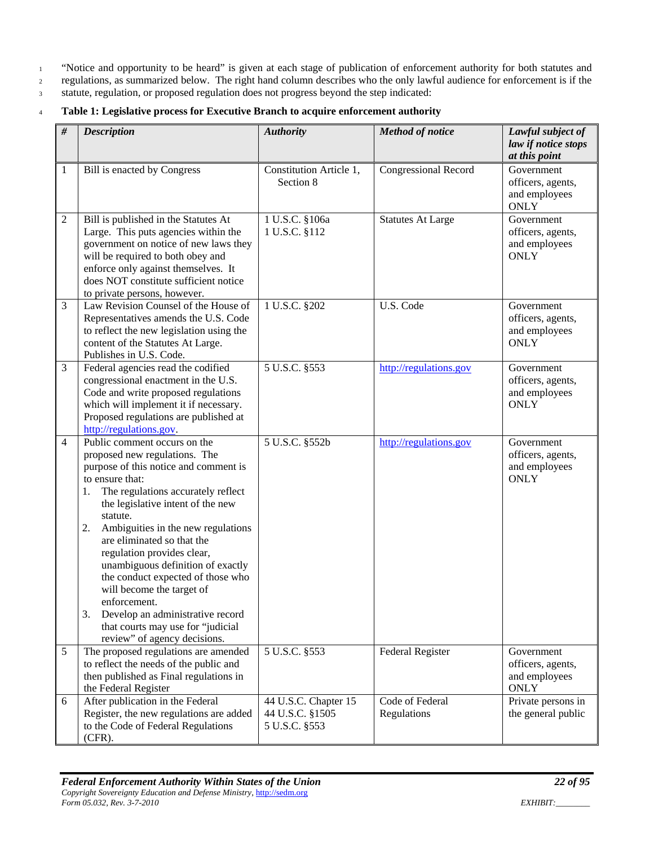<sup>1</sup> "Notice and opportunity to be heard" is given at each stage of publication of enforcement authority for both statutes and

<sup>2</sup> regulations, as summarized below. The right hand column describes who the only lawful audience for enforcement is if the

<sup>3</sup> statute, regulation, or proposed regulation does not progress beyond the step indicated:

#### <sup>4</sup> **Table 1: Legislative process for Executive Branch to acquire enforcement authority**

| #              | <b>Description</b>                                                                                                                                                                                                                                                                                                                                                                                                                                                                                                                                                   | <b>Authority</b>                                         | <b>Method of notice</b>        | Lawful subject of<br>law if notice stops<br>at this point       |
|----------------|----------------------------------------------------------------------------------------------------------------------------------------------------------------------------------------------------------------------------------------------------------------------------------------------------------------------------------------------------------------------------------------------------------------------------------------------------------------------------------------------------------------------------------------------------------------------|----------------------------------------------------------|--------------------------------|-----------------------------------------------------------------|
| 1              | Bill is enacted by Congress                                                                                                                                                                                                                                                                                                                                                                                                                                                                                                                                          | Constitution Article 1,<br>Section 8                     | <b>Congressional Record</b>    | Government<br>officers, agents,<br>and employees<br><b>ONLY</b> |
| $\overline{2}$ | Bill is published in the Statutes At<br>Large. This puts agencies within the<br>government on notice of new laws they<br>will be required to both obey and<br>enforce only against themselves. It<br>does NOT constitute sufficient notice<br>to private persons, however.                                                                                                                                                                                                                                                                                           | 1 U.S.C. §106a<br>1 U.S.C. §112                          | <b>Statutes At Large</b>       | Government<br>officers, agents,<br>and employees<br><b>ONLY</b> |
| 3              | Law Revision Counsel of the House of<br>Representatives amends the U.S. Code<br>to reflect the new legislation using the<br>content of the Statutes At Large.<br>Publishes in U.S. Code.                                                                                                                                                                                                                                                                                                                                                                             | 1 U.S.C. §202                                            | U.S. Code                      | Government<br>officers, agents,<br>and employees<br><b>ONLY</b> |
| $\overline{3}$ | Federal agencies read the codified<br>congressional enactment in the U.S.<br>Code and write proposed regulations<br>which will implement it if necessary.<br>Proposed regulations are published at<br>http://regulations.gov.                                                                                                                                                                                                                                                                                                                                        | 5 U.S.C. §553                                            | http://regulations.gov         | Government<br>officers, agents,<br>and employees<br><b>ONLY</b> |
| $\overline{4}$ | Public comment occurs on the<br>proposed new regulations. The<br>purpose of this notice and comment is<br>to ensure that:<br>The regulations accurately reflect<br>1.<br>the legislative intent of the new<br>statute.<br>2.<br>Ambiguities in the new regulations<br>are eliminated so that the<br>regulation provides clear,<br>unambiguous definition of exactly<br>the conduct expected of those who<br>will become the target of<br>enforcement.<br>Develop an administrative record<br>3.<br>that courts may use for "judicial<br>review" of agency decisions. | 5 U.S.C. §552b                                           | http://regulations.gov         | Government<br>officers, agents,<br>and employees<br><b>ONLY</b> |
| 5              | The proposed regulations are amended<br>to reflect the needs of the public and<br>then published as Final regulations in<br>the Federal Register                                                                                                                                                                                                                                                                                                                                                                                                                     | 5 U.S.C. §553                                            | <b>Federal Register</b>        | Government<br>officers, agents,<br>and employees<br><b>ONLY</b> |
| 6              | After publication in the Federal<br>Register, the new regulations are added<br>to the Code of Federal Regulations<br>$(CFR)$ .                                                                                                                                                                                                                                                                                                                                                                                                                                       | 44 U.S.C. Chapter 15<br>44 U.S.C. §1505<br>5 U.S.C. §553 | Code of Federal<br>Regulations | Private persons in<br>the general public                        |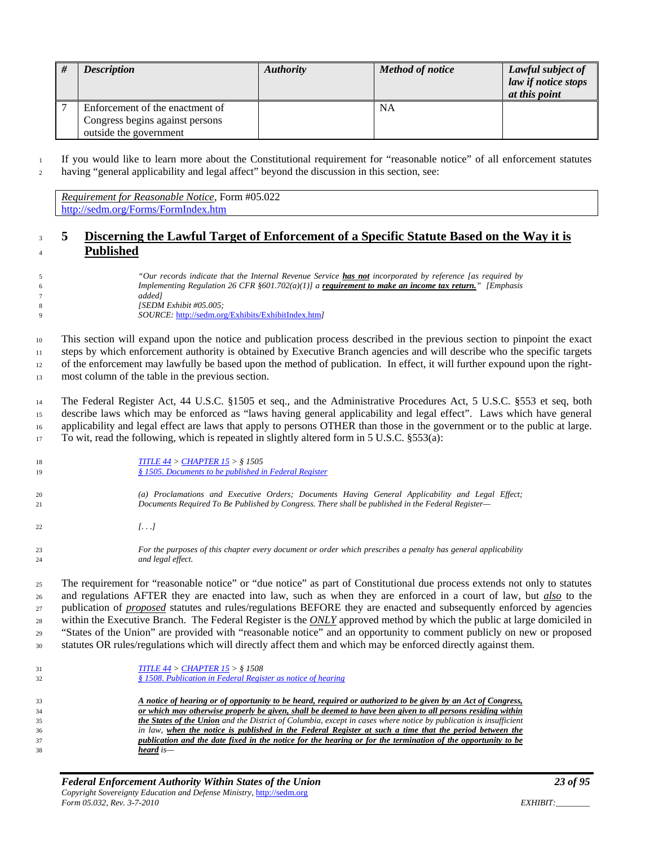| <b>Description</b>                                                                           | <b>Authority</b> | <b>Method of notice</b> | Lawful subject of<br>law if notice stops<br>at this point |
|----------------------------------------------------------------------------------------------|------------------|-------------------------|-----------------------------------------------------------|
| Enforcement of the enactment of<br>Congress begins against persons<br>outside the government |                  | NA                      |                                                           |

 If you would like to learn more about the Constitutional requirement for "reasonable notice" of all enforcement statutes having "general applicability and legal affect" beyond the discussion in this section, see:

<span id="page-22-0"></span>*Requirement for Reasonable Notice*, Form #05.022 <http://sedm.org/Forms/FormIndex.htm>

#### **5 Discerning the Lawful Target of Enforcement of a Specific Statute Based on the Way it is Published**

| "Our records indicate that the Internal Revenue Service <b>has not</b> incorporated by reference [as required by |
|------------------------------------------------------------------------------------------------------------------|
| Implementing Regulation 26 CFR §601.702(a)(1)] a requirement to make an income tax return." [Emphasis            |
| addedl                                                                                                           |
| [SEDM Exhibit #05.005;                                                                                           |
| <i>SOURCE:</i> http://sedm.org/Exhibits/ExhibitIndex.html                                                        |

 This section will expand upon the notice and publication process described in the previous section to pinpoint the exact steps by which enforcement authority is obtained by Executive Branch agencies and will describe who the specific targets of the enforcement may lawfully be based upon the method of publication. In effect, it will further expound upon the right-most column of the table in the previous section.

 The Federal Register Act, 44 U.S.C. §1505 et seq., and the Administrative Procedures Act, 5 U.S.C. §553 et seq, both describe laws which may be enforced as "laws having general applicability and legal effect". Laws which have general applicability and legal effect are laws that apply to persons OTHER than those in the government or to the public at large. To wit, read the following, which is repeated in slightly altered form in 5 U.S.C. §553(a):

| 18 | TITLE $44 >$ CHAPTER $15 >$ § 1505                                                                |
|----|---------------------------------------------------------------------------------------------------|
| 19 | § 1505. Documents to be published in Federal Register                                             |
| 20 | (a) Proclamations and Executive Orders; Documents Having General Applicability and Legal Effect;  |
| 21 | Documents Required To Be Published by Congress. There shall be published in the Federal Register— |
| 22 | 1. 1                                                                                              |

 *For the purposes of this chapter every document or order which prescribes a penalty has general applicability and legal effect.* 

 The requirement for "reasonable notice" or "due notice" as part of Constitutional due process extends not only to statutes and regulations AFTER they are enacted into law, such as when they are enforced in a court of law, but *also* to the publication of *proposed* statutes and rules/regulations BEFORE they are enacted and subsequently enforced by agencies within the Executive Branch. The Federal Register is the *ONLY* approved method by which the public at large domiciled in "States of the Union" are provided with "reasonable notice" and an opportunity to comment publicly on new or proposed statutes OR rules/regulations which will directly affect them and which may be enforced directly against them.

| 31<br>32 | TITLE $44 >$ CHAPTER $15 >$ § 1508<br>§ 1508. Publication in Federal Register as notice of hearing                       |
|----------|--------------------------------------------------------------------------------------------------------------------------|
| 33       | A notice of hearing or of opportunity to be heard, required or authorized to be given by an Act of Congress,             |
| 34       | or which may otherwise properly be given, shall be deemed to have been given to all persons residing within              |
| 35       | <b>the States of the Union</b> and the District of Columbia, except in cases where notice by publication is insufficient |
| 36       | in law, when the notice is published in the Federal Register at such a time that the period between the                  |
| 37       | publication and the date fixed in the notice for the hearing or for the termination of the opportunity to be             |
| 38       | heard is—                                                                                                                |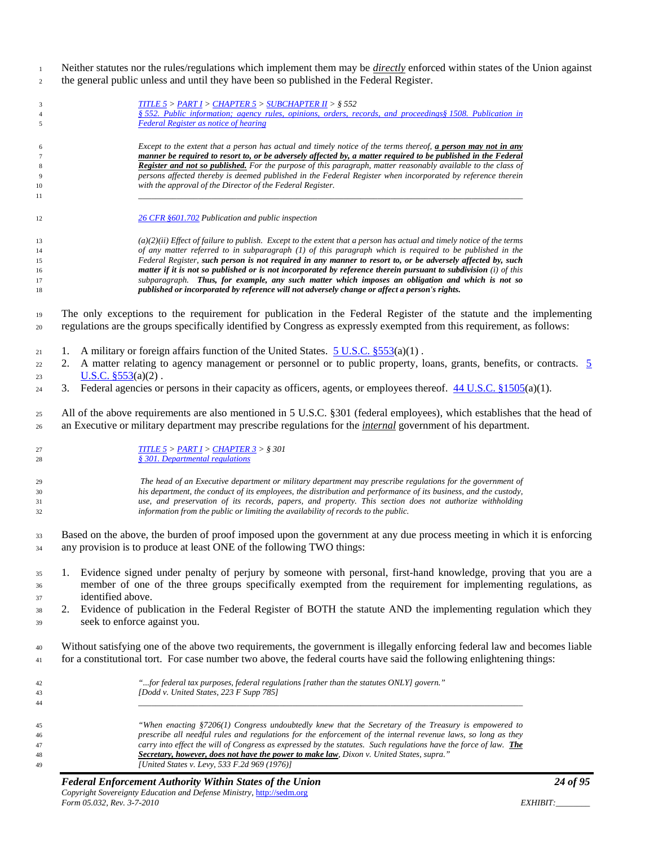Neither statutes nor the rules/regulations which implement them may be *directly* enforced within states of the Union against the general public unless and until they have been so published in the Federal Register.

| $\overline{\mathbf{3}}$ | <b>TITLE 5 &gt; PART I &gt; CHAPTER 5 &gt; SUBCHAPTER II &gt; <math>\S</math> 552</b>                                                                                                                                                               |
|-------------------------|-----------------------------------------------------------------------------------------------------------------------------------------------------------------------------------------------------------------------------------------------------|
| $\overline{4}$          | § 552. Public information; agency rules, opinions, orders, records, and proceedings§ 1508. Publication in                                                                                                                                           |
| 5                       | <b>Federal Register as notice of hearing</b>                                                                                                                                                                                                        |
|                         |                                                                                                                                                                                                                                                     |
| 6                       | Except to the extent that a person has actual and timely notice of the terms thereof, <b>a person may not in any</b>                                                                                                                                |
| $\overline{7}$          | manner be required to resort to, or be adversely affected by, a matter required to be published in the Federal                                                                                                                                      |
| 8                       | Register and not so published. For the purpose of this paragraph, matter reasonably available to the class of                                                                                                                                       |
| 9                       | persons affected thereby is deemed published in the Federal Register when incorporated by reference therein<br>with the approval of the Director of the Federal Register.                                                                           |
| 10<br>11                |                                                                                                                                                                                                                                                     |
|                         |                                                                                                                                                                                                                                                     |
| 12                      | 26 CFR §601.702 Publication and public inspection                                                                                                                                                                                                   |
| 13                      | $(a)(2)(ii)$ Effect of failure to publish. Except to the extent that a person has actual and timely notice of the terms                                                                                                                             |
| 14                      | of any matter referred to in subparagraph (1) of this paragraph which is required to be published in the                                                                                                                                            |
| 15                      | Federal Register, such person is not required in any manner to resort to, or be adversely affected by, such                                                                                                                                         |
| 16                      | matter if it is not so published or is not incorporated by reference therein pursuant to subdivision (i) of this                                                                                                                                    |
| 17                      | subparagraph. Thus, for example, any such matter which imposes an obligation and which is not so                                                                                                                                                    |
| 18                      | published or incorporated by reference will not adversely change or affect a person's rights.                                                                                                                                                       |
| 19<br>20                | The only exceptions to the requirement for publication in the Federal Register of the statute and the implementing<br>regulations are the groups specifically identified by Congress as expressly exempted from this requirement, as follows:       |
|                         | A military or foreign affairs function of the United States. $5 \text{ U.S.C. }$ \$553(a)(1).<br>1.                                                                                                                                                 |
| 21                      |                                                                                                                                                                                                                                                     |
| 22                      | A matter relating to agency management or personnel or to public property, loans, grants, benefits, or contracts. 5                                                                                                                                 |
| 23                      | U.S.C. $$553(a)(2)$ .                                                                                                                                                                                                                               |
| 24                      | Federal agencies or persons in their capacity as officers, agents, or employees thereof. $44 \text{ U.S.C.}$ §1505(a)(1).<br>3.                                                                                                                     |
| 25<br>26                | All of the above requirements are also mentioned in 5 U.S.C. §301 (federal employees), which establishes that the head of<br>an Executive or military department may prescribe regulations for the <i>internal</i> government of his department.    |
| 27<br>28                | TITLE 5 > PART I > CHAPTER 3 > \$301<br>§ 301. Departmental regulations                                                                                                                                                                             |
| 29                      | The head of an Executive department or military department may prescribe regulations for the government of                                                                                                                                          |
| 30                      | his department, the conduct of its employees, the distribution and performance of its business, and the custody,                                                                                                                                    |
| 31                      | use, and preservation of its records, papers, and property. This section does not authorize withholding                                                                                                                                             |
| 32                      | information from the public or limiting the availability of records to the public.                                                                                                                                                                  |
| 33<br>34                | Based on the above, the burden of proof imposed upon the government at any due process meeting in which it is enforcing<br>any provision is to produce at least ONE of the following TWO things:                                                    |
|                         |                                                                                                                                                                                                                                                     |
| 35                      | 1. Evidence signed under penalty of perjury by someone with personal, first-hand knowledge, proving that you are a                                                                                                                                  |
|                         |                                                                                                                                                                                                                                                     |
| 36                      | member of one of the three groups specifically exempted from the requirement for implementing regulations, as                                                                                                                                       |
| 37                      | identified above.                                                                                                                                                                                                                                   |
| 38                      | 2. Evidence of publication in the Federal Register of BOTH the statute AND the implementing regulation which they                                                                                                                                   |
| 39                      | seek to enforce against you.                                                                                                                                                                                                                        |
|                         |                                                                                                                                                                                                                                                     |
| 40<br>41                | Without satisfying one of the above two requirements, the government is illegally enforcing federal law and becomes liable<br>for a constitutional tort. For case number two above, the federal courts have said the following enlightening things: |
|                         | "for federal tax purposes, federal regulations [rather than the statutes ONLY] govern."                                                                                                                                                             |
| 42<br>43                | [Dodd v. United States, 223 F Supp 785]                                                                                                                                                                                                             |
| 44                      |                                                                                                                                                                                                                                                     |
|                         |                                                                                                                                                                                                                                                     |
| 45                      | "When enacting §7206(1) Congress undoubtedly knew that the Secretary of the Treasury is empowered to                                                                                                                                                |
| 46                      | prescribe all needful rules and regulations for the enforcement of the internal revenue laws, so long as they                                                                                                                                       |
| 47                      | carry into effect the will of Congress as expressed by the statutes. Such regulations have the force of law. The                                                                                                                                    |
| 48                      | Secretary, however, does not have the power to make law, Dixon v. United States, supra."                                                                                                                                                            |
| 49                      | [United States v. Levy, 533 F.2d 969 (1976)]                                                                                                                                                                                                        |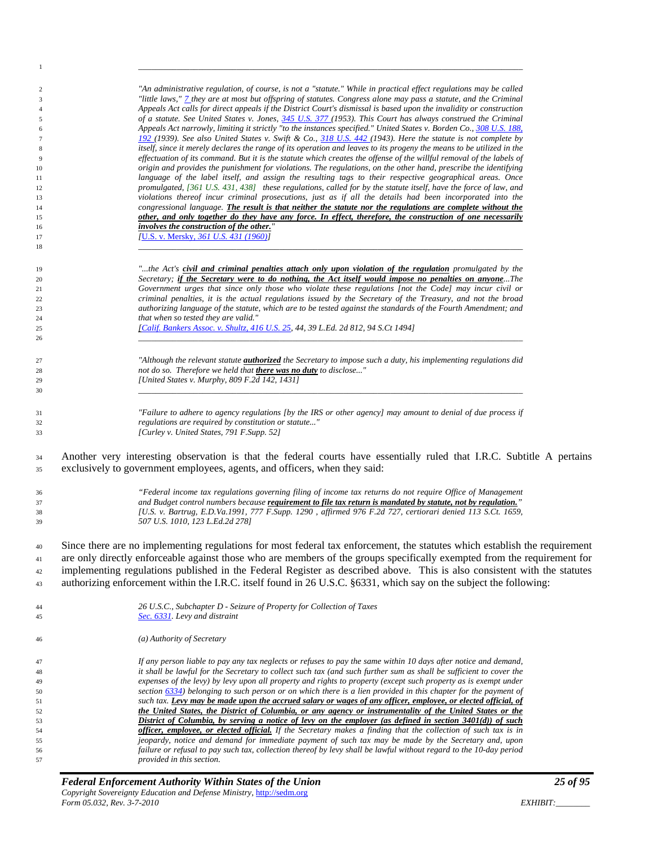| -1             |                                                                                                                                                                                                                                          |  |
|----------------|------------------------------------------------------------------------------------------------------------------------------------------------------------------------------------------------------------------------------------------|--|
|                |                                                                                                                                                                                                                                          |  |
| 2<br>3         | "An administrative regulation, of course, is not a "statute." While in practical effect regulations may be called<br>"little laws," 7 they are at most but offspring of statutes. Congress alone may pass a statute, and the Criminal    |  |
| $\overline{4}$ | Appeals Act calls for direct appeals if the District Court's dismissal is based upon the invalidity or construction                                                                                                                      |  |
| 5              | of a statute. See United States v. Jones, 345 U.S. 377 (1953). This Court has always construed the Criminal                                                                                                                              |  |
| 6              | Appeals Act narrowly, limiting it strictly "to the instances specified." United States v. Borden Co., 308 U.S. 188,                                                                                                                      |  |
| 7              | 192 (1939). See also United States v. Swift & Co., 318 U.S. 442 (1943). Here the statute is not complete by                                                                                                                              |  |
| 8              | itself, since it merely declares the range of its operation and leaves to its progeny the means to be utilized in the                                                                                                                    |  |
| 9              | effectuation of its command. But it is the statute which creates the offense of the willful removal of the labels of<br>origin and provides the punishment for violations. The regulations, on the other hand, prescribe the identifying |  |
| 10<br>11       | language of the label itself, and assign the resulting tags to their respective geographical areas. Once                                                                                                                                 |  |
| 12             | promulgated, [361 U.S. 431, 438] these regulations, called for by the statute itself, have the force of law, and                                                                                                                         |  |
| 13             | violations thereof incur criminal prosecutions, just as if all the details had been incorporated into the                                                                                                                                |  |
| 14             | congressional language. The result is that neither the statute nor the regulations are complete without the                                                                                                                              |  |
| 15             | other, and only together do they have any force. In effect, therefore, the construction of one necessarily                                                                                                                               |  |
| 16             | involves the construction of the other."<br>[U.S. v. Mersky, 361 U.S. 431 (1960)]                                                                                                                                                        |  |
| 17<br>18       |                                                                                                                                                                                                                                          |  |
|                |                                                                                                                                                                                                                                          |  |
| 19             | "the Act's civil and criminal penalties attach only upon violation of the regulation promulgated by the                                                                                                                                  |  |
| 20             | Secretary; if the Secretary were to do nothing, the Act itself would impose no penalties on anyoneThe                                                                                                                                    |  |
| 21             | Government urges that since only those who violate these regulations [not the Code] may incur civil or                                                                                                                                   |  |
| 22             | criminal penalties, it is the actual regulations issued by the Secretary of the Treasury, and not the broad                                                                                                                              |  |
| 23             | authorizing language of the statute, which are to be tested against the standards of the Fourth Amendment; and                                                                                                                           |  |
| 24             | that when so tested they are valid."                                                                                                                                                                                                     |  |
| 25<br>26       | [Calif. Bankers Assoc. v. Shultz, 416 U.S. 25, 44, 39 L.Ed. 2d 812, 94 S.Ct 1494]                                                                                                                                                        |  |
|                |                                                                                                                                                                                                                                          |  |
| 27             | "Although the relevant statute <i>authorized</i> the Secretary to impose such a duty, his implementing regulations did                                                                                                                   |  |
| 28<br>29       | not do so. Therefore we held that there was no duty to disclose"<br>[United States v. Murphy, 809 F.2d 142, 1431]                                                                                                                        |  |
| 30             |                                                                                                                                                                                                                                          |  |
|                |                                                                                                                                                                                                                                          |  |
| 31             | "Failure to adhere to agency regulations [by the IRS or other agency] may amount to denial of due process if                                                                                                                             |  |
| 32             | regulations are required by constitution or statute"                                                                                                                                                                                     |  |
| 33             | [Curley v. United States, 791 F. Supp. 52]                                                                                                                                                                                               |  |
|                |                                                                                                                                                                                                                                          |  |
| 34             | Another very interesting observation is that the federal courts have essentially ruled that I.R.C. Subtitle A pertains                                                                                                                   |  |
| 35             | exclusively to government employees, agents, and officers, when they said:                                                                                                                                                               |  |
|                | "Federal income tax regulations governing filing of income tax returns do not require Office of Management                                                                                                                               |  |
| 36<br>37       | and Budget control numbers because requirement to file tax return is mandated by statute, not by regulation."                                                                                                                            |  |
| 38             | [U.S. v. Bartrug, E.D.Va.1991, 777 F.Supp. 1290, affirmed 976 F.2d 727, certiorari denied 113 S.Ct. 1659,                                                                                                                                |  |
| 39             | 507 U.S. 1010, 123 L.Ed.2d 278]                                                                                                                                                                                                          |  |
|                |                                                                                                                                                                                                                                          |  |
| 40             | Since there are no implementing regulations for most federal tax enforcement, the statutes which establish the requirement                                                                                                               |  |
| 41             | are only directly enforceable against those who are members of the groups specifically exempted from the requirement for                                                                                                                 |  |
| 42             | implementing regulations published in the Federal Register as described above. This is also consistent with the statutes                                                                                                                 |  |
| 43             | authorizing enforcement within the I.R.C. itself found in 26 U.S.C. §6331, which say on the subject the following:                                                                                                                       |  |
|                |                                                                                                                                                                                                                                          |  |
| 44             | 26 U.S.C., Subchapter D - Seizure of Property for Collection of Taxes<br>Sec. 6331. Levy and distraint                                                                                                                                   |  |
| 45             |                                                                                                                                                                                                                                          |  |
| 46             | (a) Authority of Secretary                                                                                                                                                                                                               |  |
| 47             | If any person liable to pay any tax neglects or refuses to pay the same within 10 days after notice and demand,                                                                                                                          |  |
| 48             | it shall be lawful for the Secretary to collect such tax (and such further sum as shall be sufficient to cover the                                                                                                                       |  |
| 49             | expenses of the levy) by levy upon all property and rights to property (except such property as is exempt under                                                                                                                          |  |
| 50             | section $\frac{6334}{1}$ belonging to such person or on which there is a lien provided in this chapter for the payment of                                                                                                                |  |
| 51             | such tax. Levy may be made upon the accrued salary or wages of any officer, employee, or elected official, of                                                                                                                            |  |
| 52<br>53       | the United States, the District of Columbia, or any agency or instrumentality of the United States or the<br>District of Columbia, by serving a notice of levy on the employer (as defined in section $3401(d)$ ) of such                |  |
| 54             | officer, employee, or elected official. If the Secretary makes a finding that the collection of such tax is in                                                                                                                           |  |
| 55             | jeopardy, notice and demand for immediate payment of such tax may be made by the Secretary and, upon                                                                                                                                     |  |
| 56             | failure or refusal to pay such tax, collection thereof by levy shall be lawful without regard to the 10-day period                                                                                                                       |  |
| 57             | provided in this section.                                                                                                                                                                                                                |  |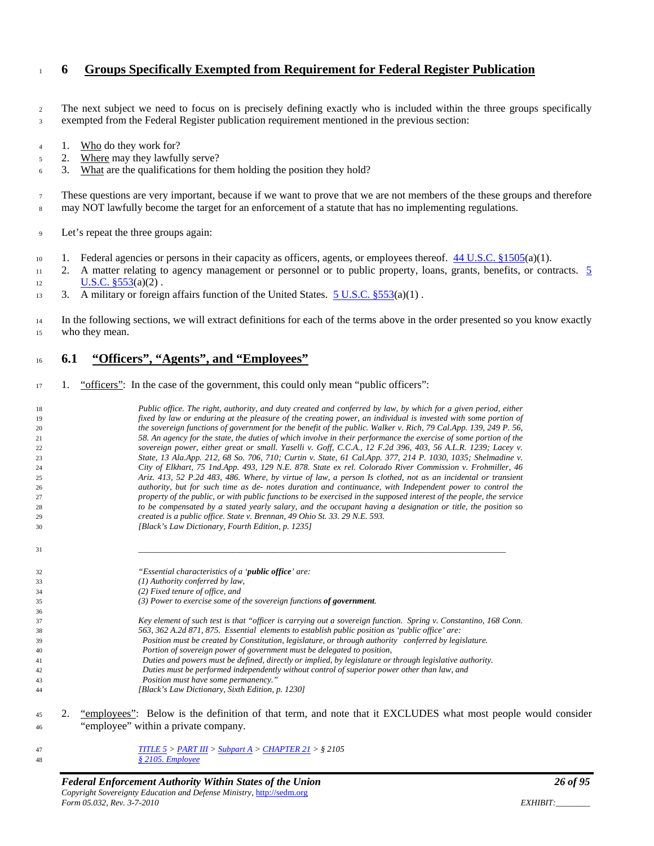#### <span id="page-25-0"></span>**6 Groups Specifically Exempted from Requirement for Federal Register Publication**

 The next subject we need to focus on is precisely defining exactly who is included within the three groups specifically exempted from the Federal Register publication requirement mentioned in the previous section:

- 4 1. Who do they work for?
- 2. Where may they lawfully serve?
- 6 3. What are the qualifications for them holding the position they hold?

 These questions are very important, because if we want to prove that we are not members of the these groups and therefore <sup>8</sup> may NOT lawfully become the target for an enforcement of a statute that has no implementing regulations.

- Let's repeat the three groups again:
- 10 1. Federal agencies or persons in their capacity as officers, agents, or employees thereof.  $44 \text{ U.S.C.} \text{ } \frac{81505}{a}(1)$ .
- 11 2. A matter relating to agency management or personnel or to public property, loans, grants, benefits, or contracts. 5 12  $U.S.C. \S 553(a)(2)$ .
- 13 3. A military or foreign affairs function of the United States. [5 U.S.C. §553\(](http://www4.law.cornell.edu/uscode/html/uscode05/usc_sec_05_00000553----000-.html)a)(1).

14 In the following sections, we will extract definitions for each of the terms above in the order presented so you know exactly who they mean.

#### <span id="page-25-1"></span>**6.1 "Officers", "Agents", and "Employees"**

17 1. "officers": In the case of the government, this could only mean "public officers":

| 18       | Public office. The right, authority, and duty created and conferred by law, by which for a given period, either      |
|----------|----------------------------------------------------------------------------------------------------------------------|
| 19       | fixed by law or enduring at the pleasure of the creating power, an individual is invested with some portion of       |
| 20       | the sovereign functions of government for the benefit of the public. Walker v. Rich, 79 Cal.App. 139, 249 P. 56,     |
| 21       | 58. An agency for the state, the duties of which involve in their performance the exercise of some portion of the    |
| 22       | sovereign power, either great or small. Yaselli v. Goff, C.C.A., 12 F.2d 396, 403, 56 A.L.R. 1239; Lacey v.          |
| 23       | State, 13 Ala.App. 212, 68 So. 706, 710; Curtin v. State, 61 Cal.App. 377, 214 P. 1030, 1035; Shelmadine v.          |
| 24       | City of Elkhart, 75 Ind.App. 493, 129 N.E. 878. State ex rel. Colorado River Commission v. Frohmiller, 46            |
| 25       | Ariz. 413, 52 P.2d 483, 486. Where, by virtue of law, a person Is clothed, not as an incidental or transient         |
| 26       | authority, but for such time as de- notes duration and continuance, with Independent power to control the            |
| 27       | property of the public, or with public functions to be exercised in the supposed interest of the people, the service |
| 28       | to be compensated by a stated yearly salary, and the occupant having a designation or title, the position so         |
| 29       | created is a public office. State v. Brennan, 49 Ohio St. 33. 29 N.E. 593.                                           |
| 30       | [Black's Law Dictionary, Fourth Edition, p. 1235]                                                                    |
| 31       |                                                                                                                      |
| 32       | "Essential characteristics of a ' <b>public office</b> ' are:                                                        |
| 33       | $(1)$ Authority conferred by law,                                                                                    |
| 34       | $(2)$ Fixed tenure of office, and                                                                                    |
| 35       | $(3)$ Power to exercise some of the sovereign functions of government.                                               |
| 36       |                                                                                                                      |
| 37       | Key element of such test is that "officer is carrying out a sovereign function. Spring v. Constantino, 168 Conn.     |
| 38       | 563, 362 A.2d 871, 875. Essential elements to establish public position as 'public office' are:                      |
| 39       | Position must be created by Constitution, legislature, or through authority conferred by legislature.                |
| 40       | Portion of sovereign power of government must be delegated to position,                                              |
| 41       | Duties and powers must be defined, directly or implied, by legislature or through legislative authority.             |
| 42       | Duties must be performed independently without control of superior power other than law, and                         |
| 43       | Position must have some permanency."                                                                                 |
| 44       | [Black's Law Dictionary, Sixth Edition, p. 1230]                                                                     |
| 2.<br>45 | "employees": Below is the definition of that term, and note that it EXCLUDES what most people would consider         |
| 46       | "employee" within a private company.                                                                                 |

 *[TITLE 5](http://www.law.cornell.edu/uscode/html/uscode05/usc_sup_01_5.html) > [PART III](http://www.law.cornell.edu/uscode/html/uscode05/usc_sup_01_5_10_III.html) [> Subpart A](http://www.law.cornell.edu/uscode/html/uscode05/usc_sup_01_5_10_III_20_A.html) > [CHAPTER 21](http://www.law.cornell.edu/uscode/html/uscode05/usc_sup_01_5_10_III_20_A_30_21.html) > § 2105 § [2105. Employee](http://www.law.cornell.edu/uscode/html/uscode05/usc_sec_05_00002105----000-.html)*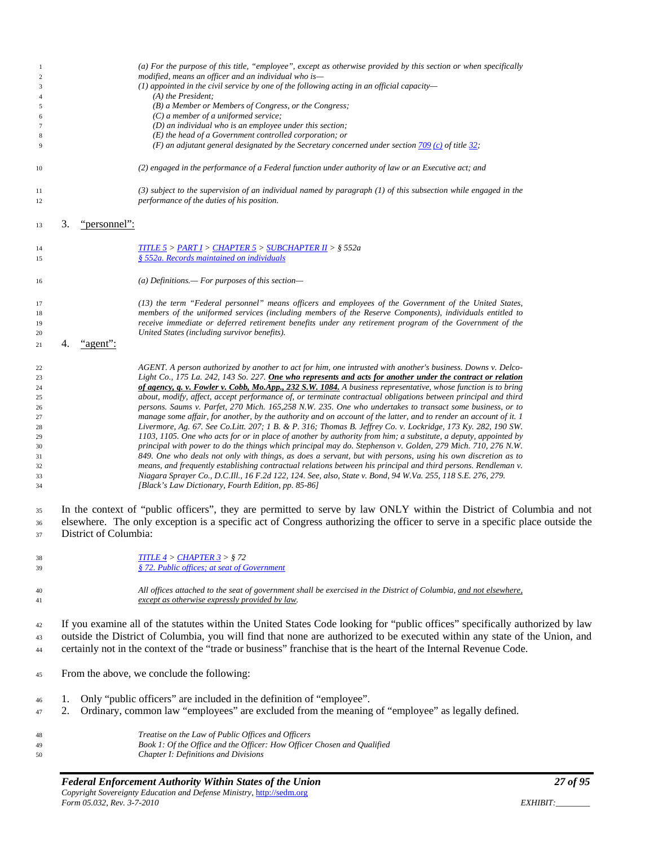| -1<br>$\sqrt{2}$<br>$\mathfrak{Z}$<br>$\overline{4}$<br>5<br>6<br>7<br>8<br>9 |    |                       | (a) For the purpose of this title, "employee", except as otherwise provided by this section or when specifically<br>modified, means an officer and an individual who is—<br>$(1)$ appointed in the civil service by one of the following acting in an official capacity-<br>$(A)$ the President;<br>(B) a Member or Members of Congress, or the Congress;<br>$(C)$ a member of a uniformed service;<br>$(D)$ an individual who is an employee under this section;<br>$(E)$ the head of a Government controlled corporation; or<br>(F) an adjutant general designated by the Secretary concerned under section $\frac{709}{(c)}$ of title 32; |
|-------------------------------------------------------------------------------|----|-----------------------|----------------------------------------------------------------------------------------------------------------------------------------------------------------------------------------------------------------------------------------------------------------------------------------------------------------------------------------------------------------------------------------------------------------------------------------------------------------------------------------------------------------------------------------------------------------------------------------------------------------------------------------------|
| 10                                                                            |    |                       | (2) engaged in the performance of a Federal function under authority of law or an Executive act; and                                                                                                                                                                                                                                                                                                                                                                                                                                                                                                                                         |
| 11                                                                            |    |                       | (3) subject to the supervision of an individual named by paragraph (1) of this subsection while engaged in the                                                                                                                                                                                                                                                                                                                                                                                                                                                                                                                               |
| 12                                                                            |    |                       | performance of the duties of his position.                                                                                                                                                                                                                                                                                                                                                                                                                                                                                                                                                                                                   |
| 13                                                                            | 3. | "personnel":          |                                                                                                                                                                                                                                                                                                                                                                                                                                                                                                                                                                                                                                              |
| 14<br>15                                                                      |    |                       | <b>TITLE 5 &gt; PART I &gt; CHAPTER 5 &gt; SUBCHAPTER II &gt; <math>\S</math> 552a</b><br>§ 552a. Records maintained on individuals                                                                                                                                                                                                                                                                                                                                                                                                                                                                                                          |
| 16                                                                            |    |                       | (a) Definitions.— For purposes of this section—                                                                                                                                                                                                                                                                                                                                                                                                                                                                                                                                                                                              |
| 17                                                                            |    |                       | (13) the term "Federal personnel" means officers and employees of the Government of the United States,                                                                                                                                                                                                                                                                                                                                                                                                                                                                                                                                       |
| 18                                                                            |    |                       | members of the uniformed services (including members of the Reserve Components), individuals entitled to                                                                                                                                                                                                                                                                                                                                                                                                                                                                                                                                     |
| 19                                                                            |    |                       | receive immediate or deferred retirement benefits under any retirement program of the Government of the                                                                                                                                                                                                                                                                                                                                                                                                                                                                                                                                      |
| 20                                                                            |    |                       | United States (including survivor benefits).                                                                                                                                                                                                                                                                                                                                                                                                                                                                                                                                                                                                 |
| 21                                                                            | 4. | agent                 |                                                                                                                                                                                                                                                                                                                                                                                                                                                                                                                                                                                                                                              |
| 22                                                                            |    |                       | AGENT. A person authorized by another to act for him, one intrusted with another's business. Downs v. Delco-                                                                                                                                                                                                                                                                                                                                                                                                                                                                                                                                 |
| 23                                                                            |    |                       | Light Co., 175 La. 242, 143 So. 227. One who represents and acts for another under the contract or relation                                                                                                                                                                                                                                                                                                                                                                                                                                                                                                                                  |
| 24                                                                            |    |                       | of agency, q. v. Fowler v. Cobb, Mo.App., 232 S.W. 1084. A business representative, whose function is to bring                                                                                                                                                                                                                                                                                                                                                                                                                                                                                                                               |
| 25                                                                            |    |                       | about, modify, affect, accept performance of, or terminate contractual obligations between principal and third                                                                                                                                                                                                                                                                                                                                                                                                                                                                                                                               |
| 26                                                                            |    |                       | persons. Saums v. Parfet, 270 Mich. 165,258 N.W. 235. One who undertakes to transact some business, or to                                                                                                                                                                                                                                                                                                                                                                                                                                                                                                                                    |
| 27                                                                            |    |                       | manage some affair, for another, by the authority and on account of the latter, and to render an account of it. 1                                                                                                                                                                                                                                                                                                                                                                                                                                                                                                                            |
| 28<br>29                                                                      |    |                       | Livermore, Ag. 67. See Co.Litt. 207; 1 B. & P. 316; Thomas B. Jeffrey Co. v. Lockridge, 173 Ky. 282, 190 SW.<br>1103, 1105. One who acts for or in place of another by authority from him; a substitute, a deputy, appointed by                                                                                                                                                                                                                                                                                                                                                                                                              |
| 30                                                                            |    |                       | principal with power to do the things which principal may do. Stephenson v. Golden, 279 Mich. 710, 276 N.W.                                                                                                                                                                                                                                                                                                                                                                                                                                                                                                                                  |
| 31                                                                            |    |                       | 849. One who deals not only with things, as does a servant, but with persons, using his own discretion as to                                                                                                                                                                                                                                                                                                                                                                                                                                                                                                                                 |
| 32                                                                            |    |                       | means, and frequently establishing contractual relations between his principal and third persons. Rendleman v.                                                                                                                                                                                                                                                                                                                                                                                                                                                                                                                               |
| 33                                                                            |    |                       | Niagara Sprayer Co., D.C.Ill., 16 F.2d 122, 124. See, also, State v. Bond, 94 W.Va. 255, 118 S.E. 276, 279.                                                                                                                                                                                                                                                                                                                                                                                                                                                                                                                                  |
| 34                                                                            |    |                       | [Black's Law Dictionary, Fourth Edition, pp. 85-86]                                                                                                                                                                                                                                                                                                                                                                                                                                                                                                                                                                                          |
|                                                                               |    |                       | In the context of "public officers", they are permitted to serve by law ONLY within the District of Columbia and not                                                                                                                                                                                                                                                                                                                                                                                                                                                                                                                         |
| 35                                                                            |    |                       | elsewhere. The only exception is a specific act of Congress authorizing the officer to serve in a specific place outside the                                                                                                                                                                                                                                                                                                                                                                                                                                                                                                                 |
| 36<br>37                                                                      |    | District of Columbia: |                                                                                                                                                                                                                                                                                                                                                                                                                                                                                                                                                                                                                                              |
|                                                                               |    |                       |                                                                                                                                                                                                                                                                                                                                                                                                                                                                                                                                                                                                                                              |
| 38                                                                            |    |                       | TITLE $4 >$ CHAPTER $3 > \frac{8}{3}$ 72                                                                                                                                                                                                                                                                                                                                                                                                                                                                                                                                                                                                     |
| 39                                                                            |    |                       | §72. Public offices; at seat of Government                                                                                                                                                                                                                                                                                                                                                                                                                                                                                                                                                                                                   |
| 40                                                                            |    |                       | All offices attached to the seat of government shall be exercised in the District of Columbia, and not elsewhere,                                                                                                                                                                                                                                                                                                                                                                                                                                                                                                                            |
| 41                                                                            |    |                       | except as otherwise expressly provided by law.                                                                                                                                                                                                                                                                                                                                                                                                                                                                                                                                                                                               |
|                                                                               |    |                       |                                                                                                                                                                                                                                                                                                                                                                                                                                                                                                                                                                                                                                              |
| 42                                                                            |    |                       | If you examine all of the statutes within the United States Code looking for "public offices" specifically authorized by law                                                                                                                                                                                                                                                                                                                                                                                                                                                                                                                 |
| 43                                                                            |    |                       | outside the District of Columbia, you will find that none are authorized to be executed within any state of the Union, and                                                                                                                                                                                                                                                                                                                                                                                                                                                                                                                   |
| 44                                                                            |    |                       | certainly not in the context of the "trade or business" franchise that is the heart of the Internal Revenue Code.                                                                                                                                                                                                                                                                                                                                                                                                                                                                                                                            |
| 45                                                                            |    |                       | From the above, we conclude the following:                                                                                                                                                                                                                                                                                                                                                                                                                                                                                                                                                                                                   |
| 46                                                                            | 1. |                       | Only "public officers" are included in the definition of "employee".                                                                                                                                                                                                                                                                                                                                                                                                                                                                                                                                                                         |
| 47                                                                            | 2. |                       | Ordinary, common law "employees" are excluded from the meaning of "employee" as legally defined.                                                                                                                                                                                                                                                                                                                                                                                                                                                                                                                                             |
| 48                                                                            |    |                       | Treatise on the Law of Public Offices and Officers                                                                                                                                                                                                                                                                                                                                                                                                                                                                                                                                                                                           |
| 49                                                                            |    |                       | Book 1: Of the Office and the Officer: How Officer Chosen and Qualified                                                                                                                                                                                                                                                                                                                                                                                                                                                                                                                                                                      |
| 50                                                                            |    |                       | Chapter I: Definitions and Divisions                                                                                                                                                                                                                                                                                                                                                                                                                                                                                                                                                                                                         |
|                                                                               |    |                       |                                                                                                                                                                                                                                                                                                                                                                                                                                                                                                                                                                                                                                              |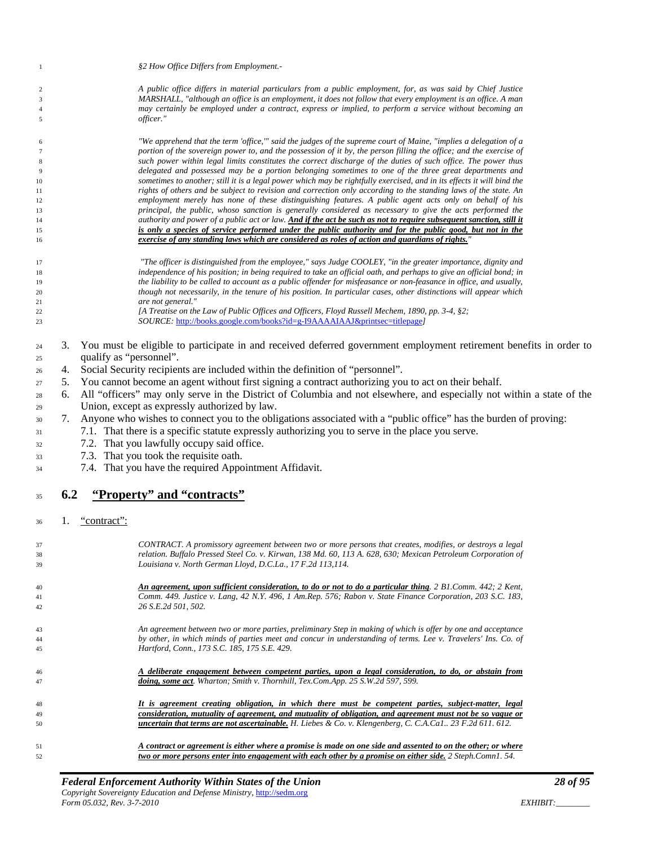| $\mathbf{1}$   |     |                         | §2 How Office Differs from Employment.-                                                                                                                                                                                         |
|----------------|-----|-------------------------|---------------------------------------------------------------------------------------------------------------------------------------------------------------------------------------------------------------------------------|
| $\overline{c}$ |     |                         | A public office differs in material particulars from a public employment, for, as was said by Chief Justice                                                                                                                     |
| $\mathfrak{Z}$ |     |                         | MARSHALL, "although an office is an employment, it does not follow that every employment is an office. A man                                                                                                                    |
| $\overline{4}$ |     |                         | may certainly be employed under a contract, express or implied, to perform a service without becoming an                                                                                                                        |
| $\sqrt{5}$     |     |                         | officer."                                                                                                                                                                                                                       |
| 6              |     |                         | "We apprehend that the term 'office,'" said the judges of the supreme court of Maine, "implies a delegation of a                                                                                                                |
| $\tau$         |     |                         | portion of the sovereign power to, and the possession of it by, the person filling the office; and the exercise of                                                                                                              |
| $\,$ 8 $\,$    |     |                         | such power within legal limits constitutes the correct discharge of the duties of such office. The power thus                                                                                                                   |
| $\overline{9}$ |     |                         | delegated and possessed may be a portion belonging sometimes to one of the three great departments and                                                                                                                          |
| 10             |     |                         | sometimes to another; still it is a legal power which may be rightfully exercised, and in its effects it will bind the                                                                                                          |
| 11             |     |                         | rights of others and be subject to revision and correction only according to the standing laws of the state. An                                                                                                                 |
| 12             |     |                         | employment merely has none of these distinguishing features. A public agent acts only on behalf of his                                                                                                                          |
| 13<br>14       |     |                         | principal, the public, whoso sanction is generally considered as necessary to give the acts performed the<br>authority and power of a public act or law. And if the act be such as not to require subsequent sanction, still it |
| 15             |     |                         | is only a species of service performed under the public authority and for the public good, but not in the                                                                                                                       |
| 16             |     |                         | exercise of any standing laws which are considered as roles of action and guardians of rights."                                                                                                                                 |
|                |     |                         | "The officer is distinguished from the employee," says Judge COOLEY, "in the greater importance, dignity and                                                                                                                    |
| 17<br>18       |     |                         | independence of his position; in being required to take an official oath, and perhaps to give an official bond; in                                                                                                              |
| 19             |     |                         | the liability to be called to account as a public offender for misfeasance or non-feasance in office, and usually,                                                                                                              |
| 20             |     |                         | though not necessarily, in the tenure of his position. In particular cases, other distinctions will appear which                                                                                                                |
| 21             |     |                         | are not general."                                                                                                                                                                                                               |
| 22             |     |                         | [A Treatise on the Law of Public Offices and Officers, Floyd Russell Mechem, 1890, pp. 3-4, §2;                                                                                                                                 |
| 23             |     |                         | SOURCE: http://books.google.com/books?id=g-I9AAAAIAAJ&printsec=titlepage)                                                                                                                                                       |
| 24             | 3.  |                         | You must be eligible to participate in and received deferred government employment retirement benefits in order to                                                                                                              |
| 25             |     | qualify as "personnel". |                                                                                                                                                                                                                                 |
| 26             | 4.  |                         | Social Security recipients are included within the definition of "personnel".                                                                                                                                                   |
|                | 5.  |                         | You cannot become an agent without first signing a contract authorizing you to act on their behalf.                                                                                                                             |
| 27             |     |                         |                                                                                                                                                                                                                                 |
| 28             | 6.  |                         | All "officers" may only serve in the District of Columbia and not elsewhere, and especially not within a state of the                                                                                                           |
| 29             |     |                         | Union, except as expressly authorized by law.                                                                                                                                                                                   |
| 30             | 7.  |                         | Anyone who wishes to connect you to the obligations associated with a "public office" has the burden of proving:                                                                                                                |
| 31             |     |                         | 7.1. That there is a specific statute expressly authorizing you to serve in the place you serve.                                                                                                                                |
| 32             |     |                         | 7.2. That you lawfully occupy said office.                                                                                                                                                                                      |
| 33             |     |                         | 7.3. That you took the requisite oath.                                                                                                                                                                                          |
| 34             |     |                         | 7.4. That you have the required Appointment Affidavit.                                                                                                                                                                          |
|                |     |                         |                                                                                                                                                                                                                                 |
| 35             | 6.2 |                         | "Property" and "contracts"                                                                                                                                                                                                      |
| 36             | 1.  | "contract":             |                                                                                                                                                                                                                                 |
|                |     |                         |                                                                                                                                                                                                                                 |
| 37             |     |                         | CONTRACT. A promissory agreement between two or more persons that creates, modifies, or destroys a legal                                                                                                                        |
| 38             |     |                         | relation. Buffalo Pressed Steel Co. v. Kirwan, 138 Md. 60, 113 A. 628, 630; Mexican Petroleum Corporation of                                                                                                                    |
| 39             |     |                         | Louisiana v. North German Lloyd, D.C.La., 17 F.2d 113,114.                                                                                                                                                                      |
| 40             |     |                         | An agreement, upon sufficient consideration, to do or not to do a particular thing. 2 B1.Comm. 442; 2 Kent,                                                                                                                     |
| 41             |     |                         | Comm. 449. Justice v. Lang, 42 N.Y. 496, 1 Am.Rep. 576; Rabon v. State Finance Corporation, 203 S.C. 183,                                                                                                                       |
| 42             |     |                         | 26 S.E.2d 501, 502.                                                                                                                                                                                                             |
| 43             |     |                         | An agreement between two or more parties, preliminary Step in making of which is offer by one and acceptance                                                                                                                    |
| 44             |     |                         | by other, in which minds of parties meet and concur in understanding of terms. Lee v. Travelers' Ins. Co. of                                                                                                                    |
| 45             |     |                         | Hartford, Conn., 173 S.C. 185, 175 S.E. 429.                                                                                                                                                                                    |
| 46             |     |                         | A deliberate engagement between competent parties, upon a legal consideration, to do, or abstain from                                                                                                                           |
| 47             |     |                         | doing, some act. Wharton; Smith v. Thornhill, Tex.Com.App. 25 S.W.2d 597, 599.                                                                                                                                                  |
|                |     |                         |                                                                                                                                                                                                                                 |
| 48             |     |                         | It is agreement creating obligation, in which there must be competent parties, subject-matter, legal<br>consideration, mutuality of agreement, and mutuality of obligation, and agreement must not be so vague or               |
| 49<br>50       |     |                         | uncertain that terms are not ascertainable. H. Liebes & Co. v. Klengenberg, C. C.A.Ca1 23 F.2d 611. 612.                                                                                                                        |
|                |     |                         |                                                                                                                                                                                                                                 |
| 51             |     |                         | A contract or agreement is either where a promise is made on one side and assented to on the other; or where                                                                                                                    |

<span id="page-27-0"></span>*two or more persons enter into engagement with each other by a promise on either side. 2 Steph.Comn1. 54.*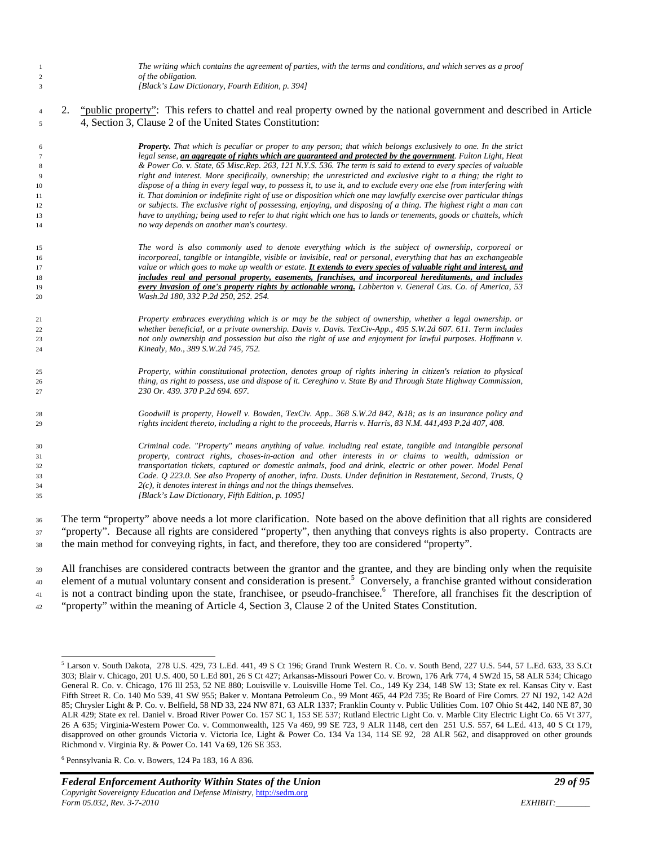| -1<br>$\overline{c}$<br>3 |    | The writing which contains the agreement of parties, with the terms and conditions, and which serves as a proof<br>of the obligation.<br>[Black's Law Dictionary, Fourth Edition, p. 394] |
|---------------------------|----|-------------------------------------------------------------------------------------------------------------------------------------------------------------------------------------------|
|                           |    |                                                                                                                                                                                           |
| $\overline{4}$            | 2. | " <i>public property</i> ": This refers to chattel and real property owned by the national government and described in Article                                                            |
| 5                         |    | 4, Section 3, Clause 2 of the United States Constitution:                                                                                                                                 |
| 6                         |    | <b>Property.</b> That which is peculiar or proper to any person; that which belongs exclusively to one. In the strict                                                                     |
| $\tau$                    |    | legal sense, an aggregate of rights which are guaranteed and protected by the government. Fulton Light, Heat                                                                              |
| $\,$ 8 $\,$               |    | & Power Co. v. State, 65 Misc.Rep. 263, 121 N.Y.S. 536. The term is said to extend to every species of valuable                                                                           |
| 9                         |    | right and interest. More specifically, ownership; the unrestricted and exclusive right to a thing; the right to                                                                           |
| 10                        |    | dispose of a thing in every legal way, to possess it, to use it, and to exclude every one else from interfering with                                                                      |
| 11                        |    | it. That dominion or indefinite right of use or disposition which one may lawfully exercise over particular things                                                                        |
| 12                        |    | or subjects. The exclusive right of possessing, enjoying, and disposing of a thing. The highest right a man can                                                                           |
| 13                        |    | have to anything; being used to refer to that right which one has to lands or tenements, goods or chattels, which                                                                         |
| 14                        |    | no way depends on another man's courtesy.                                                                                                                                                 |
| 15                        |    | The word is also commonly used to denote everything which is the subject of ownership, corporeal or                                                                                       |
| 16                        |    | incorporeal, tangible or intangible, visible or invisible, real or personal, everything that has an exchangeable                                                                          |
| 17                        |    | value or which goes to make up wealth or estate. It extends to every species of valuable right and interest, and                                                                          |
| 18                        |    | includes real and personal property, easements, franchises, and incorporeal hereditaments, and includes                                                                                   |
| 19                        |    | every invasion of one's property rights by actionable wrong, Labberton v. General Cas. Co. of America, 53                                                                                 |
| 20                        |    | Wash.2d 180, 332 P.2d 250, 252. 254.                                                                                                                                                      |
| 21                        |    | Property embraces everything which is or may be the subject of ownership, whether a legal ownership. or                                                                                   |
| 22                        |    | whether beneficial, or a private ownership. Davis v. Davis. TexCiv-App., 495 S.W.2d 607. 611. Term includes                                                                               |
| 23                        |    | not only ownership and possession but also the right of use and enjoyment for lawful purposes. Hoffmann v.                                                                                |
| 24                        |    | Kinealy, Mo., 389 S.W.2d 745, 752.                                                                                                                                                        |
| 25                        |    | Property, within constitutional protection, denotes group of rights inhering in citizen's relation to physical                                                                            |
| 26                        |    | thing, as right to possess, use and dispose of it. Cereghino v. State By and Through State Highway Commission,                                                                            |
| 27                        |    | 230 Or. 439. 370 P.2d 694. 697.                                                                                                                                                           |
| 28                        |    | Goodwill is property, Howell v. Bowden, TexCiv. App., 368 S.W.2d 842, &18; as is an insurance policy and                                                                                  |
| 29                        |    | rights incident thereto, including a right to the proceeds, Harris v. Harris, 83 N.M. 441,493 P.2d 407, 408.                                                                              |
| 30                        |    | Criminal code. "Property" means anything of value. including real estate, tangible and intangible personal                                                                                |
| 31                        |    | property, contract rights, choses-in-action and other interests in or claims to wealth, admission or                                                                                      |
| 32                        |    | transportation tickets, captured or domestic animals, food and drink, electric or other power. Model Penal                                                                                |
| 33                        |    | Code. Q 223.0. See also Property of another, infra. Dusts. Under definition in Restatement, Second, Trusts, Q                                                                             |
| 34                        |    | $2(c)$ , it denotes interest in things and not the things themselves.                                                                                                                     |
| 35                        |    | [Black's Law Dictionary, Fifth Edition, p. 1095]                                                                                                                                          |
| 36                        |    | The term "property" above needs a lot more clarification. Note based on the above definition that all rights are considered                                                               |

 The term "property" above needs a lot more clarification. Note based on the above definition that all rights are considered <sup>37</sup> "property". Because all rights are considered "property", then anything that conveys rights is also property. Contracts are the main method for conveying rights, in fact, and therefore, they too are considered "property".

<sup>39</sup> All franchises are considered contracts between the grantor and the grantee, and they are binding only when the requisite 40 element of a mutual voluntary consent and consideration is present.<sup>5</sup> Conversely, a franchise granted without consideration <sup>41</sup> is not a contract binding upon the state, franchisee, or pseudo-franchisee.<sup>6</sup> Therefore, all franchises fit the description of "property" within the meaning of Article 4, Section 3, Clause 2 of the United States Constitution.

 Larson v. South Dakota, 278 U.S. 429, 73 L.Ed. 441, 49 S Ct 196; Grand Trunk Western R. Co. v. South Bend, 227 U.S. 544, 57 L.Ed. 633, 33 S.Ct 303; Blair v. Chicago, 201 U.S. 400, 50 L.Ed 801, 26 S Ct 427; Arkansas-Missouri Power Co. v. Brown, 176 Ark 774, 4 SW2d 15, 58 ALR 534; Chicago General R. Co. v. Chicago, 176 Ill 253, 52 NE 880; Louisville v. Louisville Home Tel. Co., 149 Ky 234, 148 SW 13; State ex rel. Kansas City v. East Fifth Street R. Co. 140 Mo 539, 41 SW 955; Baker v. Montana Petroleum Co., 99 Mont 465, 44 P2d 735; Re Board of Fire Comrs. 27 NJ 192, 142 A2d 85; Chrysler Light & P. Co. v. Belfield, 58 ND 33, 224 NW 871, 63 ALR 1337; Franklin County v. Public Utilities Com. 107 Ohio St 442, 140 NE 87, 30 ALR 429; State ex rel. Daniel v. Broad River Power Co. 157 SC 1, 153 SE 537; Rutland Electric Light Co. v. Marble City Electric Light Co. 65 Vt 377, 26 A 635; Virginia-Western Power Co. v. Commonwealth, 125 Va 469, 99 SE 723, 9 ALR 1148, cert den 251 U.S. 557, 64 L.Ed. 413, 40 S Ct 179, disapproved on other grounds Victoria v. Victoria Ice, Light & Power Co. 134 Va 134, 114 SE 92, 28 ALR 562, and disapproved on other grounds Richmond v. Virginia Ry. & Power Co. 141 Va 69, 126 SE 353.

Pennsylvania R. Co. v. Bowers, 124 Pa 183, 16 A 836.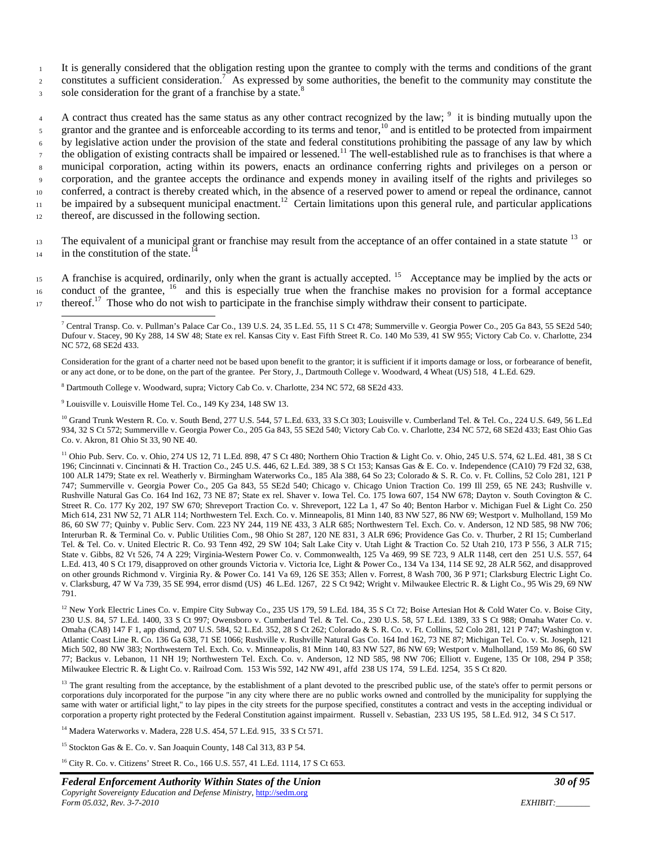<sup>1</sup> It is generally considered that the obligation resting upon the grantee to comply with the terms and conditions of the grant

constitutes a sufficient consideration.<sup>7</sup> As expressed by some authorities, the benefit to the community may constitute the

sole consideration for the grant of a franchise by a state.<sup>8</sup>

A contract thus created has the same status as any other contract recognized by the law;  $9\$ it is binding mutually upon the grantor and the grantee and is enforceable according to its terms and tenor,<sup>10</sup> and is entitled to be protected from impairment <sup>6</sup> by legislative action under the provision of the state and federal constitutions prohibiting the passage of any law by which the obligation of existing contracts shall be impaired or lessened.<sup>11</sup> The well-established rule as to franchises is that where a <sup>8</sup> municipal corporation, acting within its powers, enacts an ordinance conferring rights and privileges on a person or <sup>9</sup> corporation, and the grantee accepts the ordinance and expends money in availing itself of the rights and privileges so <sup>10</sup> conferred, a contract is thereby created which, in the absence of a reserved power to amend or repeal the ordinance, cannot be impaired by a subsequent municipal enactment.<sup>12</sup> Certain limitations upon this general rule, and particular applications <sup>12</sup> thereof, are discussed in the following section.

The equivalent of a municipal grant or franchise may result from the acceptance of an offer contained in a state statute <sup>13</sup> or  $\frac{1}{4}$  in the constitution of the state.<sup>14</sup>

15 A franchise is acquired, ordinarily, only when the grant is actually accepted. <sup>15</sup> Acceptance may be implied by the acts or  $16$  conduct of the grantee,  $16$  and this is especially true when the franchise makes no provision for a formal acceptance thereof.<sup>17</sup> Those who do not wish to participate in the franchise simply withdraw their consent to participate.

Consideration for the grant of a charter need not be based upon benefit to the grantor; it is sufficient if it imports damage or loss, or forbearance of benefit, or any act done, or to be done, on the part of the grantee. Per Story, J., Dartmouth College v. Woodward, 4 Wheat (US) 518, 4 L.Ed. 629.

<sup>8</sup> Dartmouth College v. Woodward, supra; Victory Cab Co. v. Charlotte, 234 NC 572, 68 SE2d 433.

<sup>9</sup> Louisville v. Louisville Home Tel. Co., 149 Ky 234, 148 SW 13.

<sup>10</sup> Grand Trunk Western R. Co. v. South Bend, 277 U.S. 544, 57 L.Ed. 633, 33 S.Ct 303; Louisville v. Cumberland Tel. & Tel. Co., 224 U.S. 649, 56 L.Ed 934, 32 S Ct 572; Summerville v. Georgia Power Co., 205 Ga 843, 55 SE2d 540; Victory Cab Co. v. Charlotte, 234 NC 572, 68 SE2d 433; East Ohio Gas Co. v. Akron, 81 Ohio St 33, 90 NE 40.

<sup>11</sup> Ohio Pub. Serv. Co. v. Ohio, 274 US 12, 71 L.Ed. 898, 47 S Ct 480; Northern Ohio Traction & Light Co. v. Ohio, 245 U.S. 574, 62 L.Ed. 481, 38 S Ct 196; Cincinnati v. Cincinnati & H. Traction Co., 245 U.S. 446, 62 L.Ed. 389, 38 S Ct 153; Kansas Gas & E. Co. v. Independence (CA10) 79 F2d 32, 638, 100 ALR 1479; State ex rel. Weatherly v. Birmingham Waterworks Co., 185 Ala 388, 64 So 23; Colorado & S. R. Co. v. Ft. Collins, 52 Colo 281, 121 P 747; Summerville v. Georgia Power Co., 205 Ga 843, 55 SE2d 540; Chicago v. Chicago Union Traction Co. 199 Ill 259, 65 NE 243; Rushville v. Rushville Natural Gas Co. 164 Ind 162, 73 NE 87; State ex rel. Shaver v. Iowa Tel. Co. 175 Iowa 607, 154 NW 678; Dayton v. South Covington & C. Street R. Co. 177 Ky 202, 197 SW 670; Shreveport Traction Co. v. Shreveport, 122 La 1, 47 So 40; Benton Harbor v. Michigan Fuel & Light Co. 250 Mich 614, 231 NW 52, 71 ALR 114; Northwestern Tel. Exch. Co. v. Minneapolis, 81 Minn 140, 83 NW 527, 86 NW 69; Westport v. Mulholland, 159 Mo 86, 60 SW 77; Quinby v. Public Serv. Com. 223 NY 244, 119 NE 433, 3 ALR 685; Northwestern Tel. Exch. Co. v. Anderson, 12 ND 585, 98 NW 706; Interurban R. & Terminal Co. v. Public Utilities Com., 98 Ohio St 287, 120 NE 831, 3 ALR 696; Providence Gas Co. v. Thurber, 2 RI 15; Cumberland Tel. & Tel. Co. v. United Electric R. Co. 93 Tenn 492, 29 SW 104; Salt Lake City v. Utah Light & Traction Co. 52 Utah 210, 173 P 556, 3 ALR 715; State v. Gibbs, 82 Vt 526, 74 A 229; Virginia-Western Power Co. v. Commonwealth, 125 Va 469, 99 SE 723, 9 ALR 1148, cert den 251 U.S. 557, 64 L.Ed. 413, 40 S Ct 179, disapproved on other grounds Victoria v. Victoria Ice, Light & Power Co., 134 Va 134, 114 SE 92, 28 ALR 562, and disapproved on other grounds Richmond v. Virginia Ry. & Power Co. 141 Va 69, 126 SE 353; Allen v. Forrest, 8 Wash 700, 36 P 971; Clarksburg Electric Light Co. v. Clarksburg, 47 W Va 739, 35 SE 994, error dismd (US) 46 L.Ed. 1267, 22 S Ct 942; Wright v. Milwaukee Electric R. & Light Co., 95 Wis 29, 69 NW 791.

<sup>12</sup> New York Electric Lines Co. v. Empire City Subway Co., 235 US 179, 59 L.Ed. 184, 35 S Ct 72; Boise Artesian Hot & Cold Water Co. v. Boise City, 230 U.S. 84, 57 L.Ed. 1400, 33 S Ct 997; Owensboro v. Cumberland Tel. & Tel. Co., 230 U.S. 58, 57 L.Ed. 1389, 33 S Ct 988; Omaha Water Co. v. Omaha (CA8) 147 F 1, app dismd, 207 U.S. 584, 52 L.Ed. 352, 28 S Ct 262; Colorado & S. R. Co. v. Ft. Collins, 52 Colo 281, 121 P 747; Washington v. Atlantic Coast Line R. Co. 136 Ga 638, 71 SE 1066; Rushville v. Rushville Natural Gas Co. 164 Ind 162, 73 NE 87; Michigan Tel. Co. v. St. Joseph, 121 Mich 502, 80 NW 383; Northwestern Tel. Exch. Co. v. Minneapolis, 81 Minn 140, 83 NW 527, 86 NW 69; Westport v. Mulholland, 159 Mo 86, 60 SW 77; Backus v. Lebanon, 11 NH 19; Northwestern Tel. Exch. Co. v. Anderson, 12 ND 585, 98 NW 706; Elliott v. Eugene, 135 Or 108, 294 P 358; Milwaukee Electric R. & Light Co. v. Railroad Com. 153 Wis 592, 142 NW 491, affd 238 US 174, 59 L.Ed. 1254, 35 S Ct 820.

<sup>13</sup> The grant resulting from the acceptance, by the establishment of a plant devoted to the prescribed public use, of the state's offer to permit persons or corporations duly incorporated for the purpose "in any city where there are no public works owned and controlled by the municipality for supplying the same with water or artificial light," to lay pipes in the city streets for the purpose specified, constitutes a contract and vests in the accepting individual or corporation a property right protected by the Federal Constitution against impairment. Russell v. Sebastian, 233 US 195, 58 L.Ed. 912, 34 S Ct 517.

<sup>14</sup> Madera Waterworks v. Madera, 228 U.S. 454, 57 L.Ed. 915, 33 S Ct 571.

<sup>15</sup> Stockton Gas & E. Co. v. San Joaquin County, 148 Cal 313, 83 P 54.

<sup>16</sup> City R. Co. v. Citizens' Street R. Co., 166 U.S. 557, 41 L.Ed. 1114, 17 S Ct 653.

<sup>&</sup>lt;sup>7</sup> Central Transp. Co. v. Pullman's Palace Car Co., 139 U.S. 24, 35 L.Ed. 55, 11 S Ct 478; Summerville v. Georgia Power Co., 205 Ga 843, 55 SE2d 540; Dufour v. Stacey, 90 Ky 288, 14 SW 48; State ex rel. Kansas City v. East Fifth Street R. Co. 140 Mo 539, 41 SW 955; Victory Cab Co. v. Charlotte, 234 NC 572, 68 SE2d 433.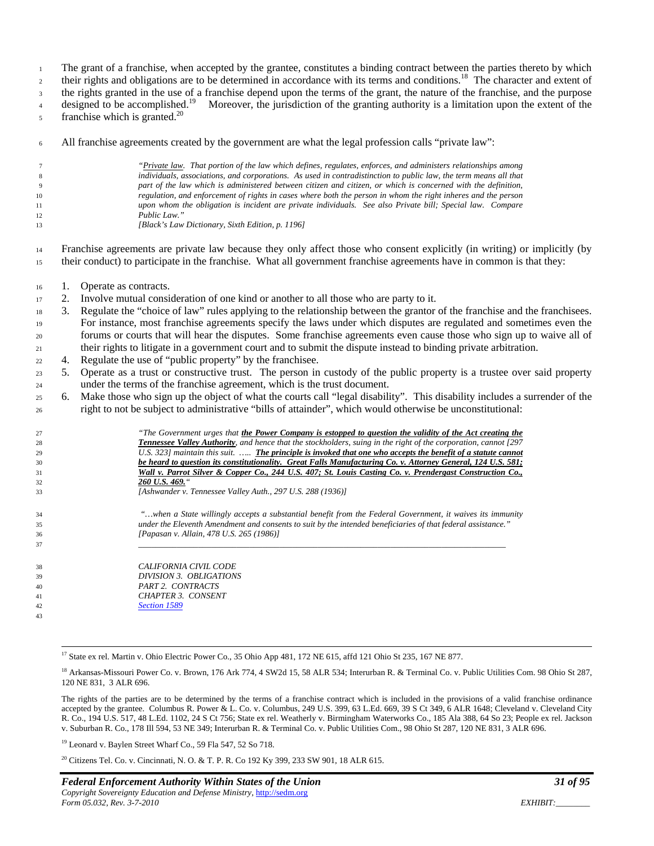The grant of a franchise, when accepted by the grantee, constitutes a binding contract between the parties thereto by which

their rights and obligations are to be determined in accordance with its terms and conditions.<sup>18</sup> The character and extent of

the rights granted in the use of a franchise depend upon the terms of the grant, the nature of the franchise, and the purpose

designed to be accomplished.<sup>19</sup> Moreover, the jurisdiction of the granting authority is a limitation upon the extent of the franchise which is granted.<sup>20</sup>

All franchise agreements created by the government are what the legal profession calls "private law":

|    | "Private law. That portion of the law which defines, regulates, enforces, and administers relationships among    |
|----|------------------------------------------------------------------------------------------------------------------|
| 8  | individuals, associations, and corporations. As used in contradistinction to public law, the term means all that |
| 9  | part of the law which is administered between citizen and citizen, or which is concerned with the definition,    |
| 10 | regulation, and enforcement of rights in cases where both the person in whom the right inheres and the person    |
| 11 | upon whom the obligation is incident are private individuals. See also Private bill; Special law. Compare        |
| 12 | Public Law."                                                                                                     |
| 13 | [Black's Law Dictionary, Sixth Edition, p. 1196]                                                                 |
|    |                                                                                                                  |

 Franchise agreements are private law because they only affect those who consent explicitly (in writing) or implicitly (by their conduct) to participate in the franchise. What all government franchise agreements have in common is that they:

- 1. Operate as contracts.
- 2. Involve mutual consideration of one kind or another to all those who are party to it.
- 3. Regulate the "choice of law" rules applying to the relationship between the grantor of the franchise and the franchisees. For instance, most franchise agreements specify the laws under which disputes are regulated and sometimes even the forums or courts that will hear the disputes. Some franchise agreements even cause those who sign up to waive all of their rights to litigate in a government court and to submit the dispute instead to binding private arbitration.
- 4. Regulate the use of "public property" by the franchisee.
- 5. Operate as a trust or constructive trust. The person in custody of the public property is a trustee over said property under the terms of the franchise agreement, which is the trust document.
- 6. Make those who sign up the object of what the courts call "legal disability". This disability includes a surrender of the right to not be subject to administrative "bills of attainder", which would otherwise be unconstitutional:

| 27 | "The Government urges that the Power Company is estopped to question the validity of the Act creating the               |
|----|-------------------------------------------------------------------------------------------------------------------------|
| 28 | <b>Tennessee Valley Authority</b> , and hence that the stockholders, suing in the right of the corporation, cannot [297 |
| 29 | U.S. 323] maintain this suit.  The principle is invoked that one who accepts the benefit of a statute cannot            |
| 30 | be heard to question its constitutionality. Great Falls Manufacturing Co. v. Attorney General, 124 U.S. 581;            |
| 31 | Wall v. Parrot Silver & Copper Co., 244 U.S. 407; St. Louis Casting Co. v. Prendergast Construction Co.,                |
| 32 | 260 U.S. 469."                                                                                                          |
| 33 | [Ashwander v. Tennessee Valley Auth., 297 U.S. 288 (1936)]                                                              |
| 34 | "when a State willingly accepts a substantial benefit from the Federal Government, it waives its immunity               |
| 35 | under the Eleventh Amendment and consents to suit by the intended beneficiaries of that federal assistance."            |
| 36 | [Papasan v. Allain, 478 U.S. 265 (1986)]                                                                                |
| 37 |                                                                                                                         |
| 38 | CALIFORNIA CIVIL CODE                                                                                                   |
| 39 | DIVISION 3. OBLIGATIONS                                                                                                 |
| 40 | PART 2. CONTRACTS                                                                                                       |
| 41 | CHAPTER 3. CONSENT                                                                                                      |
| 42 | Section 1589                                                                                                            |
| 43 |                                                                                                                         |
|    |                                                                                                                         |

<sup>17</sup> State ex rel. Martin v. Ohio Electric Power Co., 35 Ohio App 481, 172 NE 615, affd 121 Ohio St 235, 167 NE 877.

The rights of the parties are to be determined by the terms of a franchise contract which is included in the provisions of a valid franchise ordinance accepted by the grantee. Columbus R. Power & L. Co. v. Columbus, 249 U.S. 399, 63 L.Ed. 669, 39 S Ct 349, 6 ALR 1648; Cleveland v. Cleveland City R. Co., 194 U.S. 517, 48 L.Ed. 1102, 24 S Ct 756; State ex rel. Weatherly v. Birmingham Waterworks Co., 185 Ala 388, 64 So 23; People ex rel. Jackson v. Suburban R. Co., 178 Ill 594, 53 NE 349; Interurban R. & Terminal Co. v. Public Utilities Com., 98 Ohio St 287, 120 NE 831, 3 ALR 696.

<sup>19</sup> Leonard v. Baylen Street Wharf Co., 59 Fla 547, 52 So 718.

<sup>20</sup> Citizens Tel. Co. v. Cincinnati, N. O. & T. P. R. Co 192 Ky 399, 233 SW 901, 18 ALR 615.

<sup>&</sup>lt;sup>18</sup> Arkansas-Missouri Power Co. v. Brown, 176 Ark 774, 4 SW2d 15, 58 ALR 534; Interurban R. & Terminal Co. v. Public Utilities Com. 98 Ohio St 287, 120 NE 831, 3 ALR 696.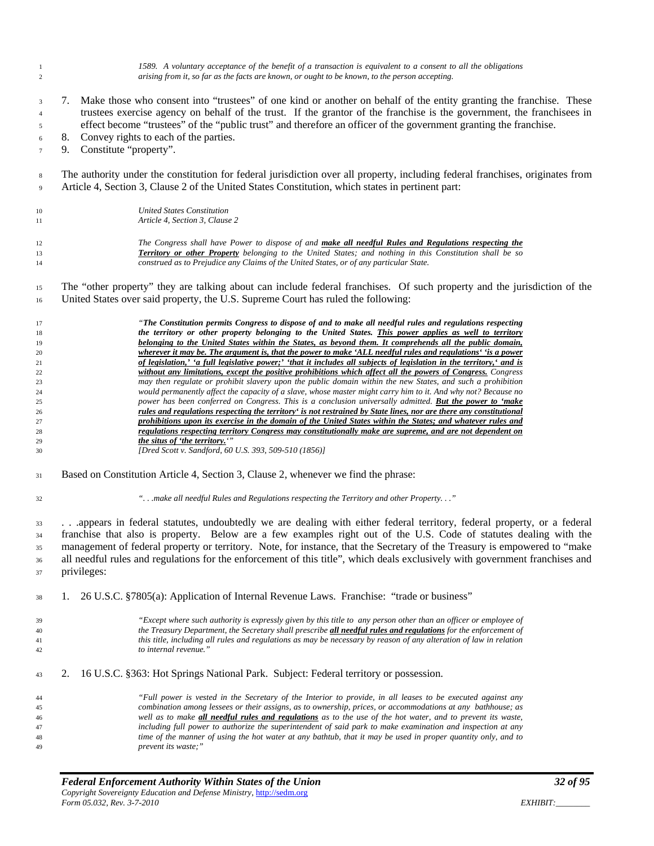| $\mathbf{1}$<br>$\overline{2}$        | 1589. A voluntary acceptance of the benefit of a transaction is equivalent to a consent to all the obligations<br>arising from it, so far as the facts are known, or ought to be known, to the person accepting.                                                                                                                                                         |  |
|---------------------------------------|--------------------------------------------------------------------------------------------------------------------------------------------------------------------------------------------------------------------------------------------------------------------------------------------------------------------------------------------------------------------------|--|
| $\mathfrak{Z}$<br>$\overline{4}$<br>5 | Make those who consent into "trustees" of one kind or another on behalf of the entity granting the franchise. These<br>7.<br>trustees exercise agency on behalf of the trust. If the grantor of the franchise is the government, the franchisees in<br>effect become "trustees" of the "public trust" and therefore an officer of the government granting the franchise. |  |
| 6                                     | Convey rights to each of the parties.<br>8.                                                                                                                                                                                                                                                                                                                              |  |
| $\overline{7}$                        | Constitute "property".<br>9.                                                                                                                                                                                                                                                                                                                                             |  |
|                                       |                                                                                                                                                                                                                                                                                                                                                                          |  |
| $\bf 8$<br>$\overline{9}$             | The authority under the constitution for federal jurisdiction over all property, including federal franchises, originates from<br>Article 4, Section 3, Clause 2 of the United States Constitution, which states in pertinent part:                                                                                                                                      |  |
|                                       |                                                                                                                                                                                                                                                                                                                                                                          |  |
| 10<br>11                              | <b>United States Constitution</b><br>Article 4, Section 3, Clause 2                                                                                                                                                                                                                                                                                                      |  |
|                                       |                                                                                                                                                                                                                                                                                                                                                                          |  |
| 12                                    | The Congress shall have Power to dispose of and make all needful Rules and Regulations respecting the<br>Territory or other Property belonging to the United States; and nothing in this Constitution shall be so                                                                                                                                                        |  |
| 13<br>14                              | construed as to Prejudice any Claims of the United States, or of any particular State.                                                                                                                                                                                                                                                                                   |  |
|                                       |                                                                                                                                                                                                                                                                                                                                                                          |  |
| 15<br>16                              | The "other property" they are talking about can include federal franchises. Of such property and the jurisdiction of the<br>United States over said property, the U.S. Supreme Court has ruled the following:                                                                                                                                                            |  |
| 17<br>18                              | "The Constitution permits Congress to dispose of and to make all needful rules and regulations respecting<br>the territory or other property belonging to the United States. This power applies as well to territory                                                                                                                                                     |  |
| 19                                    | belonging to the United States within the States, as beyond them. It comprehends all the public domain,                                                                                                                                                                                                                                                                  |  |
| 20                                    | wherever it may be. The argument is, that the power to make 'ALL needful rules and regulations' 'is a power                                                                                                                                                                                                                                                              |  |
| 21                                    | of legislation,' 'a full legislative power;' 'that it includes all subjects of legislation in the territory,' and is                                                                                                                                                                                                                                                     |  |
| 22                                    | without any limitations, except the positive prohibitions which affect all the powers of Congress. Congress                                                                                                                                                                                                                                                              |  |
| 23                                    | may then regulate or prohibit slavery upon the public domain within the new States, and such a prohibition                                                                                                                                                                                                                                                               |  |
| 24                                    | would permanently affect the capacity of a slave, whose master might carry him to it. And why not? Because no                                                                                                                                                                                                                                                            |  |
| 25                                    | power has been conferred on Congress. This is a conclusion universally admitted. But the power to 'make                                                                                                                                                                                                                                                                  |  |
|                                       | rules and regulations respecting the territory' is not restrained by State lines, nor are there any constitutional                                                                                                                                                                                                                                                       |  |
| 26                                    |                                                                                                                                                                                                                                                                                                                                                                          |  |
| 27                                    | prohibitions upon its exercise in the domain of the United States within the States; and whatever rules and                                                                                                                                                                                                                                                              |  |
|                                       | regulations respecting territory Congress may constitutionally make are supreme, and are not dependent on                                                                                                                                                                                                                                                                |  |
| 28<br>29<br>30                        | the situs of 'the territory."<br>[Dred Scott v. Sandford, 60 U.S. 393, 509-510 (1856)]                                                                                                                                                                                                                                                                                   |  |
|                                       | Based on Constitution Article 4, Section 3, Clause 2, whenever we find the phrase:                                                                                                                                                                                                                                                                                       |  |
| 31<br>32                              | "make all needful Rules and Regulations respecting the Territory and other Property"                                                                                                                                                                                                                                                                                     |  |
| 33                                    | appears in federal statutes, undoubtedly we are dealing with either federal territory, federal property, or a federal                                                                                                                                                                                                                                                    |  |
| 34                                    | franchise that also is property. Below are a few examples right out of the U.S. Code of statutes dealing with the                                                                                                                                                                                                                                                        |  |
| 35                                    | management of federal property or territory. Note, for instance, that the Secretary of the Treasury is empowered to "make                                                                                                                                                                                                                                                |  |
| 36                                    | all needful rules and regulations for the enforcement of this title", which deals exclusively with government franchises and                                                                                                                                                                                                                                             |  |
| 37                                    | privileges:                                                                                                                                                                                                                                                                                                                                                              |  |
| 38                                    | 26 U.S.C. §7805(a): Application of Internal Revenue Laws. Franchise: "trade or business"<br>1.                                                                                                                                                                                                                                                                           |  |
|                                       |                                                                                                                                                                                                                                                                                                                                                                          |  |
|                                       | "Except where such authority is expressly given by this title to any person other than an officer or employee of                                                                                                                                                                                                                                                         |  |
|                                       | the Treasury Department, the Secretary shall prescribe all needful rules and regulations for the enforcement of                                                                                                                                                                                                                                                          |  |
| 39<br>40<br>41<br>42                  | this title, including all rules and regulations as may be necessary by reason of any alteration of law in relation<br>to internal revenue."                                                                                                                                                                                                                              |  |
| 43                                    | 16 U.S.C. §363: Hot Springs National Park. Subject: Federal territory or possession.<br>2.                                                                                                                                                                                                                                                                               |  |
|                                       |                                                                                                                                                                                                                                                                                                                                                                          |  |
|                                       | "Full power is vested in the Secretary of the Interior to provide, in all leases to be executed against any<br>combination among lessees or their assigns, as to ownership, prices, or accommodations at any bathhouse; as                                                                                                                                               |  |
|                                       | well as to make <b>all needful rules and regulations</b> as to the use of the hot water, and to prevent its waste,                                                                                                                                                                                                                                                       |  |
|                                       | including full power to authorize the superintendent of said park to make examination and inspection at any                                                                                                                                                                                                                                                              |  |
| 44<br>45<br>46<br>47<br>48            | time of the manner of using the hot water at any bathtub, that it may be used in proper quantity only, and to<br>prevent its waste;"                                                                                                                                                                                                                                     |  |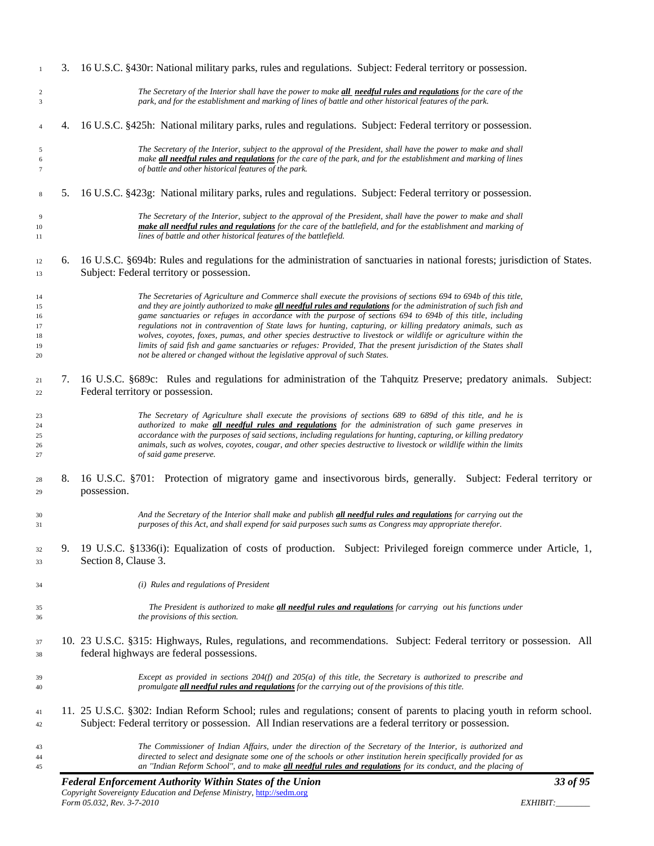|    | The Commissioner of Indian Affairs, under the direction of the Secretary of the Interior, is authorized and<br>directed to select and designate some one of the schools or other institution herein specifically provided for as<br>an "Indian Reform School", and to make all needful rules and regulations for its conduct, and the placing of |
|----|--------------------------------------------------------------------------------------------------------------------------------------------------------------------------------------------------------------------------------------------------------------------------------------------------------------------------------------------------|
|    | 11. 25 U.S.C. §302: Indian Reform School; rules and regulations; consent of parents to placing youth in reform school.<br>Subject: Federal territory or possession. All Indian reservations are a federal territory or possession.                                                                                                               |
|    | promulgate all needful rules and regulations for the carrying out of the provisions of this title.                                                                                                                                                                                                                                               |
|    | federal highways are federal possessions.<br>Except as provided in sections 204(f) and 205(a) of this title, the Secretary is authorized to prescribe and                                                                                                                                                                                        |
|    | 10. 23 U.S.C. §315: Highways, Rules, regulations, and recommendations. Subject: Federal territory or possession. All                                                                                                                                                                                                                             |
|    | The President is authorized to make <i>all needful rules and regulations</i> for carrying out his functions under<br>the provisions of this section.                                                                                                                                                                                             |
|    | (i) Rules and regulations of President                                                                                                                                                                                                                                                                                                           |
| 9. | 19 U.S.C. §1336(i): Equalization of costs of production. Subject: Privileged foreign commerce under Article, 1,<br>Section 8, Clause 3.                                                                                                                                                                                                          |
|    | And the Secretary of the Interior shall make and publish all needful rules and regulations for carrying out the<br>purposes of this Act, and shall expend for said purposes such sums as Congress may appropriate therefor.                                                                                                                      |
|    | possession.                                                                                                                                                                                                                                                                                                                                      |
| 8. | 16 U.S.C. §701: Protection of migratory game and insectivorous birds, generally. Subject: Federal territory or                                                                                                                                                                                                                                   |
|    | accordance with the purposes of said sections, including regulations for hunting, capturing, or killing predatory<br>animals, such as wolves, coyotes, cougar, and other species destructive to livestock or wildlife within the limits<br>of said game preserve.                                                                                |
|    | The Secretary of Agriculture shall execute the provisions of sections 689 to 689d of this title, and he is<br>authorized to make all needful rules and regulations for the administration of such game preserves in                                                                                                                              |
| 7. | 16 U.S.C. §689c: Rules and regulations for administration of the Tahquitz Preserve; predatory animals. Subject:<br>Federal territory or possession.                                                                                                                                                                                              |
|    | not be altered or changed without the legislative approval of such States.                                                                                                                                                                                                                                                                       |
|    | wolves, coyotes, foxes, pumas, and other species destructive to livestock or wildlife or agriculture within the<br>limits of said fish and game sanctuaries or refuges: Provided, That the present jurisdiction of the States shall                                                                                                              |
|    | game sanctuaries or refuges in accordance with the purpose of sections 694 to 694b of this title, including<br>regulations not in contravention of State laws for hunting, capturing, or killing predatory animals, such as                                                                                                                      |
|    | The Secretaries of Agriculture and Commerce shall execute the provisions of sections 694 to 694b of this title,<br>and they are jointly authorized to make all needful rules and regulations for the administration of such fish and                                                                                                             |
| 6. | 16 U.S.C. §694b: Rules and regulations for the administration of sanctuaries in national forests; jurisdiction of States.<br>Subject: Federal territory or possession.                                                                                                                                                                           |
|    | The Secretary of the Interior, subject to the approval of the President, shall have the power to make and shall<br>make all needful rules and regulations for the care of the battlefield, and for the establishment and marking of<br>lines of battle and other historical features of the battlefield.                                         |
| 5. | 16 U.S.C. §423g: National military parks, rules and regulations. Subject: Federal territory or possession.                                                                                                                                                                                                                                       |
|    | make all needful rules and regulations for the care of the park, and for the establishment and marking of lines<br>of battle and other historical features of the park.                                                                                                                                                                          |
|    | The Secretary of the Interior, subject to the approval of the President, shall have the power to make and shall                                                                                                                                                                                                                                  |
| 4. | 16 U.S.C. §425h: National military parks, rules and regulations. Subject: Federal territory or possession.                                                                                                                                                                                                                                       |
|    | The Secretary of the Interior shall have the power to make all needful rules and regulations for the care of the<br>park, and for the establishment and marking of lines of battle and other historical features of the park.                                                                                                                    |
| 3. | 16 U.S.C. §430r: National military parks, rules and regulations. Subject: Federal territory or possession.                                                                                                                                                                                                                                       |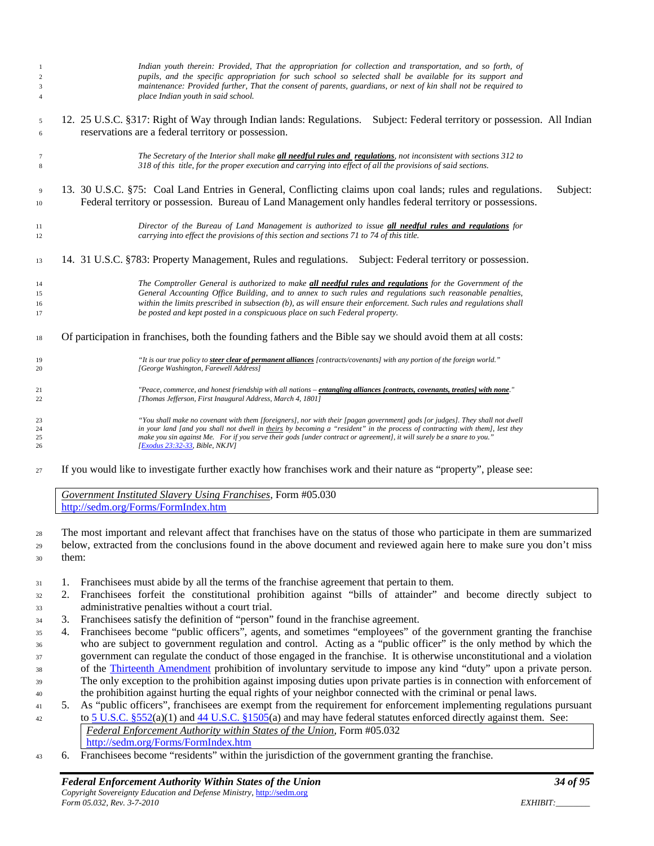| $\mathbf{1}$         | Indian youth therein: Provided, That the appropriation for collection and transportation, and so forth, of                                                                                                                           |
|----------------------|--------------------------------------------------------------------------------------------------------------------------------------------------------------------------------------------------------------------------------------|
| $\sqrt{2}$           | pupils, and the specific appropriation for such school so selected shall be available for its support and                                                                                                                            |
| $\sqrt{3}$           | maintenance: Provided further, That the consent of parents, guardians, or next of kin shall not be required to                                                                                                                       |
| $\overline{4}$       | place Indian youth in said school.                                                                                                                                                                                                   |
| 5                    | 12. 25 U.S.C. §317: Right of Way through Indian lands: Regulations. Subject: Federal territory or possession. All Indian                                                                                                             |
| 6                    | reservations are a federal territory or possession.                                                                                                                                                                                  |
| 7                    | The Secretary of the Interior shall make all needful rules and regulations, not inconsistent with sections 312 to                                                                                                                    |
| $\,$ 8 $\,$          | 318 of this title, for the proper execution and carrying into effect of all the provisions of said sections.                                                                                                                         |
| $\overline{9}$<br>10 | 13. 30 U.S.C. §75: Coal Land Entries in General, Conflicting claims upon coal lands; rules and regulations.<br>Subject:<br>Federal territory or possession. Bureau of Land Management only handles federal territory or possessions. |
| 11                   | Director of the Bureau of Land Management is authorized to issue all needful rules and regulations for                                                                                                                               |
| 12                   | carrying into effect the provisions of this section and sections 71 to 74 of this title.                                                                                                                                             |
| 13                   | 14. 31 U.S.C. §783: Property Management, Rules and regulations. Subject: Federal territory or possession.                                                                                                                            |
| 14                   | The Comptroller General is authorized to make all needful rules and regulations for the Government of the                                                                                                                            |
| 15                   | General Accounting Office Building, and to annex to such rules and regulations such reasonable penalties,                                                                                                                            |
| 16                   | within the limits prescribed in subsection (b), as will ensure their enforcement. Such rules and regulations shall                                                                                                                   |
| 17                   | be posted and kept posted in a conspicuous place on such Federal property.                                                                                                                                                           |
| 18                   | Of participation in franchises, both the founding fathers and the Bible say we should avoid them at all costs:                                                                                                                       |
| 19                   | "It is our true policy to steer clear of permanent alliances [contracts/covenants] with any portion of the foreign world."                                                                                                           |
| 20                   | [George Washington, Farewell Address]                                                                                                                                                                                                |
| 21                   | "Peace, commerce, and honest friendship with all nations - entangling alliances [contracts, covenants, treaties] with none."                                                                                                         |
| $\overline{22}$      | [Thomas Jefferson, First Inaugural Address, March 4, 1801]                                                                                                                                                                           |
| 23                   | "You shall make no covenant with them [foreigners], nor with their [pagan government] gods [or judges]. They shall not dwell                                                                                                         |
| 24                   | in your land (and you shall not dwell in theirs by becoming a "resident" in the process of contracting with them), lest they                                                                                                         |
| 25                   | make you sin against Me. For if you serve their gods [under contract or agreement], it will surely be a snare to you."                                                                                                               |
| 26                   | [Exodus 23:32-33, Bible, NKJV]                                                                                                                                                                                                       |
| 27                   | If you would like to investigate further exactly how franchises work and their nature as "property", please see:                                                                                                                     |

*Government Instituted Slavery Using Franchises*, Form #05.030 <http://sedm.org/Forms/FormIndex.htm>

 The most important and relevant affect that franchises have on the status of those who participate in them are summarized below, extracted from the conclusions found in the above document and reviewed again here to make sure you don't miss them:

- 1. Franchisees must abide by all the terms of the franchise agreement that pertain to them.
- 2. Franchisees forfeit the constitutional prohibition against "bills of attainder" and become directly subject to administrative penalties without a court trial.
- 3. Franchisees satisfy the definition of "person" found in the franchise agreement.
- 4. Franchisees become "public officers", agents, and sometimes "employees" of the government granting the franchise who are subject to government regulation and control. Acting as a "public officer" is the only method by which the government can regulate the conduct of those engaged in the franchise. It is otherwise unconstitutional and a violation of the [Thirteenth Amendment](http://caselaw.lp.findlaw.com/data/constitution/amendment13/) prohibition of involuntary servitude to impose any kind "duty" upon a private person. The only exception to the prohibition against imposing duties upon private parties is in connection with enforcement of the prohibition against hurting the equal rights of your neighbor connected with the criminal or penal laws.
- 5. As "public officers", franchisees are exempt from the requirement for enforcement implementing regulations pursuant to [5 U.S.C. §552\(](http://www4.law.cornell.edu/uscode/html/uscode05/usc_sec_05_00000552----000-.html)a)(1) and [44 U.S.C. §1505\(](http://www4.law.cornell.edu/uscode/html/uscode44/usc_sec_44_00001505----000-.html)a) and may have federal statutes enforced directly against them. See: *Federal Enforcement Authority within States of the Union*, Form #05.032
	- <http://sedm.org/Forms/FormIndex.htm>
- 6. Franchisees become "residents" within the jurisdiction of the government granting the franchise.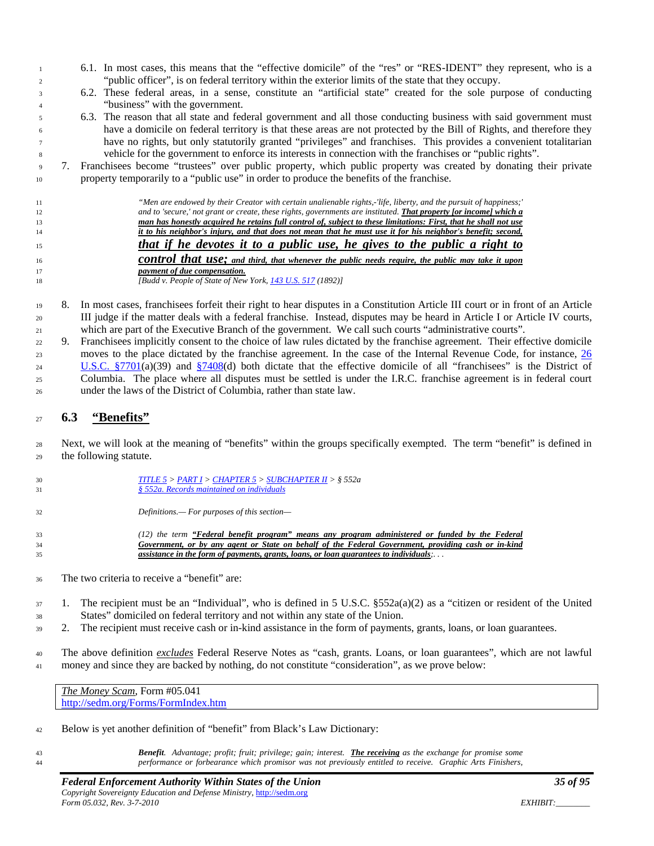- 6.1. In most cases, this means that the "effective domicile" of the "res" or "RES-IDENT" they represent, who is a "public officer", is on federal territory within the exterior limits of the state that they occupy.
- 6.2. These federal areas, in a sense, constitute an "artificial state" created for the sole purpose of conducting "business" with the government.
- 6.3. The reason that all state and federal government and all those conducting business with said government must have a domicile on federal territory is that these areas are not protected by the Bill of Rights, and therefore they have no rights, but only statutorily granted "privileges" and franchises. This provides a convenient totalitarian vehicle for the government to enforce its interests in connection with the franchises or "public rights".

 7. Franchisees become "trustees" over public property, which public property was created by donating their private property temporarily to a "public use" in order to produce the benefits of the franchise.

| 11 | "Men are endowed by their Creator with certain unalienable rights,-'life, liberty, and the pursuit of happiness;" |
|----|-------------------------------------------------------------------------------------------------------------------|
| 12 | and to 'secure,' not grant or create, these rights, governments are instituted. That property for income] which a |
| 13 | man has honestly acquired he retains full control of, subject to these limitations: First, that he shall not use  |
| 14 | it to his neighbor's injury, and that does not mean that he must use it for his neighbor's benefit; second,       |
| 15 | that if he devotes it to a public use, he gives to the public a right to                                          |
| 16 | control that use; and third, that whenever the public needs require, the public may take it upon                  |
| 17 | <i>payment of due compensation.</i>                                                                               |
| 18 | [Budd v. People of State of New York, 143 U.S. 517 (1892)]                                                        |

 8. In most cases, franchisees forfeit their right to hear disputes in a Constitution Article III court or in front of an Article III judge if the matter deals with a federal franchise. Instead, disputes may be heard in Article I or Article IV courts, which are part of the Executive Branch of the government. We call such courts "administrative courts".

 9. Franchisees implicitly consent to the choice of law rules dictated by the franchise agreement. Their effective domicile moves to the place dictated by the franchise agreement. In the case of the Internal Revenue Code, for instance, [26](http://www4.law.cornell.edu/uscode/html/uscode26/usc_sec_26_00007701----000-.html)  [U.S.C. §7701\(](http://www4.law.cornell.edu/uscode/html/uscode26/usc_sec_26_00007701----000-.html)a)(39) and [§7408\(](http://www4.law.cornell.edu/uscode/html/uscode26/usc_sec_26_00007408----000-.html)d) both dictate that the effective domicile of all "franchisees" is the District of Columbia. The place where all disputes must be settled is under the I.R.C. franchise agreement is in federal court under the laws of the District of Columbia, rather than state law.

#### <span id="page-34-0"></span>**6.3 "Benefits"**

 Next, we will look at the meaning of "benefits" within the groups specifically exempted. The term "benefit" is defined in the following statute.

- *[TITLE 5](http://www.law.cornell.edu/uscode/html/uscode05/usc_sup_01_5.html) > [PART I](http://www.law.cornell.edu/uscode/html/uscode05/usc_sup_01_5_10_I.html) [> CHAPTER 5](http://www.law.cornell.edu/uscode/html/uscode05/usc_sup_01_5_10_I_30_5.html) [> SUBCHAPTER II](http://www.law.cornell.edu/uscode/html/uscode05/usc_sup_01_5_10_I_30_5_40_II.html) > § 552a § [552a. Records maintained on individuals](http://www.law.cornell.edu/uscode/html/uscode05/usc_sec_05_00000552---a000-.html)*
- *Definitions.— For purposes of this section—*

 *(12) the term "Federal benefit program" means any program administered or funded by the Federal Government, or by any agent or State on behalf of the Federal Government, providing cash or in-kind assistance in the form of payments, grants, loans, or loan guarantees to individuals;. . .*

- The two criteria to receive a "benefit" are:
- $37 \quad 1.$  The recipient must be an "Individual", who is defined in 5 U.S.C. §552a(a)(2) as a "citizen or resident of the United States" domiciled on federal territory and not within any state of the Union.
- 2. The recipient must receive cash or in-kind assistance in the form of payments, grants, loans, or loan guarantees.

 The above definition *excludes* Federal Reserve Notes as "cash, grants. Loans, or loan guarantees", which are not lawful money and since they are backed by nothing, do not constitute "consideration", as we prove below:

*The Money Scam*, Form #05.041 <http://sedm.org/Forms/FormIndex.htm>

- Below is yet another definition of "benefit" from Black's Law Dictionary:
- 

 *Benefit. Advantage; profit; fruit; privilege; gain; interest. The receiving as the exchange for promise some performance or forbearance which promisor was not previously entitled to receive. Graphic Arts Finishers,*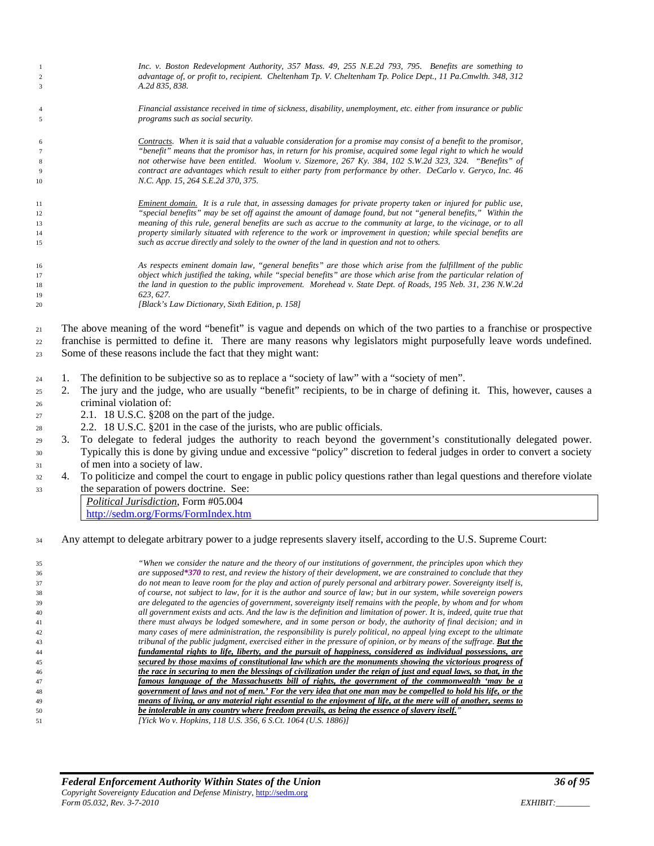| $\mathbf{1}$                                                         |                      | Inc. v. Boston Redevelopment Authority, 357 Mass. 49, 255 N.E.2d 793, 795. Benefits are something to                                                                                                                                                                                                                                                                                                                                                                                                                                                                                                                                                                                                                                                                                                                                                                                                                                                                                                                                                                                                         |
|----------------------------------------------------------------------|----------------------|--------------------------------------------------------------------------------------------------------------------------------------------------------------------------------------------------------------------------------------------------------------------------------------------------------------------------------------------------------------------------------------------------------------------------------------------------------------------------------------------------------------------------------------------------------------------------------------------------------------------------------------------------------------------------------------------------------------------------------------------------------------------------------------------------------------------------------------------------------------------------------------------------------------------------------------------------------------------------------------------------------------------------------------------------------------------------------------------------------------|
| $\overline{c}$                                                       |                      | advantage of, or profit to, recipient. Cheltenham Tp. V. Cheltenham Tp. Police Dept., 11 Pa.Cmwlth. 348, 312                                                                                                                                                                                                                                                                                                                                                                                                                                                                                                                                                                                                                                                                                                                                                                                                                                                                                                                                                                                                 |
| 3                                                                    |                      | A.2d 835, 838.                                                                                                                                                                                                                                                                                                                                                                                                                                                                                                                                                                                                                                                                                                                                                                                                                                                                                                                                                                                                                                                                                               |
|                                                                      |                      |                                                                                                                                                                                                                                                                                                                                                                                                                                                                                                                                                                                                                                                                                                                                                                                                                                                                                                                                                                                                                                                                                                              |
| $\overline{4}$                                                       |                      | Financial assistance received in time of sickness, disability, unemployment, etc. either from insurance or public                                                                                                                                                                                                                                                                                                                                                                                                                                                                                                                                                                                                                                                                                                                                                                                                                                                                                                                                                                                            |
| 5                                                                    |                      | programs such as social security.                                                                                                                                                                                                                                                                                                                                                                                                                                                                                                                                                                                                                                                                                                                                                                                                                                                                                                                                                                                                                                                                            |
|                                                                      |                      | Contracts. When it is said that a valuable consideration for a promise may consist of a benefit to the promisor,                                                                                                                                                                                                                                                                                                                                                                                                                                                                                                                                                                                                                                                                                                                                                                                                                                                                                                                                                                                             |
| 6<br>$\overline{7}$                                                  |                      | "benefit" means that the promisor has, in return for his promise, acquired some legal right to which he would                                                                                                                                                                                                                                                                                                                                                                                                                                                                                                                                                                                                                                                                                                                                                                                                                                                                                                                                                                                                |
| 8                                                                    |                      | not otherwise have been entitled. Woolum v. Sizemore, 267 Ky. 384, 102 S.W.2d 323, 324. "Benefits" of                                                                                                                                                                                                                                                                                                                                                                                                                                                                                                                                                                                                                                                                                                                                                                                                                                                                                                                                                                                                        |
| 9                                                                    |                      | contract are advantages which result to either party from performance by other. DeCarlo v. Geryco, Inc. 46                                                                                                                                                                                                                                                                                                                                                                                                                                                                                                                                                                                                                                                                                                                                                                                                                                                                                                                                                                                                   |
| 10                                                                   |                      | N.C. App. 15, 264 S.E.2d 370, 375.                                                                                                                                                                                                                                                                                                                                                                                                                                                                                                                                                                                                                                                                                                                                                                                                                                                                                                                                                                                                                                                                           |
|                                                                      |                      |                                                                                                                                                                                                                                                                                                                                                                                                                                                                                                                                                                                                                                                                                                                                                                                                                                                                                                                                                                                                                                                                                                              |
| 11<br>12                                                             |                      | Eminent domain. It is a rule that, in assessing damages for private property taken or injured for public use,<br>"special benefits" may be set off against the amount of damage found, but not "general benefits," Within the                                                                                                                                                                                                                                                                                                                                                                                                                                                                                                                                                                                                                                                                                                                                                                                                                                                                                |
| 13                                                                   |                      | meaning of this rule, general benefits are such as accrue to the community at large, to the vicinage, or to all                                                                                                                                                                                                                                                                                                                                                                                                                                                                                                                                                                                                                                                                                                                                                                                                                                                                                                                                                                                              |
| 14                                                                   |                      | property similarly situated with reference to the work or improvement in question; while special benefits are                                                                                                                                                                                                                                                                                                                                                                                                                                                                                                                                                                                                                                                                                                                                                                                                                                                                                                                                                                                                |
| 15                                                                   |                      | such as accrue directly and solely to the owner of the land in question and not to others.                                                                                                                                                                                                                                                                                                                                                                                                                                                                                                                                                                                                                                                                                                                                                                                                                                                                                                                                                                                                                   |
|                                                                      |                      |                                                                                                                                                                                                                                                                                                                                                                                                                                                                                                                                                                                                                                                                                                                                                                                                                                                                                                                                                                                                                                                                                                              |
| 16                                                                   |                      | As respects eminent domain law, "general benefits" are those which arise from the fulfillment of the public<br>object which justified the taking, while "special benefits" are those which arise from the particular relation of                                                                                                                                                                                                                                                                                                                                                                                                                                                                                                                                                                                                                                                                                                                                                                                                                                                                             |
| 17<br>18                                                             |                      | the land in question to the public improvement. Morehead v. State Dept. of Roads, 195 Neb. 31, 236 N.W.2d                                                                                                                                                                                                                                                                                                                                                                                                                                                                                                                                                                                                                                                                                                                                                                                                                                                                                                                                                                                                    |
| 19                                                                   |                      | 623, 627.                                                                                                                                                                                                                                                                                                                                                                                                                                                                                                                                                                                                                                                                                                                                                                                                                                                                                                                                                                                                                                                                                                    |
| 20                                                                   |                      | [Black's Law Dictionary, Sixth Edition, p. 158]                                                                                                                                                                                                                                                                                                                                                                                                                                                                                                                                                                                                                                                                                                                                                                                                                                                                                                                                                                                                                                                              |
| 21<br>22<br>23<br>24<br>25<br>26<br>27<br>28<br>29<br>30<br>31<br>32 | 1.<br>2.<br>3.<br>4. | The above meaning of the word "benefit" is vague and depends on which of the two parties to a franchise or prospective<br>franchise is permitted to define it. There are many reasons why legislators might purposefully leave words undefined.<br>Some of these reasons include the fact that they might want:<br>The definition to be subjective so as to replace a "society of law" with a "society of men".<br>The jury and the judge, who are usually "benefit" recipients, to be in charge of defining it. This, however, causes a<br>criminal violation of:<br>2.1. 18 U.S.C. §208 on the part of the judge.<br>2.2. 18 U.S.C. §201 in the case of the jurists, who are public officials.<br>To delegate to federal judges the authority to reach beyond the government's constitutionally delegated power.<br>Typically this is done by giving undue and excessive "policy" discretion to federal judges in order to convert a society<br>of men into a society of law.<br>To politicize and compel the court to engage in public policy questions rather than legal questions and therefore violate |
| 33                                                                   |                      | the separation of powers doctrine. See:                                                                                                                                                                                                                                                                                                                                                                                                                                                                                                                                                                                                                                                                                                                                                                                                                                                                                                                                                                                                                                                                      |
|                                                                      |                      | Political Jurisdiction, Form #05.004                                                                                                                                                                                                                                                                                                                                                                                                                                                                                                                                                                                                                                                                                                                                                                                                                                                                                                                                                                                                                                                                         |
|                                                                      |                      | http://sedm.org/Forms/FormIndex.htm                                                                                                                                                                                                                                                                                                                                                                                                                                                                                                                                                                                                                                                                                                                                                                                                                                                                                                                                                                                                                                                                          |
| 34                                                                   |                      | Any attempt to delegate arbitrary power to a judge represents slavery itself, according to the U.S. Supreme Court:                                                                                                                                                                                                                                                                                                                                                                                                                                                                                                                                                                                                                                                                                                                                                                                                                                                                                                                                                                                           |
| 35                                                                   |                      | "When we consider the nature and the theory of our institutions of government, the principles upon which they                                                                                                                                                                                                                                                                                                                                                                                                                                                                                                                                                                                                                                                                                                                                                                                                                                                                                                                                                                                                |
| 36                                                                   |                      | are supposed*370 to rest, and review the history of their development, we are constrained to conclude that they                                                                                                                                                                                                                                                                                                                                                                                                                                                                                                                                                                                                                                                                                                                                                                                                                                                                                                                                                                                              |
| 37                                                                   |                      | do not mean to leave room for the play and action of purely personal and arbitrary power. Sovereignty itself is,                                                                                                                                                                                                                                                                                                                                                                                                                                                                                                                                                                                                                                                                                                                                                                                                                                                                                                                                                                                             |
| 38                                                                   |                      | of course, not subject to law, for it is the author and source of law; but in our system, while sovereign powers                                                                                                                                                                                                                                                                                                                                                                                                                                                                                                                                                                                                                                                                                                                                                                                                                                                                                                                                                                                             |
| 39<br>40                                                             |                      | are delegated to the agencies of government, sovereignty itself remains with the people, by whom and for whom<br>all government exists and acts. And the law is the definition and limitation of power. It is, indeed, quite true that                                                                                                                                                                                                                                                                                                                                                                                                                                                                                                                                                                                                                                                                                                                                                                                                                                                                       |
| 41                                                                   |                      | there must always be lodged somewhere, and in some person or body, the authority of final decision; and in                                                                                                                                                                                                                                                                                                                                                                                                                                                                                                                                                                                                                                                                                                                                                                                                                                                                                                                                                                                                   |
| 42                                                                   |                      | many cases of mere administration, the responsibility is purely political, no appeal lying except to the ultimate                                                                                                                                                                                                                                                                                                                                                                                                                                                                                                                                                                                                                                                                                                                                                                                                                                                                                                                                                                                            |
| 43                                                                   |                      | tribunal of the public judgment, exercised either in the pressure of opinion, or by means of the suffrage. <b>But the</b>                                                                                                                                                                                                                                                                                                                                                                                                                                                                                                                                                                                                                                                                                                                                                                                                                                                                                                                                                                                    |
| 44                                                                   |                      | fundamental rights to life, liberty, and the pursuit of happiness, considered as individual possessions, are                                                                                                                                                                                                                                                                                                                                                                                                                                                                                                                                                                                                                                                                                                                                                                                                                                                                                                                                                                                                 |
| 45                                                                   |                      | secured by those maxims of constitutional law which are the monuments showing the victorious progress of                                                                                                                                                                                                                                                                                                                                                                                                                                                                                                                                                                                                                                                                                                                                                                                                                                                                                                                                                                                                     |
| 46                                                                   |                      | the race in securing to men the blessings of civilization under the reign of just and equal laws, so that, in the                                                                                                                                                                                                                                                                                                                                                                                                                                                                                                                                                                                                                                                                                                                                                                                                                                                                                                                                                                                            |

 *government of laws and not of men.' For the very idea that one man may be compelled to hold his life, or the means of living, or any material right essential to the enjoyment of life, at the mere will of another, seems to*<br>be intolerable in any country where freedom prevails, as being the essence of slavery itself." *be intolerable in any country where freedom prevails, as being the essence of slavery itself."*

*famous language of the Massachusetts bill of rights, the government of the commonwealth 'may be a* 

*[Yick Wo v. Hopkins, 118 U.S. 356, 6 S.Ct. 1064 (U.S. 1886)]*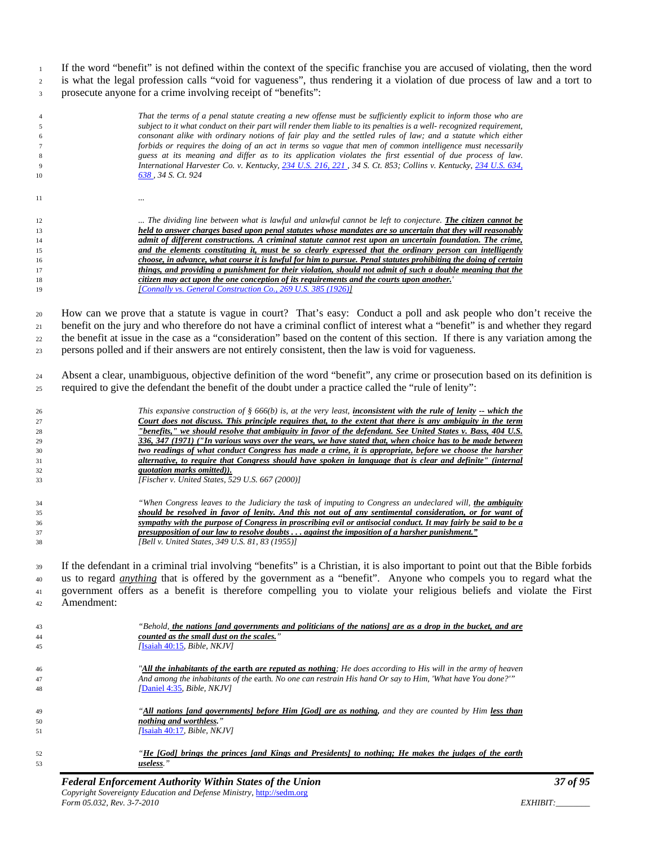If the word "benefit" is not defined within the context of the specific franchise you are accused of violating, then the word is what the legal profession calls "void for vagueness", thus rendering it a violation of due process of law and a tort to prosecute anyone for a crime involving receipt of "benefits":

|          | That the terms of a penal statute creating a new offense must be sufficiently explicit to inform those who are                                                                                                             |
|----------|----------------------------------------------------------------------------------------------------------------------------------------------------------------------------------------------------------------------------|
| 5        | subject to it what conduct on their part will render them liable to its penalties is a well- recognized requirement,                                                                                                       |
| 6        | consonant alike with ordinary notions of fair play and the settled rules of law; and a statute which either                                                                                                                |
| 7        | forbids or requires the doing of an act in terms so vague that men of common intelligence must necessarily                                                                                                                 |
| 8        | guess at its meaning and differ as to its application violates the first essential of due process of law.<br>International Harvester Co. v. Kentucky, 234 U.S. 216, 221, 34 S. Ct. 853; Collins v. Kentucky, 234 U.S. 634, |
| 9<br>10  | <u>638 ,</u> 34 S. Ct. 924                                                                                                                                                                                                 |
|          |                                                                                                                                                                                                                            |
| 11       |                                                                                                                                                                                                                            |
|          |                                                                                                                                                                                                                            |
| 12       | The dividing line between what is lawful and unlawful cannot be left to conjecture. <b>The citizen cannot be</b>                                                                                                           |
| 13       | held to answer charges based upon penal statutes whose mandates are so uncertain that they will reasonably                                                                                                                 |
| 14       | admit of different constructions. A criminal statute cannot rest upon an uncertain foundation. The crime,                                                                                                                  |
| 15       | and the elements constituting it, must be so clearly expressed that the ordinary person can intelligently                                                                                                                  |
| 16       | choose, in advance, what course it is lawful for him to pursue. Penal statutes prohibiting the doing of certain                                                                                                            |
| 17       | things, and providing a punishment for their violation, should not admit of such a double meaning that the                                                                                                                 |
| 18       | citizen may act upon the one conception of its requirements and the courts upon another.<br>[Connally vs. General Construction Co., 269 U.S. 385 (1926)]                                                                   |
| 19       |                                                                                                                                                                                                                            |
| 20       | How can we prove that a statute is vague in court? That's easy: Conduct a poll and ask people who don't receive the                                                                                                        |
| 21       | benefit on the jury and who therefore do not have a criminal conflict of interest what a "benefit" is and whether they regard                                                                                              |
|          | the benefit at issue in the case as a "consideration" based on the content of this section. If there is any variation among the                                                                                            |
| 22       |                                                                                                                                                                                                                            |
| 23       | persons polled and if their answers are not entirely consistent, then the law is void for vagueness.                                                                                                                       |
| 24       | Absent a clear, unambiguous, objective definition of the word "benefit", any crime or prosecution based on its definition is                                                                                               |
|          |                                                                                                                                                                                                                            |
| 25       | required to give the defendant the benefit of the doubt under a practice called the "rule of lenity":                                                                                                                      |
| 26       | This expansive construction of § 666(b) is, at the very least, <b>inconsistent with the rule of lenity</b> -- which the                                                                                                    |
| 27       | Court does not discuss. This principle requires that, to the extent that there is any ambiguity in the term                                                                                                                |
| 28       | "benefits," we should resolve that ambiguity in favor of the defendant. See United States v. Bass, 404 U.S.                                                                                                                |
| 29       | 336, 347 (1971) ("In various ways over the years, we have stated that, when choice has to be made between                                                                                                                  |
| 30       | two readings of what conduct Congress has made a crime, it is appropriate, before we choose the harsher                                                                                                                    |
| 31       | alternative, to require that Congress should have spoken in language that is clear and definite" (internal                                                                                                                 |
| 32       | quotation marks omitted)).                                                                                                                                                                                                 |
| 33       | [Fischer v. United States, 529 U.S. 667 (2000)]                                                                                                                                                                            |
| 34       | "When Congress leaves to the Judiciary the task of imputing to Congress an undeclared will, the ambiguity                                                                                                                  |
| 35       | should be resolved in favor of lenity. And this not out of any sentimental consideration, or for want of                                                                                                                   |
| 36       | sympathy with the purpose of Congress in proscribing evil or antisocial conduct. It may fairly be said to be a                                                                                                             |
| 37       | presupposition of our law to resolve doubts  against the imposition of a harsher punishment."                                                                                                                              |
| 38       | [Bell v. United States, 349 U.S. 81, 83 (1955)]                                                                                                                                                                            |
|          |                                                                                                                                                                                                                            |
| 39       | If the defendant in a criminal trial involving "benefits" is a Christian, it is also important to point out that the Bible forbids                                                                                         |
| 40       | us to regard <i>anything</i> that is offered by the government as a "benefit". Anyone who compels you to regard what the                                                                                                   |
| 41       | government offers as a benefit is therefore compelling you to violate your religious beliefs and violate the First                                                                                                         |
| 42       | Amendment:                                                                                                                                                                                                                 |
|          |                                                                                                                                                                                                                            |
| 43       | "Behold, the nations fand governments and politicians of the nations] are as a drop in the bucket, and are                                                                                                                 |
| 44       | counted as the small dust on the scales."<br>[Isaiah 40:15, Bible, NKJV]                                                                                                                                                   |
| 45       |                                                                                                                                                                                                                            |
| 46       | "All the inhabitants of the earth are reputed as nothing; He does according to His will in the army of heaven                                                                                                              |
| 47       | And among the inhabitants of the earth. No one can restrain His hand Or say to Him, 'What have You done?'"                                                                                                                 |
| 48       | [Daniel 4:35, Bible, NKJV]                                                                                                                                                                                                 |
|          | "All nations [and governments] before Him [God] are as nothing, and they are counted by Him less than                                                                                                                      |
| 49       | nothing and worthless."                                                                                                                                                                                                    |
| 50<br>51 | [Isaiah 40:17, Bible, NKJV]                                                                                                                                                                                                |
|          |                                                                                                                                                                                                                            |
| 52       | "He [God] brings the princes [and Kings and Presidents] to nothing; He makes the judges of the earth                                                                                                                       |
| 53       | useless."                                                                                                                                                                                                                  |
|          |                                                                                                                                                                                                                            |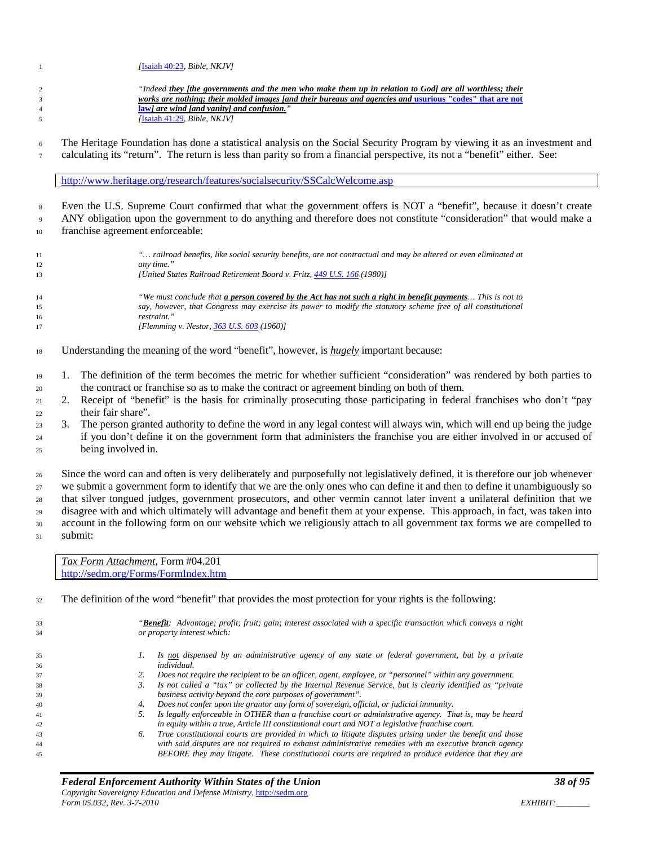| $\mathbf{1}$                         | [Isaiah $40:23$ , Bible, NKJV]                                                                                                                                                                                                                                                                                                                                                                                                                                                                                                                                                                                                                                |  |  |
|--------------------------------------|---------------------------------------------------------------------------------------------------------------------------------------------------------------------------------------------------------------------------------------------------------------------------------------------------------------------------------------------------------------------------------------------------------------------------------------------------------------------------------------------------------------------------------------------------------------------------------------------------------------------------------------------------------------|--|--|
|                                      |                                                                                                                                                                                                                                                                                                                                                                                                                                                                                                                                                                                                                                                               |  |  |
| $\overline{c}$                       | "Indeed they [the governments and the men who make them up in relation to God] are all worthless; their                                                                                                                                                                                                                                                                                                                                                                                                                                                                                                                                                       |  |  |
| 3                                    | works are nothing; their molded images [and their bureaus and agencies and usurious "codes" that are not                                                                                                                                                                                                                                                                                                                                                                                                                                                                                                                                                      |  |  |
| $\overline{4}$<br>5                  | <b>law]</b> are wind [and vanity] and confusion."<br>[Isaiah 41:29, Bible, NKJV]                                                                                                                                                                                                                                                                                                                                                                                                                                                                                                                                                                              |  |  |
|                                      |                                                                                                                                                                                                                                                                                                                                                                                                                                                                                                                                                                                                                                                               |  |  |
| 6<br>$7\phantom{.0}$                 | The Heritage Foundation has done a statistical analysis on the Social Security Program by viewing it as an investment and<br>calculating its "return". The return is less than parity so from a financial perspective, its not a "benefit" either. See:                                                                                                                                                                                                                                                                                                                                                                                                       |  |  |
|                                      | http://www.heritage.org/research/features/socialsecurity/SSCalcWelcome.asp                                                                                                                                                                                                                                                                                                                                                                                                                                                                                                                                                                                    |  |  |
| $\,$ 8 $\,$                          | Even the U.S. Supreme Court confirmed that what the government offers is NOT a "benefit", because it doesn't create                                                                                                                                                                                                                                                                                                                                                                                                                                                                                                                                           |  |  |
| 9                                    | ANY obligation upon the government to do anything and therefore does not constitute "consideration" that would make a                                                                                                                                                                                                                                                                                                                                                                                                                                                                                                                                         |  |  |
| $10\,$                               | franchise agreement enforceable:                                                                                                                                                                                                                                                                                                                                                                                                                                                                                                                                                                                                                              |  |  |
|                                      |                                                                                                                                                                                                                                                                                                                                                                                                                                                                                                                                                                                                                                                               |  |  |
| 11<br>12                             | " railroad benefits, like social security benefits, are not contractual and may be altered or even eliminated at<br>any time."                                                                                                                                                                                                                                                                                                                                                                                                                                                                                                                                |  |  |
| 13                                   | [United States Railroad Retirement Board v. Fritz, 449 U.S. 166 (1980)]                                                                                                                                                                                                                                                                                                                                                                                                                                                                                                                                                                                       |  |  |
| 14                                   | "We must conclude that <i>a</i> person covered by the Act has not such a right in benefit payments This is not to                                                                                                                                                                                                                                                                                                                                                                                                                                                                                                                                             |  |  |
| 15                                   | say, however, that Congress may exercise its power to modify the statutory scheme free of all constitutional                                                                                                                                                                                                                                                                                                                                                                                                                                                                                                                                                  |  |  |
| 16                                   | restraint."                                                                                                                                                                                                                                                                                                                                                                                                                                                                                                                                                                                                                                                   |  |  |
| 17                                   | [Flemming v. Nestor, 363 U.S. 603 (1960)]                                                                                                                                                                                                                                                                                                                                                                                                                                                                                                                                                                                                                     |  |  |
| $18\,$                               | Understanding the meaning of the word "benefit", however, is <b>hugely</b> important because:                                                                                                                                                                                                                                                                                                                                                                                                                                                                                                                                                                 |  |  |
| 19                                   | The definition of the term becomes the metric for whether sufficient "consideration" was rendered by both parties to<br>1.                                                                                                                                                                                                                                                                                                                                                                                                                                                                                                                                    |  |  |
| 20                                   | the contract or franchise so as to make the contract or agreement binding on both of them.                                                                                                                                                                                                                                                                                                                                                                                                                                                                                                                                                                    |  |  |
| 21                                   | Receipt of "benefit" is the basis for criminally prosecuting those participating in federal franchises who don't "pay<br>2.                                                                                                                                                                                                                                                                                                                                                                                                                                                                                                                                   |  |  |
| 22                                   | their fair share".                                                                                                                                                                                                                                                                                                                                                                                                                                                                                                                                                                                                                                            |  |  |
| 23                                   | The person granted authority to define the word in any legal contest will always win, which will end up being the judge<br>3.                                                                                                                                                                                                                                                                                                                                                                                                                                                                                                                                 |  |  |
|                                      | if you don't define it on the government form that administers the franchise you are either involved in or accused of                                                                                                                                                                                                                                                                                                                                                                                                                                                                                                                                         |  |  |
| 24<br>25                             | being involved in.                                                                                                                                                                                                                                                                                                                                                                                                                                                                                                                                                                                                                                            |  |  |
| 26<br>$27\,$<br>28<br>29<br>30<br>31 | Since the word can and often is very deliberately and purposefully not legislatively defined, it is therefore our job whenever<br>we submit a government form to identify that we are the only ones who can define it and then to define it unambiguously so<br>that silver tongued judges, government prosecutors, and other vermin cannot later invent a unilateral definition that we<br>disagree with and which ultimately will advantage and benefit them at your expense. This approach, in fact, was taken into<br>account in the following form on our website which we religiously attach to all government tax forms we are compelled to<br>submit: |  |  |
|                                      |                                                                                                                                                                                                                                                                                                                                                                                                                                                                                                                                                                                                                                                               |  |  |
|                                      | Tax Form Attachment, Form #04.201<br>http://sedm.org/Forms/FormIndex.htm                                                                                                                                                                                                                                                                                                                                                                                                                                                                                                                                                                                      |  |  |
| 32                                   | The definition of the word "benefit" that provides the most protection for your rights is the following:                                                                                                                                                                                                                                                                                                                                                                                                                                                                                                                                                      |  |  |
|                                      | " <b>Benefit</b> : Advantage; profit; fruit; gain; interest associated with a specific transaction which conveys a right                                                                                                                                                                                                                                                                                                                                                                                                                                                                                                                                      |  |  |
| 33<br>34                             | or property interest which:                                                                                                                                                                                                                                                                                                                                                                                                                                                                                                                                                                                                                                   |  |  |
|                                      |                                                                                                                                                                                                                                                                                                                                                                                                                                                                                                                                                                                                                                                               |  |  |
| 35                                   | Is not dispensed by an administrative agency of any state or federal government, but by a private<br>1.                                                                                                                                                                                                                                                                                                                                                                                                                                                                                                                                                       |  |  |
| 36                                   | individual.                                                                                                                                                                                                                                                                                                                                                                                                                                                                                                                                                                                                                                                   |  |  |
| 37                                   | 2.<br>Does not require the recipient to be an officer, agent, employee, or "personnel" within any government.                                                                                                                                                                                                                                                                                                                                                                                                                                                                                                                                                 |  |  |
| 38                                   | Is not called a "tax" or collected by the Internal Revenue Service, but is clearly identified as "private<br>3.                                                                                                                                                                                                                                                                                                                                                                                                                                                                                                                                               |  |  |
| 39                                   | business activity beyond the core purposes of government".                                                                                                                                                                                                                                                                                                                                                                                                                                                                                                                                                                                                    |  |  |
| 40                                   | Does not confer upon the grantor any form of sovereign, official, or judicial immunity.<br>4.                                                                                                                                                                                                                                                                                                                                                                                                                                                                                                                                                                 |  |  |
| 41                                   | Is legally enforceable in OTHER than a franchise court or administrative agency. That is, may be heard<br>5.                                                                                                                                                                                                                                                                                                                                                                                                                                                                                                                                                  |  |  |
| 42                                   | in equity within a true, Article III constitutional court and NOT a legislative franchise court.                                                                                                                                                                                                                                                                                                                                                                                                                                                                                                                                                              |  |  |
| 43                                   | True constitutional courts are provided in which to litigate disputes arising under the benefit and those<br>6.                                                                                                                                                                                                                                                                                                                                                                                                                                                                                                                                               |  |  |
| 44                                   | with said disputes are not required to exhaust administrative remedies with an executive branch agency<br>BEFORE they may litigate. These constitutional courts are required to produce evidence that they are                                                                                                                                                                                                                                                                                                                                                                                                                                                |  |  |
| 45                                   |                                                                                                                                                                                                                                                                                                                                                                                                                                                                                                                                                                                                                                                               |  |  |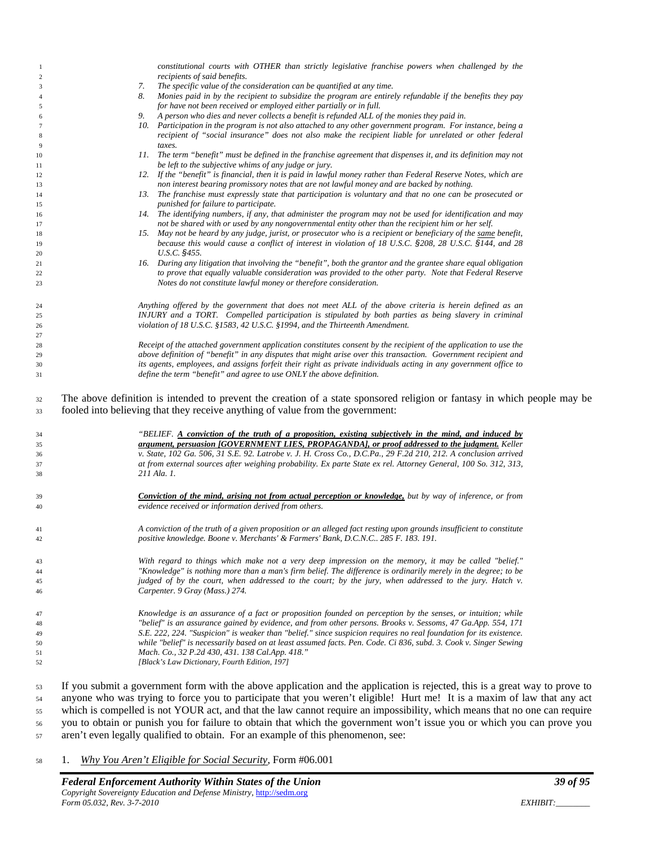|                        | constitutional courts with OTHER than strictly legislative franchise powers when challenged by the                                                                                                         |  |
|------------------------|------------------------------------------------------------------------------------------------------------------------------------------------------------------------------------------------------------|--|
| -1<br>$\boldsymbol{2}$ | recipients of said benefits.                                                                                                                                                                               |  |
| 3                      | The specific value of the consideration can be quantified at any time.<br>7.                                                                                                                               |  |
|                        | Monies paid in by the recipient to subsidize the program are entirely refundable if the benefits they pay<br>8.                                                                                            |  |
| 4                      |                                                                                                                                                                                                            |  |
| 5                      | for have not been received or employed either partially or in full.<br>A person who dies and never collects a benefit is refunded ALL of the monies they paid in.<br>9.                                    |  |
| 6                      |                                                                                                                                                                                                            |  |
| $\overline{7}$         | 10. Participation in the program is not also attached to any other government program. For instance, being a                                                                                               |  |
| 8                      | recipient of "social insurance" does not also make the recipient liable for unrelated or other federal                                                                                                     |  |
| 9                      | taxes.                                                                                                                                                                                                     |  |
| 10                     | 11. The term "benefit" must be defined in the franchise agreement that dispenses it, and its definition may not                                                                                            |  |
| 11                     | be left to the subjective whims of any judge or jury.                                                                                                                                                      |  |
| 12                     | 12. If the "benefit" is financial, then it is paid in lawful money rather than Federal Reserve Notes, which are                                                                                            |  |
| 13                     | non interest bearing promissory notes that are not lawful money and are backed by nothing.                                                                                                                 |  |
| 14                     | 13. The franchise must expressly state that participation is voluntary and that no one can be prosecuted or                                                                                                |  |
| 15                     | punished for failure to participate.                                                                                                                                                                       |  |
| 16                     | 14. The identifying numbers, if any, that administer the program may not be used for identification and may                                                                                                |  |
| 17                     | not be shared with or used by any nongovernmental entity other than the recipient him or her self.                                                                                                         |  |
| 18                     | 15. May not be heard by any judge, jurist, or prosecutor who is a recipient or beneficiary of the same benefit,                                                                                            |  |
| 19                     | because this would cause a conflict of interest in violation of 18 U.S.C. §208, 28 U.S.C. §144, and 28                                                                                                     |  |
| 20                     | U.S.C. §455.                                                                                                                                                                                               |  |
| 21                     | 16. During any litigation that involving the "benefit", both the grantor and the grantee share equal obligation                                                                                            |  |
| 22                     | to prove that equally valuable consideration was provided to the other party. Note that Federal Reserve                                                                                                    |  |
| 23                     | Notes do not constitute lawful money or therefore consideration.                                                                                                                                           |  |
|                        |                                                                                                                                                                                                            |  |
| 24                     | Anything offered by the government that does not meet ALL of the above criteria is herein defined as an                                                                                                    |  |
| 25                     | INJURY and a TORT. Compelled participation is stipulated by both parties as being slavery in criminal                                                                                                      |  |
| 26                     | violation of 18 U.S.C. §1583, 42 U.S.C. §1994, and the Thirteenth Amendment.                                                                                                                               |  |
| 27                     |                                                                                                                                                                                                            |  |
| 28                     | Receipt of the attached government application constitutes consent by the recipient of the application to use the                                                                                          |  |
| 29                     | above definition of "benefit" in any disputes that might arise over this transaction. Government recipient and                                                                                             |  |
| 30                     | its agents, employees, and assigns forfeit their right as private individuals acting in any government office to                                                                                           |  |
| 31                     | define the term "benefit" and agree to use ONLY the above definition.                                                                                                                                      |  |
| 32<br>33               | The above definition is intended to prevent the creation of a state sponsored religion or fantasy in which people may be<br>fooled into believing that they receive anything of value from the government: |  |
|                        |                                                                                                                                                                                                            |  |
|                        | "BELIEF. A conviction of the truth of a proposition, existing subjectively in the mind, and induced by                                                                                                     |  |
| 34                     |                                                                                                                                                                                                            |  |
| 35                     | argument, persuasion [GOVERNMENT LIES, PROPAGANDA], or proof addressed to the judgment. Keller                                                                                                             |  |
| 36                     | v. State, 102 Ga. 506, 31 S.E. 92. Latrobe v. J. H. Cross Co., D.C.Pa., 29 F.2d 210, 212. A conclusion arrived                                                                                             |  |
| 37                     | at from external sources after weighing probability. Ex parte State ex rel. Attorney General, 100 So. 312, 313,                                                                                            |  |
| 38                     | 211 Ala. 1.                                                                                                                                                                                                |  |
|                        |                                                                                                                                                                                                            |  |
| 39                     | <b>Conviction of the mind, arising not from actual perception or knowledge,</b> but by way of inference, or from                                                                                           |  |
| 40                     | evidence received or information derived from others.                                                                                                                                                      |  |
|                        |                                                                                                                                                                                                            |  |
| 41                     | A conviction of the truth of a given proposition or an alleged fact resting upon grounds insufficient to constitute                                                                                        |  |
| 42                     | positive knowledge. Boone v. Merchants' & Farmers' Bank, D.C.N.C 285 F. 183. 191.                                                                                                                          |  |
|                        |                                                                                                                                                                                                            |  |
| 43                     | "With regard to things which make not a very deep impression on the memory, it may be called "belief."                                                                                                     |  |
| 44                     | "Knowledge" is nothing more than a man's firm belief. The difference is ordinarily merely in the degree; to be                                                                                             |  |
| 45                     | judged of by the court, when addressed to the court; by the jury, when addressed to the jury. Hatch v.                                                                                                     |  |
| 46                     | Carpenter. 9 Gray (Mass.) 274.                                                                                                                                                                             |  |
|                        |                                                                                                                                                                                                            |  |
| 47                     | Knowledge is an assurance of a fact or proposition founded on perception by the senses, or intuition; while                                                                                                |  |
| 48                     | "belief" is an assurance gained by evidence, and from other persons. Brooks v. Sessoms, 47 Ga.App. 554, 171                                                                                                |  |
| 49                     | S.E. 222, 224. "Suspicion" is weaker than "belief." since suspicion requires no real foundation for its existence.                                                                                         |  |
| 50                     | while "belief" is necessarily based on at least assumed facts. Pen. Code. Ci 836, subd. 3. Cook v. Singer Sewing                                                                                           |  |
| 51                     | Mach. Co., 32 P.2d 430, 431. 138 Cal.App. 418."                                                                                                                                                            |  |
| 52                     | [Black's Law Dictionary, Fourth Edition, 197]                                                                                                                                                              |  |
|                        |                                                                                                                                                                                                            |  |
| 53                     | If you submit a government form with the above application and the application is rejected, this is a great way to prove to                                                                                |  |

 anyone who was trying to force you to participate that you weren't eligible! Hurt me! It is a maxim of law that any act which is compelled is not YOUR act, and that the law cannot require an impossibility, which means that no one can require you to obtain or punish you for failure to obtain that which the government won't issue you or which you can prove you aren't even legally qualified to obtain. For an example of this phenomenon, see:

1. *Why You Aren't Eligible for Social Security*, Form #06.001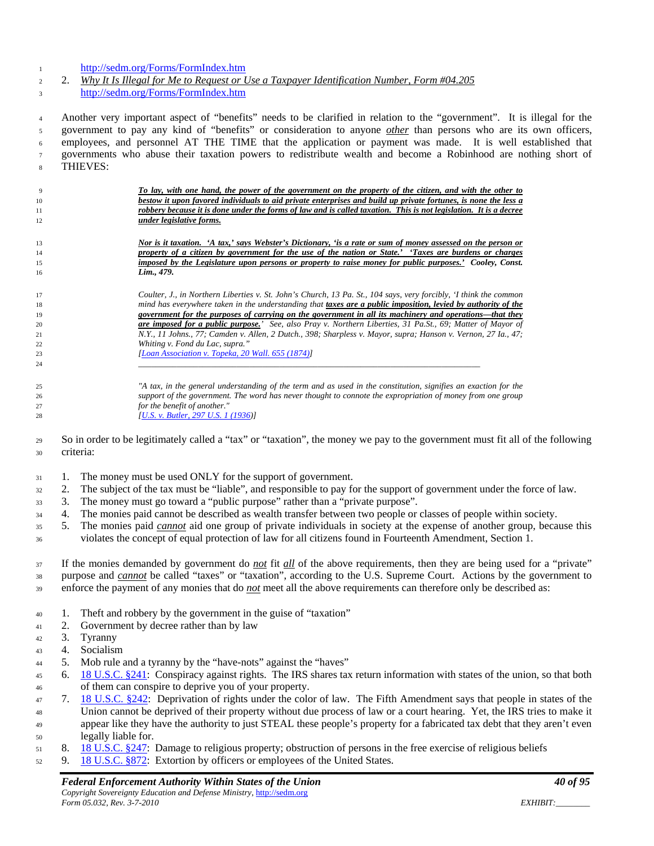#### <http://sedm.org/Forms/FormIndex.htm>

 2. *Why It Is Illegal for Me to Request or Use a Taxpayer Identification Number, Form #04.205* <http://sedm.org/Forms/FormIndex.htm>

 Another very important aspect of "benefits" needs to be clarified in relation to the "government". It is illegal for the government to pay any kind of "benefits" or consideration to anyone *other* than persons who are its own officers, employees, and personnel AT THE TIME that the application or payment was made. It is well established that governments who abuse their taxation powers to redistribute wealth and become a Robinhood are nothing short of THIEVES:

| 9  | To lay, with one hand, the power of the government on the property of the citizen, and with the other to          |
|----|-------------------------------------------------------------------------------------------------------------------|
| 10 | bestow it upon favored individuals to aid private enterprises and build up private fortunes, is none the less a   |
| 11 | robbery because it is done under the forms of law and is called taxation. This is not legislation. It is a decree |
| 12 | under legislative forms.                                                                                          |
|    |                                                                                                                   |
| 13 | Nor is it taxation. 'A tax,' says Webster's Dictionary, 'is a rate or sum of money assessed on the person or      |
| 14 | property of a citizen by government for the use of the nation or State.' 'Taxes are burdens or charges            |
| 15 | imposed by the Legislature upon persons or property to raise money for public purposes.' Cooley, Const.           |
| 16 | Lim., 479.                                                                                                        |
|    |                                                                                                                   |
| 17 | Coulter, J., in Northern Liberties v. St. John's Church, 13 Pa. St., 104 says, very forcibly, 'I think the common |
| 18 | mind has everywhere taken in the understanding that taxes are a public imposition, levied by authority of the     |
| 19 | government for the purposes of carrying on the government in all its machinery and operations—that they           |
| 20 | are imposed for a public purpose.' See, also Pray v. Northern Liberties, 31 Pa.St., 69; Matter of Mayor of        |
| 21 | N.Y., 11 Johns., 77; Camden v. Allen, 2 Dutch., 398; Sharpless v. Mayor, supra; Hanson v. Vernon, 27 Ia., 47;     |
| 22 | Whiting v. Fond du Lac, supra."                                                                                   |
| 23 | [Loan Association v. Topeka, 20 Wall. 655 (1874)]                                                                 |
| 24 |                                                                                                                   |
|    |                                                                                                                   |
| 25 | "A tax, in the general understanding of the term and as used in the constitution, signifies an exaction for the   |
| 26 | support of the government. The word has never thought to connote the expropriation of money from one group        |
| 27 | for the benefit of another."                                                                                      |
| 28 | [U.S. v. Butler, 297 U.S. 1 (1936)]                                                                               |
|    |                                                                                                                   |

 So in order to be legitimately called a "tax" or "taxation", the money we pay to the government must fit all of the following criteria:

- 31 1. The money must be used ONLY for the support of government.
- 2. The subject of the tax must be "liable", and responsible to pay for the support of government under the force of law.
- 3. The money must go toward a "public purpose" rather than a "private purpose".
- 4. The monies paid cannot be described as wealth transfer between two people or classes of people within society.
- 5. The monies paid *cannot* aid one group of private individuals in society at the expense of another group, because this violates the concept of equal protection of law for all citizens found in Fourteenth Amendment, Section 1.

 If the monies demanded by government do *not* fit *all* of the above requirements, then they are being used for a "private" purpose and *cannot* be called "taxes" or "taxation", according to the U.S. Supreme Court. Actions by the government to enforce the payment of any monies that do *not* meet all the above requirements can therefore only be described as:

- 1. Theft and robbery by the government in the guise of "taxation"
- 2. Government by decree rather than by law
- 3. Tyranny
- 4. Socialism
- 5. Mob rule and a tyranny by the "have-nots" against the "haves"
- 6. [18 U.S.C. §241:](http://www4.law.cornell.edu/uscode/18/241.html) Conspiracy against rights. The IRS shares tax return information with states of the union, so that both of them can conspire to deprive you of your property.
- 7. [18 U.S.C. §242:](http://www4.law.cornell.edu/uscode/18/242.html) Deprivation of rights under the color of law. The Fifth Amendment says that people in states of the Union cannot be deprived of their property without due process of law or a court hearing. Yet, the IRS tries to make it appear like they have the authority to just STEAL these people's property for a fabricated tax debt that they aren't even legally liable for.
- 8. [18 U.S.C. §247:](http://www4.law.cornell.edu/uscode/18/247.html) Damage to religious property; obstruction of persons in the free exercise of religious beliefs
- 52 9. [18 U.S.C. §872:](http://www4.law.cornell.edu/uscode/18/872.html) Extortion by officers or employees of the United States.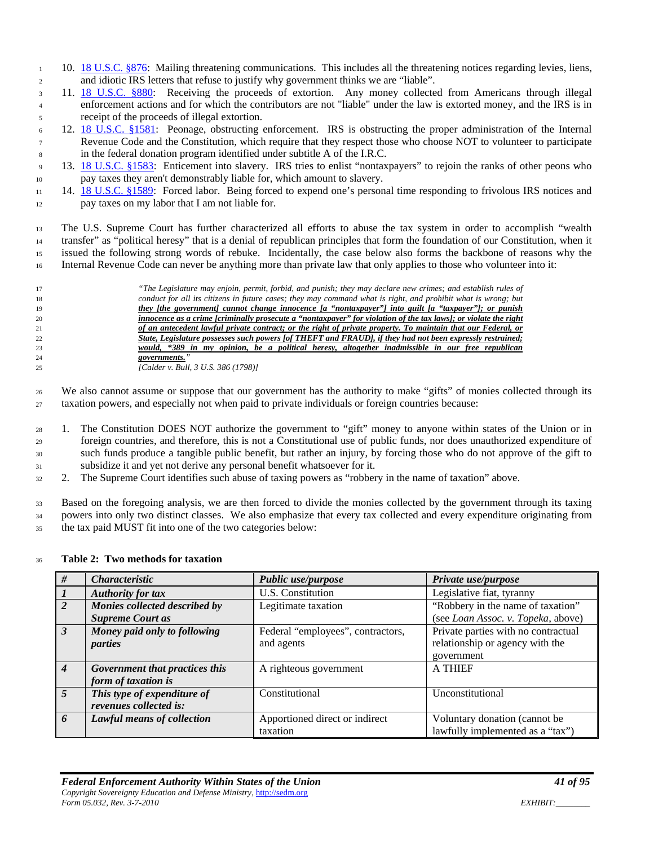- 1 10. [18 U.S.C. §876:](http://www4.law.cornell.edu/uscode/18/876.html) Mailing threatening communications. This includes all the threatening notices regarding levies, liens, and idiotic IRS letters that refuse to justify why government thinks we are "liable".
- 11. [18 U.S.C. §880:](http://www4.law.cornell.edu/uscode/18/880.html) Receiving the proceeds of extortion. Any money collected from Americans through illegal enforcement actions and for which the contributors are not "liable" under the law is extorted money, and the IRS is in receipt of the proceeds of illegal extortion.
- 12. [18 U.S.C. §1581:](http://www4.law.cornell.edu/uscode/18/1581.html) Peonage, obstructing enforcement. IRS is obstructing the proper administration of the Internal Revenue Code and the Constitution, which require that they respect those who choose NOT to volunteer to participate in the federal donation program identified under subtitle A of the I.R.C.
- 13. [18 U.S.C. §1583:](http://www4.law.cornell.edu/uscode/18/1583.html) Enticement into slavery. IRS tries to enlist "nontaxpayers" to rejoin the ranks of other peons who pay taxes they aren't demonstrably liable for, which amount to slavery.
- 14. [18 U.S.C. §1589:](http://www4.law.cornell.edu/uscode/18/1589.html) Forced labor. Being forced to expend one's personal time responding to frivolous IRS notices and pay taxes on my labor that I am not liable for.

 The U.S. Supreme Court has further characterized all efforts to abuse the tax system in order to accomplish "wealth transfer" as "political heresy" that is a denial of republican principles that form the foundation of our Constitution, when it issued the following strong words of rebuke. Incidentally, the case below also forms the backbone of reasons why the Internal Revenue Code can never be anything more than private law that only applies to those who volunteer into it:



 We also cannot assume or suppose that our government has the authority to make "gifts" of monies collected through its taxation powers, and especially not when paid to private individuals or foreign countries because:

- 1. The Constitution DOES NOT authorize the government to "gift" money to anyone within states of the Union or in foreign countries, and therefore, this is not a Constitutional use of public funds, nor does unauthorized expenditure of such funds produce a tangible public benefit, but rather an injury, by forcing those who do not approve of the gift to subsidize it and yet not derive any personal benefit whatsoever for it.
- 2. The Supreme Court identifies such abuse of taxing powers as "robbery in the name of taxation" above.

 Based on the foregoing analysis, we are then forced to divide the monies collected by the government through its taxing powers into only two distinct classes. We also emphasize that every tax collected and every expenditure originating from the tax paid MUST fit into one of the two categories below:

#### **Table 2: Two methods for taxation**

| #              | <i>Characteristic</i>          | Public use/purpose                | Private use/purpose                 |
|----------------|--------------------------------|-----------------------------------|-------------------------------------|
|                | <b>Authority for tax</b>       | U.S. Constitution                 | Legislative fiat, tyranny           |
| 2              | Monies collected described by  | Legitimate taxation               | "Robbery in the name of taxation"   |
|                | <b>Supreme Court as</b>        |                                   | (see Loan Assoc. v. Topeka, above)  |
| $\overline{3}$ | Money paid only to following   | Federal "employees", contractors, | Private parties with no contractual |
|                | parties                        | and agents                        | relationship or agency with the     |
|                |                                |                                   | government                          |
| $\overline{4}$ | Government that practices this | A righteous government            | <b>A THIEF</b>                      |
|                | form of taxation is            |                                   |                                     |
| $\overline{5}$ | This type of expenditure of    | Constitutional                    | Unconstitutional                    |
|                | revenues collected is:         |                                   |                                     |
| 6              | Lawful means of collection     | Apportioned direct or indirect    | Voluntary donation (cannot be       |
|                |                                | taxation                          | lawfully implemented as a "tax")    |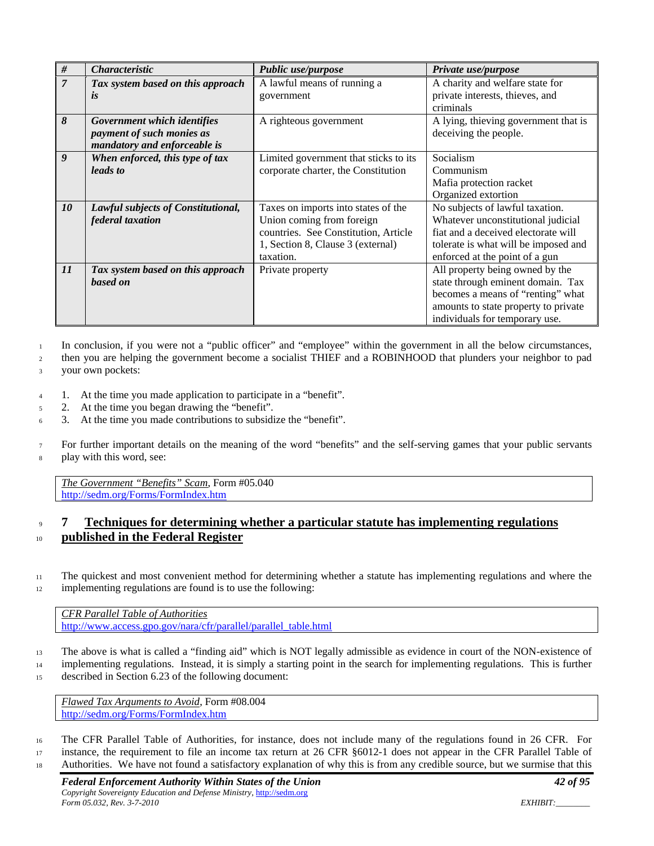| #              | <i><b>Characteristic</b></i>       | <b>Public use/purpose</b>             | Private use/purpose                  |
|----------------|------------------------------------|---------------------------------------|--------------------------------------|
| $\overline{7}$ | Tax system based on this approach  | A lawful means of running a           | A charity and welfare state for      |
|                | <i>is</i>                          | government                            | private interests, thieves, and      |
|                |                                    |                                       | criminals                            |
| 8              | Government which identifies        | A righteous government                | A lying, thieving government that is |
|                | payment of such monies as          |                                       | deceiving the people.                |
|                | mandatory and enforceable is       |                                       |                                      |
| 9              | When enforced, this type of tax    | Limited government that sticks to its | Socialism                            |
|                | leads to                           | corporate charter, the Constitution   | Communism                            |
|                |                                    |                                       | Mafia protection racket              |
|                |                                    |                                       | Organized extortion                  |
| 10             | Lawful subjects of Constitutional, | Taxes on imports into states of the   | No subjects of lawful taxation.      |
|                | federal taxation                   | Union coming from foreign             | Whatever unconstitutional judicial   |
|                |                                    | countries. See Constitution, Article  | fiat and a deceived electorate will  |
|                |                                    | 1, Section 8, Clause 3 (external)     | tolerate is what will be imposed and |
|                |                                    | taxation.                             | enforced at the point of a gun       |
| 11             | Tax system based on this approach  | Private property                      | All property being owned by the      |
|                | based on                           |                                       | state through eminent domain. Tax    |
|                |                                    |                                       | becomes a means of "renting" what    |
|                |                                    |                                       | amounts to state property to private |
|                |                                    |                                       | individuals for temporary use.       |

<sup>1</sup> In conclusion, if you were not a "public officer" and "employee" within the government in all the below circumstances,

<sup>2</sup> then you are helping the government become a socialist THIEF and a ROBINHOOD that plunders your neighbor to pad

<sup>3</sup> your own pockets:

- <sup>4</sup> 1. At the time you made application to participate in a "benefit".
- <sup>5</sup> 2. At the time you began drawing the "benefit".
- <sup>6</sup> 3. At the time you made contributions to subsidize the "benefit".

<sup>7</sup> For further important details on the meaning of the word "benefits" and the self-serving games that your public servants <sup>8</sup> play with this word, see:

*The Government "Benefits" Scam*, Form #05.040 <http://sedm.org/Forms/FormIndex.htm>

# <sup>9</sup> **7 Techniques for determining whether a particular statute has implementing regulations**  <sup>10</sup> **published in the Federal Register**

<sup>11</sup> The quickest and most convenient method for determining whether a statute has implementing regulations and where the 12 implementing regulations are found is to use the following:

*CFR Parallel Table of Authorities* [http://www.access.gpo.gov/nara/cfr/parallel/parallel\\_table.html](http://www.access.gpo.gov/nara/cfr/parallel/parallel_table.html)

<sup>13</sup> The above is what is called a "finding aid" which is NOT legally admissible as evidence in court of the NON-existence of

<sup>14</sup> implementing regulations. Instead, it is simply a starting point in the search for implementing regulations. This is further <sup>15</sup> described in Section 6.23 of the following document:

*Flawed Tax Arguments to Avoid*, Form #08.004 <http://sedm.org/Forms/FormIndex.htm>

<sup>16</sup> The CFR Parallel Table of Authorities, for instance, does not include many of the regulations found in 26 CFR. For <sup>17</sup> instance, the requirement to file an income tax return at 26 CFR §6012-1 does not appear in the CFR Parallel Table of

<sup>18</sup> Authorities. We have not found a satisfactory explanation of why this is from any credible source, but we surmise that this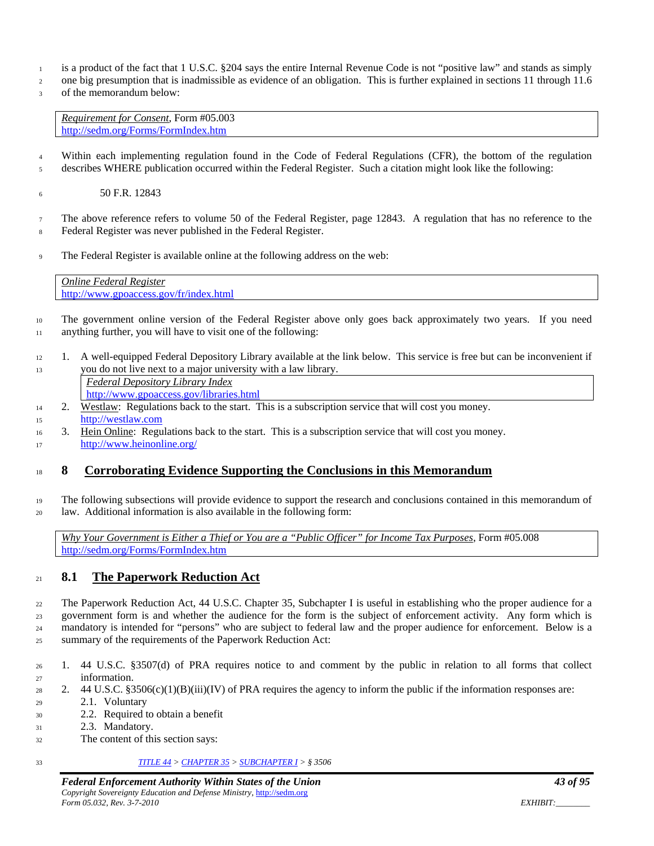- is a product of the fact that 1 U.S.C. §204 says the entire Internal Revenue Code is not "positive law" and stands as simply
- one big presumption that is inadmissible as evidence of an obligation. This is further explained in sections 11 through 11.6
- of the memorandum below:

*Requirement for Consent*, Form #05.003 <http://sedm.org/Forms/FormIndex.htm>

 Within each implementing regulation found in the Code of Federal Regulations (CFR), the bottom of the regulation describes WHERE publication occurred within the Federal Register. Such a citation might look like the following:

50 F.R. 12843

 The above reference refers to volume 50 of the Federal Register, page 12843. A regulation that has no reference to the Federal Register was never published in the Federal Register.

The Federal Register is available online at the following address on the web:

*Online Federal Register* <http://www.gpoaccess.gov/fr/index.html>

- The government online version of the Federal Register above only goes back approximately two years. If you need anything further, you will have to visit one of the following:
- 1. A well-equipped Federal Depository Library available at the link below. This service is free but can be inconvenient if you do not live next to a major university with a law library.

*Federal Depository Library Index* <http://www.gpoaccess.gov/libraries.html>

- 2. Westlaw: Regulations back to the start. This is a subscription service that will cost you money. [http://westlaw.com](http://westlaw.com/)
- 3. Hein Online: Regulations back to the start. This is a subscription service that will cost you money. <http://www.heinonline.org/>

# **8 Corroborating Evidence Supporting the Conclusions in this Memorandum**

 The following subsections will provide evidence to support the research and conclusions contained in this memorandum of law. Additional information is also available in the following form:

*Why Your Government is Either a Thief or You are a "Public Officer" for Income Tax Purposes*, Form #05.008 <http://sedm.org/Forms/FormIndex.htm>

# **8.1 The Paperwork Reduction Act**

 The Paperwork Reduction Act, 44 U.S.C. Chapter 35, Subchapter I is useful in establishing who the proper audience for a government form is and whether the audience for the form is the subject of enforcement activity. Any form which is mandatory is intended for "persons" who are subject to federal law and the proper audience for enforcement. Below is a summary of the requirements of the Paperwork Reduction Act:

- 1. 44 U.S.C. §3507(d) of PRA requires notice to and comment by the public in relation to all forms that collect information.
- 28 2. 44 U.S.C. §3506(c)(1)(B)(iii)(IV) of PRA requires the agency to inform the public if the information responses are: 2.1. Voluntary
- 2.2. Required to obtain a benefit
- 2.3. Mandatory.
- The content of this section says:

*[TITLE 44](http://www.law.cornell.edu/uscode/html/uscode44/usc_sup_01_44.html) > [CHAPTER 35](http://www.law.cornell.edu/uscode/html/uscode44/usc_sup_01_44_10_35.html) [> SUBCHAPTER I](http://www.law.cornell.edu/uscode/html/uscode44/usc_sup_01_44_10_35_20_I.html) > § 3506*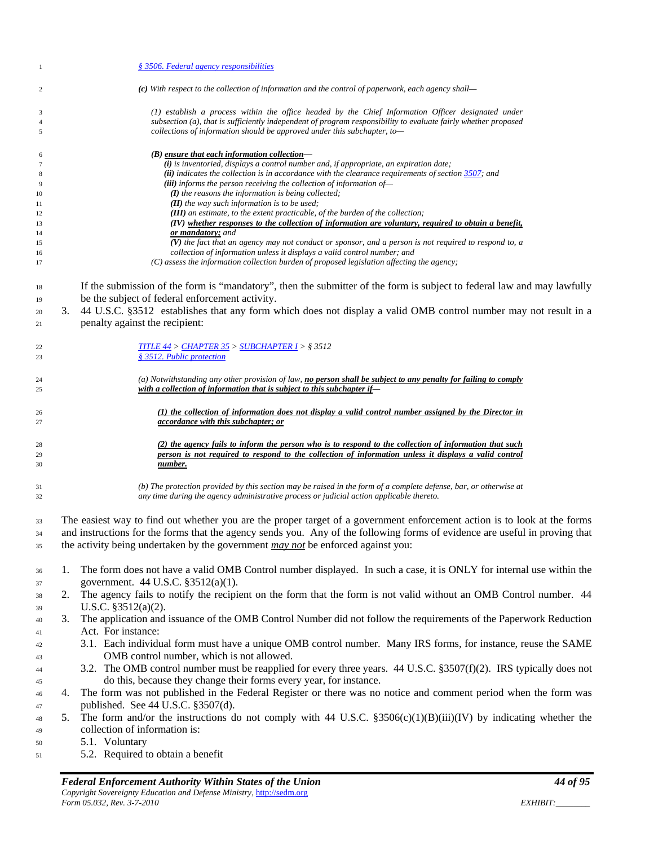| -1             |    | § 3506. Federal agency responsibilities                                                                                                                                    |
|----------------|----|----------------------------------------------------------------------------------------------------------------------------------------------------------------------------|
| $\overline{c}$ |    | (c) With respect to the collection of information and the control of paperwork, each agency shall—                                                                         |
| 3              |    | (1) establish a process within the office headed by the Chief Information Officer designated under                                                                         |
| $\overline{4}$ |    | subsection (a), that is sufficiently independent of program responsibility to evaluate fairly whether proposed                                                             |
| $\sqrt{5}$     |    | collections of information should be approved under this subchapter, to-                                                                                                   |
| 6              |    | $(B)$ ensure that each information collection—                                                                                                                             |
| $\tau$         |    | $(i)$ is inventoried, displays a control number and, if appropriate, an expiration date;                                                                                   |
| $\,$ 8 $\,$    |    | (ii) indicates the collection is in accordance with the clearance requirements of section $3507$ ; and                                                                     |
| 9              |    | (iii) informs the person receiving the collection of information of-<br>$(I)$ the reasons the information is being collected;                                              |
| 10<br>11       |    | $(II)$ the way such information is to be used;                                                                                                                             |
| 12             |    | (III) an estimate, to the extent practicable, of the burden of the collection;                                                                                             |
| 13             |    | (IV) whether responses to the collection of information are voluntary, required to obtain a benefit,                                                                       |
| 14<br>15       |    | or mandatory; and<br>$(V)$ the fact that an agency may not conduct or sponsor, and a person is not required to respond to, a                                               |
| 16             |    | collection of information unless it displays a valid control number; and                                                                                                   |
| 17             |    | (C) assess the information collection burden of proposed legislation affecting the agency;                                                                                 |
| 18<br>19       |    | If the submission of the form is "mandatory", then the submitter of the form is subject to federal law and may lawfully<br>be the subject of federal enforcement activity. |
| 20             | 3. | 44 U.S.C. §3512 establishes that any form which does not display a valid OMB control number may not result in a                                                            |
| 21             |    | penalty against the recipient:                                                                                                                                             |
| 22<br>23       |    | <u> TITLE 44 &gt; CHAPTER 35 &gt; SUBCHAPTER I</u> > § 3512<br>§ 3512. Public protection                                                                                   |
| 24             |    | (a) Notwithstanding any other provision of law, no person shall be subject to any penalty for failing to comply                                                            |
| 25             |    | with a collection of information that is subject to this subchapter if-                                                                                                    |
| 26             |    | (1) the collection of information does not display a valid control number assigned by the Director in                                                                      |
| 27             |    | accordance with this subchapter; or                                                                                                                                        |
| 28             |    | $(2)$ the agency fails to inform the person who is to respond to the collection of information that such                                                                   |
| 29             |    | person is not required to respond to the collection of information unless it displays a valid control                                                                      |
| 30             |    | number.                                                                                                                                                                    |
| 31             |    | (b) The protection provided by this section may be raised in the form of a complete defense, bar, or otherwise at                                                          |
| 32             |    | any time during the agency administrative process or judicial action applicable thereto.                                                                                   |
| 33             |    | The easiest way to find out whether you are the proper target of a government enforcement action is to look at the forms                                                   |
| 34             |    | and instructions for the forms that the agency sends you. Any of the following forms of evidence are useful in proving that                                                |
| 35             |    | the activity being undertaken by the government <i>may not</i> be enforced against you:                                                                                    |
| 36             | 1. | The form does not have a valid OMB Control number displayed. In such a case, it is ONLY for internal use within the                                                        |
| 37             |    | government. 44 U.S.C. §3512(a)(1).                                                                                                                                         |
| 38             | 2. | The agency fails to notify the recipient on the form that the form is not valid without an OMB Control number. 44                                                          |
| 39             |    | U.S.C. $$3512(a)(2)$ .                                                                                                                                                     |
| 40             | 3. | The application and issuance of the OMB Control Number did not follow the requirements of the Paperwork Reduction                                                          |
| 41             |    | Act. For instance:                                                                                                                                                         |
| 42             |    | 3.1. Each individual form must have a unique OMB control number. Many IRS forms, for instance, reuse the SAME                                                              |
| 43             |    | OMB control number, which is not allowed.                                                                                                                                  |
| 44             |    | 3.2. The OMB control number must be reapplied for every three years. 44 U.S.C. §3507(f)(2). IRS typically does not                                                         |
| 45             |    | do this, because they change their forms every year, for instance.                                                                                                         |
| 46             | 4. | The form was not published in the Federal Register or there was no notice and comment period when the form was                                                             |
| 47             |    | published. See 44 U.S.C. §3507(d).                                                                                                                                         |
| 48             | 5. | The form and/or the instructions do not comply with 44 U.S.C. $\S 3506(c)(1)(B)(iii)(IV)$ by indicating whether the                                                        |
| 49             |    | collection of information is:                                                                                                                                              |
| 50             |    | 5.1. Voluntary                                                                                                                                                             |
| 51             |    | 5.2. Required to obtain a benefit                                                                                                                                          |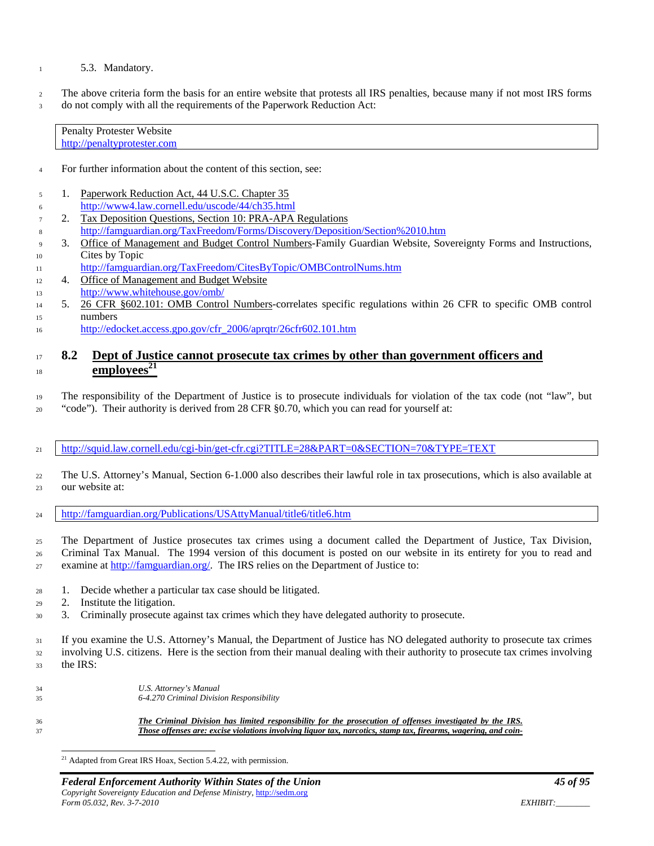#### 5.3. Mandatory.

 The above criteria form the basis for an entire website that protests all IRS penalties, because many if not most IRS forms 3 do not comply with all the requirements of the Paperwork Reduction Act:

| <b>Penalty Protester Website</b> |  |
|----------------------------------|--|
| http://penaltyprotester.com      |  |

- For further information about the content of this section, see:
- 1. Paperwork Reduction Act, 44 U.S.C. Chapter 35 <http://www4.law.cornell.edu/uscode/44/ch35.html>
- 2. Tax Deposition Questions, Section 10: PRA-APA Regulations <http://famguardian.org/TaxFreedom/Forms/Discovery/Deposition/Section%2010.htm>
- 3. Office of Management and Budget Control Numbers-Family Guardian Website, Sovereignty Forms and Instructions, Cites by Topic
- <http://famguardian.org/TaxFreedom/CitesByTopic/OMBControlNums.htm>
- 12 4. Office of Management and Budget Website <http://www.whitehouse.gov/omb/>
- 5. 26 CFR §602.101: OMB Control Numbers-correlates specific regulations within 26 CFR to specific OMB control numbers
- [http://edocket.access.gpo.gov/cfr\\_2006/aprqtr/26cfr602.101.htm](http://edocket.access.gpo.gov/cfr_2006/aprqtr/26cfr602.101.htm)

### **8.2 Dept of Justice cannot prosecute tax crimes by other than government officers and**   $\mu$ <sup>18</sup> **employees**<sup>21</sup>

- The responsibility of the Department of Justice is to prosecute individuals for violation of the tax code (not "law", but
- "code"). Their authority is derived from 28 CFR §0.70, which you can read for yourself at:
- <http://squid.law.cornell.edu/cgi-bin/get-cfr.cgi?TITLE=28&PART=0&SECTION=70&TYPE=TEXT>
- The U.S. Attorney's Manual, Section 6-1.000 also describes their lawful role in tax prosecutions, which is also available at our website at:
- <http://famguardian.org/Publications/USAttyManual/title6/title6.htm>
- The Department of Justice prosecutes tax crimes using a document called the Department of Justice, Tax Division, Criminal Tax Manual. The 1994 version of this document is posted on our website in its entirety for you to read and examine a[t http://famguardian.org/.](http://famguardian.org/) The IRS relies on the Department of Justice to:
- 1. Decide whether a particular tax case should be litigated.
- 2. Institute the litigation.
- 3. Criminally prosecute against tax crimes which they have delegated authority to prosecute.
- If you examine the U.S. Attorney's Manual, the Department of Justice has NO delegated authority to prosecute tax crimes involving U.S. citizens. Here is the section from their manual dealing with their authority to prosecute tax crimes involving the IRS:

| 34  | U.S. Attorney's Manual                                                                                                                                                                                                       |
|-----|------------------------------------------------------------------------------------------------------------------------------------------------------------------------------------------------------------------------------|
| 35. | 6-4.270 Criminal Division Responsibility                                                                                                                                                                                     |
| 36  | The Criminal Division has limited responsibility for the prosecution of offenses investigated by the IRS.<br>Those offenses are: excise violations involving liquor tax, narcotics, stamp tax, firearms, wagering, and coin- |

<sup>21</sup> Adapted from Great IRS Hoax, Section 5.4.22, with permission.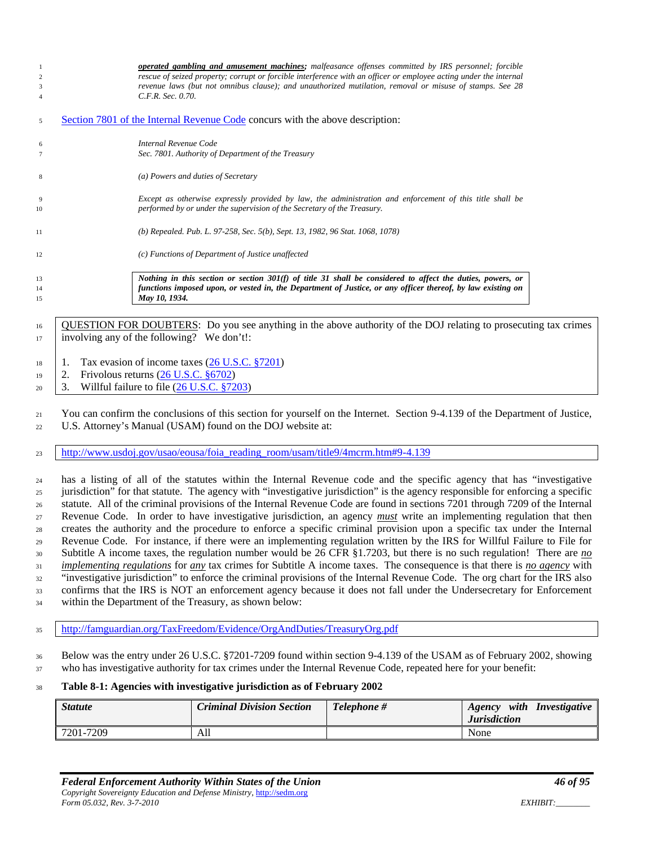| Section 7801 of the Internal Revenue Code concurs with the above description:<br>5<br>Internal Revenue Code<br>6<br>Sec. 7801. Authority of Department of the Treasury<br>7<br>(a) Powers and duties of Secretary<br>8<br>Except as otherwise expressly provided by law, the administration and enforcement of this title shall be<br>9<br>performed by or under the supervision of the Secretary of the Treasury.<br>(b) Repealed. Pub. L. 97-258, Sec. 5(b), Sept. 13, 1982, 96 Stat. 1068, 1078)<br>(c) Functions of Department of Justice unaffected<br>Nothing in this section or section 301(f) of title 31 shall be considered to affect the duties, powers, or<br>functions imposed upon, or vested in, the Department of Justice, or any officer thereof, by law existing on<br>May 10, 1934. | 2<br>3<br>$\overline{4}$ | <b>operated gambling and amusement machines;</b> malfeasance offenses committed by IRS personnel; forcible<br>rescue of seized property; corrupt or forcible interference with an officer or employee acting under the internal<br>revenue laws (but not omnibus clause); and unauthorized mutilation, removal or misuse of stamps. See 28<br>C.F.R. Sec. 0.70. |
|--------------------------------------------------------------------------------------------------------------------------------------------------------------------------------------------------------------------------------------------------------------------------------------------------------------------------------------------------------------------------------------------------------------------------------------------------------------------------------------------------------------------------------------------------------------------------------------------------------------------------------------------------------------------------------------------------------------------------------------------------------------------------------------------------------|--------------------------|-----------------------------------------------------------------------------------------------------------------------------------------------------------------------------------------------------------------------------------------------------------------------------------------------------------------------------------------------------------------|
|                                                                                                                                                                                                                                                                                                                                                                                                                                                                                                                                                                                                                                                                                                                                                                                                        |                          |                                                                                                                                                                                                                                                                                                                                                                 |
|                                                                                                                                                                                                                                                                                                                                                                                                                                                                                                                                                                                                                                                                                                                                                                                                        |                          |                                                                                                                                                                                                                                                                                                                                                                 |
| 10<br>11<br>12<br>13<br>14<br>15                                                                                                                                                                                                                                                                                                                                                                                                                                                                                                                                                                                                                                                                                                                                                                       |                          |                                                                                                                                                                                                                                                                                                                                                                 |
|                                                                                                                                                                                                                                                                                                                                                                                                                                                                                                                                                                                                                                                                                                                                                                                                        |                          |                                                                                                                                                                                                                                                                                                                                                                 |
|                                                                                                                                                                                                                                                                                                                                                                                                                                                                                                                                                                                                                                                                                                                                                                                                        |                          |                                                                                                                                                                                                                                                                                                                                                                 |
|                                                                                                                                                                                                                                                                                                                                                                                                                                                                                                                                                                                                                                                                                                                                                                                                        |                          |                                                                                                                                                                                                                                                                                                                                                                 |
|                                                                                                                                                                                                                                                                                                                                                                                                                                                                                                                                                                                                                                                                                                                                                                                                        |                          |                                                                                                                                                                                                                                                                                                                                                                 |
|                                                                                                                                                                                                                                                                                                                                                                                                                                                                                                                                                                                                                                                                                                                                                                                                        |                          |                                                                                                                                                                                                                                                                                                                                                                 |
|                                                                                                                                                                                                                                                                                                                                                                                                                                                                                                                                                                                                                                                                                                                                                                                                        |                          |                                                                                                                                                                                                                                                                                                                                                                 |
|                                                                                                                                                                                                                                                                                                                                                                                                                                                                                                                                                                                                                                                                                                                                                                                                        |                          |                                                                                                                                                                                                                                                                                                                                                                 |

<sup>16</sup> QUESTION FOR DOUBTERS: Do you see anything in the above authority of the DOJ relating to prosecuting tax crimes involving any of the following? We don't!:

- | 1. Tax evasion of income taxes [\(26 U.S.C. §7201\)](http://www4.law.cornell.edu/uscode/html/uscode26/usc_sec_26_00007201----000-.html)
- 2. Frivolous returns [\(26 U.S.C. §6702\)](http://www4.law.cornell.edu/uscode/html/uscode26/usc_sec_26_00006702----000-.html)
- $20 \quad 3. \quad$  Willful failure to file  $(26 \text{ U.S.C. }$  \$7203)

 You can confirm the conclusions of this section for yourself on the Internet. Section 9-4.139 of the Department of Justice, U.S. Attorney's Manual (USAM) found on the DOJ website at:

[http://www.usdoj.gov/usao/eousa/foia\\_reading\\_room/usam/title9/4mcrm.htm#9-4.139](http://www.usdoj.gov/usao/eousa/foia_reading_room/usam/title9/4mcrm.htm#9-4.139)

 has a listing of all of the statutes within the Internal Revenue code and the specific agency that has "investigative jurisdiction" for that statute. The agency with "investigative jurisdiction" is the agency responsible for enforcing a specific statute. All of the criminal provisions of the Internal Revenue Code are found in sections 7201 through 7209 of the Internal Revenue Code. In order to have investigative jurisdiction, an agency *must* write an implementing regulation that then creates the authority and the procedure to enforce a specific criminal provision upon a specific tax under the Internal Revenue Code. For instance, if there were an implementing regulation written by the IRS for Willful Failure to File for Subtitle A income taxes, the regulation number would be 26 CFR §1.7203, but there is no such regulation! There are *no implementing regulations* for *any* tax crimes for Subtitle A income taxes. The consequence is that there is *no agency* with "investigative jurisdiction" to enforce the criminal provisions of the Internal Revenue Code. The org chart for the IRS also confirms that the IRS is NOT an enforcement agency because it does not fall under the Undersecretary for Enforcement within the Department of the Treasury, as shown below:

<http://famguardian.org/TaxFreedom/Evidence/OrgAndDuties/TreasuryOrg.pdf>

 Below was the entry under 26 U.S.C. §7201-7209 found within section 9-4.139 of the USAM as of February 2002, showing who has investigative authority for tax crimes under the Internal Revenue Code, repeated here for your benefit:

#### **Table 8-1: Agencies with investigative jurisdiction as of February 2002**

| <b>Statute</b> | <b>Criminal Division Section</b> | Telephone # | with Investigative<br>Agency<br><b>Jurisdiction</b> |
|----------------|----------------------------------|-------------|-----------------------------------------------------|
| 7201-7209      | All                              |             | None                                                |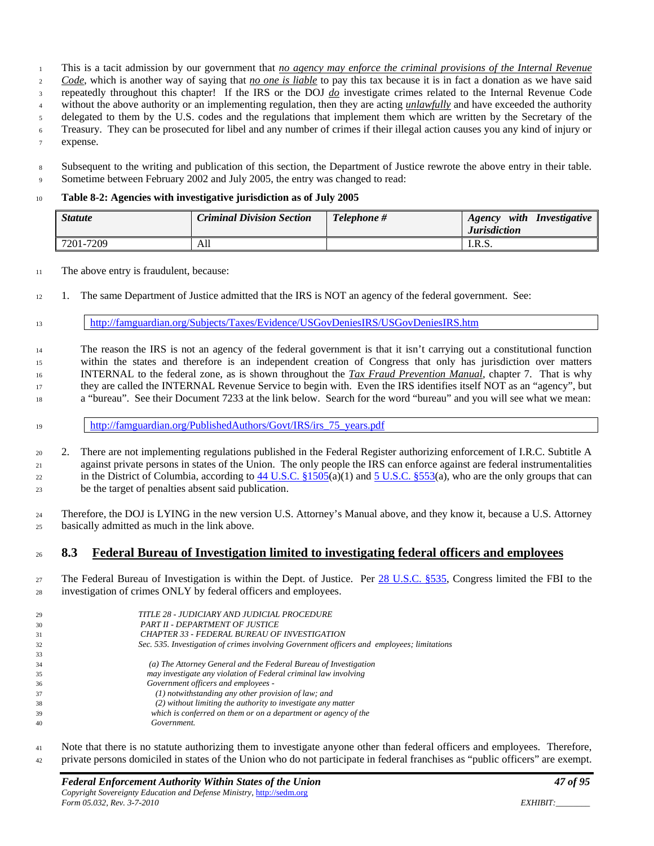This is a tacit admission by our government that *no agency may enforce the criminal provisions of the Internal Revenue* 

*Code*, which is another way of saying that *no one is liable* to pay this tax because it is in fact a donation as we have said

repeatedly throughout this chapter! If the IRS or the DOJ *do* investigate crimes related to the Internal Revenue Code

without the above authority or an implementing regulation, then they are acting *unlawfully* and have exceeded the authority

delegated to them by the U.S. codes and the regulations that implement them which are written by the Secretary of the

Treasury. They can be prosecuted for libel and any number of crimes if their illegal action causes you any kind of injury or

expense.

 Subsequent to the writing and publication of this section, the Department of Justice rewrote the above entry in their table. 9 Sometime between February 2002 and July 2005, the entry was changed to read:

### **Table 8-2: Agencies with investigative jurisdiction as of July 2005**

| <b>Statute</b> | <b>Criminal Division Section</b> | Telephone # | with<br>Investigative<br>Agency<br><b>Jurisdiction</b> |
|----------------|----------------------------------|-------------|--------------------------------------------------------|
| 7201-7209      | All                              |             | I.R.S.                                                 |

The above entry is fraudulent, because:

1. The same Department of Justice admitted that the IRS is NOT an agency of the federal government. See:

<http://famguardian.org/Subjects/Taxes/Evidence/USGovDeniesIRS/USGovDeniesIRS.htm>

 The reason the IRS is not an agency of the federal government is that it isn't carrying out a constitutional function within the states and therefore is an independent creation of Congress that only has jurisdiction over matters INTERNAL to the federal zone, as is shown throughout the *Tax Fraud Prevention Manual*, chapter 7. That is why they are called the INTERNAL Revenue Service to begin with. Even the IRS identifies itself NOT as an "agency", but a "bureau". See their Document 7233 at the link below. Search for the word "bureau" and you will see what we mean:

[http://famguardian.org/PublishedAuthors/Govt/IRS/irs\\_75\\_years.pdf](http://famguardian.org/PublishedAuthors/Govt/IRS/irs_75_years.pdf)

 2. There are not implementing regulations published in the Federal Register authorizing enforcement of I.R.C. Subtitle A against private persons in states of the Union. The only people the IRS can enforce against are federal instrumentalities 22 in the District of Columbia, according to U.S.C.  $\S1505(a)(1)$  and  $\S150.$   $\S253(a)$ , who are the only groups that can be the target of penalties absent said publication.

 Therefore, the DOJ is LYING in the new version U.S. Attorney's Manual above, and they know it, because a U.S. Attorney basically admitted as much in the link above.

# **8.3 Federal Bureau of Investigation limited to investigating federal officers and employees**

27 The Federal Bureau of Investigation is within the Dept. of Justice. Per [28 U.S.C. §535,](http://www4.law.cornell.edu/uscode/html/uscode28/usc_sec_28_00000535----000-.html) Congress limited the FBI to the investigation of crimes ONLY by federal officers and employees.

| 29 | TITLE 28 - JUDICIARY AND JUDICIAL PROCEDURE                                                |
|----|--------------------------------------------------------------------------------------------|
| 30 | PART II - DEPARTMENT OF JUSTICE                                                            |
| 31 | <b>CHAPTER 33 - FEDERAL BUREAU OF INVESTIGATION</b>                                        |
| 32 | Sec. 535. Investigation of crimes involving Government officers and employees; limitations |
| 33 |                                                                                            |
| 34 | (a) The Attorney General and the Federal Bureau of Investigation                           |
| 35 | may investigate any violation of Federal criminal law involving                            |
| 36 | Government officers and employees -                                                        |
| 37 | $(1)$ notwithstanding any other provision of law; and                                      |
| 38 | (2) without limiting the authority to investigate any matter                               |
| 39 | which is conferred on them or on a department or agency of the                             |
| 40 | Government.                                                                                |
|    |                                                                                            |

 Note that there is no statute authorizing them to investigate anyone other than federal officers and employees. Therefore, private persons domiciled in states of the Union who do not participate in federal franchises as "public officers" are exempt.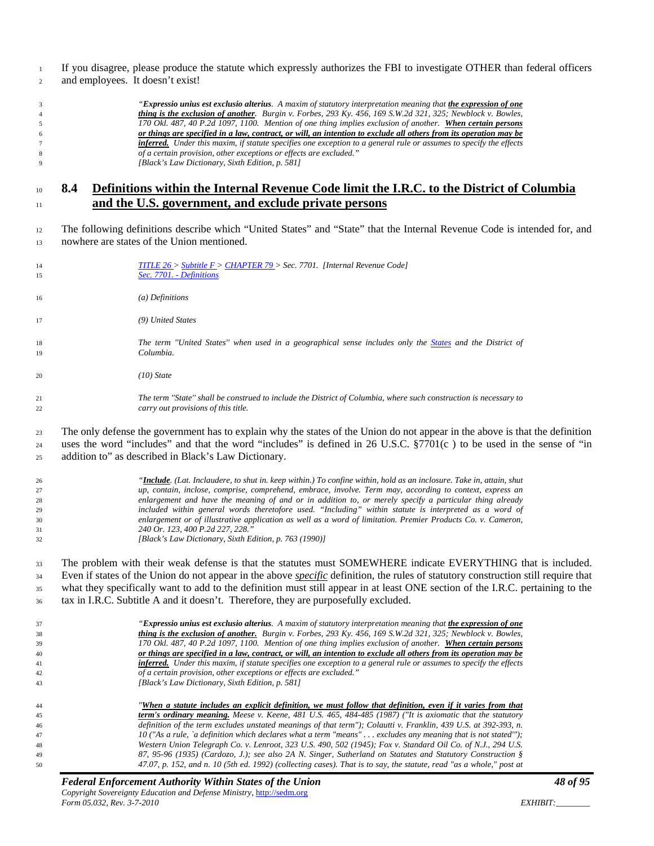If you disagree, please produce the statute which expressly authorizes the FBI to investigate OTHER than federal officers and employees. It doesn't exist!

| 3 | "Expressio unius est exclusio alterius. A maxim of statutory interpretation meaning that the expression of one            |
|---|---------------------------------------------------------------------------------------------------------------------------|
| 4 | thing is the exclusion of another. Burgin v. Forbes, 293 Ky. 456, 169 S.W.2d 321, 325; Newblock v. Bowles,                |
|   | 170 Okl. 487, 40 P.2d 1097, 1100. Mention of one thing implies exclusion of another. When certain persons                 |
| 6 | or things are specified in a law, contract, or will, an intention to exclude all others from its operation may be         |
|   | <b>inferred.</b> Under this maxim, if statute specifies one exception to a general rule or assumes to specify the effects |
| 8 | of a certain provision, other exceptions or effects are excluded."                                                        |
| 9 | [Black's Law Dictionary, Sixth Edition, p. 581]                                                                           |

# **8.4 Definitions within the Internal Revenue Code limit the I.R.C. to the District of Columbia and the U.S. government, and exclude private persons**

 The following definitions describe which "United States" and "State" that the Internal Revenue Code is intended for, and nowhere are states of the Union mentioned.

| TITLE $26 >$ Subtitle $F >$ CHAPTER 79 > Sec. 7701. [Internal Revenue Code]<br>Sec. 7701. - Definitions                                                                                                                                                                                                                                                                                                                                                                                                                                                                                                                                                                      |
|------------------------------------------------------------------------------------------------------------------------------------------------------------------------------------------------------------------------------------------------------------------------------------------------------------------------------------------------------------------------------------------------------------------------------------------------------------------------------------------------------------------------------------------------------------------------------------------------------------------------------------------------------------------------------|
| $(a)$ Definitions                                                                                                                                                                                                                                                                                                                                                                                                                                                                                                                                                                                                                                                            |
| (9) United States                                                                                                                                                                                                                                                                                                                                                                                                                                                                                                                                                                                                                                                            |
| The term "United States" when used in a geographical sense includes only the States and the District of<br>Columbia.                                                                                                                                                                                                                                                                                                                                                                                                                                                                                                                                                         |
| $(10)$ State                                                                                                                                                                                                                                                                                                                                                                                                                                                                                                                                                                                                                                                                 |
| The term "State" shall be construed to include the District of Columbia, where such construction is necessary to<br>carry out provisions of this title.                                                                                                                                                                                                                                                                                                                                                                                                                                                                                                                      |
| The only defense the government has to explain why the states of the Union do not appear in the above is that the definition<br>uses the word "includes" and that the word "includes" is defined in 26 U.S.C. §7701(c) to be used in the sense of "in<br>addition to" as described in Black's Law Dictionary.                                                                                                                                                                                                                                                                                                                                                                |
| " <b>Include</b> . (Lat. Inclaudere, to shut in. keep within.) To confine within, hold as an inclosure. Take in, attain, shut<br>up, contain, inclose, comprise, comprehend, embrace, involve. Term may, according to context, express an<br>enlargement and have the meaning of and or in addition to, or merely specify a particular thing already<br>included within general words theretofore used. "Including" within statute is interpreted as a word of<br>enlargement or of illustrative application as well as a word of limitation. Premier Products Co. v. Cameron,<br>240 Or. 123, 400 P.2d 227, 228."<br>[Black's Law Dictionary, Sixth Edition, p. 763 (1990)] |
|                                                                                                                                                                                                                                                                                                                                                                                                                                                                                                                                                                                                                                                                              |

 The problem with their weak defense is that the statutes must SOMEWHERE indicate EVERYTHING that is included. Even if states of the Union do not appear in the above *specific* definition, the rules of statutory construction still require that 35 what they specifically want to add to the definition must still appear in at least ONE section of the I.R.C. pertaining to the tax in I.R.C. Subtitle A and it doesn't. Therefore, they are purposefully excluded.

| 37 | "Expressio unius est exclusio alterius. A maxim of statutory interpretation meaning that the expression of one      |
|----|---------------------------------------------------------------------------------------------------------------------|
| 38 | thing is the exclusion of another. Burgin v. Forbes, 293 Ky. 456, 169 S.W.2d 321, 325; Newblock v. Bowles,          |
| 39 | 170 Okl. 487, 40 P.2d 1097, 1100. Mention of one thing implies exclusion of another. When certain persons           |
| 40 | or things are specified in a law, contract, or will, an intention to exclude all others from its operation may be   |
| 41 | inferred. Under this maxim, if statute specifies one exception to a general rule or assumes to specify the effects  |
| 42 | of a certain provision, other exceptions or effects are excluded."                                                  |
| 43 | [Black's Law Dictionary, Sixth Edition, p. 581]                                                                     |
|    |                                                                                                                     |
| 44 | "When a statute includes an explicit definition, we must follow that definition, even if it varies from that        |
| 45 | <b>term's ordinary meaning.</b> Meese v. Keene, 481 U.S. 465, 484-485 (1987) ("It is axiomatic that the statutory   |
| 46 | definition of the term excludes unstated meanings of that term"); Colautti v. Franklin, 439 U.S. at 392-393, n.     |
| 47 | 10 ("As a rule, `a definition which declares what a term "means" excludes any meaning that is not stated"");        |
| 48 | Western Union Telegraph Co. v. Lenroot, 323 U.S. 490, 502 (1945); Fox v. Standard Oil Co. of N.J., 294 U.S.         |
| 49 | 87, 95-96 (1935) (Cardozo, J.); see also 2A N. Singer, Sutherland on Statutes and Statutory Construction §          |
| 50 | 47.07, p. 152, and n. 10 (5th ed. 1992) (collecting cases). That is to say, the statute, read "as a whole," post at |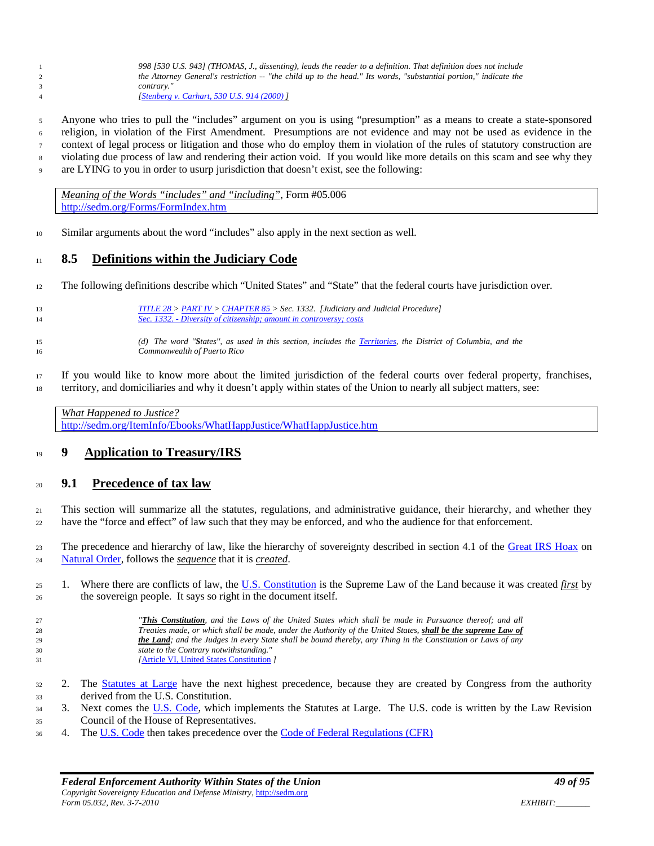*998 [530 U.S. 943] (THOMAS, J., dissenting), leads the reader to a definition. That definition does not include the Attorney General's restriction -- "the child up to the head." Its words, "substantial portion," indicate the contrary." [\[Stenberg v. Carhart, 530 U.S. 914 \(2000\)](http://caselaw.lp.findlaw.com/scripts/getcase.pl?navby=case&court=us&vol=530&page=914) ]*

 Anyone who tries to pull the "includes" argument on you is using "presumption" as a means to create a state-sponsored religion, in violation of the First Amendment. Presumptions are not evidence and may not be used as evidence in the context of legal process or litigation and those who do employ them in violation of the rules of statutory construction are violating due process of law and rendering their action void. If you would like more details on this scam and see why they are LYING to you in order to usurp jurisdiction that doesn't exist, see the following:

*Meaning of the Words "includes" and "including"*, Form #05.006 <http://sedm.org/Forms/FormIndex.htm>

Similar arguments about the word "includes" also apply in the next section as well.

### **8.5 Definitions within the Judiciary Code**

- The following definitions describe which "United States" and "State" that the federal courts have jurisdiction over.
- *[TITLE 28 >](http://www4.law.cornell.edu/uscode/28/index.html) [PART IV >](http://www4.law.cornell.edu/uscode/28/pIV.html) [CHAPTER 85 >](http://www4.law.cornell.edu/uscode/28/pIVch85.html) Sec. 1332. [Judiciary and Judicial Procedure] Sec. 1332. - [Diversity of citizenship; amount in controversy; costs](http://www4.law.cornell.edu/uscode/28/1332.html) (d) The word ''States'', as used in this section, includes the [Territories,](http://www4.law.cornell.edu/uscode/48/) the District of Columbia, and the Commonwealth of Puerto Rico*
- If you would like to know more about the limited jurisdiction of the federal courts over federal property, franchises, territory, and domiciliaries and why it doesn't apply within states of the Union to nearly all subject matters, see:

| What Happened to Justice?                                           |  |
|---------------------------------------------------------------------|--|
| http://sedm.org/ItemInfo/Ebooks/WhatHappJustice/WhatHappJustice.htm |  |

### **9 Application to Treasury/IRS**

### **9.1 Precedence of tax law**

 This section will summarize all the statutes, regulations, and administrative guidance, their hierarchy, and whether they have the "force and effect" of law such that they may be enforced, and who the audience for that enforcement.

23 The precedence and hierarchy of law, like the hierarchy of sovereignty described in section 4.1 of the [Great IRS Hoax](http://famguardian.org/Publications/GreatIRSHoax/GreatIRSHoax.htm) on [Natural Order,](http://famguardian.org/Subjects/Taxes/Citizenship/NaturalOrder.pdf) follows the *sequence* that it is *created*.

- 1. Where there are conflicts of law, the [U.S. Constitution](http://www.findlaw.com/casecode/constitution/) is the Supreme Law of the Land because it was created *first* by the sovereign people. It says so right in the document itself.
- *"This Constitution, and the Laws of the United States which shall be made in Pursuance thereof; and all Treaties made, or which shall be made, under the Authority of the United States, shall be the supreme Law of the Land; and the Judges in every State shall be bound thereby, any Thing in the Constitution or Laws of any state to the Contrary notwithstanding." [*[Article VI, United States Constitution](http://caselaw.lp.findlaw.com/data/constitution/article06/) *]*
- 2. The [Statutes at Large](http://memory.loc.gov/ammem/amlaw/lwsllink.html) have the next highest precedence, because they are created by Congress from the authority derived from the U.S. Constitution.
- 3. Next comes the [U.S. Code,](http://www4.law.cornell.edu/uscode/) which implements the Statutes at Large. The U.S. code is written by the Law Revision Council of the House of Representatives.
- 4. Th[e U.S. Code](http://www4.law.cornell.edu/uscode/) then takes precedence over th[e Code of Federal Regulations \(CFR\)](http://lula.law.cornell.edu/cfr/index.php)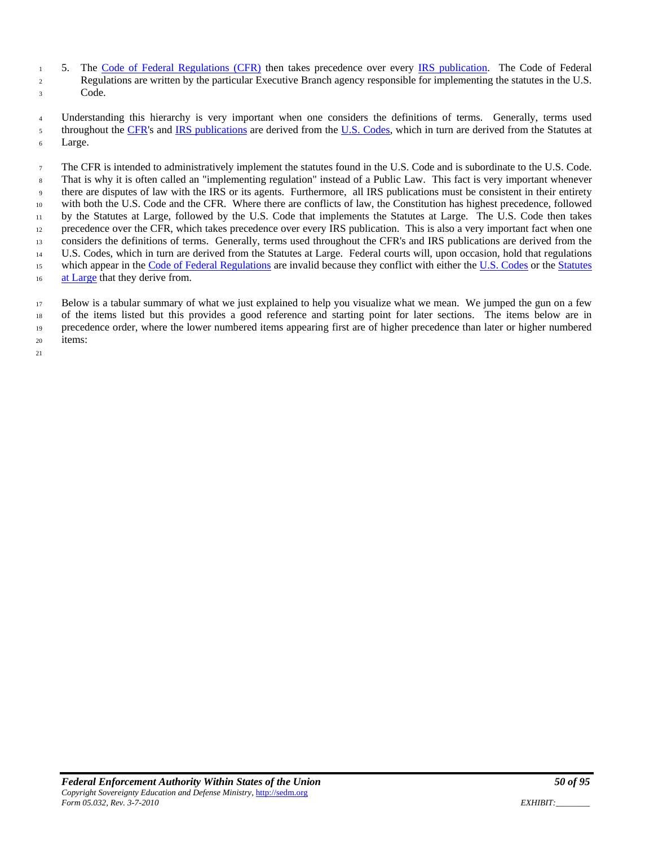5. The [Code of Federal Regulations \(CFR\)](http://lula.law.cornell.edu/cfr/index.php) then takes precedence over every [IRS publication.](http://famguardian.org/TaxFreedom/Forms/IRS/IRSFormsPubs.htm) The Code of Federal Regulations are written by the particular Executive Branch agency responsible for implementing the statutes in the U.S. Code.

 Understanding this hierarchy is very important when one considers the definitions of terms. Generally, terms used 5 throughout the [CFR's](http://lula.law.cornell.edu/cfr/index.php) and [IRS publications](http://famguardian.org/TaxFreedom/Forms/IRS/IRSFormsPubs.htm) are derived from the [U.S. Codes,](http://www4.law.cornell.edu/uscode/) which in turn are derived from the Statutes at Large.

 The CFR is intended to administratively implement the statutes found in the U.S. Code and is subordinate to the U.S. Code. That is why it is often called an "implementing regulation" instead of a Public Law. This fact is very important whenever there are disputes of law with the IRS or its agents. Furthermore, all IRS publications must be consistent in their entirety with both the U.S. Code and the CFR. Where there are conflicts of law, the Constitution has highest precedence, followed by the Statutes at Large, followed by the U.S. Code that implements the Statutes at Large. The U.S. Code then takes precedence over the CFR, which takes precedence over every IRS publication. This is also a very important fact when one considers the definitions of terms. Generally, terms used throughout the CFR's and IRS publications are derived from the U.S. Codes, which in turn are derived from the Statutes at Large. Federal courts will, upon occasion, hold that regulations 15 which appear in the [Code of Federal Regulations](http://lula.law.cornell.edu/cfr/index.php) are invalid because they conflict with either the [U.S. Codes](http://www4.law.cornell.edu/uscode/) or the Statutes [at Large](http://memory.loc.gov/ammem/amlaw/lwsllink.html) that they derive from.

 Below is a tabular summary of what we just explained to help you visualize what we mean. We jumped the gun on a few of the items listed but this provides a good reference and starting point for later sections. The items below are in precedence order, where the lower numbered items appearing first are of higher precedence than later or higher numbered items: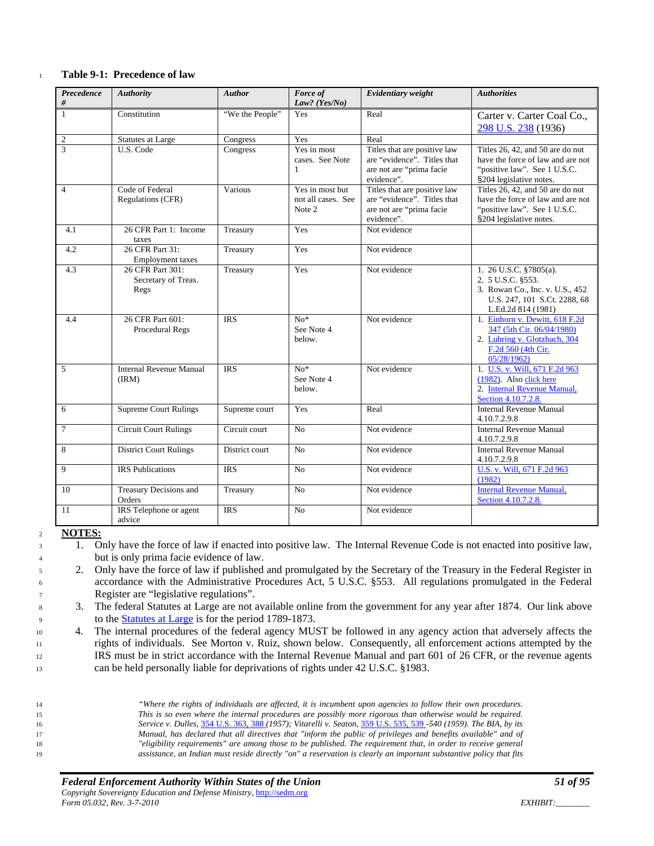#### <sup>1</sup> **Table 9-1: Precedence of law**

| Precedence<br>$\#$ | <b>Authority</b>                                | <b>Author</b>   | Force of<br>Law? (Yes/No)                       | Evidentiary weight                                                                                    | <b>Authorities</b>                                                                                                                   |
|--------------------|-------------------------------------------------|-----------------|-------------------------------------------------|-------------------------------------------------------------------------------------------------------|--------------------------------------------------------------------------------------------------------------------------------------|
| -1                 | Constitution                                    | "We the People" | Yes                                             | Real                                                                                                  | Carter v. Carter Coal Co.,<br>298 U.S. 238 (1936)                                                                                    |
| $\sqrt{2}$         | <b>Statutes at Large</b>                        | Congress        | Yes                                             | Real                                                                                                  |                                                                                                                                      |
| 3                  | U.S. Code                                       | Congress        | Yes in most<br>cases. See Note<br>$\mathbf{1}$  | Titles that are positive law<br>are "evidence". Titles that<br>are not are "prima facie<br>evidence". | Titles 26, 42, and 50 are do not<br>have the force of law and are not<br>"positive law". See 1 U.S.C.<br>§204 legislative notes.     |
| $\overline{4}$     | Code of Federal<br>Regulations (CFR)            | Various         | Yes in most but<br>not all cases. See<br>Note 2 | Titles that are positive law<br>are "evidence". Titles that<br>are not are "prima facie<br>evidence". | Titles 26, 42, and 50 are do not<br>have the force of law and are not<br>"positive law". See 1 U.S.C.<br>§204 legislative notes.     |
| 4.1                | 26 CFR Part 1: Income<br>taxes                  | Treasury        | Yes                                             | Not evidence                                                                                          |                                                                                                                                      |
| 4.2                | 26 CFR Part 31:<br><b>Employment</b> taxes      | Treasury        | Yes                                             | Not evidence                                                                                          |                                                                                                                                      |
| 4.3                | 26 CFR Part 301:<br>Secretary of Treas.<br>Regs | Treasury        | Yes                                             | Not evidence                                                                                          | 1. 26 U.S.C. §7805(a).<br>2. 5 U.S.C. §553.<br>3. Rowan Co., Inc. v. U.S., 452<br>U.S. 247, 101 S.Ct. 2288, 68<br>L.Ed.2d 814 (1981) |
| 4.4                | 26 CFR Part 601:<br>Procedural Regs             | <b>IRS</b>      | $\overline{No*}$<br>See Note 4<br>below.        | Not evidence                                                                                          | 1. Einhorn v. Dewitt, 618 F.2d<br>347 (5th Cir. 06/04/1980)<br>2. Luhring v. Glotzbach, 304<br>F.2d 560 (4th Cir.<br>05/28/1962      |
| 5                  | <b>Internal Revenue Manual</b><br>(IRM)         | <b>IRS</b>      | $\overline{No*}$<br>See Note 4<br>below.        | Not evidence                                                                                          | 1. U.S. v. Will, 671 F.2d 963<br>(1982). Also click here<br>2. Internal Revenue Manual,<br>Section 4.10.7.2.8.                       |
| 6                  | <b>Supreme Court Rulings</b>                    | Supreme court   | Yes                                             | Real                                                                                                  | <b>Internal Revenue Manual</b><br>4.10.7.2.9.8                                                                                       |
| $\tau$             | <b>Circuit Court Rulings</b>                    | Circuit court   | No                                              | Not evidence                                                                                          | <b>Internal Revenue Manual</b><br>4.10.7.2.9.8                                                                                       |
| 8                  | <b>District Court Rulings</b>                   | District court  | No                                              | Not evidence                                                                                          | <b>Internal Revenue Manual</b><br>4.10.7.2.9.8                                                                                       |
| $\overline{9}$     | <b>IRS</b> Publications                         | <b>IRS</b>      | N <sub>0</sub>                                  | Not evidence                                                                                          | U.S. v. Will, 671 F.2d 963<br>(1982)                                                                                                 |
| 10                 | Treasury Decisions and<br>Orders                | Treasury        | N <sub>o</sub>                                  | Not evidence                                                                                          | <b>Internal Revenue Manual,</b><br>Section 4.10.7.2.8.                                                                               |
| 11                 | IRS Telephone or agent<br>advice                | <b>IRS</b>      | N <sub>0</sub>                                  | Not evidence                                                                                          |                                                                                                                                      |

<sup>2</sup> **NOTES:**

<sup>5</sup> 2. Only have the force of law if published and promulgated by the Secretary of the Treasury in the Federal Register in <sup>6</sup> accordance with the Administrative Procedures Act, 5 U.S.C. §553. All regulations promulgated in the Federal <sup>7</sup> Register are "legislative regulations".

<sup>8</sup> 3. The federal Statutes at Large are not available online from the government for any year after 1874. Our link above to the [Statutes at Large](http://memory.loc.gov/ammem/amlaw/lwsllink.html) is for the period 1789-1873.

 4. The internal procedures of the federal agency MUST be followed in any agency action that adversely affects the rights of individuals. See Morton v. Ruiz, shown below. Consequently, all enforcement actions attempted by the IRS must be in strict accordance with the Internal Revenue Manual and part 601 of 26 CFR, or the revenue agents can be held personally liable for deprivations of rights under 42 U.S.C. §1983.

 *"Where the rights of individuals are affected, it is incumbent upon agencies to follow their own procedures. This is so even where the internal procedures are possibly more rigorous than otherwise would be required. Service v. Dulles,* [354 U.S. 363, 388](http://caselaw.lp.findlaw.com/cgi-bin/getcase.pl?navby=case&court=us&vol=354&invol=363#388) *(1957); Vitarelli v. Seaton,* [359 U.S. 535, 539](http://caselaw.lp.findlaw.com/cgi-bin/getcase.pl?navby=case&court=us&vol=359&invol=535#539) *-540 (1959). The BIA, by its Manual, has declared that all directives that "inform the public of privileges and benefits available" and of "eligibility requirements" are among those to be published. The requirement that, in order to receive general assistance, an Indian must reside directly "on" a reservation is clearly an important substantive policy that fits* 

<sup>3</sup> 1. Only have the force of law if enacted into positive law. The Internal Revenue Code is not enacted into positive law, <sup>4</sup> but is only prima facie evidence of law.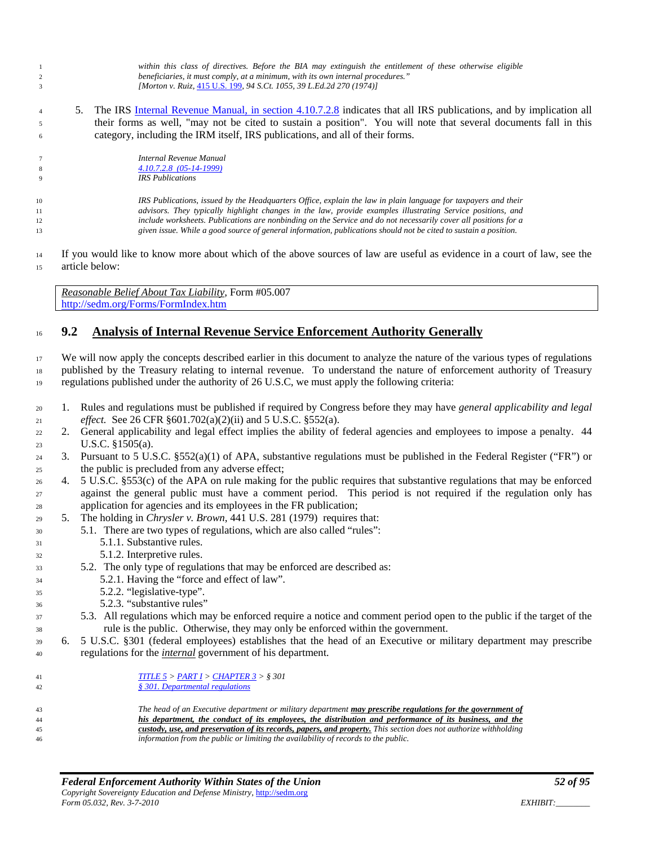- *within this class of directives. Before the BIA may extinguish the entitlement of these otherwise eligible beneficiaries, it must comply, at a minimum, with its own internal procedures." [Morton v. Ruiz,* [415 U.S. 199](http://caselaw.lp.findlaw.com/cgi-bin/getcase.pl?navby=case&court=us&vol=415&invol=199)*, 94 S.Ct. 1055, 39 L.Ed.2d 270 (1974)]*
- 5. The IRS [Internal Revenue Manual, in section 4.10.7.2.8](http://www.irs.gov/irm/part4/ch10s11.html#d0e149756) indicates that all IRS publications, and by implication all their forms as well, "may not be cited to sustain a position". You will note that several documents fall in this category, including the IRM itself, IRS publications, and all of their forms.
- *Internal Revenue Manual 4.10.7.2.8 [\(05-14-1999\)](http://www.irs.gov/irm/part4/ch10s11.html) IRS Publications*
- 

 *IRS Publications, issued by the Headquarters Office, explain the law in plain language for taxpayers and their advisors. They typically highlight changes in the law, provide examples illustrating Service positions, and include worksheets. Publications are nonbinding on the Service and do not necessarily cover all positions for a given issue. While a good source of general information, publications should not be cited to sustain a position.* 

 If you would like to know more about which of the above sources of law are useful as evidence in a court of law, see the article below:

*Reasonable Belief About Tax Liability*, Form #05.007 <http://sedm.org/Forms/FormIndex.htm>

# **9.2 Analysis of Internal Revenue Service Enforcement Authority Generally**

 We will now apply the concepts described earlier in this document to analyze the nature of the various types of regulations published by the Treasury relating to internal revenue. To understand the nature of enforcement authority of Treasury

regulations published under the authority of 26 U.S.C, we must apply the following criteria:

- 1. Rules and regulations must be published if required by Congress before they may have *general applicability and legal effect.* See 26 CFR §601.702(a)(2)(ii) and 5 U.S.C. §552(a).
- 2. General applicability and legal effect implies the ability of federal agencies and employees to impose a penalty. 44 U.S.C. §1505(a).
- 3. Pursuant to 5 U.S.C. §552(a)(1) of APA, substantive regulations must be published in the Federal Register ("FR") or the public is precluded from any adverse effect;
- 4. 5 U.S.C. §553(c) of the APA on rule making for the public requires that substantive regulations that may be enforced against the general public must have a comment period. This period is not required if the regulation only has application for agencies and its employees in the FR publication;
- 5. The holding in *Chrysler v. Brown*, 441 U.S. 281 (1979) requires that:
- 5.1. There are two types of regulations, which are also called "rules":
- 5.1.1. Substantive rules.
- 5.1.2. Interpretive rules.
- 5.2. The only type of regulations that may be enforced are described as:
- 5.2.1. Having the "force and effect of law".
- 5.2.2. "legislative-type".
- 5.2.3. "substantive rules"
- 5.3. All regulations which may be enforced require a notice and comment period open to the public if the target of the rule is the public. Otherwise, they may only be enforced within the government.
- 6. 5 U.S.C. §301 (federal employees) establishes that the head of an Executive or military department may prescribe regulations for the *internal* government of his department.

 *[TITLE 5](http://www.law.cornell.edu/uscode/html/uscode05/usc_sup_01_5.html) > [PART I](http://www.law.cornell.edu/uscode/html/uscode05/usc_sup_01_5_10_I.html) [> CHAPTER 3](http://www.law.cornell.edu/uscode/html/uscode05/usc_sup_01_5_10_I_30_3.html) > § 301 § [301. Departmental regulations](http://www.law.cornell.edu/uscode/html/uscode05/usc_sec_05_00000301----000-.html)*

 *The head of an Executive department or military department may prescribe regulations for the government of his department, the conduct of its employees, the distribution and performance of its business, and the custody, use, and preservation of its records, papers, and property. This section does not authorize withholding information from the public or limiting the availability of records to the public.*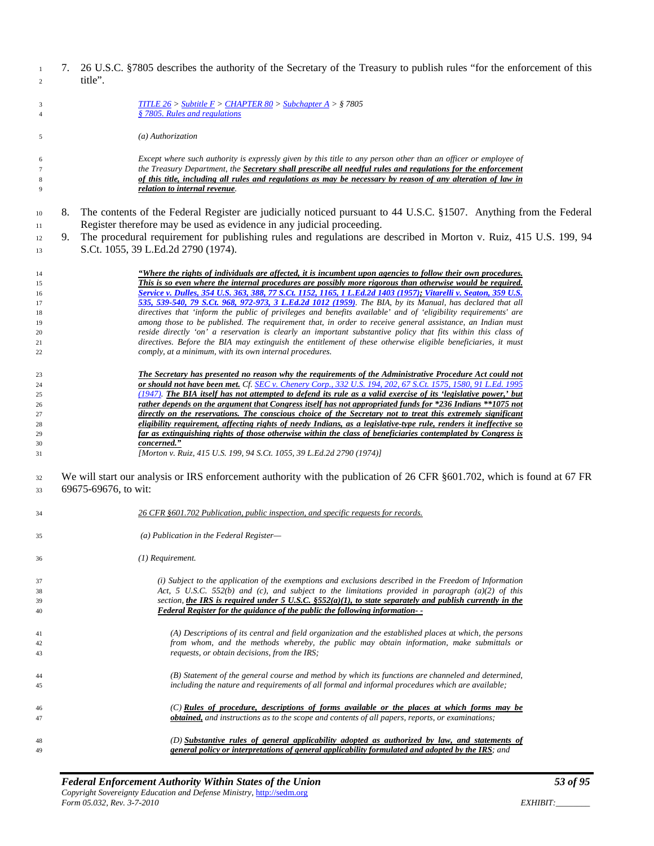7. 26 U.S.C. §7805 describes the authority of the Secretary of the Treasury to publish rules "for the enforcement of this title".

| 3              | <b>TITLE 26</b> > Subtitle $F >$ CHAPTER 80 > Subchapter A > § 7805                                                      |
|----------------|--------------------------------------------------------------------------------------------------------------------------|
| $\overline{4}$ | § 7805. Rules and regulations                                                                                            |
|                |                                                                                                                          |
| 5              | (a) Authorization                                                                                                        |
|                |                                                                                                                          |
| 6              | Except where such authority is expressly given by this title to any person other than an officer or employee of          |
| $\overline{7}$ | the Treasury Department, the Secretary shall prescribe all needful rules and regulations for the enforcement             |
|                | of this title, including all rules and regulations as may be necessary by reason of any alteration of law in             |
| $\,$ 8 $\,$    |                                                                                                                          |
| 9              | relation to internal revenue.                                                                                            |
|                | The contents of the Federal Register are judicially noticed pursuant to 44 U.S.C. §1507. Anything from the Federal<br>8. |
| 10             |                                                                                                                          |
| 11             | Register therefore may be used as evidence in any judicial proceeding.                                                   |
| 12             | The procedural requirement for publishing rules and regulations are described in Morton v. Ruiz, 415 U.S. 199, 94<br>9.  |
| 13             | S.Ct. 1055, 39 L.Ed.2d 2790 (1974).                                                                                      |
|                |                                                                                                                          |
| 14             | "Where the rights of individuals are affected, it is incumbent upon agencies to follow their own procedures.             |
| 15             | This is so even where the internal procedures are possibly more rigorous than otherwise would be required.               |
| 16             | Service v. Dulles, 354 U.S. 363, 388, 77 S.Ct. 1152, 1165, 1 L.Ed.2d 1403 (1957); Vitarelli v. Seaton, 359 U.S.          |
| 17             | 535, 539-540, 79 S.Ct. 968, 972-973, 3 L.Ed.2d 1012 (1959). The BIA, by its Manual, has declared that all                |
| 18             | directives that 'inform the public of privileges and benefits available' and of 'eligibility requirements' are           |
| 19             | among those to be published. The requirement that, in order to receive general assistance, an Indian must                |
| 20             | reside directly 'on' a reservation is clearly an important substantive policy that fits within this class of             |
|                | directives. Before the BIA may extinguish the entitlement of these otherwise eligible beneficiaries, it must             |
| 21             |                                                                                                                          |
| 22             | comply, at a minimum, with its own internal procedures.                                                                  |
| 23             | The Secretary has presented no reason why the requirements of the Administrative Procedure Act could not                 |
| 24             | or should not have been met. Cf. SEC v. Chenery Corp., 332 U.S. 194, 202, 67 S.Ct. 1575, 1580, 91 L.Ed. 1995             |
|                | $(1947)$ . The BIA itself has not attempted to defend its rule as a valid exercise of its 'legislative power,' but       |
| 25             |                                                                                                                          |
| 26             | rather depends on the argument that Congress itself has not appropriated funds for *236 Indians **1075 not               |
| 27             | directly on the reservations. The conscious choice of the Secretary not to treat this extremely significant              |
| 28             | eligibility requirement, affecting rights of needy Indians, as a legislative-type rule, renders it ineffective so        |
| 29             | far as extinguishing rights of those otherwise within the class of beneficiaries contemplated by Congress is             |
| 30             | concerned."                                                                                                              |
| 31             | [Morton v. Ruiz, 415 U.S. 199, 94 S.Ct. 1055, 39 L.Ed.2d 2790 (1974)]                                                    |
|                |                                                                                                                          |
| 32             | We will start our analysis or IRS enforcement authority with the publication of 26 CFR §601.702, which is found at 67 FR |
| 33             | 69675-69676, to wit:                                                                                                     |
|                |                                                                                                                          |
| 34             | 26 CFR §601.702 Publication, public inspection, and specific requests for records.                                       |
|                |                                                                                                                          |
| 35             | (a) Publication in the Federal Register-                                                                                 |
| 36             | $(1)$ Requirement.                                                                                                       |
|                |                                                                                                                          |
| 37             | (i) Subject to the application of the exemptions and exclusions described in the Freedom of Information                  |
| 38             | Act, 5 U.S.C. 552(b) and (c), and subject to the limitations provided in paragraph $(a)(2)$ of this                      |
| 39             | section, the IRS is required under 5 U.S.C. $$552(a)(1)$ , to state separately and publish currently in the              |
| 40             | Federal Register for the guidance of the public the following information--                                              |
|                |                                                                                                                          |
| 41             | (A) Descriptions of its central and field organization and the established places at which, the persons                  |
|                | from whom, and the methods whereby, the public may obtain information, make submittals or                                |
| 42             |                                                                                                                          |
| 43             | requests, or obtain decisions, from the IRS;                                                                             |
|                |                                                                                                                          |
| 44             | (B) Statement of the general course and method by which its functions are channeled and determined,                      |
| 45             | including the nature and requirements of all formal and informal procedures which are available;                         |
|                |                                                                                                                          |
| 46             | (C) Rules of procedure, descriptions of forms available or the places at which forms may be                              |
| 47             | <b>obtained,</b> and instructions as to the scope and contents of all papers, reports, or examinations;                  |
|                |                                                                                                                          |
| 48             | (D) Substantive rules of general applicability adopted as authorized by law, and statements of                           |
| 49             | general policy or interpretations of general applicability formulated and adopted by the IRS; and                        |
|                |                                                                                                                          |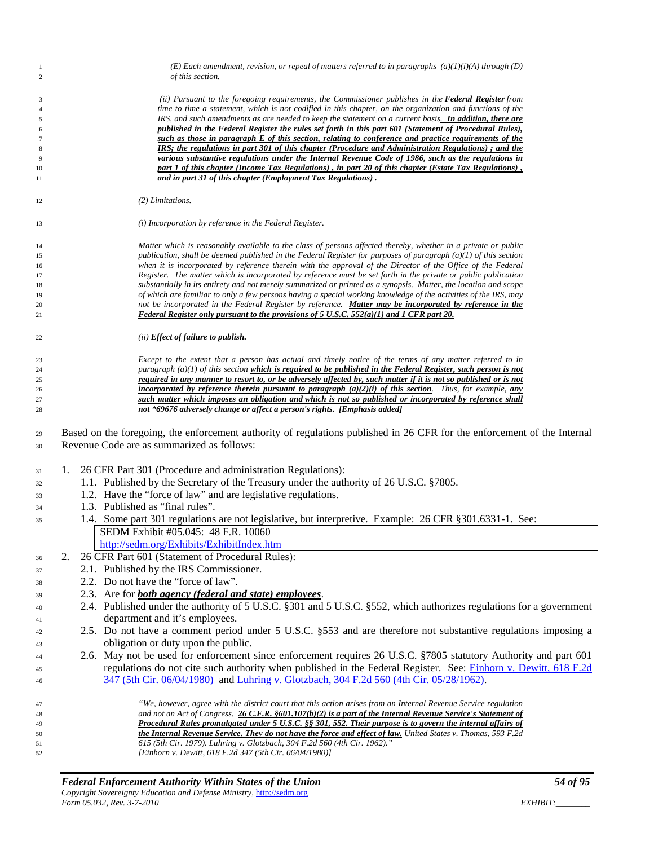| 1<br>$\overline{c}$ | (E) Each amendment, revision, or repeal of matters referred to in paragraphs $(a)(1)(i)(A)$ through (D)<br>of this section.                                                                                                    |
|---------------------|--------------------------------------------------------------------------------------------------------------------------------------------------------------------------------------------------------------------------------|
| 3                   | (ii) Pursuant to the foregoing requirements, the Commissioner publishes in the <b>Federal Register</b> from                                                                                                                    |
| $\overline{4}$      | time to time a statement, which is not codified in this chapter, on the organization and functions of the                                                                                                                      |
| $\sqrt{5}$          | IRS, and such amendments as are needed to keep the statement on a current basis. In addition, there are                                                                                                                        |
| 6                   | published in the Federal Register the rules set forth in this part 601 (Statement of Procedural Rules),                                                                                                                        |
| $\tau$              | such as those in paragraph E of this section, relating to conference and practice requirements of the                                                                                                                          |
| $\,$ 8 $\,$<br>9    | IRS; the regulations in part 301 of this chapter (Procedure and Administration Regulations); and the<br>various substantive regulations under the Internal Revenue Code of 1986, such as the regulations in                    |
| 10                  | part 1 of this chapter (Income Tax Regulations), in part 20 of this chapter (Estate Tax Regulations),                                                                                                                          |
| 11                  | and in part 31 of this chapter (Employment Tax Regulations).                                                                                                                                                                   |
| 12                  | $(2)$ Limitations.                                                                                                                                                                                                             |
| 13                  | (i) Incorporation by reference in the Federal Register.                                                                                                                                                                        |
| 14                  | Matter which is reasonably available to the class of persons affected thereby, whether in a private or public                                                                                                                  |
| 15                  | publication, shall be deemed published in the Federal Register for purposes of paragraph $(a)(1)$ of this section                                                                                                              |
| 16<br>17            | when it is incorporated by reference therein with the approval of the Director of the Office of the Federal<br>Register. The matter which is incorporated by reference must be set forth in the private or public publication  |
| 18                  | substantially in its entirety and not merely summarized or printed as a synopsis. Matter, the location and scope                                                                                                               |
| 19                  | of which are familiar to only a few persons having a special working knowledge of the activities of the IRS, may                                                                                                               |
| 20                  | not be incorporated in the Federal Register by reference. Matter may be incorporated by reference in the                                                                                                                       |
| 21                  | Federal Register only pursuant to the provisions of 5 U.S.C. $552(a)(1)$ and 1 CFR part 20.                                                                                                                                    |
| 22                  | (ii) <b>Effect of failure to publish.</b>                                                                                                                                                                                      |
| 23                  | Except to the extent that a person has actual and timely notice of the terms of any matter referred to in                                                                                                                      |
| 24                  | paragraph $(a)(1)$ of this section which is required to be published in the Federal Register, such person is not                                                                                                               |
| 25                  | required in any manner to resort to, or be adversely affected by, such matter if it is not so published or is not                                                                                                              |
| 26<br>27            | <i>incorporated by reference therein pursuant to paragraph</i> $(a)(2)(i)$ of this section. Thus, for example, any<br>such matter which imposes an obligation and which is not so published or incorporated by reference shall |
| 28                  | not *69676 adversely change or affect a person's rights. [Emphasis added]                                                                                                                                                      |
| 29                  | Based on the foregoing, the enforcement authority of regulations published in 26 CFR for the enforcement of the Internal<br>Revenue Code are as summarized as follows:                                                         |
| 30                  |                                                                                                                                                                                                                                |
| 31                  | 26 CFR Part 301 (Procedure and administration Regulations):<br>1.                                                                                                                                                              |
|                     | 1.1. Published by the Secretary of the Treasury under the authority of 26 U.S.C. §7805.                                                                                                                                        |
| 32<br>33            | 1.2. Have the "force of law" and are legislative regulations.                                                                                                                                                                  |
| 34                  | 1.3. Published as "final rules".                                                                                                                                                                                               |
| 35                  | 1.4. Some part 301 regulations are not legislative, but interpretive. Example: 26 CFR § 301.6331-1. See:                                                                                                                       |
|                     | SEDM Exhibit #05.045: 48 F.R. 10060                                                                                                                                                                                            |
|                     | http://sedm.org/Exhibits/ExhibitIndex.htm                                                                                                                                                                                      |
|                     | 26 CFR Part 601 (Statement of Procedural Rules):<br>2.                                                                                                                                                                         |
| 36<br>37            | 2.1. Published by the IRS Commissioner.                                                                                                                                                                                        |
|                     | 2.2. Do not have the "force of law".                                                                                                                                                                                           |
| 38                  | 2.3. Are for <b>both agency</b> (federal and state) employees.                                                                                                                                                                 |
| 39                  | 2.4. Published under the authority of 5 U.S.C. §301 and 5 U.S.C. §552, which authorizes regulations for a government                                                                                                           |
| 40                  | department and it's employees.                                                                                                                                                                                                 |
| 41                  | 2.5. Do not have a comment period under 5 U.S.C. §553 and are therefore not substantive regulations imposing a                                                                                                                 |
| 42                  | obligation or duty upon the public.                                                                                                                                                                                            |
| 43                  | 2.6. May not be used for enforcement since enforcement requires 26 U.S.C. §7805 statutory Authority and part 601                                                                                                               |
| 44                  | regulations do not cite such authority when published in the Federal Register. See: Einhorn v. Dewitt, 618 F.2d                                                                                                                |
| 45<br>46            | 347 (5th Cir. 06/04/1980) and Luhring v. Glotzbach, 304 F.2d 560 (4th Cir. 05/28/1962).                                                                                                                                        |
|                     |                                                                                                                                                                                                                                |
| 47                  | "We, however, agree with the district court that this action arises from an Internal Revenue Service regulation                                                                                                                |
| 48                  | and not an Act of Congress. 26 C.F.R. §601.107(b)(2) is a part of the Internal Revenue Service's Statement of                                                                                                                  |
| 49<br>50            | Procedural Rules promulgated under 5 U.S.C. §§ 301, 552. Their purpose is to govern the internal affairs of<br>the Internal Revenue Service. They do not have the force and effect of law. United States v. Thomas, 593 F.2d   |
| 51                  | 615 (5th Cir. 1979). Luhring v. Glotzbach, 304 F.2d 560 (4th Cir. 1962)."                                                                                                                                                      |
| 52                  | [Einhorn v. Dewitt, 618 F.2d 347 (5th Cir. 06/04/1980)]                                                                                                                                                                        |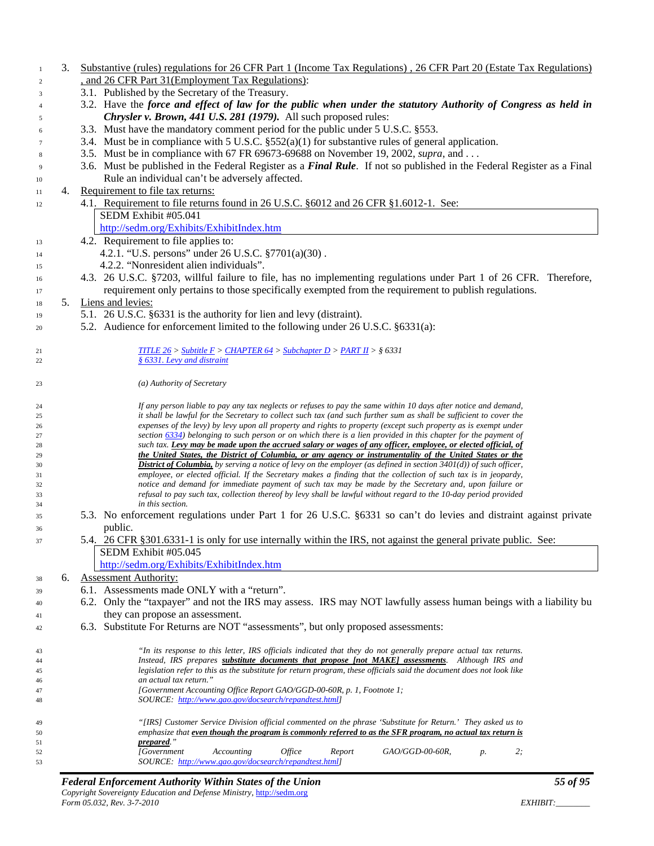- 3. Substantive (rules) regulations for 26 CFR Part 1 (Income Tax Regulations) , 26 CFR Part 20 (Estate Tax Regulations) 2 , and 26 CFR Part 31 (Employment Tax Regulations):
- 3.1. Published by the Secretary of the Treasury.
- 3.2. Have the *force and effect of law for the public when under the statutory Authority of Congress as held in Chrysler v. Brown, 441 U.S. 281 (1979).* All such proposed rules:
- 3.3. Must have the mandatory comment period for the public under 5 U.S.C. §553.
- 3.4. Must be in compliance with 5 U.S.C. §552(a)(1) for substantive rules of general application.
- 3.5. Must be in compliance with 67 FR 69673-69688 on November 19, 2002, *supra*, and . . .
- 3.6. Must be published in the Federal Register as a *Final Rule*. If not so published in the Federal Register as a Final Rule an individual can't be adversely affected.
- 4. Requirement to file tax returns:
- 4.1. Requirement to file returns found in 26 U.S.C. §6012 and 26 CFR §1.6012-1. See: SEDM Exhibit #05.041
	- <http://sedm.org/Exhibits/ExhibitIndex.htm>
- 13 4.2. Requirement to file applies to:
- 4.2.1. "U.S. persons" under 26 U.S.C. §7701(a)(30) .
- 4.2.2. "Nonresident alien individuals".
- 4.3. 26 U.S.C. §7203, willful failure to file, has no implementing regulations under Part 1 of 26 CFR. Therefore, requirement only pertains to those specifically exempted from the requirement to publish regulations.
- 5. Liens and levies:
- 5.1. 26 U.S.C. §6331 is the authority for lien and levy (distraint).
- 5.2. Audience for enforcement limited to the following under 26 U.S.C. §6331(a):

| 21 |    | TITLE 26 > Subtitle $F >$ CHAPTER 64 > Subchapter D > PART II > § 6331                                                       |
|----|----|------------------------------------------------------------------------------------------------------------------------------|
| 22 |    | § 6331. Levy and distraint                                                                                                   |
|    |    |                                                                                                                              |
| 23 |    | (a) Authority of Secretary                                                                                                   |
|    |    |                                                                                                                              |
| 24 |    | If any person liable to pay any tax neglects or refuses to pay the same within 10 days after notice and demand,              |
| 25 |    | it shall be lawful for the Secretary to collect such tax (and such further sum as shall be sufficient to cover the           |
| 26 |    | expenses of the levy) by levy upon all property and rights to property (except such property as is exempt under              |
| 27 |    | section 6334) belonging to such person or on which there is a lien provided in this chapter for the payment of               |
| 28 |    | such tax. Levy may be made upon the accrued salary or wages of any officer, employee, or elected official, of                |
| 29 |    | the United States, the District of Columbia, or any agency or instrumentality of the United States or the                    |
| 30 |    | <b>District of Columbia,</b> by serving a notice of levy on the employer (as defined in section $3401(d)$ ) of such officer, |
| 31 |    | employee, or elected official. If the Secretary makes a finding that the collection of such tax is in jeopardy,              |
| 32 |    | notice and demand for immediate payment of such tax may be made by the Secretary and, upon failure or                        |
| 33 |    | refusal to pay such tax, collection thereof by levy shall be lawful without regard to the 10-day period provided             |
| 34 |    | in this section.                                                                                                             |
| 35 |    | 5.3. No enforcement regulations under Part 1 for 26 U.S.C. §6331 so can't do levies and distraint against private            |
| 36 |    | public.                                                                                                                      |
| 37 |    | 5.4. 26 CFR § 301.6331-1 is only for use internally within the IRS, not against the general private public. See:             |
|    |    | SEDM Exhibit #05.045                                                                                                         |
|    |    | http://sedm.org/Exhibits/ExhibitIndex.htm                                                                                    |
| 38 | 6. | <b>Assessment Authority:</b>                                                                                                 |
| 39 |    | 6.1. Assessments made ONLY with a "return".                                                                                  |
| 40 |    | 6.2. Only the "taxpayer" and not the IRS may assess. IRS may NOT lawfully assess human beings with a liability bu            |
| 41 |    | they can propose an assessment.                                                                                              |
| 42 |    | 6.3. Substitute For Returns are NOT "assessments", but only proposed assessments:                                            |
|    |    |                                                                                                                              |
| 43 |    | "In its response to this letter, IRS officials indicated that they do not generally prepare actual tax returns.              |
| 44 |    | Instead. IRS prepares substitute documents that propose (not MAKE) assessments. Although IRS and                             |

 *Instead, IRS prepares substitute documents that propose [not MAKE] assessments. Although IRS and legislation refer to this as the substitute for return program, these officials said the document does not look like an actual tax return." [Government Accounting Office Report GAO/GGD-00-60R, p. 1, Footnote 1; SOURCE: [http://www.gao.gov/docsearch/repandtest.html\]](http://www.gao.gov/docsearch/repandtest.html) "[IRS] Customer Service Division official commented on the phrase 'Substitute for Return.' They asked us to emphasize that even though the program is commonly referred to as the SFR program, no actual tax return is prepared." [Government Accounting Office Report GAO/GGD-00-60R, p. 2; SOURCE: [http://www.gao.gov/docsearch/repandtest.html\]](http://www.gao.gov/docsearch/repandtest.html)*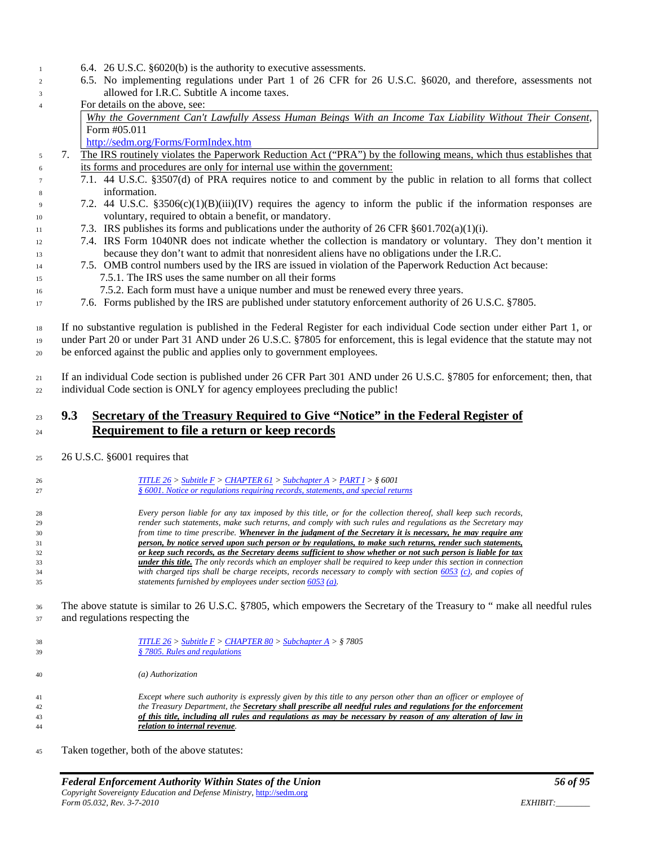- 6.4. 26 U.S.C. §6020(b) is the authority to executive assessments.
- 6.5. No implementing regulations under Part 1 of 26 CFR for 26 U.S.C. §6020, and therefore, assessments not allowed for I.R.C. Subtitle A income taxes.
- For details on the above, see:
	- *[Why the Government Can't Lawfully Assess Human Beings With an Income Tax Liability Without Their Consent](http://sedm.org/Forms/MemLaw/SFRsAssmtsIllegal.pdf)*, Form #05.011

<http://sedm.org/Forms/FormIndex.htm>

- 7. The IRS routinely violates the Paperwork Reduction Act ("PRA") by the following means, which thus establishes that its forms and procedures are only for internal use within the government:
- 7.1. 44 U.S.C. §3507(d) of PRA requires notice to and comment by the public in relation to all forms that collect information.
- 7.2. 44 U.S.C. §3506(c)(1)(B)(iii)(IV) requires the agency to inform the public if the information responses are voluntary, required to obtain a benefit, or mandatory.
- 11 7.3. IRS publishes its forms and publications under the authority of 26 CFR  $\S601.702(a)(1)(i)$ .
- 7.4. IRS Form 1040NR does not indicate whether the collection is mandatory or voluntary. They don't mention it because they don't want to admit that nonresident aliens have no obligations under the I.R.C.
- 7.5. OMB control numbers used by the IRS are issued in violation of the Paperwork Reduction Act because: 7.5.1. The IRS uses the same number on all their forms
- 7.5.2. Each form must have a unique number and must be renewed every three years.
- 7.6. Forms published by the IRS are published under statutory enforcement authority of 26 U.S.C. §7805.

 If no substantive regulation is published in the Federal Register for each individual Code section under either Part 1, or under Part 20 or under Part 31 AND under 26 U.S.C. §7805 for enforcement, this is legal evidence that the statute may not be enforced against the public and applies only to government employees.

 If an individual Code section is published under 26 CFR Part 301 AND under 26 U.S.C. §7805 for enforcement; then, that individual Code section is ONLY for agency employees precluding the public!

### **9.3 Secretary of the Treasury Required to Give "Notice" in the Federal Register of Requirement to file a return or keep records**

26 U.S.C. §6001 requires that

| 26<br>27 | <b>TITLE 26</b> > Subtitle $F$ > CHAPTER 61 > Subchapter A > PART 1 > § 6001<br>§ 6001. Notice or regulations requiring records, statements, and special returns |
|----------|------------------------------------------------------------------------------------------------------------------------------------------------------------------|
| 28       | Every person liable for any tax imposed by this title, or for the collection thereof, shall keep such records,                                                   |
| 29       | render such statements, make such returns, and comply with such rules and regulations as the Secretary may                                                       |
| 30       | from time to time prescribe. Whenever in the judgment of the Secretary it is necessary, he may require any                                                       |
| 31       | person, by notice served upon such person or by regulations, to make such returns, render such statements,                                                       |
| 32       | or keep such records, as the Secretary deems sufficient to show whether or not such person is liable for tax                                                     |
| 33       | <b>under this title.</b> The only records which an employer shall be required to keep under this section in connection                                           |
| 34       | with charged tips shall be charge receipts, records necessary to comply with section $6053$ (c), and copies of                                                   |
| 35       | statements furnished by employees under section $6053$ (a).                                                                                                      |

 The above statute is similar to 26 U.S.C. §7805, which empowers the Secretary of the Treasury to " make all needful rules and regulations respecting the

| 39             | § 7805. Rules and regulations                                                                                                                                                                                                                                                                                                                   |
|----------------|-------------------------------------------------------------------------------------------------------------------------------------------------------------------------------------------------------------------------------------------------------------------------------------------------------------------------------------------------|
| 40             | (a) Authorization                                                                                                                                                                                                                                                                                                                               |
| 41<br>42<br>43 | Except where such authority is expressly given by this title to any person other than an officer or employee of<br>the Treasury Department, the Secretary shall prescribe all needful rules and regulations for the enforcement<br>of this title, including all rules and regulations as may be necessary by reason of any alteration of law in |

Taken together, both of the above statutes:

*relation to internal revenue.*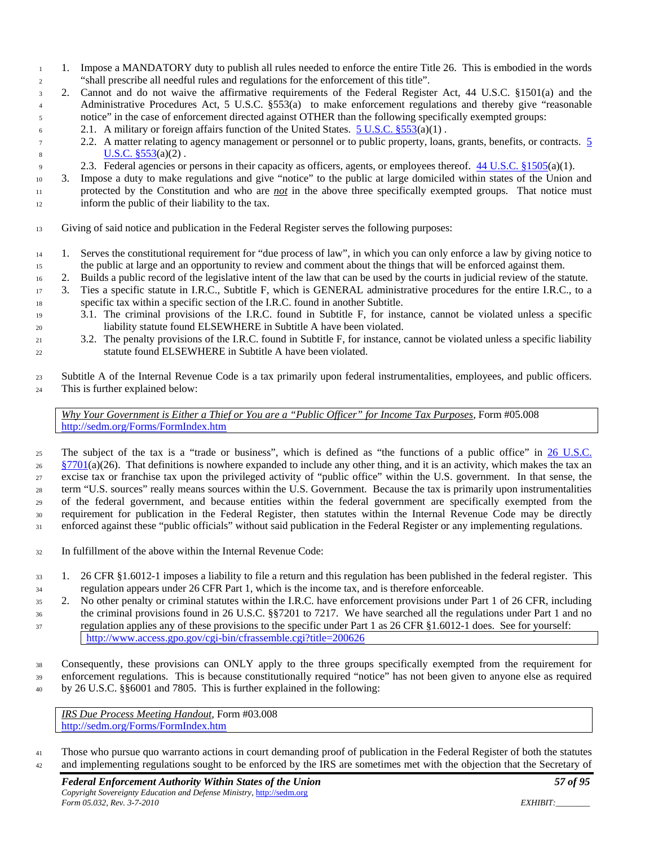- 1. Impose a MANDATORY duty to publish all rules needed to enforce the entire Title 26. This is embodied in the words "shall prescribe all needful rules and regulations for the enforcement of this title".
- 2. Cannot and do not waive the affirmative requirements of the Federal Register Act, 44 U.S.C. §1501(a) and the Administrative Procedures Act, 5 U.S.C. §553(a) to make enforcement regulations and thereby give "reasonable notice" in the case of enforcement directed against OTHER than the following specifically exempted groups:
- 6 2.1. A military or foreign affairs function of the United States.  $5 \text{ U.S.C. } §553(a)(1)$ .
- 2.2. A matter relating to agency management or personnel or to public property, loans, grants, benefits, or contracts. [5](http://www4.law.cornell.edu/uscode/html/uscode05/usc_sec_05_00000553----000-.html)  8  $U.S.C. \S 553(a)(2)$ .
- 2.3. Federal agencies or persons in their capacity as officers, agents, or employees thereof. [44 U.S.C. §1505\(](http://www4.law.cornell.edu/uscode/html/uscode44/usc_sec_44_00001505----000-.html)a)(1).
- 3. Impose a duty to make regulations and give "notice" to the public at large domiciled within states of the Union and protected by the Constitution and who are *not* in the above three specifically exempted groups. That notice must inform the public of their liability to the tax.
- Giving of said notice and publication in the Federal Register serves the following purposes:
- 1. Serves the constitutional requirement for "due process of law", in which you can only enforce a law by giving notice to the public at large and an opportunity to review and comment about the things that will be enforced against them.
- 2. Builds a public record of the legislative intent of the law that can be used by the courts in judicial review of the statute.
- 3. Ties a specific statute in I.R.C., Subtitle F, which is GENERAL administrative procedures for the entire I.R.C., to a specific tax within a specific section of the I.R.C. found in another Subtitle.
- 3.1. The criminal provisions of the I.R.C. found in Subtitle F, for instance, cannot be violated unless a specific liability statute found ELSEWHERE in Subtitle A have been violated.
- 3.2. The penalty provisions of the I.R.C. found in Subtitle F, for instance, cannot be violated unless a specific liability statute found ELSEWHERE in Subtitle A have been violated.
- Subtitle A of the Internal Revenue Code is a tax primarily upon federal instrumentalities, employees, and public officers. This is further explained below:

*Why Your Government is Either a Thief or You are a "Public Officer" for Income Tax Purposes*, Form #05.008 <http://sedm.org/Forms/FormIndex.htm>

25 The subject of the tax is a "trade or business", which is defined as "the functions of a public office" in 26 U.S.C.  $\frac{\$7701}{a}(26)$ . That definitions is nowhere expanded to include any other thing, and it is an activity, which makes the tax an excise tax or franchise tax upon the privileged activity of "public office" within the U.S. government. In that sense, the term "U.S. sources" really means sources within the U.S. Government. Because the tax is primarily upon instrumentalities of the federal government, and because entities within the federal government are specifically exempted from the requirement for publication in the Federal Register, then statutes within the Internal Revenue Code may be directly 31 enforced against these "public officials" without said publication in the Federal Register or any implementing regulations.

- In fulfillment of the above within the Internal Revenue Code:
- 1. 26 CFR §1.6012-1 imposes a liability to file a return and this regulation has been published in the federal register. This regulation appears under 26 CFR Part 1, which is the income tax, and is therefore enforceable.
- 2. No other penalty or criminal statutes within the I.R.C. have enforcement provisions under Part 1 of 26 CFR, including the criminal provisions found in 26 U.S.C. §§7201 to 7217. We have searched all the regulations under Part 1 and no regulation applies any of these provisions to the specific under Part 1 as 26 CFR §1.6012-1 does. See for yourself:
- <http://www.access.gpo.gov/cgi-bin/cfrassemble.cgi?title=200626>
- Consequently, these provisions can ONLY apply to the three groups specifically exempted from the requirement for enforcement regulations. This is because constitutionally required "notice" has not been given to anyone else as required by 26 U.S.C. §§6001 and 7805. This is further explained in the following:

*IRS Due Process Meeting Handout*, Form #03.008 <http://sedm.org/Forms/FormIndex.htm>

 Those who pursue quo warranto actions in court demanding proof of publication in the Federal Register of both the statutes and implementing regulations sought to be enforced by the IRS are sometimes met with the objection that the Secretary of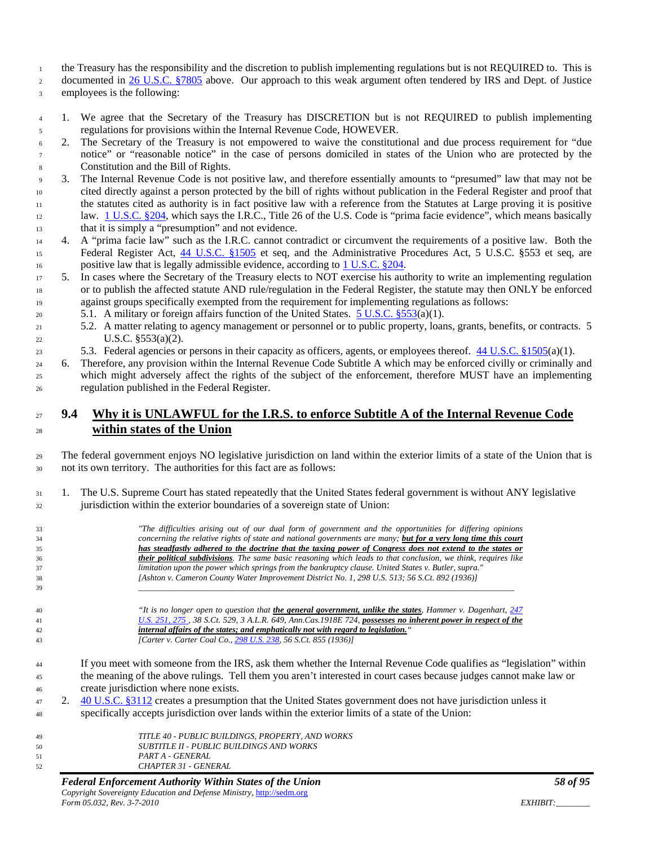the Treasury has the responsibility and the discretion to publish implementing regulations but is not REQUIRED to. This is

2 documented in [26 U.S.C. §7805](http://www4.law.cornell.edu/uscode/html/uscode26/usc_sec_26_00007805----000-.html) above. Our approach to this weak argument often tendered by IRS and Dept. of Justice

employees is the following:

- 1. We agree that the Secretary of the Treasury has DISCRETION but is not REQUIRED to publish implementing regulations for provisions within the Internal Revenue Code, HOWEVER.
- 2. The Secretary of the Treasury is not empowered to waive the constitutional and due process requirement for "due notice" or "reasonable notice" in the case of persons domiciled in states of the Union who are protected by the Constitution and the Bill of Rights.
- 3. The Internal Revenue Code is not positive law, and therefore essentially amounts to "presumed" law that may not be cited directly against a person protected by the bill of rights without publication in the Federal Register and proof that the statutes cited as authority is in fact positive law with a reference from the Statutes at Large proving it is positive law. [1 U.S.C. §204,](http://www4.law.cornell.edu/uscode/html/uscode01/usc_sec_01_00000204----000-.html) which says the I.R.C., Title 26 of the U.S. Code is "prima facie evidence", which means basically that it is simply a "presumption" and not evidence.
- 4. A "prima facie law" such as the I.R.C. cannot contradict or circumvent the requirements of a positive law. Both the 15 Federal Register Act, [44 U.S.C. §1505](http://www4.law.cornell.edu/uscode/html/uscode44/usc_sec_44_00001505----000-.html) et seq, and the Administrative Procedures Act, 5 U.S.C. §553 et seq, are 16 positive law that is legally admissible evidence, according to [1 U.S.C. §204.](http://www4.law.cornell.edu/uscode/html/uscode01/usc_sec_01_00000204----000-.html)
- 5. In cases where the Secretary of the Treasury elects to NOT exercise his authority to write an implementing regulation or to publish the affected statute AND rule/regulation in the Federal Register, the statute may then ONLY be enforced against groups specifically exempted from the requirement for implementing regulations as follows:
- 5.1. A military or foreign affairs function of the United States. [5 U.S.C. §553\(](http://www4.law.cornell.edu/uscode/html/uscode05/usc_sec_05_00000553----000-.html)a)(1).
- 5.2. A matter relating to agency management or personnel or to public property, loans, grants, benefits, or contracts. 5 U.S.C. §553(a)(2).
- 5.3. Federal agencies or persons in their capacity as officers, agents, or employees thereof. [44 U.S.C. §1505\(](http://www4.law.cornell.edu/uscode/html/uscode44/usc_sec_44_00001505----000-.html)a)(1).
- 6. Therefore, any provision within the Internal Revenue Code Subtitle A which may be enforced civilly or criminally and which might adversely affect the rights of the subject of the enforcement, therefore MUST have an implementing regulation published in the Federal Register.

# **9.4 Why it is UNLAWFUL for the I.R.S. to enforce Subtitle A of the Internal Revenue Code within states of the Union**

 The federal government enjoys NO legislative jurisdiction on land within the exterior limits of a state of the Union that is not its own territory. The authorities for this fact are as follows:

 1. The U.S. Supreme Court has stated repeatedly that the United States federal government is without ANY legislative jurisdiction within the exterior boundaries of a sovereign state of Union:

| 33 |    | "The difficulties arising out of our dual form of government and the opportunities for differing opinions              |
|----|----|------------------------------------------------------------------------------------------------------------------------|
| 34 |    | concerning the relative rights of state and national governments are many; but for a very long time this court         |
| 35 |    | has steadfastly adhered to the doctrine that the taxing power of Congress does not extend to the states or             |
| 36 |    | <b>their political subdivisions</b> . The same basic reasoning which leads to that conclusion, we think, requires like |
| 37 |    | limitation upon the power which springs from the bankruptcy clause. United States v. Butler, supra."                   |
| 38 |    | [Ashton v. Cameron County Water Improvement District No. 1, 298 U.S. 513; 56 S.Ct. 892 (1936)]                         |
| 39 |    |                                                                                                                        |
|    |    |                                                                                                                        |
| 40 |    | "It is no longer open to question that the general government, unlike the states, Hammer v. Dagenhart, 247             |
| 41 |    | U.S. 251, 275, 38 S.Ct. 529, 3 A.L.R. 649, Ann.Cas.1918E 724, possesses no inherent power in respect of the            |
| 42 |    | internal affairs of the states; and emphatically not with regard to legislation."                                      |
| 43 |    | [Carter v. Carter Coal Co., 298 U.S. 238, 56 S.Ct. 855 (1936)]                                                         |
|    |    |                                                                                                                        |
| 44 |    | If you meet with someone from the IRS, ask them whether the Internal Revenue Code qualifies as "legislation" within    |
|    |    | the meaning of the above rulings. Tell them you aren't interested in court cases because judges cannot make law or     |
| 45 |    |                                                                                                                        |
| 46 |    | create jurisdiction where none exists.                                                                                 |
| 47 | 2. | 40 U.S.C. §3112 creates a presumption that the United States government does not have jurisdiction unless it           |
| 48 |    | specifically accepts jurisdiction over lands within the exterior limits of a state of the Union:                       |
|    |    |                                                                                                                        |
| 49 |    | TITLE 40 - PUBLIC BUILDINGS, PROPERTY, AND WORKS                                                                       |
| 50 |    | <b>SUBTITLE II - PUBLIC BUILDINGS AND WORKS</b>                                                                        |
| 51 |    | PART A - GENERAL                                                                                                       |
|    |    |                                                                                                                        |

*CHAPTER 31 - GENERAL*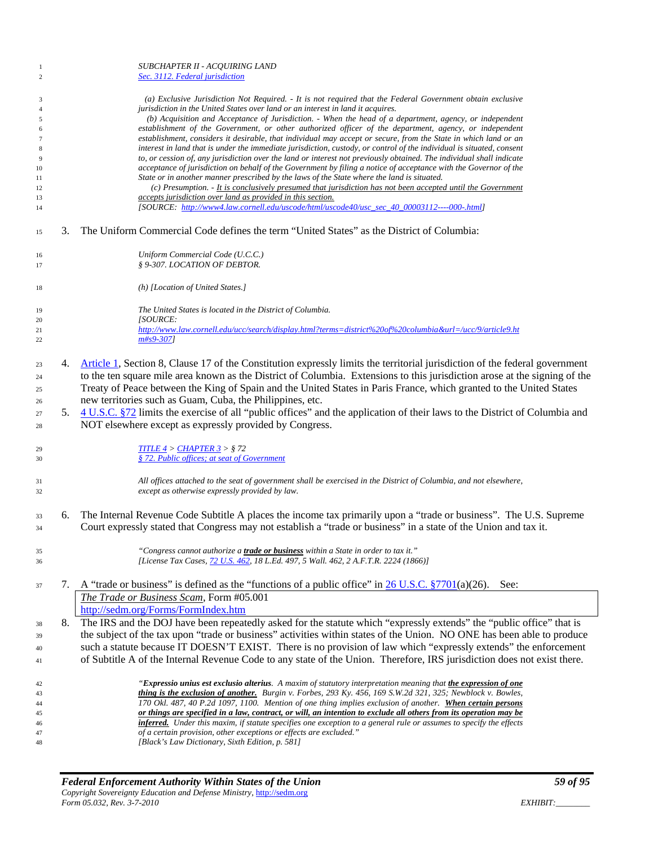| -1<br>$\overline{c}$                                                                             |    | SUBCHAPTER II - ACQUIRING LAND<br>Sec. 3112. Federal jurisdiction                                                                                                                                                                                                                                                                                                                                                                                                                                                                                                                                                                                                                                                                                                                                                                                                                                                                                                                                                                                                                                                                                                                                                                                                                     |
|--------------------------------------------------------------------------------------------------|----|---------------------------------------------------------------------------------------------------------------------------------------------------------------------------------------------------------------------------------------------------------------------------------------------------------------------------------------------------------------------------------------------------------------------------------------------------------------------------------------------------------------------------------------------------------------------------------------------------------------------------------------------------------------------------------------------------------------------------------------------------------------------------------------------------------------------------------------------------------------------------------------------------------------------------------------------------------------------------------------------------------------------------------------------------------------------------------------------------------------------------------------------------------------------------------------------------------------------------------------------------------------------------------------|
| $\overline{\mathbf{3}}$<br>$\overline{4}$<br>5<br>6<br>7<br>8<br>9<br>10<br>11<br>12<br>13<br>14 |    | (a) Exclusive Jurisdiction Not Required. - It is not required that the Federal Government obtain exclusive<br>jurisdiction in the United States over land or an interest in land it acquires.<br>(b) Acquisition and Acceptance of Jurisdiction. - When the head of a department, agency, or independent<br>establishment of the Government, or other authorized officer of the department, agency, or independent<br>establishment, considers it desirable, that individual may accept or secure, from the State in which land or an<br>interest in land that is under the immediate jurisdiction, custody, or control of the individual is situated, consent<br>to, or cession of, any jurisdiction over the land or interest not previously obtained. The individual shall indicate<br>acceptance of jurisdiction on behalf of the Government by filing a notice of acceptance with the Governor of the<br>State or in another manner prescribed by the laws of the State where the land is situated.<br>(c) Presumption. - It is conclusively presumed that jurisdiction has not been accepted until the Government<br>accepts jurisdiction over land as provided in this section.<br>[SOURCE: http://www4.law.cornell.edu/uscode/html/uscode40/usc_sec_40_00003112----000-.html] |
| 15                                                                                               | 3. | The Uniform Commercial Code defines the term "United States" as the District of Columbia:                                                                                                                                                                                                                                                                                                                                                                                                                                                                                                                                                                                                                                                                                                                                                                                                                                                                                                                                                                                                                                                                                                                                                                                             |
| 16<br>17                                                                                         |    | Uniform Commercial Code (U.C.C.)<br>§ 9-307. LOCATION OF DEBTOR.                                                                                                                                                                                                                                                                                                                                                                                                                                                                                                                                                                                                                                                                                                                                                                                                                                                                                                                                                                                                                                                                                                                                                                                                                      |
| 18                                                                                               |    | (h) [Location of United States.]                                                                                                                                                                                                                                                                                                                                                                                                                                                                                                                                                                                                                                                                                                                                                                                                                                                                                                                                                                                                                                                                                                                                                                                                                                                      |
| 19                                                                                               |    | The United States is located in the District of Columbia.                                                                                                                                                                                                                                                                                                                                                                                                                                                                                                                                                                                                                                                                                                                                                                                                                                                                                                                                                                                                                                                                                                                                                                                                                             |
| 20<br>21                                                                                         |    | <i>[SOURCE:</i><br>http://www.law.cornell.edu/ucc/search/display.html?terms=district%20of%20columbia&url=/ucc/9/article9.ht                                                                                                                                                                                                                                                                                                                                                                                                                                                                                                                                                                                                                                                                                                                                                                                                                                                                                                                                                                                                                                                                                                                                                           |
| 22                                                                                               |    | $m#s9-307$ ]                                                                                                                                                                                                                                                                                                                                                                                                                                                                                                                                                                                                                                                                                                                                                                                                                                                                                                                                                                                                                                                                                                                                                                                                                                                                          |
| 23<br>24<br>25                                                                                   | 4. | Article 1, Section 8, Clause 17 of the Constitution expressly limits the territorial jurisdiction of the federal government<br>to the ten square mile area known as the District of Columbia. Extensions to this jurisdiction arose at the signing of the<br>Treaty of Peace between the King of Spain and the United States in Paris France, which granted to the United States                                                                                                                                                                                                                                                                                                                                                                                                                                                                                                                                                                                                                                                                                                                                                                                                                                                                                                      |
| 26                                                                                               |    | new territories such as Guam, Cuba, the Philippines, etc.                                                                                                                                                                                                                                                                                                                                                                                                                                                                                                                                                                                                                                                                                                                                                                                                                                                                                                                                                                                                                                                                                                                                                                                                                             |
| 27<br>28                                                                                         | 5. | 4 U.S.C. §72 limits the exercise of all "public offices" and the application of their laws to the District of Columbia and<br>NOT elsewhere except as expressly provided by Congress.                                                                                                                                                                                                                                                                                                                                                                                                                                                                                                                                                                                                                                                                                                                                                                                                                                                                                                                                                                                                                                                                                                 |
| 29                                                                                               |    | TITLE 4 > CHAPTER 3 > \$72                                                                                                                                                                                                                                                                                                                                                                                                                                                                                                                                                                                                                                                                                                                                                                                                                                                                                                                                                                                                                                                                                                                                                                                                                                                            |
| 30                                                                                               |    | § 72. Public offices; at seat of Government                                                                                                                                                                                                                                                                                                                                                                                                                                                                                                                                                                                                                                                                                                                                                                                                                                                                                                                                                                                                                                                                                                                                                                                                                                           |
| 31<br>32                                                                                         |    | All offices attached to the seat of government shall be exercised in the District of Columbia, and not elsewhere,<br>except as otherwise expressly provided by law.                                                                                                                                                                                                                                                                                                                                                                                                                                                                                                                                                                                                                                                                                                                                                                                                                                                                                                                                                                                                                                                                                                                   |
| 33<br>34                                                                                         | 6. | The Internal Revenue Code Subtitle A places the income tax primarily upon a "trade or business". The U.S. Supreme<br>Court expressly stated that Congress may not establish a "trade or business" in a state of the Union and tax it.                                                                                                                                                                                                                                                                                                                                                                                                                                                                                                                                                                                                                                                                                                                                                                                                                                                                                                                                                                                                                                                 |
|                                                                                                  |    |                                                                                                                                                                                                                                                                                                                                                                                                                                                                                                                                                                                                                                                                                                                                                                                                                                                                                                                                                                                                                                                                                                                                                                                                                                                                                       |
| 35<br>36                                                                                         |    | "Congress cannot authorize a <b>trade or business</b> within a State in order to tax it."<br>[License Tax Cases, 72 U.S. 462, 18 L.Ed. 497, 5 Wall. 462, 2 A.F.T.R. 2224 (1866)]                                                                                                                                                                                                                                                                                                                                                                                                                                                                                                                                                                                                                                                                                                                                                                                                                                                                                                                                                                                                                                                                                                      |
| 37                                                                                               | 7. | A "trade or business" is defined as the "functions of a public office" in $26$ U.S.C. $\S7701(a)(26)$ . See:                                                                                                                                                                                                                                                                                                                                                                                                                                                                                                                                                                                                                                                                                                                                                                                                                                                                                                                                                                                                                                                                                                                                                                          |
|                                                                                                  |    | The Trade or Business Scam, Form #05.001                                                                                                                                                                                                                                                                                                                                                                                                                                                                                                                                                                                                                                                                                                                                                                                                                                                                                                                                                                                                                                                                                                                                                                                                                                              |
|                                                                                                  |    | http://sedm.org/Forms/FormIndex.htm                                                                                                                                                                                                                                                                                                                                                                                                                                                                                                                                                                                                                                                                                                                                                                                                                                                                                                                                                                                                                                                                                                                                                                                                                                                   |
| 38                                                                                               | 8. | The IRS and the DOJ have been repeatedly asked for the statute which "expressly extends" the "public office" that is<br>the subject of the tax upon "trade or business" activities within states of the Union. NO ONE has been able to produce                                                                                                                                                                                                                                                                                                                                                                                                                                                                                                                                                                                                                                                                                                                                                                                                                                                                                                                                                                                                                                        |
| 39                                                                                               |    | such a statute because IT DOESN'T EXIST. There is no provision of law which "expressly extends" the enforcement                                                                                                                                                                                                                                                                                                                                                                                                                                                                                                                                                                                                                                                                                                                                                                                                                                                                                                                                                                                                                                                                                                                                                                       |
| 40<br>41                                                                                         |    | of Subtitle A of the Internal Revenue Code to any state of the Union. Therefore, IRS jurisdiction does not exist there.                                                                                                                                                                                                                                                                                                                                                                                                                                                                                                                                                                                                                                                                                                                                                                                                                                                                                                                                                                                                                                                                                                                                                               |
|                                                                                                  |    | "Expressio unius est exclusio alterius. A maxim of statutory interpretation meaning that the expression of one                                                                                                                                                                                                                                                                                                                                                                                                                                                                                                                                                                                                                                                                                                                                                                                                                                                                                                                                                                                                                                                                                                                                                                        |
| 42<br>43                                                                                         |    | thing is the exclusion of another. Burgin v. Forbes, 293 Ky. 456, 169 S.W.2d 321, 325; Newblock v. Bowles,                                                                                                                                                                                                                                                                                                                                                                                                                                                                                                                                                                                                                                                                                                                                                                                                                                                                                                                                                                                                                                                                                                                                                                            |
| 44                                                                                               |    | 170 Okl. 487, 40 P.2d 1097, 1100. Mention of one thing implies exclusion of another. When certain persons                                                                                                                                                                                                                                                                                                                                                                                                                                                                                                                                                                                                                                                                                                                                                                                                                                                                                                                                                                                                                                                                                                                                                                             |
| 45<br>46                                                                                         |    | or things are specified in a law, contract, or will, an intention to exclude all others from its operation may be<br>inferred. Under this maxim, if statute specifies one exception to a general rule or assumes to specify the effects                                                                                                                                                                                                                                                                                                                                                                                                                                                                                                                                                                                                                                                                                                                                                                                                                                                                                                                                                                                                                                               |
| 47                                                                                               |    | of a certain provision, other exceptions or effects are excluded."                                                                                                                                                                                                                                                                                                                                                                                                                                                                                                                                                                                                                                                                                                                                                                                                                                                                                                                                                                                                                                                                                                                                                                                                                    |
| 48                                                                                               |    | [Black's Law Dictionary, Sixth Edition, p. 581]                                                                                                                                                                                                                                                                                                                                                                                                                                                                                                                                                                                                                                                                                                                                                                                                                                                                                                                                                                                                                                                                                                                                                                                                                                       |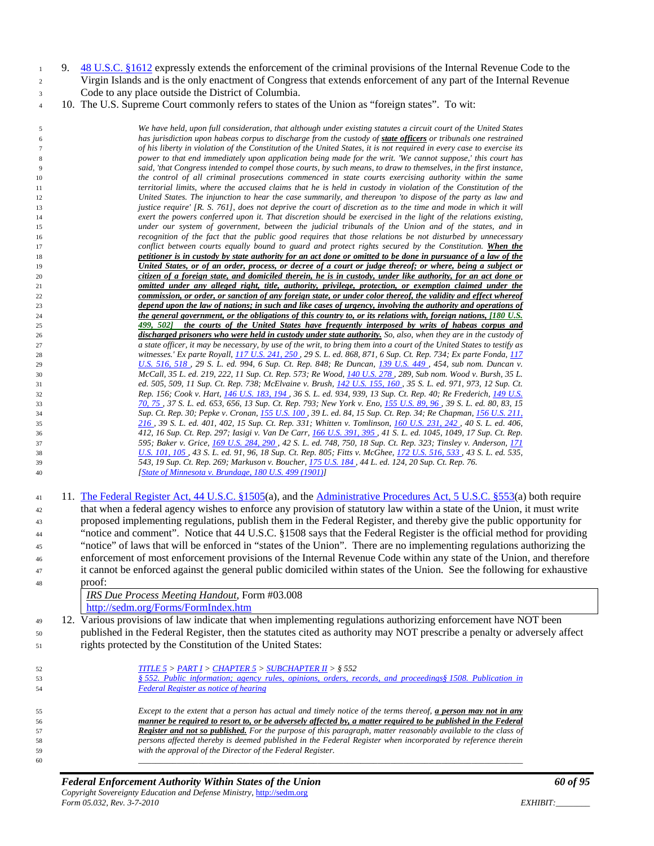- 9. [48 U.S.C. §1612](http://www4.law.cornell.edu/uscode/html/uscode48/usc_sec_48_00001612----000-.html) expressly extends the enforcement of the criminal provisions of the Internal Revenue Code to the Virgin Islands and is the only enactment of Congress that extends enforcement of any part of the Internal Revenue Code to any place outside the District of Columbia.
- 10. The U.S. Supreme Court commonly refers to states of the Union as "foreign states". To wit:

 *We have held, upon full consideration, that although under existing statutes a circuit court of the United States has jurisdiction upon habeas corpus to discharge from the custody of state officers or tribunals one restrained of his liberty in violation of the Constitution of the United States, it is not required in every case to exercise its power to that end immediately upon application being made for the writ. 'We cannot suppose,' this court has said, 'that Congress intended to compel those courts, by such means, to draw to themselves, in the first instance, the control of all criminal prosecutions commenced in state courts exercising authority within the same territorial limits, where the accused claims that he is held in custody in violation of the Constitution of the United States. The injunction to hear the case summarily, and thereupon 'to dispose of the party as law and justice require' [R. S. 761], does not deprive the court of discretion as to the time and mode in which it will exert the powers conferred upon it. That discretion should be exercised in the light of the relations existing, under our system of government, between the judicial tribunals of the Union and of the states, and in recognition of the fact that the public good requires that those relations be not disturbed by unnecessary conflict between courts equally bound to guard and protect rights secured by the Constitution. When the petitioner is in custody by state authority for an act done or omitted to be done in pursuance of a law of the United States, or of an order, process, or decree of a court or judge thereof; or where, being a subject or citizen of a foreign state, and domiciled therein, he is in custody, under like authority, for an act done or omitted under any alleged right, title, authority, privilege, protection, or exemption claimed under the commission, or order, or sanction of any foreign state, or under color thereof, the validity and effect whereof depend upon the law of nations; in such and like cases of urgency, involving the authority and operations of the general government, or the obligations of this country to, or its relations with, foreign nations, [180 U.S. 499, 502] the courts of the United States have frequently interposed by writs of habeas corpus and discharged prisoners who were held in custody under state authority. So, also, when they are in the custody of a state officer, it may be necessary, by use of the writ, to bring them into a court of the United States to testify as witnesses.' Ex parte Royall[, 117 U.S. 241, 250 ,](http://caselaw.lp.findlaw.com/cgi-bin/getcase.pl?court=us&vol=117&invol=241#250) 29 S. L. ed. 868, 871, 6 Sup. Ct. Rep. 734; Ex parte Fonda[, 117](http://caselaw.lp.findlaw.com/cgi-bin/getcase.pl?court=us&vol=117&invol=516#518)  [U.S. 516, 518 ,](http://caselaw.lp.findlaw.com/cgi-bin/getcase.pl?court=us&vol=117&invol=516#518) 29 S. L. ed. 994, 6 Sup. Ct. Rep. 848; Re Duncan, [139 U.S. 449 ,](http://caselaw.lp.findlaw.com/cgi-bin/getcase.pl?court=us&vol=139&invol=449) 454, sub nom. Duncan v. McCall, 35 L. ed. 219, 222, 11 Sup. Ct. Rep. 573; Re Wood, [140 U.S. 278 ,](http://caselaw.lp.findlaw.com/cgi-bin/getcase.pl?court=us&vol=140&invol=278) 289, Sub nom. Wood v. Bursh, 35 L. ed. 505, 509, 11 Sup. Ct. Rep. 738; McElvaine v. Brush[, 142 U.S. 155, 160 ,](http://caselaw.lp.findlaw.com/cgi-bin/getcase.pl?court=us&vol=142&invol=155#160) 35 S. L. ed. 971, 973, 12 Sup. Ct. Rep. 156; Cook v. Hart[, 146 U.S. 183, 194 ,](http://caselaw.lp.findlaw.com/cgi-bin/getcase.pl?court=us&vol=146&invol=183#194) 36 S. L. ed. 934, 939, 13 Sup. Ct. Rep. 40; Re Frederich[, 149 U.S.](http://caselaw.lp.findlaw.com/cgi-bin/getcase.pl?court=us&vol=149&invol=70#75)  [70, 75 ,](http://caselaw.lp.findlaw.com/cgi-bin/getcase.pl?court=us&vol=149&invol=70#75) 37 S. L. ed. 653, 656, 13 Sup. Ct. Rep. 793; New York v. Eno, [155 U.S. 89, 96 ,](http://caselaw.lp.findlaw.com/cgi-bin/getcase.pl?court=us&vol=155&invol=89#96) 39 S. L. ed. 80, 83, 15 Sup. Ct. Rep. 30; Pepke v. Cronan, [155 U.S. 100 ,](http://caselaw.lp.findlaw.com/cgi-bin/getcase.pl?court=us&vol=155&invol=100) 39 L. ed. 84, 15 Sup. Ct. Rep. 34; Re Chapman, [156 U.S. 211,](http://caselaw.lp.findlaw.com/cgi-bin/getcase.pl?court=us&vol=156&invol=211#216)  [216 ,](http://caselaw.lp.findlaw.com/cgi-bin/getcase.pl?court=us&vol=156&invol=211#216) 39 S. L. ed. 401, 402, 15 Sup. Ct. Rep. 331; Whitten v. Tomlinson, [160 U.S. 231, 242 ,](http://caselaw.lp.findlaw.com/cgi-bin/getcase.pl?court=us&vol=160&invol=231#242) 40 S. L. ed. 406, 412, 16 Sup. Ct. Rep. 297; Iasigi v. Van De Carr[, 166 U.S. 391, 395 ,](http://caselaw.lp.findlaw.com/cgi-bin/getcase.pl?court=us&vol=166&invol=391#395) 41 S. L. ed. 1045, 1049, 17 Sup. Ct. Rep. 595; Baker v. Grice[, 169 U.S. 284, 290 ,](http://caselaw.lp.findlaw.com/cgi-bin/getcase.pl?court=us&vol=169&invol=284#290) 42 S. L. ed. 748, 750, 18 Sup. Ct. Rep. 323; Tinsley v. Anderson[, 171](http://caselaw.lp.findlaw.com/cgi-bin/getcase.pl?court=us&vol=171&invol=101#105)  [U.S. 101, 105 ,](http://caselaw.lp.findlaw.com/cgi-bin/getcase.pl?court=us&vol=171&invol=101#105) 43 S. L. ed. 91, 96, 18 Sup. Ct. Rep. 805; Fitts v. McGhee[, 172 U.S. 516, 533 ,](http://caselaw.lp.findlaw.com/cgi-bin/getcase.pl?court=us&vol=172&invol=516#533) 43 S. L. ed. 535, 543, 19 Sup. Ct. Rep. 269; Markuson v. Boucher[, 175 U.S. 184 ,](http://caselaw.lp.findlaw.com/cgi-bin/getcase.pl?court=us&vol=175&invol=184) 44 L. ed. 124, 20 Sup. Ct. Rep. 76. [\[State of Minnesota v. Brundage, 180 U.S. 499 \(1901\)\]](http://caselaw.lp.findlaw.com/scripts/getcase.pl?navby=case&court=us&vol=180&page=499#Scene_1)*

 11. The Federal Register [Act, 44 U.S.C. §1505\(](http://www4.law.cornell.edu/uscode/html/uscode44/usc_sec_44_00001505----000-.html)a), and the [Administrative Procedures Act, 5 U.S.C. §553\(](http://www4.law.cornell.edu/uscode/html/uscode05/usc_sec_05_00000553----000-.html)a) both require that when a federal agency wishes to enforce any provision of statutory law within a state of the Union, it must write proposed implementing regulations, publish them in the Federal Register, and thereby give the public opportunity for "notice and comment". Notice that 44 U.S.C. §1508 says that the Federal Register is the official method for providing "notice" of laws that will be enforced in "states of the Union". There are no implementing regulations authorizing the enforcement of most enforcement provisions of the Internal Revenue Code within any state of the Union, and therefore it cannot be enforced against the general public domiciled within states of the Union. See the following for exhaustive proof:

*IRS Due Process Meeting Handout*, Form #03.008 <http://sedm.org/Forms/FormIndex.htm>

 12. Various provisions of law indicate that when implementing regulations authorizing enforcement have NOT been published in the Federal Register, then the statutes cited as authority may NOT prescribe a penalty or adversely affect rights protected by the Constitution of the United States:

| 52 | TITLE $5 > PART I > CHAPTER 5 > SUBCHAPTER II > § 552$                                                               |
|----|----------------------------------------------------------------------------------------------------------------------|
|    |                                                                                                                      |
| 53 | § 552. Public information; agency rules, opinions, orders, records, and proceedings§ 1508. Publication in            |
| 54 | <b>Federal Register as notice of hearing</b>                                                                         |
|    |                                                                                                                      |
| 55 | Except to the extent that a person has actual and timely notice of the terms thereof, a person may not in any        |
| 56 | manner be required to resort to, or be adversely affected by, a matter required to be published in the Federal       |
| 57 | <b>Register and not so published.</b> For the purpose of this paragraph, matter reasonably available to the class of |
| 58 | persons affected thereby is deemed published in the Federal Register when incorporated by reference therein          |
| 59 | with the approval of the Director of the Federal Register.                                                           |
| 60 |                                                                                                                      |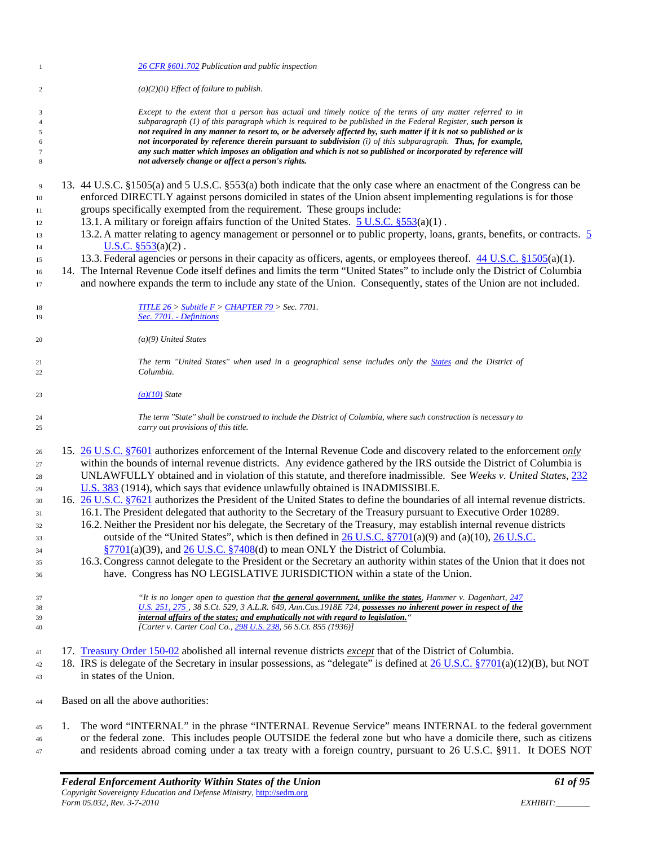| $\mathbf{1}$   |    | 26 CFR §601.702 Publication and public inspection                                                                                                       |
|----------------|----|---------------------------------------------------------------------------------------------------------------------------------------------------------|
| $\sqrt{2}$     |    | $(a)(2)(ii)$ Effect of failure to publish.                                                                                                              |
| 3              |    | Except to the extent that a person has actual and timely notice of the terms of any matter referred to in                                               |
| $\overline{4}$ |    | subparagraph $(1)$ of this paragraph which is required to be published in the Federal Register, such person is                                          |
| $\mathfrak{s}$ |    | not required in any manner to resort to, or be adversely affected by, such matter if it is not so published or is                                       |
| 6              |    | not incorporated by reference therein pursuant to subdivision (i) of this subparagraph. Thus, for example,                                              |
| $\tau$         |    | any such matter which imposes an obligation and which is not so published or incorporated by reference will                                             |
| $\,$ 8 $\,$    |    | not adversely change or affect a person's rights.                                                                                                       |
| $\overline{9}$ |    | 13. 44 U.S.C. §1505(a) and 5 U.S.C. §553(a) both indicate that the only case where an enactment of the Congress can be                                  |
| 10             |    | enforced DIRECTLY against persons domiciled in states of the Union absent implementing regulations is for those                                         |
| 11             |    | groups specifically exempted from the requirement. These groups include:                                                                                |
| 12             |    | 13.1. A military or foreign affairs function of the United States. 5 U.S.C. §553(a)(1).                                                                 |
| 13             |    | 13.2. A matter relating to agency management or personnel or to public property, loans, grants, benefits, or contracts. 5                               |
|                |    | <b>U.S.C.</b> $$553(a)(2)$ .                                                                                                                            |
| 14             |    |                                                                                                                                                         |
| 15             |    | 13.3. Federal agencies or persons in their capacity as officers, agents, or employees thereof. 44 U.S.C. §1505(a)(1).                                   |
| 16             |    | 14. The Internal Revenue Code itself defines and limits the term "United States" to include only the District of Columbia                               |
| 17             |    | and nowhere expands the term to include any state of the Union. Consequently, states of the Union are not included.                                     |
| 18             |    | TITLE $26 >$ Subtitle $F >$ CHAPTER 79 > Sec. 7701.                                                                                                     |
| 19             |    | Sec. 7701. - Definitions                                                                                                                                |
| 20             |    | $(a)(9)$ United States                                                                                                                                  |
|                |    | The term "United States" when used in a geographical sense includes only the States and the District of                                                 |
| 21<br>22       |    | Columbia.                                                                                                                                               |
| 23             |    | $(a)(10)$ State                                                                                                                                         |
|                |    |                                                                                                                                                         |
| 24<br>25       |    | The term "State" shall be construed to include the District of Columbia, where such construction is necessary to<br>carry out provisions of this title. |
|                |    | 15. 26 U.S.C. §7601 authorizes enforcement of the Internal Revenue Code and discovery related to the enforcement only                                   |
| 26             |    |                                                                                                                                                         |
| 27             |    | within the bounds of internal revenue districts. Any evidence gathered by the IRS outside the District of Columbia is                                   |
| 28             |    | UNLAWFULLY obtained and in violation of this statute, and therefore inadmissible. See Weeks v. United States, 232                                       |
| 29             |    | U.S. 383 (1914), which says that evidence unlawfully obtained is INADMISSIBLE.                                                                          |
| 30             |    | 16. 26 U.S.C. §7621 authorizes the President of the United States to define the boundaries of all internal revenue districts.                           |
| 31             |    | 16.1. The President delegated that authority to the Secretary of the Treasury pursuant to Executive Order 10289.                                        |
| 32             |    | 16.2. Neither the President nor his delegate, the Secretary of the Treasury, may establish internal revenue districts                                   |
| 33             |    | outside of the "United States", which is then defined in $26$ U.S.C. §7701(a)(9) and (a)(10), $26$ U.S.C.                                               |
| 34             |    | $\S7701(a)(39)$ , and 26 U.S.C. $\S7408(d)$ to mean ONLY the District of Columbia.                                                                      |
|                |    | 16.3. Congress cannot delegate to the President or the Secretary an authority within states of the Union that it does not                               |
| 35<br>36       |    | have. Congress has NO LEGISLATIVE JURISDICTION within a state of the Union.                                                                             |
|                |    |                                                                                                                                                         |
| 37             |    | "It is no longer open to question that the general government, unlike the states. Hammer v. Dagenhart, 247                                              |
| 38             |    | <u>U.S. 251, 275</u> , 38 S.Ct. 529, 3 A.L.R. 649, Ann.Cas.1918E 724, possesses no inherent power in respect of the                                     |
| 39             |    | internal affairs of the states; and emphatically not with regard to legislation."                                                                       |
| 40             |    | [Carter v. Carter Coal Co., 298 U.S. 238, 56 S.Ct. 855 (1936)]                                                                                          |
| 41             |    | 17. Treasury Order 150-02 abolished all internal revenue districts <i>except</i> that of the District of Columbia.                                      |
| 42             |    | 18. IRS is delegate of the Secretary in insular possessions, as "delegate" is defined at 26 U.S.C. §7701(a)(12)(B), but NOT                             |
|                |    | in states of the Union.                                                                                                                                 |
| 43             |    |                                                                                                                                                         |
| 44             |    | Based on all the above authorities:                                                                                                                     |
| 45             | 1. | The word "INTERNAL" in the phrase "INTERNAL Revenue Service" means INTERNAL to the federal government                                                   |
| 46             |    | or the federal zone. This includes people OUTSIDE the federal zone but who have a domicile there, such as citizens                                      |
| 47             |    | and residents abroad coming under a tax treaty with a foreign country, pursuant to 26 U.S.C. §911. It DOES NOT                                          |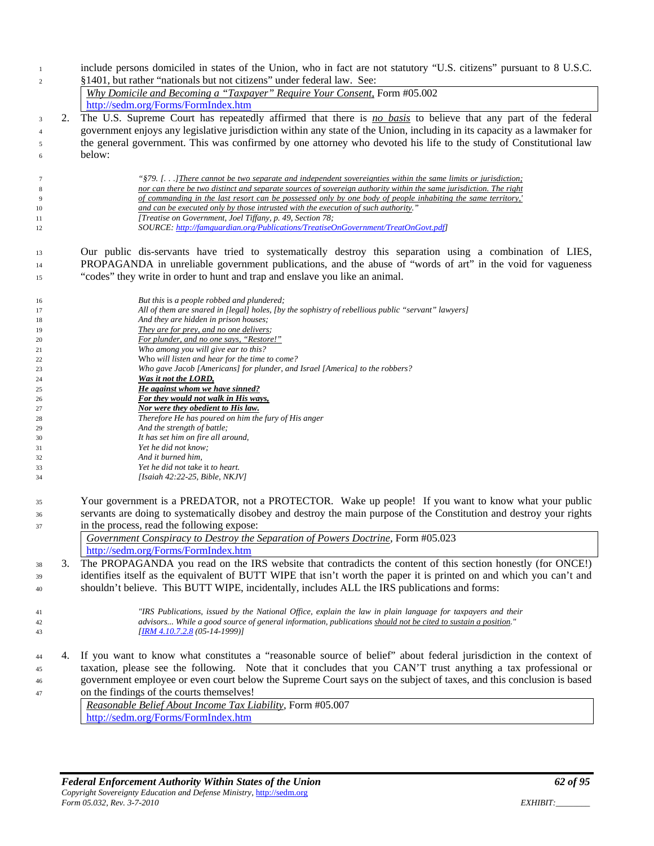include persons domiciled in states of the Union, who in fact are not statutory "U.S. citizens" pursuant to 8 U.S.C. §1401, but rather "nationals but not citizens" under federal law. See:

|   | <i>Why Domicile and Becoming a "Taxpayer" Require Your Consent, Form #05.002</i>                                          |
|---|---------------------------------------------------------------------------------------------------------------------------|
|   | http://sedm.org/Forms/FormIndex.htm                                                                                       |
|   | 2. The U.S. Supreme Court has repeatedly affirmed that there is no basis to believe that any part of the federal          |
|   | government enjoys any legislative jurisdiction within any state of the Union, including in its capacity as a lawmaker for |
| 5 | the general government. This was confirmed by one attorney who devoted his life to the study of Constitutional law        |
| 6 | below:                                                                                                                    |

 *"§79. [. . .]There cannot be two separate and independent sovereignties within the same limits or jurisdiction; nor can there be two distinct and separate sources of sovereign authority within the same jurisdiction. The right of commanding in the last resort can be possessed only by one body of people inhabiting the same territory,' and can be executed only by those intrusted with the execution of such authority." [Treatise on Government, Joel Tiffany, p. 49, Section 78; SOURCE: [http://famguardian.org/Publications/TreatiseOnGovernment/TreatOnGovt.pdf\]](http://famguardian.org/Publications/TreatiseOnGovernment/TreatOnGovt.pdf)*

 Our public dis-servants have tried to systematically destroy this separation using a combination of LIES, PROPAGANDA in unreliable government publications, and the abuse of "words of art" in the void for vagueness "codes" they write in order to hunt and trap and enslave you like an animal.

| 16 | But this is a people robbed and plundered;                                                         |
|----|----------------------------------------------------------------------------------------------------|
| 17 | All of them are snared in [legal] holes, [by the sophistry of rebellious public "servant" lawyers] |
| 18 | And they are hidden in prison houses;                                                              |
| 19 | They are for prey, and no one delivers;                                                            |
| 20 | For plunder, and no one says, "Restore!"                                                           |
| 21 | Who among you will give ear to this?                                                               |
| 22 | Who will listen and hear for the time to come?                                                     |
| 23 | Who gave Jacob [Americans] for plunder, and Israel [America] to the robbers?                       |
| 24 | Was it not the LORD,                                                                               |
| 25 | He against whom we have sinned?                                                                    |
| 26 | For they would not walk in His ways,                                                               |
| 27 | Nor were they obedient to His law.                                                                 |
| 28 | Therefore He has poured on him the fury of His anger                                               |
| 29 | And the strength of battle;                                                                        |
| 30 | It has set him on fire all around,                                                                 |
| 31 | Yet he did not know;                                                                               |
| 32 | And it burned him,                                                                                 |
| 33 | Yet he did not take it to heart.                                                                   |
| 34 | [Isaiah 42:22-25, Bible, NKJV]                                                                     |
|    |                                                                                                    |

 Your government is a PREDATOR, not a PROTECTOR. Wake up people! If you want to know what your public servants are doing to systematically disobey and destroy the main purpose of the Constitution and destroy your rights in the process, read the following expose:

| Government Conspiracy to Destroy the Separation of Powers Doctrine, Form $\#05.023$                         |
|-------------------------------------------------------------------------------------------------------------|
| http://sedm.org/Forms/FormIndex.htm                                                                         |
| The DDODACANDA you reed on the IDS website that controducts the content of this section beneatly (for ONCE) |

 3. The PROPAGANDA you read on the IRS website that contradicts the content of this section honestly (for ONCE!) identifies itself as the equivalent of BUTT WIPE that isn't worth the paper it is printed on and which you can't and shouldn't believe. This BUTT WIPE, incidentally, includes ALL the IRS publications and forms:

*[\[IRM 4.10.7.2.8](http://www.irs.gov/irm/part4/ch10s11.html#d0e149688) (05-14-1999)]*

 *"IRS Publications, issued by the National Office, explain the law in plain language for taxpayers and their advisors... While a good source of general information, publications should not be cited to sustain a position."* 

 4. If you want to know what constitutes a "reasonable source of belief" about federal jurisdiction in the context of taxation, please see the following. Note that it concludes that you CAN'T trust anything a tax professional or government employee or even court below the Supreme Court says on the subject of taxes, and this conclusion is based on the findings of the courts themselves!

*Reasonable Belief About Income Tax Liability*, Form #05.007 <http://sedm.org/Forms/FormIndex.htm>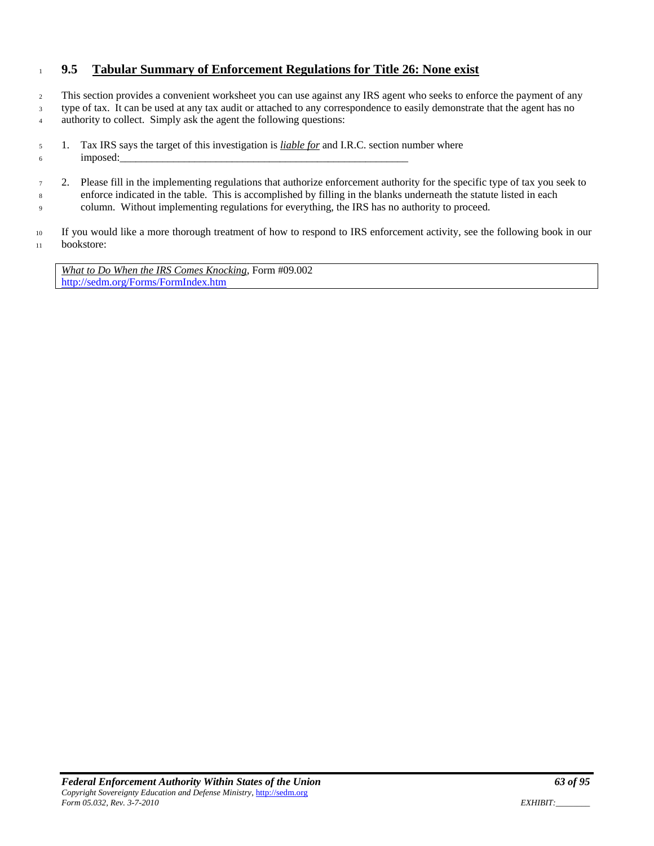# <sup>1</sup> **9.5 Tabular Summary of Enforcement Regulations for Title 26: None exist**

<sup>2</sup> This section provides a convenient worksheet you can use against any IRS agent who seeks to enforce the payment of any <sup>3</sup> type of tax. It can be used at any tax audit or attached to any correspondence to easily demonstrate that the agent has no 4 authority to collect. Simply ask the agent the following questions:

<sup>5</sup> 1. Tax IRS says the target of this investigation is *liable for* and I.R.C. section number where  $6 \qquad \qquad \text{imposed:}$ 

<sup>7</sup> 2. Please fill in the implementing regulations that authorize enforcement authority for the specific type of tax you seek to <sup>8</sup> enforce indicated in the table. This is accomplished by filling in the blanks underneath the statute listed in each <sup>9</sup> column. Without implementing regulations for everything, the IRS has no authority to proceed.

<sup>10</sup> If you would like a more thorough treatment of how to respond to IRS enforcement activity, see the following book in our <sup>11</sup> bookstore:

*What to Do When the IRS Comes Knocking*, Form #09.002 <http://sedm.org/Forms/FormIndex.htm>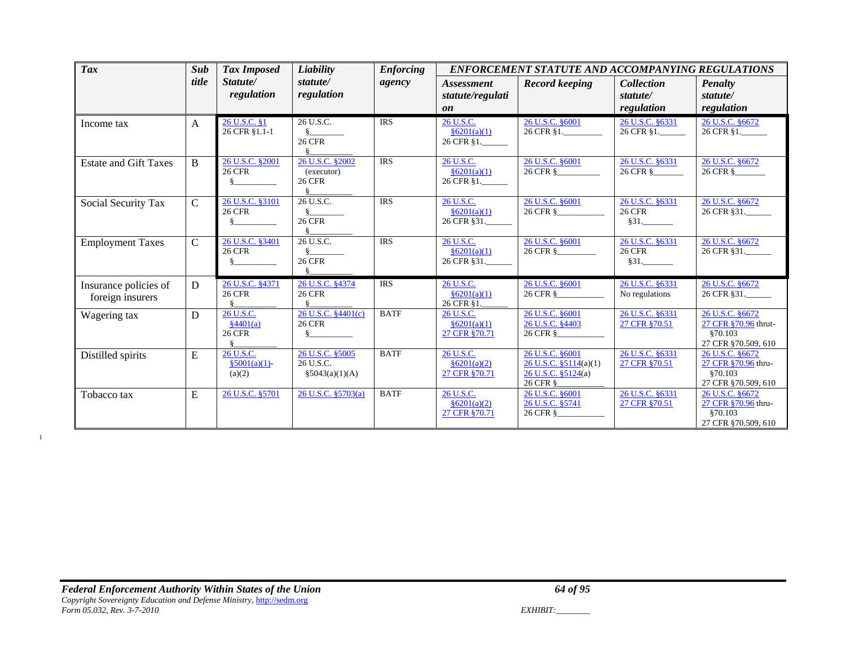| <b>Tax</b>                                | Sub           | <b>Tax Imposed</b>                                 | Liability                                           | <b>Enforcing</b> | <b>ENFORCEMENT STATUTE AND ACCOMPANYING REGULATIONS</b> |                                                                            |                                             |                                                                            |
|-------------------------------------------|---------------|----------------------------------------------------|-----------------------------------------------------|------------------|---------------------------------------------------------|----------------------------------------------------------------------------|---------------------------------------------|----------------------------------------------------------------------------|
|                                           | title         | Statute/<br>regulation                             | statute/<br>regulation                              | agency           | <i>Assessment</i><br>statute/regulati<br>on             | <b>Record keeping</b>                                                      | <b>Collection</b><br>statute/<br>regulation | <b>Penalty</b><br>statute/<br>regulation                                   |
| Income tax                                | $\mathsf{A}$  | 26 U.S.C. §1<br>26 CFR §1.1-1                      | 26 U.S.C.<br><b>26 CFR</b><br>§.                    | <b>IRS</b>       | 26 U.S.C.<br>§6201(a)(1)<br>26 CFR §1.                  | 26 U.S.C. §6001<br>26 CFR §1.                                              | 26 U.S.C. §6331<br>26 CFR §1.               | 26 U.S.C. §6672<br>26 CFR §1.                                              |
| <b>Estate and Gift Taxes</b>              | $\mathbf{B}$  | 26 U.S.C. §2001<br><b>26 CFR</b>                   | 26 U.S.C. §2002<br>(executor)<br><b>26 CFR</b><br>8 | <b>IRS</b>       | 26 U.S.C.<br>§6201(a)(1)<br>26 CFR §1.                  | 26 U.S.C. §6001<br>26 CFR §                                                | 26 U.S.C. §6331<br>26 CFR §                 | 26 U.S.C. §6672<br>26 CFR §                                                |
| Social Security Tax                       | $\mathbf C$   | 26 U.S.C. §3101<br><b>26 CFR</b>                   | 26 U.S.C.<br><b>26 CFR</b>                          | <b>IRS</b>       | 26 U.S.C.<br>§6201(a)(1)<br>26 CFR §31.                 | 26 U.S.C. §6001<br>26 CFR §                                                | 26 U.S.C. §6331<br><b>26 CFR</b><br>$§31$ . | 26 U.S.C. §6672<br>26 CFR §31.                                             |
| <b>Employment Taxes</b>                   | $\mathcal{C}$ | 26 U.S.C. §3401<br><b>26 CFR</b>                   | 26 U.S.C.<br><b>26 CFR</b>                          | <b>IRS</b>       | 26 U.S.C.<br>§6201(a)(1)<br>26 CFR §31.                 | 26 U.S.C. §6001<br>26 CFR §                                                | 26 U.S.C. §6331<br><b>26 CFR</b><br>$§31$ . | 26 U.S.C. §6672<br>26 CFR §31.                                             |
| Insurance policies of<br>foreign insurers | D             | 26 U.S.C. §4371<br><b>26 CFR</b>                   | 26 U.S.C. §4374<br><b>26 CFR</b>                    | <b>IRS</b>       | 26 U.S.C.<br>§6201(a)(1)<br>26 CFR §1.                  | 26 U.S.C. §6001<br>26 CFR §                                                | 26 U.S.C. §6331<br>No regulations           | 26 U.S.C. §6672<br>26 CFR §31.                                             |
| Wagering tax                              | D             | 26 U.S.C.<br>$\frac{84401(a)}{2}$<br><b>26 CFR</b> | 26 U.S.C. §4401(c)<br><b>26 CFR</b><br>§.           | <b>BATF</b>      | 26 U.S.C.<br>§6201(a)(1)<br>27 CFR §70.71               | 26 U.S.C. 86001<br>26 U.S.C. §4403<br>26 CFR §                             | 26 U.S.C. §6331<br>27 CFR §70.51            | 26 U.S.C. §6672<br>27 CFR §70.96 thrut-<br>\$70.103<br>27 CFR §70.509, 610 |
| Distilled spirits                         | E             | 26 U.S.C.<br>$$5001(a)(1)$ -<br>(a)(2)             | 26 U.S.C. §5005<br>26 U.S.C.<br>§5043(a)(1)(A)      | <b>BATF</b>      | 26 U.S.C.<br>§6201(a)(2)<br>27 CFR §70.71               | 26 U.S.C. §6001<br>26 U.S.C. §5114(a)(1)<br>26 U.S.C. §5124(a)<br>26 CFR § | 26 U.S.C. §6331<br>27 CFR §70.51            | 26 U.S.C. §6672<br>27 CFR §70.96 thru-<br>§70.103<br>27 CFR §70.509, 610   |
| Tobacco tax                               | E             | 26 U.S.C. §5701                                    | 26 U.S.C. §5703(a)                                  | <b>BATF</b>      | 26 U.S.C.<br>§6201(a)(2)<br>27 CFR §70.71               | 26 U.S.C. §6001<br>26 U.S.C. §5741<br>26 CFR §                             | 26 U.S.C. §6331<br>27 CFR §70.51            | 26 U.S.C. §6672<br>27 CFR §70.96 thru-<br>§70.103<br>27 CFR §70.509, 610   |

1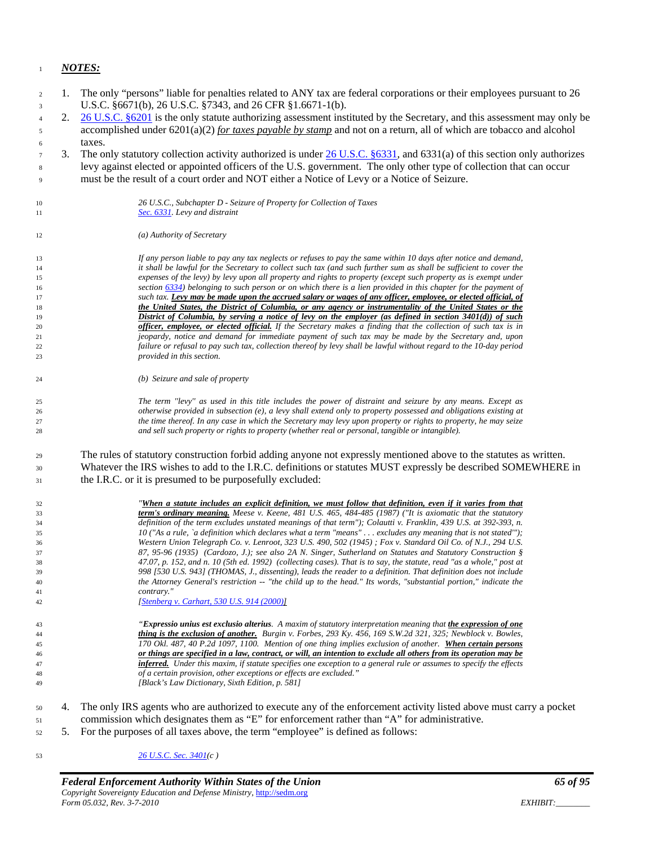#### *NOTES:*

 1. The only "persons" liable for penalties related to ANY tax are federal corporations or their employees pursuant to 26 U.S.C. §6671(b), 26 U.S.C. §7343, and 26 CFR §1.6671-1(b). 2. [26 U.S.C. §6201](http://www4.law.cornell.edu/uscode/html/uscode26/usc_sec_26_00006201----000-.html) is the only statute authorizing assessment instituted by the Secretary, and this assessment may only be accomplished under 6201(a)(2) *for taxes payable by stamp* and not on a return, all of which are tobacco and alcohol taxes. 3. The only statutory collection activity authorized is under [26 U.S.C. §6331,](http://www4.law.cornell.edu/uscode/html/uscode26/usc_sec_26_00006331----000-.html) and 6331(a) of this section only authorizes levy against elected or appointed officers of the U.S. government. The only other type of collection that can occur must be the result of a court order and NOT either a Notice of Levy or a Notice of Seizure. *26 U.S.C., Subchapter D - Seizure of Property for Collection of Taxes [Sec. 6331.](http://www4.law.cornell.edu/uscode/26/6331.html) Levy and distraint (a) Authority of Secretary If any person liable to pay any tax neglects or refuses to pay the same within 10 days after notice and demand, it shall be lawful for the Secretary to collect such tax (and such further sum as shall be sufficient to cover the expenses of the levy) by levy upon all property and rights to property (except such property as is exempt under sectio[n 6334\)](http://www4.law.cornell.edu/uscode/26/6334.html) belonging to such person or on which there is a lien provided in this chapter for the payment of such tax. Levy may be made upon the accrued salary or wages of any officer, employee, or elected official, of the United States, the District of Columbia, or any agency or instrumentality of the United States or the District of Columbia, by serving a notice of levy on the employer (as defined in section 3401(d)) of such officer, employee, or elected official. If the Secretary makes a finding that the collection of such tax is in jeopardy, notice and demand for immediate payment of such tax may be made by the Secretary and, upon failure or refusal to pay such tax, collection thereof by levy shall be lawful without regard to the 10-day period provided in this section. (b) Seizure and sale of property The term ''levy'' as used in this title includes the power of distraint and seizure by any means. Except as otherwise provided in subsection (e), a levy shall extend only to property possessed and obligations existing at the time thereof. In any case in which the Secretary may levy upon property or rights to property, he may seize and sell such property or rights to property (whether real or personal, tangible or intangible).* The rules of statutory construction forbid adding anyone not expressly mentioned above to the statutes as written. Whatever the IRS wishes to add to the I.R.C. definitions or statutes MUST expressly be described SOMEWHERE in the I.R.C. or it is presumed to be purposefully excluded: *"When a statute includes an explicit definition, we must follow that definition, even if it varies from that term's ordinary meaning. Meese v. Keene, 481 U.S. 465, 484-485 (1987) ("It is axiomatic that the statutory definition of the term excludes unstated meanings of that term"); Colautti v. Franklin, 439 U.S. at 392-393, n. 10 ("As a rule, `a definition which declares what a term "means" . . . excludes any meaning that is not stated'"); Western Union Telegraph Co. v. Lenroot, 323 U.S. 490, 502 (1945) ; Fox v. Standard Oil Co. of N.J., 294 U.S. 87, 95-96 (1935) (Cardozo, J.); see also 2A N. Singer, Sutherland on Statutes and Statutory Construction § 47.07, p. 152, and n. 10 (5th ed. 1992) (collecting cases). That is to say, the statute, read "as a whole," post at 998 [530 U.S. 943] (THOMAS, J., dissenting), leads the reader to a definition. That definition does not include the Attorney General's restriction -- "the child up to the head." Its words, "substantial portion," indicate the contrary." [\[Stenberg v. Carhart, 530 U.S. 914 \(2000\)\]](http://caselaw.lp.findlaw.com/scripts/getcase.pl?navby=case&court=us&vol=530&page=914) "Expressio unius est exclusio alterius. A maxim of statutory interpretation meaning that the expression of one thing is the exclusion of another. Burgin v. Forbes, 293 Ky. 456, 169 S.W.2d 321, 325; Newblock v. Bowles, 170 Okl. 487, 40 P.2d 1097, 1100. Mention of one thing implies exclusion of another. When certain persons or things are specified in a law, contract, or will, an intention to exclude all others from its operation may be inferred. Under this maxim, if statute specifies one exception to a general rule or assumes to specify the effects of a certain provision, other exceptions or effects are excluded." [Black's Law Dictionary, Sixth Edition, p. 581]* 4. The only IRS agents who are authorized to execute any of the enforcement activity listed above must carry a pocket commission which designates them as "E" for enforcement rather than "A" for administrative. 5. For the purposes of all taxes above, the term "employee" is defined as follows: *[26 U.S.C. Sec. 3401\(](http://www4.law.cornell.edu/uscode/html/uscode26/usc_sec_26_00003401----000-.html)c )*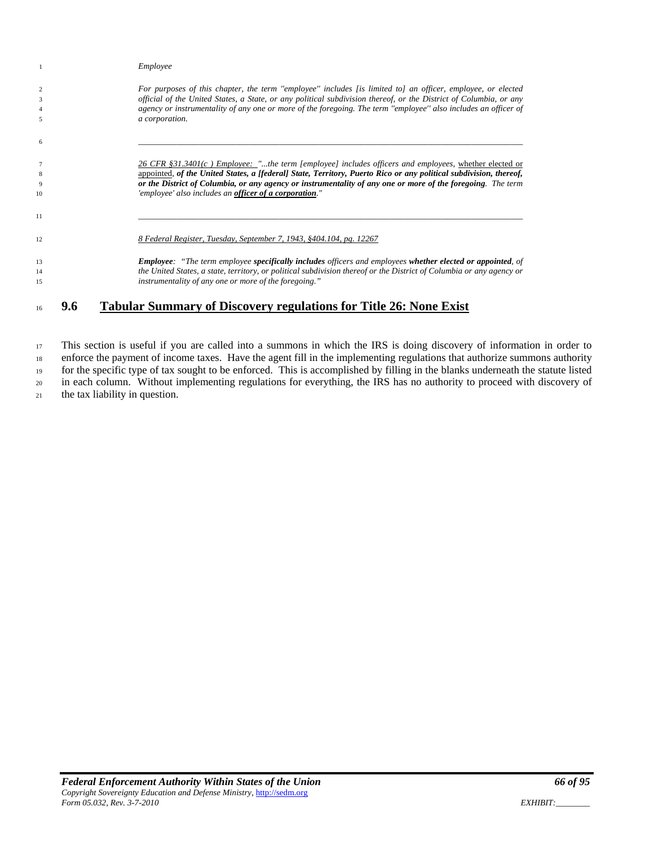|                 | Employee                                                                                                             |
|-----------------|----------------------------------------------------------------------------------------------------------------------|
| $\overline{c}$  | For purposes of this chapter, the term "employee" includes [is limited to] an officer, employee, or elected          |
| 3               | official of the United States, a State, or any political subdivision thereof, or the District of Columbia, or any    |
| $\overline{4}$  | agency or instrumentality of any one or more of the foregoing. The term "employee" also includes an officer of       |
| 5               | a corporation.                                                                                                       |
| 6               |                                                                                                                      |
| $7\phantom{.0}$ | $26$ CFR §31.3401(c) Employee: "the term [employee] includes officers and employees, whether elected or              |
| 8               | appointed, of the United States, a [federal] State, Territory, Puerto Rico or any political subdivision, thereof,    |
| 9               | or the District of Columbia, or any agency or instrumentality of any one or more of the foregoing. The term          |
| 10              | 'employee' also includes an officer of a corporation."                                                               |
| 11              |                                                                                                                      |
| 12              | 8 Federal Register, Tuesday, September 7, 1943, §404.104, pg. 12267                                                  |
| 13              | <b>Employee:</b> "The term employee specifically includes officers and employees whether elected or appointed, of    |
| 14              | the United States, a state, territory, or political subdivision thereof or the District of Columbia or any agency or |
| 15              | instrumentality of any one or more of the foregoing."                                                                |
|                 |                                                                                                                      |

# **9.6 Tabular Summary of Discovery regulations for Title 26: None Exist**

 This section is useful if you are called into a summons in which the IRS is doing discovery of information in order to enforce the payment of income taxes. Have the agent fill in the implementing regulations that authorize summons authority for the specific type of tax sought to be enforced. This is accomplished by filling in the blanks underneath the statute listed in each column. Without implementing regulations for everything, the IRS has no authority to proceed with discovery of

the tax liability in question.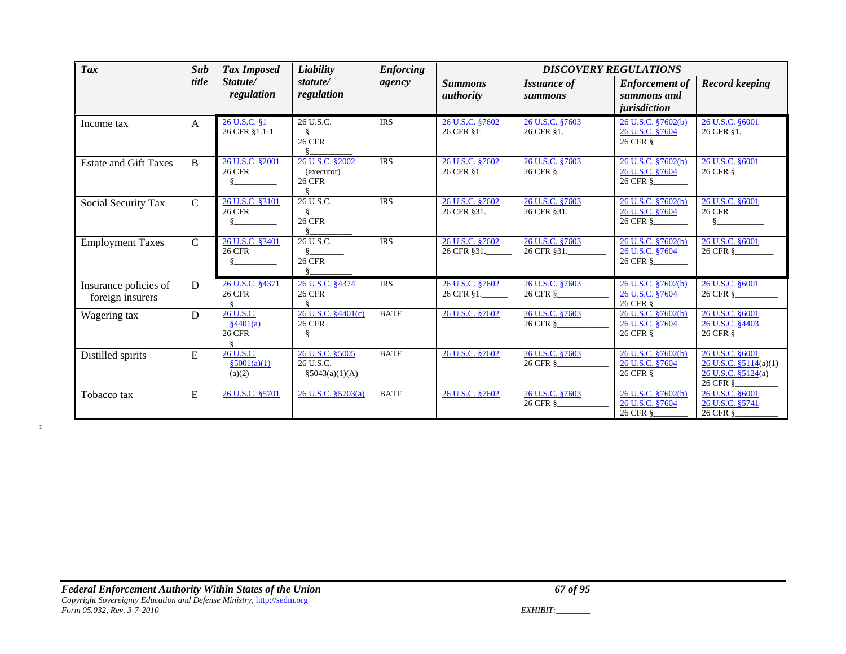| <b>Tax</b>                                | Sub           | <b>Tax Imposed</b>                                 | Liability                                            | <b>Enforcing</b> | <b>DISCOVERY REGULATIONS</b>       |                                 |                                                      |                                                                               |
|-------------------------------------------|---------------|----------------------------------------------------|------------------------------------------------------|------------------|------------------------------------|---------------------------------|------------------------------------------------------|-------------------------------------------------------------------------------|
|                                           | title         | Statute/<br>regulation                             | statute/<br>regulation                               | agency           | <b>Summons</b><br><i>authority</i> | <i>Issuance of</i><br>summons   | <b>Enforcement of</b><br>summons and<br>jurisdiction | <b>Record keeping</b>                                                         |
| Income tax                                | $\mathbf{A}$  | 26 U.S.C. §1<br>26 CFR §1.1-1                      | 26 U.S.C.<br><b>26 CFR</b>                           | <b>IRS</b>       | 26 U.S.C. §7602<br>26 CFR §1.      | 26 U.S.C. §7603<br>26 CFR §1.   | 26 U.S.C. §7602(b)<br>26 U.S.C. §7604<br>26 CFR §    | 26 U.S.C. §6001<br>26 CFR §1.                                                 |
| <b>Estate and Gift Taxes</b>              | B             | 26 U.S.C. §2001<br><b>26 CFR</b><br>§.             | 26 U.S.C. §2002<br>(executor)<br><b>26 CFR</b>       | <b>IRS</b>       | 26 U.S.C. §7602<br>26 CFR §1.      | 26 U.S.C. §7603<br>26 CFR §     | 26 U.S.C. §7602(b)<br>26 U.S.C. §7604<br>26 CFR §    | 26 U.S.C. §6001<br>26 CFR §                                                   |
| Social Security Tax                       | $\mathcal{C}$ | 26 U.S.C. §3101<br><b>26 CFR</b>                   | 26 U.S.C.<br><b>26 CFR</b>                           | <b>IRS</b>       | 26 U.S.C. §7602<br>26 CFR §31.     | 26 U.S.C. §7603<br>26 CFR § 31. | 26 U.S.C. §7602(b)<br>26 U.S.C. §7604<br>26 CFR §    | 26 U.S.C. §6001<br><b>26 CFR</b><br>$\delta$                                  |
| <b>Employment Taxes</b>                   | $\mathbf C$   | 26 U.S.C. §3401<br><b>26 CFR</b>                   | 26 U.S.C.<br><b>26 CFR</b>                           | <b>IRS</b>       | 26 U.S.C. 87602<br>26 CFR §31.     | 26 U.S.C. §7603<br>26 CFR §31.  | 26 U.S.C. §7602(b)<br>26 U.S.C. §7604<br>26 CFR §    | 26 U.S.C. §6001<br>26 CFR §                                                   |
| Insurance policies of<br>foreign insurers | D             | 26 U.S.C. §4371<br><b>26 CFR</b>                   | 26 U.S.C. §4374<br><b>26 CFR</b>                     | <b>IRS</b>       | 26 U.S.C. §7602<br>26 CFR §1.      | 26 U.S.C. §7603<br>26 CFR §     | 26 U.S.C. §7602(b)<br>26 U.S.C. §7604<br>26 CFR §    | 26 U.S.C. §6001<br>26 CFR §                                                   |
| Wagering tax                              | D             | 26 U.S.C.<br>$\frac{84401(a)}{2}$<br><b>26 CFR</b> | 26 U.S.C. §4401(c)<br><b>26 CFR</b><br>$\S$ and $\S$ | <b>BATF</b>      | 26 U.S.C. §7602                    | 26 U.S.C. §7603<br>26 CFR §     | 26 U.S.C. §7602(b)<br>26 U.S.C. §7604<br>26 CFR §    | 26 U.S.C. §6001<br>26 U.S.C. §4403<br>26 CFR §                                |
| Distilled spirits                         | E             | 26 U.S.C.<br>$$5001(a)(1)$ -<br>(a)(2)             | 26 U.S.C. §5005<br>26 U.S.C.<br>\$5043(a)(1)(A)      | <b>BATF</b>      | 26 U.S.C. §7602                    | 26 U.S.C. §7603<br>26 CFR §     | 26 U.S.C. §7602(b)<br>26 U.S.C. §7604<br>26 CFR §    | 26 U.S.C. §6001<br>26 U.S.C. $\S5114(a)(1)$<br>26 U.S.C. §5124(a)<br>26 CFR § |
| Tobacco tax                               | E             | 26 U.S.C. §5701                                    | 26 U.S.C. §5703(a)                                   | <b>BATF</b>      | 26 U.S.C. §7602                    | 26 U.S.C. §7603<br>26 CFR §     | 26 U.S.C. §7602(b)<br>26 U.S.C. §7604<br>26 CFR §    | 26 U.S.C. §6001<br>26 U.S.C. §5741<br>26 CFR §                                |

1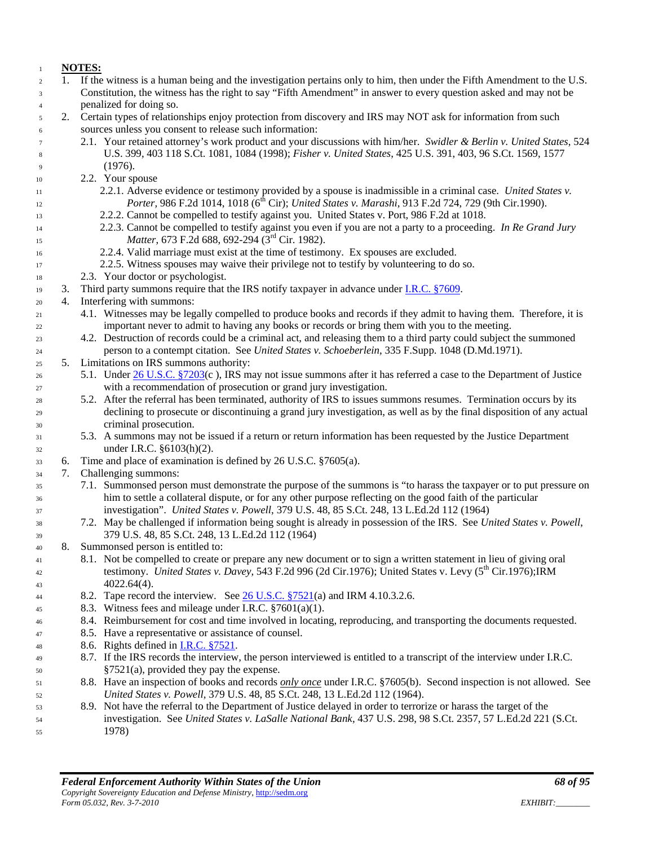#### **NOTES:**

- 1. If the witness is a human being and the investigation pertains only to him, then under the Fifth Amendment to the U.S. Constitution, the witness has the right to say "Fifth Amendment" in answer to every question asked and may not be penalized for doing so.
- 2. Certain types of relationships enjoy protection from discovery and IRS may NOT ask for information from such sources unless you consent to release such information:
- 2.1. Your retained attorney's work product and your discussions with him/her. *Swidler & Berlin v. United States*, 524 U.S. 399, 403 118 S.Ct. 1081, 1084 (1998); *Fisher v. United States*, 425 U.S. 391, 403, 96 S.Ct. 1569, 1577 (1976).
- 2.2. Your spouse
- 2.2.1. Adverse evidence or testimony provided by a spouse is inadmissible in a criminal case. *United States v. Porter,* 986 F.2d 1014, 1018 (6<sup>th</sup> Cir); *United States v. Marashi*, 913 F.2d 724, 729 (9th Cir.1990).
- 2.2.2. Cannot be compelled to testify against you. United States v. Port, 986 F.2d at 1018.
- 2.2.3. Cannot be compelled to testify against you even if you are not a party to a proceeding. *In Re Grand Jury Matter*, 673 F.2d 688, 692-294 (3<sup>rd</sup> Cir. 1982).
- 2.2.4. Valid marriage must exist at the time of testimony. Ex spouses are excluded.
- 2.2.5. Witness spouses may waive their privilege not to testify by volunteering to do so.
- 2.3. Your doctor or psychologist.
- 3. Third party summons require that the IRS notify taxpayer in advance under [I.R.C. §7609.](http://www4.law.cornell.edu/uscode/html/uscode26/usc_sec_26_00007609----000-.html)
- 4. Interfering with summons:
- 4.1. Witnesses may be legally compelled to produce books and records if they admit to having them. Therefore, it is important never to admit to having any books or records or bring them with you to the meeting.
- 4.2. Destruction of records could be a criminal act, and releasing them to a third party could subject the summoned person to a contempt citation. See *United States v. Schoeberlein*, 335 F.Supp. 1048 (D.Md.1971).
- 5. Limitations on IRS summons authority:
- 5.1. Unde[r 26 U.S.C. §7203\(](http://www4.law.cornell.edu/uscode/html/uscode26/usc_sec_26_00007203----000-.html)c ), IRS may not issue summons after it has referred a case to the Department of Justice with a recommendation of prosecution or grand jury investigation.
- 5.2. After the referral has been terminated, authority of IRS to issues summons resumes. Termination occurs by its declining to prosecute or discontinuing a grand jury investigation, as well as by the final disposition of any actual criminal prosecution.
- 5.3. A summons may not be issued if a return or return information has been requested by the Justice Department under I.R.C. §6103(h)(2).
- 6. Time and place of examination is defined by 26 U.S.C. §7605(a).
- 7. Challenging summons:
- 7.1. Summonsed person must demonstrate the purpose of the summons is "to harass the taxpayer or to put pressure on him to settle a collateral dispute, or for any other purpose reflecting on the good faith of the particular investigation". *United States v. Powell*, 379 U.S. 48, 85 S.Ct. 248, 13 L.Ed.2d 112 (1964)
- 7.2. May be challenged if information being sought is already in possession of the IRS. See *United States v. Powell*, 379 U.S. 48, 85 S.Ct. 248, 13 L.Ed.2d 112 (1964)
- 8. Summonsed person is entitled to:
- 8.1. Not be compelled to create or prepare any new document or to sign a written statement in lieu of giving oral testimony. *United States v. Davey*, 543 F.2d 996 (2d Cir.1976); United States v. Levy (5<sup>th</sup> Cir.1976);IRM  $4022.64(4)$ .
- 8.2. Tape record the interview. See [26 U.S.C. §7521\(](http://www4.law.cornell.edu/uscode/html/uscode26/usc_sec_26_00007521----000-.html)a) and IRM 4.10.3.2.6.
- 8.3. Witness fees and mileage under I.R.C. §7601(a)(1).
- 8.4. Reimbursement for cost and time involved in locating, reproducing, and transporting the documents requested.
- 8.5. Have a representative or assistance of counsel.
- 48 8.6. Rights defined in I.R.C.  $§7521$ .
- 8.7. If the IRS records the interview, the person interviewed is entitled to a transcript of the interview under I.R.C. §7521(a), provided they pay the expense.
- 8.8. Have an inspection of books and records *only once* under I.R.C. §7605(b). Second inspection is not allowed. See *United States v. Powell*, 379 U.S. 48, 85 S.Ct. 248, 13 L.Ed.2d 112 (1964).
- 8.9. Not have the referral to the Department of Justice delayed in order to terrorize or harass the target of the investigation. See *United States v. LaSalle National Bank*, 437 U.S. 298, 98 S.Ct. 2357, 57 L.Ed.2d 221 (S.Ct. 1978)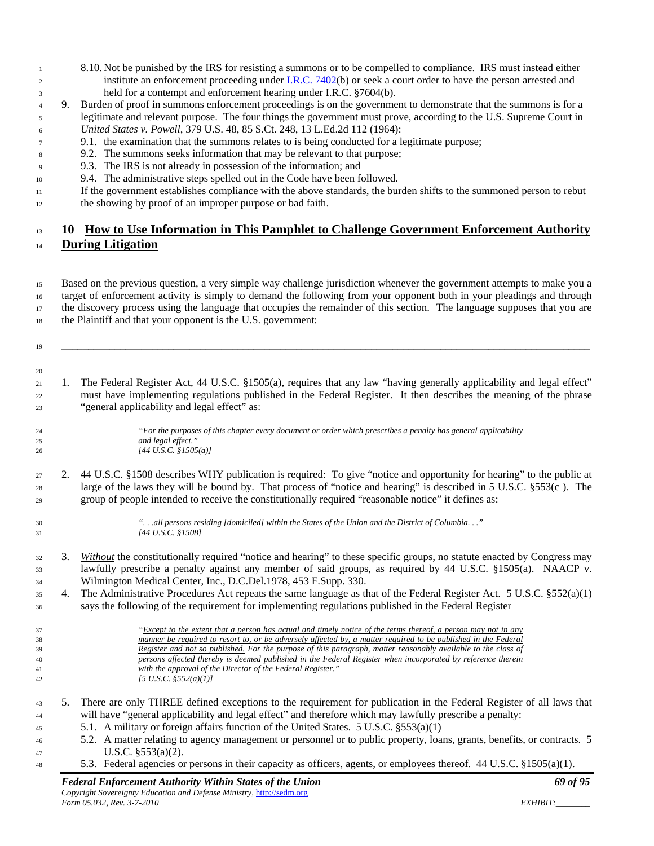- 8.10. Not be punished by the IRS for resisting a summons or to be compelled to compliance. IRS must instead either 2 institute an enforcement proceeding under [I.R.C. 7402\(](http://www4.law.cornell.edu/uscode/html/uscode26/usc_sec_26_00007402----000-.html)b) or seek a court order to have the person arrested and held for a contempt and enforcement hearing under I.R.C. §7604(b).
- 9. Burden of proof in summons enforcement proceedings is on the government to demonstrate that the summons is for a legitimate and relevant purpose. The four things the government must prove, according to the U.S. Supreme Court in *United States v. Powell*, 379 U.S. 48, 85 S.Ct. 248, 13 L.Ed.2d 112 (1964):
- 9.1. the examination that the summons relates to is being conducted for a legitimate purpose;
- 9.2. The summons seeks information that may be relevant to that purpose;
- 9.3. The IRS is not already in possession of the information; and
- 9.4. The administrative steps spelled out in the Code have been followed.
- If the government establishes compliance with the above standards, the burden shifts to the summoned person to rebut the showing by proof of an improper purpose or bad faith.
- 

## **10 How to Use Information in This Pamphlet to Challenge Government Enforcement Authority During Litigation**

 Based on the previous question, a very simple way challenge jurisdiction whenever the government attempts to make you a target of enforcement activity is simply to demand the following from your opponent both in your pleadings and through the discovery process using the language that occupies the remainder of this section. The language supposes that you are the Plaintiff and that your opponent is the U.S. government:

\_\_\_\_\_\_\_\_\_\_\_\_\_\_\_\_\_\_\_\_\_\_\_\_\_\_\_\_\_\_\_\_\_\_\_\_\_\_\_\_\_\_\_\_\_\_\_\_\_\_\_\_\_\_\_\_\_\_\_\_\_\_\_\_\_\_\_\_\_\_\_\_\_\_\_\_\_\_\_\_\_\_\_\_\_\_\_\_\_\_\_\_\_\_\_\_\_\_\_

 1. The Federal Register Act, 44 U.S.C. §1505(a), requires that any law "having generally applicability and legal effect" must have implementing regulations published in the Federal Register. It then describes the meaning of the phrase "general applicability and legal effect" as:

 *"For the purposes of this chapter every document or order which prescribes a penalty has general applicability and legal effect." [44 U.S.C. §1505(a)]*

- 2. 44 U.S.C. §1508 describes WHY publication is required: To give "notice and opportunity for hearing" to the public at large of the laws they will be bound by. That process of "notice and hearing" is described in 5 U.S.C. §553(c ). The group of people intended to receive the constitutionally required "reasonable notice" it defines as:
- 

 *". . .all persons residing [domiciled] within the States of the Union and the District of Columbia. . ." [44 U.S.C. §1508]*

- 3. *Without* the constitutionally required "notice and hearing" to these specific groups, no statute enacted by Congress may lawfully prescribe a penalty against any member of said groups, as required by 44 U.S.C. §1505(a). NAACP v. Wilmington Medical Center, Inc., D.C.Del.1978, 453 F.Supp. 330.
- 4. The Administrative Procedures Act repeats the same language as that of the Federal Register Act. 5 U.S.C. §552(a)(1) says the following of the requirement for implementing regulations published in the Federal Register
- *"Except to the extent that a person has actual and timely notice of the terms thereof, a person may not in any manner be required to resort to, or be adversely affected by, a matter required to be published in the Federal Register and not so published. For the purpose of this paragraph, matter reasonably available to the class of persons affected thereby is deemed published in the Federal Register when incorporated by reference therein with the approval of the Director of the Federal Register." [5 U.S.C. §552(a)(1)]*
- 5. There are only THREE defined exceptions to the requirement for publication in the Federal Register of all laws that will have "general applicability and legal effect" and therefore which may lawfully prescribe a penalty:
- 5.1. A military or foreign affairs function of the United States. 5 U.S.C. §553(a)(1)
- 5.2. A matter relating to agency management or personnel or to public property, loans, grants, benefits, or contracts. 5 47 U.S.C.  $\S 553(a)(2)$ .
- 5.3. Federal agencies or persons in their capacity as officers, agents, or employees thereof. 44 U.S.C. §1505(a)(1).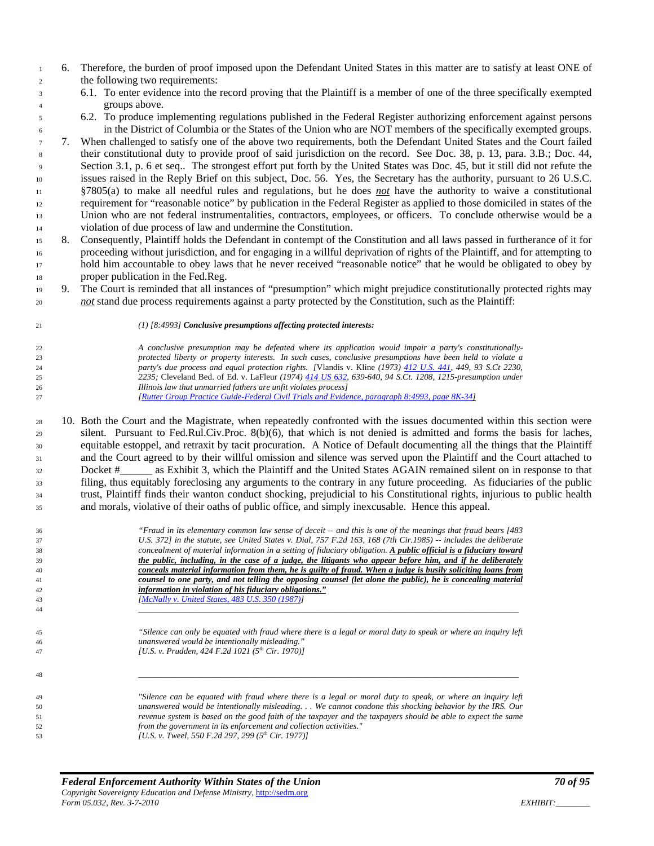- 6. Therefore, the burden of proof imposed upon the Defendant United States in this matter are to satisfy at least ONE of the following two requirements:
- 6.1. To enter evidence into the record proving that the Plaintiff is a member of one of the three specifically exempted groups above.
- 6.2. To produce implementing regulations published in the Federal Register authorizing enforcement against persons in the District of Columbia or the States of the Union who are NOT members of the specifically exempted groups.

 7. When challenged to satisfy one of the above two requirements, both the Defendant United States and the Court failed their constitutional duty to provide proof of said jurisdiction on the record. See Doc. 38, p. 13, para. 3.B.; Doc. 44, Section 3.1, p. 6 et seq.. The strongest effort put forth by the United States was Doc. 45, but it still did not refute the issues raised in the Reply Brief on this subject, Doc. 56. Yes, the Secretary has the authority, pursuant to 26 U.S.C. §7805(a) to make all needful rules and regulations, but he does *not* have the authority to waive a constitutional requirement for "reasonable notice" by publication in the Federal Register as applied to those domiciled in states of the Union who are not federal instrumentalities, contractors, employees, or officers. To conclude otherwise would be a violation of due process of law and undermine the Constitution.

- 8. Consequently, Plaintiff holds the Defendant in contempt of the Constitution and all laws passed in furtherance of it for proceeding without jurisdiction, and for engaging in a willful deprivation of rights of the Plaintiff, and for attempting to hold him accountable to obey laws that he never received "reasonable notice" that he would be obligated to obey by proper publication in the Fed.Reg.
- 9. The Court is reminded that all instances of "presumption" which might prejudice constitutionally protected rights may *not* stand due process requirements against a party protected by the Constitution, such as the Plaintiff:
	-

#### *(1) [8:4993] Conclusive presumptions affecting protected interests:*

 *A conclusive presumption may be defeated where its application would impair a party's constitutionally- protected liberty or property interests. In such cases, conclusive presumptions have been held to violate a party's due process and equal protection rights. [*Vlandis v. Kline *(1973) [412 U.S. 441,](http://caselaw.lp.findlaw.com/scripts/getcase.pl?navby=case&court=us&vol=412&page=441) 449, 93 S.Ct 2230, 2235;* Cleveland Bed. of Ed. v. LaFleur *(1974) [414 US 632,](http://caselaw.lp.findlaw.com/scripts/getcase.pl?navby=case&court=us&vol=414&page=632) 639-640, 94 S.Ct. 1208, 1215-presumption under Illinois law that unmarried fathers are unfit violates process] [\[Rutter Group Practice Guide-Federal Civil Trials and Evidence, paragraph 8:4993, page 8K-34\]](http://famguardian.org/TaxFreedom/CitesByTopic/Presumption-RPG-Federal.pdf)*

 10. Both the Court and the Magistrate, when repeatedly confronted with the issues documented within this section were silent. Pursuant to Fed.Rul.Civ.Proc. 8(b)(6), that which is not denied is admitted and forms the basis for laches, equitable estoppel, and retraxit by tacit procuration. A Notice of Default documenting all the things that the Plaintiff and the Court agreed to by their willful omission and silence was served upon the Plaintiff and the Court attached to Docket #\_\_\_\_\_\_ as Exhibit 3, which the Plaintiff and the United States AGAIN remained silent on in response to that filing, thus equitably foreclosing any arguments to the contrary in any future proceeding. As fiduciaries of the public trust, Plaintiff finds their wanton conduct shocking, prejudicial to his Constitutional rights, injurious to public health and morals, violative of their oaths of public office, and simply inexcusable. Hence this appeal.

| 36 | "Fraud in its elementary common law sense of deceit -- and this is one of the meanings that fraud bears [483]     |
|----|-------------------------------------------------------------------------------------------------------------------|
| 37 | U.S. 3721 in the statute, see United States v. Dial, 757 F.2d 163, 168 (7th Cir.1985) -- includes the deliberate  |
| 38 | concealment of material information in a setting of fiduciary obligation. A public official is a fiduciary toward |
| 39 | the public, including, in the case of a judge, the litigants who appear before him, and if he deliberately        |
| 40 | conceals material information from them, he is guilty of fraud. When a judge is busily soliciting loans from      |
| 41 | counsel to one party, and not telling the opposing counsel (let alone the public), he is concealing material      |
| 42 | information in violation of his fiduciary obligations."                                                           |
| 43 | [McNally v. United States, 483 U.S. 350 (1987)]                                                                   |
| 44 |                                                                                                                   |
|    |                                                                                                                   |
| 45 | "Silence can only be equated with fraud where there is a legal or moral duty to speak or where an inquiry left    |
| 46 | unanswered would be intentionally misleading."                                                                    |
| 47 | [U.S. v. Prudden, 424 F.2d 1021 (5 <sup>th</sup> Cir. 1970)]                                                      |
|    |                                                                                                                   |
| 48 |                                                                                                                   |
|    |                                                                                                                   |
| 49 | "Silence can be equated with fraud where there is a legal or moral duty to speak, or where an inquiry left        |
| 50 | unanswered would be intentionally misleading We cannot condone this shocking behavior by the IRS. Our             |
| 51 | revenue system is based on the good faith of the taxpayer and the taxpayers should be able to expect the same     |
|    |                                                                                                                   |
| 52 | from the government in its enforcement and collection activities."                                                |

*formather in the L.S. v. Tweel, 550 F.2d 297, 299 (5<sup>th</sup> Cir. 1977)*]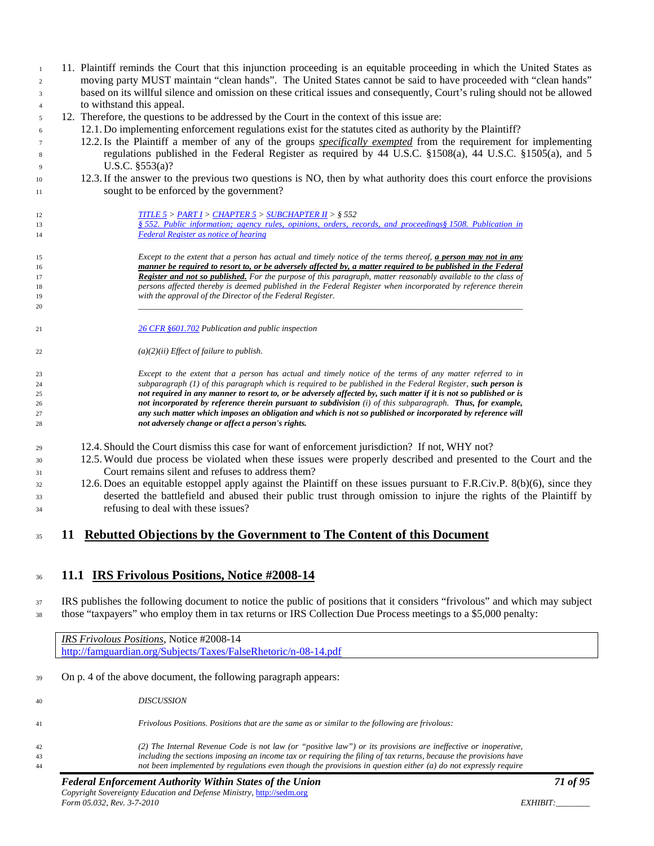- 11. Plaintiff reminds the Court that this injunction proceeding is an equitable proceeding in which the United States as moving party MUST maintain "clean hands". The United States cannot be said to have proceeded with "clean hands" based on its willful silence and omission on these critical issues and consequently, Court's ruling should not be allowed to withstand this appeal. 12. Therefore, the questions to be addressed by the Court in the context of this issue are: 12.1. Do implementing enforcement regulations exist for the statutes cited as authority by the Plaintiff? 12.2.Is the Plaintiff a member of any of the groups *specifically exempted* from the requirement for implementing regulations published in the Federal Register as required by 44 U.S.C. §1508(a), 44 U.S.C. §1505(a), and 5 U.S.C. §553(a)? 12.3.If the answer to the previous two questions is NO, then by what authority does this court enforce the provisions sought to be enforced by the government? *[TITLE 5](http://www4.law.cornell.edu/uscode/html/uscode05/usc_sup_01_5.html) > [PART I](http://www4.law.cornell.edu/uscode/html/uscode05/usc_sup_01_5_10_I.html) [> CHAPTER 5](http://www4.law.cornell.edu/uscode/html/uscode05/usc_sup_01_5_10_I_30_5.html) [> SUBCHAPTER II](http://www4.law.cornell.edu/uscode/html/uscode05/usc_sup_01_5_10_I_30_5_40_II.html) > § 552 § [552. Public information; agency rules, opinions, orders, records, and proceedings§](http://www4.law.cornell.edu/uscode/html/uscode05/usc_sec_05_00000552----000-.html) [1508. Publication in](http://www4.law.cornell.edu/uscode/html/uscode05/usc_sec_05_00000552----000-.html)  Federal Register as notice of hearing Except to the extent that a person has actual and timely notice of the terms thereof, a person may not in any manner be required to resort to, or be adversely affected by, a matter required to be published in the Federal Register and not so published. For the purpose of this paragraph, matter reasonably available to the class of persons affected thereby is deemed published in the Federal Register when incorporated by reference therein with the approval of the Director of the Federal Register. \_\_\_\_\_\_\_\_\_\_\_\_\_\_\_\_\_\_\_\_\_\_\_\_\_\_\_\_\_\_\_\_\_\_\_\_\_\_\_\_\_\_\_\_\_\_\_\_\_\_\_\_\_\_\_\_\_\_\_\_\_\_\_\_\_\_\_\_\_\_\_\_\_\_\_\_\_\_\_\_\_\_\_\_\_\_\_\_\_\_ 26 CFR [§601.702](http://ecfr.gpoaccess.gov/cgi/t/text/text-idx?c=ecfr&sid=fa8764ba639140eb9cd04afa1cedad2d&rgn=div8&view=text&node=26:20.0.1.1.2.7.3.1&idno=26) Publication and public inspection (a)(2)(ii) Effect of failure to publish. Except to the extent that a person has actual and timely notice of the terms of any matter referred to in subparagraph (1) of this paragraph which is required to be published in the Federal Register, such person is not required in any manner to resort to, or be adversely affected by, such matter if it is not so published or is not incorporated by reference therein pursuant to subdivision (i) of this subparagraph. Thus, for example, any such matter which imposes an obligation and which is not so published or incorporated by reference will not adversely change or affect a person's rights.* 12.4. Should the Court dismiss this case for want of enforcement jurisdiction? If not, WHY not? 12.5. Would due process be violated when these issues were properly described and presented to the Court and the Court remains silent and refuses to address them? 12.6. Does an equitable estoppel apply against the Plaintiff on these issues pursuant to F.R.Civ.P. 8(b)(6), since they deserted the battlefield and abused their public trust through omission to injure the rights of the Plaintiff by refusing to deal with these issues? **11 Rebutted Objections by the Government to The Content of this Document 11.1 IRS Frivolous Positions, Notice #2008-14** IRS publishes the following document to notice the public of positions that it considers "frivolous" and which may subject those "taxpayers" who employ them in tax returns or IRS Collection Due Process meetings to a \$5,000 penalty: *IRS Frivolous Positions*, Notice #2008-14 <http://famguardian.org/Subjects/Taxes/FalseRhetoric/n-08-14.pdf> On p. 4 of the above document, the following paragraph appears:
- *DISCUSSION Frivolous Positions. Positions that are the same as or similar to the following are frivolous: (2) The Internal Revenue Code is not law (or "positive law") or its provisions are ineffective or inoperative, including the sections imposing an income tax or requiring the filing of tax returns, because the provisions have not been implemented by regulations even though the provisions in question either (a) do not expressly require*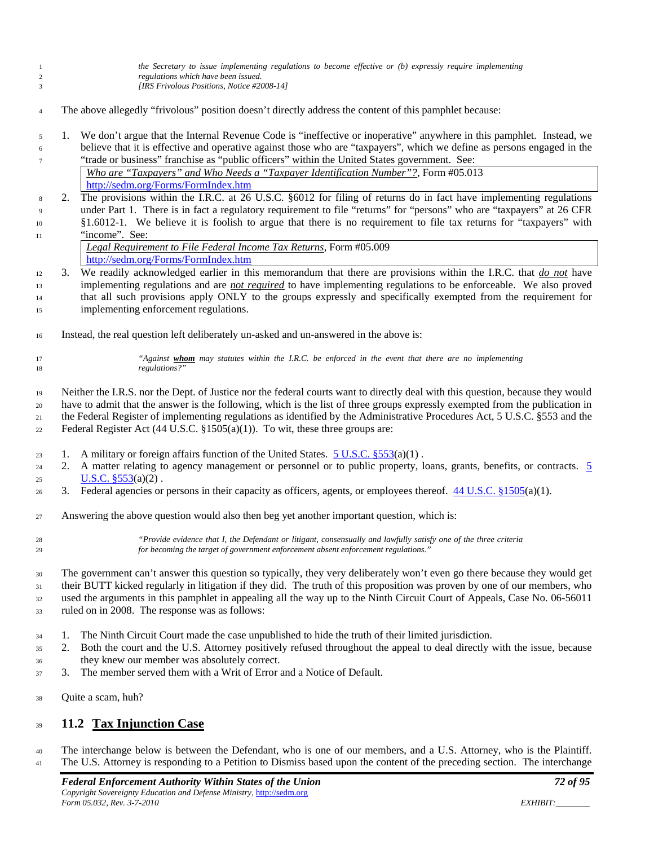*the Secretary to issue implementing regulations to become effective or (b) expressly require implementing regulations which have been issued. [IRS Frivolous Positions, Notice #2008-14]*

- The above allegedly "frivolous" position doesn't directly address the content of this pamphlet because:
- 1. We don't argue that the Internal Revenue Code is "ineffective or inoperative" anywhere in this pamphlet. Instead, we believe that it is effective and operative against those who are "taxpayers", which we define as persons engaged in the "trade or business" franchise as "public officers" within the United States government. See: *Who are "Taxpayers" and Who Needs a "Taxpayer Identification Number"?*, Form #05.013

<http://sedm.org/Forms/FormIndex.htm>

### 2. The provisions within the I.R.C. at 26 U.S.C. §6012 for filing of returns do in fact have implementing regulations under Part 1. There is in fact a regulatory requirement to file "returns" for "persons" who are "taxpayers" at 26 CFR §1.6012-1. We believe it is foolish to argue that there is no requirement to file tax returns for "taxpayers" with

- 11 "income". See: *Legal Requirement to File Federal Income Tax Returns*, Form #05.009 <http://sedm.org/Forms/FormIndex.htm>
- 3. We readily acknowledged earlier in this memorandum that there are provisions within the I.R.C. that *do not* have implementing regulations and are *not required* to have implementing regulations to be enforceable. We also proved that all such provisions apply ONLY to the groups expressly and specifically exempted from the requirement for implementing enforcement regulations.
- Instead, the real question left deliberately un-asked and un-answered in the above is:

 *"Against whom may statutes within the I.R.C. be enforced in the event that there are no implementing regulations?"*

 Neither the I.R.S. nor the Dept. of Justice nor the federal courts want to directly deal with this question, because they would have to admit that the answer is the following, which is the list of three groups expressly exempted from the publication in the Federal Register of implementing regulations as identified by the Administrative Procedures Act, 5 U.S.C. §553 and the Federal Register Act (44 U.S.C. §1505(a)(1)). To wit, these three groups are:

- 23 1. A military or foreign affairs function of the United States.  $5 \text{ U.S.C.}$  §553(a)(1).
- 24 2. A matter relating to agency management or personnel or to public property, loans, grants, benefits, or contracts. 5 25 U.S.C.  $\S 553(a)(2)$ .
- 26 3. Federal agencies or persons in their capacity as officers, agents, or employees thereof.  $44 \text{ U.S.C.}$  §1505(a)(1).
- Answering the above question would also then beg yet another important question, which is:

 *"Provide evidence that I, the Defendant or litigant, consensually and lawfully satisfy one of the three criteria for becoming the target of government enforcement absent enforcement regulations."*

 The government can't answer this question so typically, they very deliberately won't even go there because they would get their BUTT kicked regularly in litigation if they did. The truth of this proposition was proven by one of our members, who used the arguments in this pamphlet in appealing all the way up to the Ninth Circuit Court of Appeals, Case No. 06-56011 ruled on in 2008. The response was as follows:

- 1. The Ninth Circuit Court made the case unpublished to hide the truth of their limited jurisdiction.
- 2. Both the court and the U.S. Attorney positively refused throughout the appeal to deal directly with the issue, because they knew our member was absolutely correct.
- 3. The member served them with a Writ of Error and a Notice of Default.
- Quite a scam, huh?

### **11.2 Tax Injunction Case**

 The interchange below is between the Defendant, who is one of our members, and a U.S. Attorney, who is the Plaintiff. The U.S. Attorney is responding to a Petition to Dismiss based upon the content of the preceding section. The interchange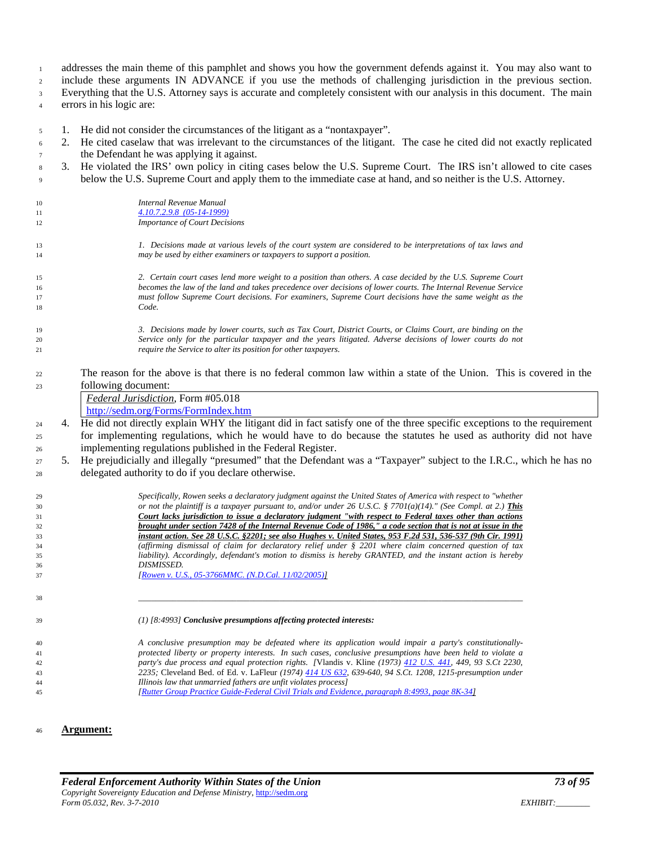addresses the main theme of this pamphlet and shows you how the government defends against it. You may also want to

include these arguments IN ADVANCE if you use the methods of challenging jurisdiction in the previous section.

Everything that the U.S. Attorney says is accurate and completely consistent with our analysis in this document. The main

errors in his logic are:

- 1. He did not consider the circumstances of the litigant as a "nontaxpayer".
- 2. He cited caselaw that was irrelevant to the circumstances of the litigant. The case he cited did not exactly replicated the Defendant he was applying it against.
- 3. He violated the IRS' own policy in citing cases below the U.S. Supreme Court. The IRS isn't allowed to cite cases below the U.S. Supreme Court and apply them to the immediate case at hand, and so neither is the U.S. Attorney.
- *Internal Revenue Manual 4.10.7.2.9.8 [\(05-14-1999\)](http://www.irs.gov/irm/part4/ch10s11.html) Importance of Court Decisions 1. Decisions made at various levels of the court system are considered to be interpretations of tax laws and may be used by either examiners or taxpayers to support a position. 2. Certain court cases lend more weight to a position than others. A case decided by the U.S. Supreme Court becomes the law of the land and takes precedence over decisions of lower courts. The Internal Revenue Service must follow Supreme Court decisions. For examiners, Supreme Court decisions have the same weight as the Code. 3. Decisions made by lower courts, such as Tax Court, District Courts, or Claims Court, are binding on the Service only for the particular taxpayer and the years litigated. Adverse decisions of lower courts do not require the Service to alter its position for other taxpayers.*  The reason for the above is that there is no federal common law within a state of the Union. This is covered in the following document: *Federal Jurisdiction*, Form #05.018 <http://sedm.org/Forms/FormIndex.htm> <sup>24</sup> 4. He did not directly explain WHY the litigant did in fact satisfy one of the three specific exceptions to the requirement for implementing regulations, which he would have to do because the statutes he used as authority did not have implementing regulations published in the Federal Register. 5. He prejudicially and illegally "presumed" that the Defendant was a "Taxpayer" subject to the I.R.C., which he has no delegated authority to do if you declare otherwise. *Specifically, Rowen seeks a declaratory judgment against the United States of America with respect to "whether or not the plaintiff is a taxpayer pursuant to, and/or under 26 U.S.C. § 7701(a)(14)." (See Compl. at 2.) This Court lacks jurisdiction to issue a declaratory judgment "with respect to Federal taxes other than actions brought under section 7428 of the Internal Revenue Code of 1986," a code section that is not at issue in the instant action. See 28 U.S.C. §2201; see also Hughes v. United States, 953 F.2d 531, 536-537 (9th Cir. 1991) (affirming dismissal of claim for declaratory relief under § 2201 where claim concerned question of tax liability). Accordingly, defendant's motion to dismiss is hereby GRANTED, and the instant action is hereby DISMISSED. [\[Rowen v. U.S., 05-3766MMC. \(N.D.Cal. 11/02/2005\)\]](http://famguardian.org/TaxFreedom/CitesByTopic/Taxpayer-RowenVUS-05-3766MMC.pdf) \_\_\_\_\_\_\_\_\_\_\_\_\_\_\_\_\_\_\_\_\_\_\_\_\_\_\_\_\_\_\_\_\_\_\_\_\_\_\_\_\_\_\_\_\_\_\_\_\_\_\_\_\_\_\_\_\_\_\_\_\_\_\_\_\_\_\_\_\_\_\_\_\_\_\_\_\_\_\_\_\_\_\_\_\_\_\_\_\_\_ (1) [8:4993] Conclusive presumptions affecting protected interests: A conclusive presumption may be defeated where its application would impair a party's constitutionally- protected liberty or property interests. In such cases, conclusive presumptions have been held to violate a party's due process and equal protection rights. [*Vlandis v. Kline *(1973) [412 U.S. 441,](http://caselaw.lp.findlaw.com/scripts/getcase.pl?navby=case&court=us&vol=412&page=441) 449, 93 S.Ct 2230, 2235;* Cleveland Bed. of Ed. v. LaFleur *(1974) [414 US 632,](http://caselaw.lp.findlaw.com/scripts/getcase.pl?navby=case&court=us&vol=414&page=632) 639-640, 94 S.Ct. 1208, 1215-presumption under*
- *Illinois law that unmarried fathers are unfit violates process] [\[Rutter Group Practice Guide-Federal Civil Trials and Evidence, paragraph 8:4993, page 8K-34\]](http://famguardian.org/TaxFreedom/CitesByTopic/Presumption-RPG-Federal.pdf)*
- **Argument:**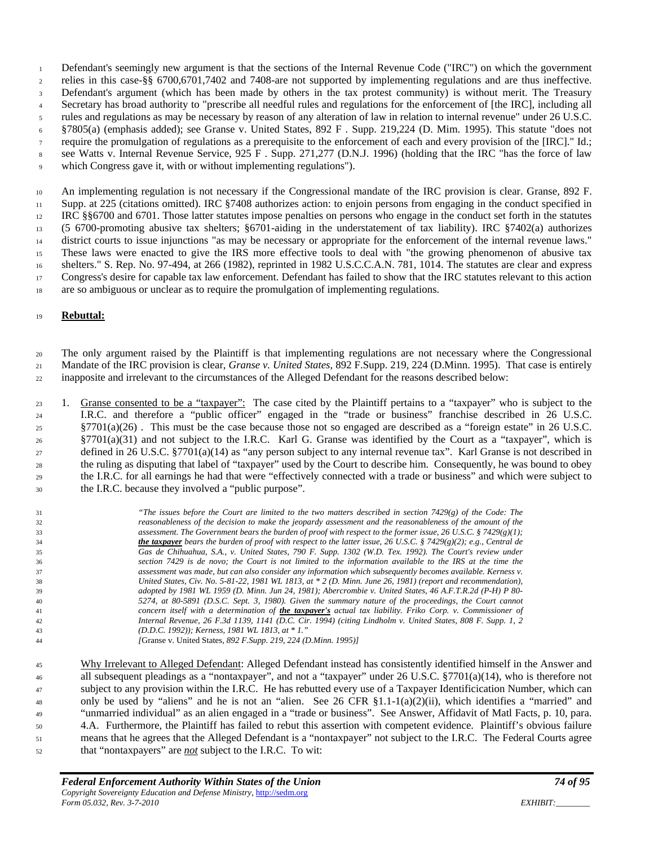Defendant's seemingly new argument is that the sections of the Internal Revenue Code ("IRC") on which the government relies in this case-§§ 6700,6701,7402 and 7408-are not supported by implementing regulations and are thus ineffective.

Defendant's argument (which has been made by others in the tax protest community) is without merit. The Treasury

Secretary has broad authority to "prescribe all needful rules and regulations for the enforcement of [the IRC], including all

rules and regulations as may be necessary by reason of any alteration of law in relation to internal revenue" under 26 U.S.C.

§7805(a) (emphasis added); see Granse v. United States, 892 F . Supp. 219,224 (D. Mim. 1995). This statute "does not

- require the promulgation of regulations as a prerequisite to the enforcement of each and every provision of the [IRC]." Id.;
- see Watts v. Internal Revenue Service, 925 F . Supp. 271,277 (D.N.J. 1996) (holding that the IRC "has the force of law
- which Congress gave it, with or without implementing regulations").

 An implementing regulation is not necessary if the Congressional mandate of the IRC provision is clear. Granse, 892 F. Supp. at 225 (citations omitted). IRC §7408 authorizes action: to enjoin persons from engaging in the conduct specified in IRC §§6700 and 6701. Those latter statutes impose penalties on persons who engage in the conduct set forth in the statutes (5 6700-promoting abusive tax shelters; §6701-aiding in the understatement of tax liability). IRC §7402(a) authorizes district courts to issue injunctions "as may be necessary or appropriate for the enforcement of the internal revenue laws." These laws were enacted to give the IRS more effective tools to deal with "the growing phenomenon of abusive tax 16 shelters." S. Rep. No. 97-494, at 266 (1982), reprinted in 1982 U.S.C.C.A.N. 781, 1014. The statutes are clear and express Congress's desire for capable tax law enforcement. Defendant has failed to show that the IRC statutes relevant to this action are so ambiguous or unclear as to require the promulgation of implementing regulations.

## **Rebuttal:**

 The only argument raised by the Plaintiff is that implementing regulations are not necessary where the Congressional Mandate of the IRC provision is clear, *Granse v. United States*, 892 F.Supp. 219, 224 (D.Minn. 1995). That case is entirely inapposite and irrelevant to the circumstances of the Alleged Defendant for the reasons described below:

 1. Granse consented to be a "taxpayer": The case cited by the Plaintiff pertains to a "taxpayer" who is subject to the I.R.C. and therefore a "public officer" engaged in the "trade or business" franchise described in 26 U.S.C. §7701(a)(26) . This must be the case because those not so engaged are described as a "foreign estate" in 26 U.S.C. §7701(a)(31) and not subject to the I.R.C. Karl G. Granse was identified by the Court as a "taxpayer", which is defined in 26 U.S.C. §7701(a)(14) as "any person subject to any internal revenue tax". Karl Granse is not described in the ruling as disputing that label of "taxpayer" used by the Court to describe him. Consequently, he was bound to obey the I.R.C. for all earnings he had that were "effectively connected with a trade or business" and which were subject to the I.R.C. because they involved a "public purpose".

 *"The issues before the Court are limited to the two matters described in section 7429(g) of the Code: The reasonableness of the decision to make the jeopardy assessment and the reasonableness of the amount of the assessment. The Government bears the burden of proof with respect to the former issue, 26 U.S.C. § 7429(g)(1); the taxpayer bears the burden of proof with respect to the latter issue, 26 U.S.C. § 7429(g)(2); e.g., Central de Gas de Chihuahua, S.A., v. United States, 790 F. Supp. 1302 (W.D. Tex. 1992). The Court's review under section 7429 is de novo; the Court is not limited to the information available to the IRS at the time the assessment was made, but can also consider any information which subsequently becomes available. Kerness v. United States, Civ. No. 5-81-22, 1981 WL 1813, at \* 2 (D. Minn. June 26, 1981) (report and recommendation), adopted by 1981 WL 1959 (D. Minn. Jun 24, 1981); Abercrombie v. United States, 46 A.F.T.R.2d (P-H) P 80- 5274, at 80-5891 (D.S.C. Sept. 3, 1980). Given the summary nature of the proceedings, the Court cannot concern itself with a determination of the taxpayer's actual tax liability. Friko Corp. v. Commissioner of Internal Revenue, 26 F.3d 1139, 1141 (D.C. Cir. 1994) (citing Lindholm v. United States, 808 F. Supp. 1, 2 (D.D.C. 1992)); Kerness, 1981 WL 1813, at \* 1." [*Granse v. United States*, 892 F.Supp. 219, 224 (D.Minn. 1995)]* 

 Why Irrelevant to Alleged Defendant: Alleged Defendant instead has consistently identified himself in the Answer and all subsequent pleadings as a "nontaxpayer", and not a "taxpayer" under 26 U.S.C. §7701(a)(14), who is therefore not subject to any provision within the I.R.C. He has rebutted every use of a Taxpayer Identificication Number, which can 48 only be used by "aliens" and he is not an "alien. See 26 CFR  $\S 1.1-1(a)(2)(ii)$ , which identifies a "married" and "unmarried individual" as an alien engaged in a "trade or business". See Answer, Affidavit of Matl Facts, p. 10, para. 4.A. Furthermore, the Plaintiff has failed to rebut this assertion with competent evidence. Plaintiff's obvious failure means that he agrees that the Alleged Defendant is a "nontaxpayer" not subject to the I.R.C. The Federal Courts agree that "nontaxpayers" are *not* subject to the I.R.C. To wit: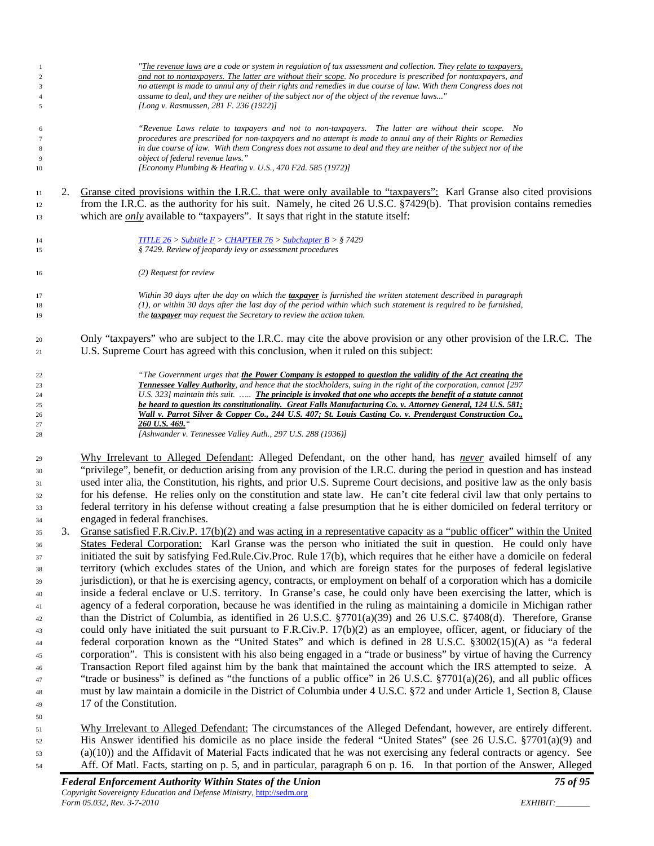| $\mathbf{1}$<br>$\overline{2}$<br>3<br>$\overline{4}$<br>5                                   |    | "The revenue laws are a code or system in regulation of tax assessment and collection. They relate to taxpayers,<br>and not to nontaxpayers. The latter are without their scope. No procedure is prescribed for nontaxpayers, and<br>no attempt is made to annul any of their rights and remedies in due course of law. With them Congress does not<br>assume to deal, and they are neither of the subject nor of the object of the revenue laws"<br>[Long v. Rasmussen, 281 F. 236 (1922)]                                                                                                                                                                                                                                                                                                                                                                                                                                                                                                                                                                                                                                                                                                                                                                                                                                                                                                                                                                                                                                                                                                                                                                                                                                                                                 |
|----------------------------------------------------------------------------------------------|----|-----------------------------------------------------------------------------------------------------------------------------------------------------------------------------------------------------------------------------------------------------------------------------------------------------------------------------------------------------------------------------------------------------------------------------------------------------------------------------------------------------------------------------------------------------------------------------------------------------------------------------------------------------------------------------------------------------------------------------------------------------------------------------------------------------------------------------------------------------------------------------------------------------------------------------------------------------------------------------------------------------------------------------------------------------------------------------------------------------------------------------------------------------------------------------------------------------------------------------------------------------------------------------------------------------------------------------------------------------------------------------------------------------------------------------------------------------------------------------------------------------------------------------------------------------------------------------------------------------------------------------------------------------------------------------------------------------------------------------------------------------------------------------|
| 6<br>$\overline{7}$<br>8<br>9<br>10                                                          |    | "Revenue Laws relate to taxpayers and not to non-taxpayers. The latter are without their scope. No<br>procedures are prescribed for non-taxpayers and no attempt is made to annul any of their Rights or Remedies<br>in due course of law. With them Congress does not assume to deal and they are neither of the subject nor of the<br>object of federal revenue laws."<br>[Economy Plumbing & Heating v. U.S., 470 F2d. 585 (1972)]                                                                                                                                                                                                                                                                                                                                                                                                                                                                                                                                                                                                                                                                                                                                                                                                                                                                                                                                                                                                                                                                                                                                                                                                                                                                                                                                       |
|                                                                                              |    |                                                                                                                                                                                                                                                                                                                                                                                                                                                                                                                                                                                                                                                                                                                                                                                                                                                                                                                                                                                                                                                                                                                                                                                                                                                                                                                                                                                                                                                                                                                                                                                                                                                                                                                                                                             |
| 11<br>12<br>13                                                                               | 2. | Granse cited provisions within the I.R.C. that were only available to "taxpayers": Karl Granse also cited provisions<br>from the I.R.C. as the authority for his suit. Namely, he cited 26 U.S.C. §7429(b). That provision contains remedies<br>which are <i>only</i> available to "taxpayers". It says that right in the statute itself:                                                                                                                                                                                                                                                                                                                                                                                                                                                                                                                                                                                                                                                                                                                                                                                                                                                                                                                                                                                                                                                                                                                                                                                                                                                                                                                                                                                                                                   |
|                                                                                              |    |                                                                                                                                                                                                                                                                                                                                                                                                                                                                                                                                                                                                                                                                                                                                                                                                                                                                                                                                                                                                                                                                                                                                                                                                                                                                                                                                                                                                                                                                                                                                                                                                                                                                                                                                                                             |
| 14<br>15                                                                                     |    | <b>TITLE 26</b> > Subtitle $F >$ CHAPTER 76 > Subchapter $B >$ § 7429<br>§ 7429. Review of jeopardy levy or assessment procedures                                                                                                                                                                                                                                                                                                                                                                                                                                                                                                                                                                                                                                                                                                                                                                                                                                                                                                                                                                                                                                                                                                                                                                                                                                                                                                                                                                                                                                                                                                                                                                                                                                           |
| 16                                                                                           |    | (2) Request for review                                                                                                                                                                                                                                                                                                                                                                                                                                                                                                                                                                                                                                                                                                                                                                                                                                                                                                                                                                                                                                                                                                                                                                                                                                                                                                                                                                                                                                                                                                                                                                                                                                                                                                                                                      |
| 17<br>18<br>19                                                                               |    | Within 30 days after the day on which the taxpayer is furnished the written statement described in paragraph<br>(1), or within 30 days after the last day of the period within which such statement is required to be furnished,<br>the <b>taxpayer</b> may request the Secretary to review the action taken.                                                                                                                                                                                                                                                                                                                                                                                                                                                                                                                                                                                                                                                                                                                                                                                                                                                                                                                                                                                                                                                                                                                                                                                                                                                                                                                                                                                                                                                               |
| 20<br>21                                                                                     |    | Only "taxpayers" who are subject to the I.R.C. may cite the above provision or any other provision of the I.R.C. The<br>U.S. Supreme Court has agreed with this conclusion, when it ruled on this subject:                                                                                                                                                                                                                                                                                                                                                                                                                                                                                                                                                                                                                                                                                                                                                                                                                                                                                                                                                                                                                                                                                                                                                                                                                                                                                                                                                                                                                                                                                                                                                                  |
| 22<br>23<br>24<br>25<br>26<br>27<br>28                                                       |    | "The Government urges that the Power Company is estopped to question the validity of the Act creating the<br>Tennessee Valley Authority, and hence that the stockholders, suing in the right of the corporation, cannot [297<br>U.S. 323] maintain this suit.  The principle is invoked that one who accepts the benefit of a statute cannot<br>be heard to question its constitutionality. Great Falls Manufacturing Co. v. Attorney General, 124 U.S. 581;<br>Wall v. Parrot Silver & Copper Co., 244 U.S. 407; St. Louis Casting Co. v. Prendergast Construction Co.,<br>260 U.S. 469."<br>[Ashwander v. Tennessee Valley Auth., 297 U.S. 288 (1936)]                                                                                                                                                                                                                                                                                                                                                                                                                                                                                                                                                                                                                                                                                                                                                                                                                                                                                                                                                                                                                                                                                                                    |
| 29<br>30<br>31<br>32<br>33<br>34                                                             |    | Why Irrelevant to Alleged Defendant: Alleged Defendant, on the other hand, has <i>never</i> availed himself of any<br>"privilege", benefit, or deduction arising from any provision of the I.R.C. during the period in question and has instead<br>used inter alia, the Constitution, his rights, and prior U.S. Supreme Court decisions, and positive law as the only basis<br>for his defense. He relies only on the constitution and state law. He can't cite federal civil law that only pertains to<br>federal territory in his defense without creating a false presumption that he is either domiciled on federal territory or<br>engaged in federal franchises.                                                                                                                                                                                                                                                                                                                                                                                                                                                                                                                                                                                                                                                                                                                                                                                                                                                                                                                                                                                                                                                                                                     |
| 35<br>36<br>37<br>38<br>39<br>40<br>41<br>42<br>43<br>44<br>45<br>46<br>47<br>48<br>49<br>50 | 3. | Granse satisfied F.R.Civ.P. 17(b)(2) and was acting in a representative capacity as a "public officer" within the United<br>States Federal Corporation: Karl Granse was the person who initiated the suit in question. He could only have<br>initiated the suit by satisfying Fed.Rule.Civ.Proc. Rule 17(b), which requires that he either have a domicile on federal<br>territory (which excludes states of the Union, and which are foreign states for the purposes of federal legislative<br>jurisdiction), or that he is exercising agency, contracts, or employment on behalf of a corporation which has a domicile<br>inside a federal enclave or U.S. territory. In Granse's case, he could only have been exercising the latter, which is<br>agency of a federal corporation, because he was identified in the ruling as maintaining a domicile in Michigan rather<br>than the District of Columbia, as identified in 26 U.S.C. §7701(a)(39) and 26 U.S.C. §7408(d). Therefore, Granse<br>could only have initiated the suit pursuant to F.R.Civ.P. $17(b)(2)$ as an employee, officer, agent, or fiduciary of the<br>federal corporation known as the "United States" and which is defined in 28 U.S.C. §3002(15)(A) as "a federal<br>corporation". This is consistent with his also being engaged in a "trade or business" by virtue of having the Currency<br>Transaction Report filed against him by the bank that maintained the account which the IRS attempted to seize. A<br>"trade or business" is defined as "the functions of a public office" in 26 U.S.C. $\S7701(a)(26)$ , and all public offices<br>must by law maintain a domicile in the District of Columbia under 4 U.S.C. §72 and under Article 1, Section 8, Clause<br>17 of the Constitution. |
| 51<br>52                                                                                     |    | Why Irrelevant to Alleged Defendant: The circumstances of the Alleged Defendant, however, are entirely different.<br>His Answer identified his domicile as no place inside the federal "United States" (see 26 U.S.C. $\frac{57701(a)(9)}{2}$ and                                                                                                                                                                                                                                                                                                                                                                                                                                                                                                                                                                                                                                                                                                                                                                                                                                                                                                                                                                                                                                                                                                                                                                                                                                                                                                                                                                                                                                                                                                                           |

 (a)(10)) and the Affidavit of Material Facts indicated that he was not exercising any federal contracts or agency. See Aff. Of Matl. Facts, starting on p. 5, and in particular, paragraph 6 on p. 16. In that portion of the Answer, Alleged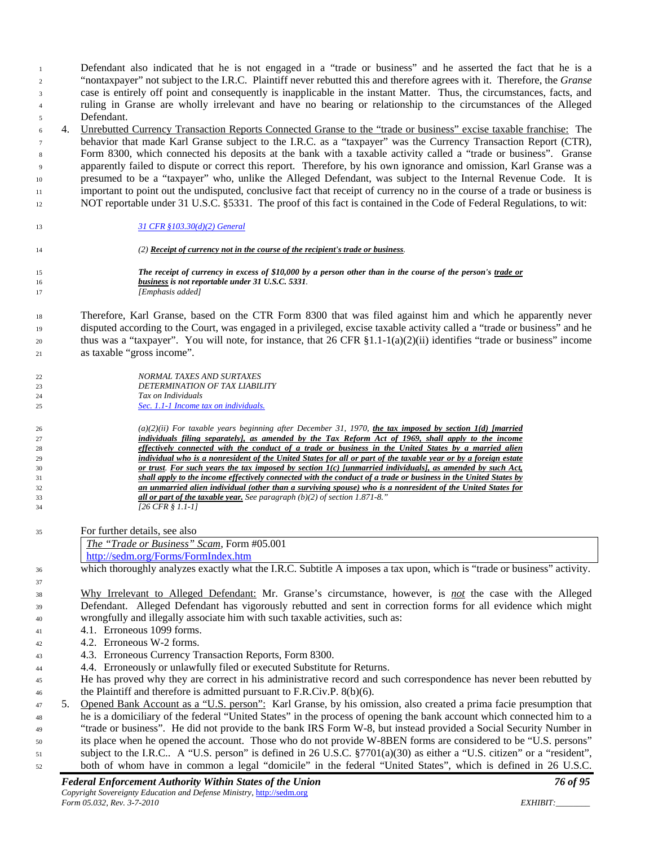*Federal Enforcement Authority Within States of the Union 76 of 95* case is entirely off point and consequently is inapplicable in the instant Matter. Thus, the circumstances, facts, and ruling in Granse are wholly irrelevant and have no bearing or relationship to the circumstances of the Alleged Defendant. 4. Unrebutted Currency Transaction Reports Connected Granse to the "trade or business" excise taxable franchise: The behavior that made Karl Granse subject to the I.R.C. as a "taxpayer" was the Currency Transaction Report (CTR), Form 8300, which connected his deposits at the bank with a taxable activity called a "trade or business". Granse apparently failed to dispute or correct this report. Therefore, by his own ignorance and omission, Karl Granse was a presumed to be a "taxpayer" who, unlike the Alleged Defendant, was subject to the Internal Revenue Code. It is important to point out the undisputed, conclusive fact that receipt of currency no in the course of a trade or business is NOT reportable under 31 U.S.C. §5331. The proof of this fact is contained in the Code of Federal Regulations, to wit: *[31 CFR §103.30\(d\)\(2\) General](http://ecfr.gpoaccess.gov/cgi/t/text/text-idx?type=simple;c=ecfr;cc=ecfr;sid=91cf1eb1a8e0cb0a3551dc7dad0b353b;idno=31;region=DIV1;q1=%20trade%20or%20business%20;rgn=div8;view=text;node=31:1.2.1.1.6.2.24.15) (2) Receipt of currency not in the course of the recipient's trade or business. The receipt of currency in excess of \$10,000 by a person other than in the course of the person's trade or business is not reportable under 31 U.S.C. 5331. [Emphasis added]* Therefore, Karl Granse, based on the CTR Form 8300 that was filed against him and which he apparently never disputed according to the Court, was engaged in a privileged, excise taxable activity called a "trade or business" and he 20 thus was a "taxpayer". You will note, for instance, that 26 CFR  $\S 1.1-1(a)(2)(ii)$  identifies "trade or business" income as taxable "gross income". *NORMAL TAXES AND SURTAXES DETERMINATION OF TAX LIABILITY Tax on Individuals [Sec. 1.1-1 Income tax on individuals.](http://ecfr.gpoaccess.gov/cgi/t/text/text-idx?c=ecfr&sid=c6bf52918921a4f78e65755acb8bd59b&rgn=div8&view=text&node=26:1.0.1.1.1.0.1.2&idno=26) (a)(2)(ii) For taxable years beginning after December 31, 1970, the tax imposed by section 1(d) [married individuals filing separately], as amended by the Tax Reform Act of 1969, shall apply to the income effectively connected with the conduct of a trade or business in the United States by a married alien individual who is a nonresident of the United States for all or part of the taxable year or by a foreign estate or trust. For such years the tax imposed by section 1(c) [unmarried individuals], as amended by such Act, shall apply to the income effectively connected with the conduct of a trade or business in the United States by an unmarried alien individual (other than a surviving spouse) who is a nonresident of the United States for all or part of the taxable year. See paragraph (b)(2) of section 1.871-8." [26 CFR § 1.1-1]* For further details, see also *The "Trade or Business" Scam*, Form #05.001 <http://sedm.org/Forms/FormIndex.htm> which thoroughly analyzes exactly what the I.R.C. Subtitle A imposes a tax upon, which is "trade or business" activity. Why Irrelevant to Alleged Defendant: Mr. Granse's circumstance, however, is *not* the case with the Alleged Defendant. Alleged Defendant has vigorously rebutted and sent in correction forms for all evidence which might wrongfully and illegally associate him with such taxable activities, such as: 4.1. Erroneous 1099 forms.  $4.2.$  Erroneous W-2 forms. 4.3. Erroneous Currency Transaction Reports, Form 8300. 4.4. Erroneously or unlawfully filed or executed Substitute for Returns. He has proved why they are correct in his administrative record and such correspondence has never been rebutted by <sup>46</sup> the Plaintiff and therefore is admitted pursuant to F.R.Civ.P. 8(b)(6). 5. Opened Bank Account as a "U.S. person": Karl Granse, by his omission, also created a prima facie presumption that he is a domiciliary of the federal "United States" in the process of opening the bank account which connected him to a "trade or business". He did not provide to the bank IRS Form W-8, but instead provided a Social Security Number in its place when he opened the account. Those who do not provide W-8BEN forms are considered to be "U.S. persons" subject to the I.R.C.. A "U.S. person" is defined in 26 U.S.C. §7701(a)(30) as either a "U.S. citizen" or a "resident", both of whom have in common a legal "domicile" in the federal "United States", which is defined in 26 U.S.C.

 Defendant also indicated that he is not engaged in a "trade or business" and he asserted the fact that he is a "nontaxpayer" not subject to the I.R.C. Plaintiff never rebutted this and therefore agrees with it. Therefore, the *Granse*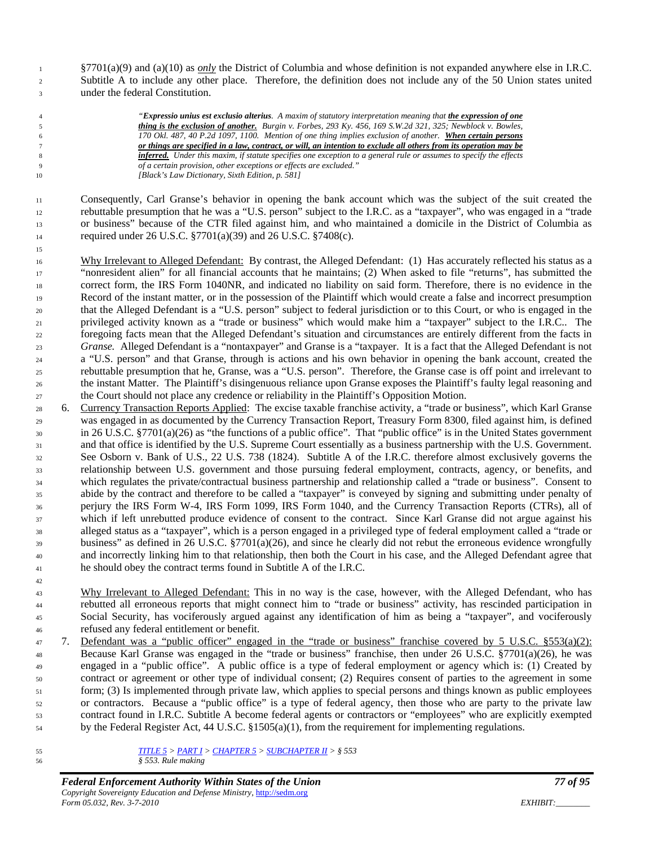§7701(a)(9) and (a)(10) as *only* the District of Columbia and whose definition is not expanded anywhere else in I.R.C. Subtitle A to include any other place. Therefore, the definition does not include any of the 50 Union states united under the federal Constitution.

 *"Expressio unius est exclusio alterius. A maxim of statutory interpretation meaning that the expression of one thing is the exclusion of another. Burgin v. Forbes, 293 Ky. 456, 169 S.W.2d 321, 325; Newblock v. Bowles, 170 Okl. 487, 40 P.2d 1097, 1100. Mention of one thing implies exclusion of another. When certain persons or things are specified in a law, contract, or will, an intention to exclude all others from its operation may be inferred. Under this maxim, if statute specifies one exception to a general rule or assumes to specify the effects of a certain provision, other exceptions or effects are excluded." [Black's Law Dictionary, Sixth Edition, p. 581]*

 Consequently, Carl Granse's behavior in opening the bank account which was the subject of the suit created the rebuttable presumption that he was a "U.S. person" subject to the I.R.C. as a "taxpayer", who was engaged in a "trade or business" because of the CTR filed against him, and who maintained a domicile in the District of Columbia as required under 26 U.S.C. §7701(a)(39) and 26 U.S.C. §7408(c).

 Why Irrelevant to Alleged Defendant: By contrast, the Alleged Defendant: (1) Has accurately reflected his status as a "nonresident alien" for all financial accounts that he maintains; (2) When asked to file "returns", has submitted the correct form, the IRS Form 1040NR, and indicated no liability on said form. Therefore, there is no evidence in the Record of the instant matter, or in the possession of the Plaintiff which would create a false and incorrect presumption that the Alleged Defendant is a "U.S. person" subject to federal jurisdiction or to this Court, or who is engaged in the privileged activity known as a "trade or business" which would make him a "taxpayer" subject to the I.R.C.. The foregoing facts mean that the Alleged Defendant's situation and circumstances are entirely different from the facts in *Granse.* Alleged Defendant is a "nontaxpayer" and Granse is a "taxpayer. It is a fact that the Alleged Defendant is not a "U.S. person" and that Granse, through is actions and his own behavior in opening the bank account, created the rebuttable presumption that he, Granse, was a "U.S. person". Therefore, the Granse case is off point and irrelevant to the instant Matter. The Plaintiff's disingenuous reliance upon Granse exposes the Plaintiff's faulty legal reasoning and the Court should not place any credence or reliability in the Plaintiff's Opposition Motion.

- 6. Currency Transaction Reports Applied: The excise taxable franchise activity, a "trade or business", which Karl Granse was engaged in as documented by the Currency Transaction Report, Treasury Form 8300, filed against him, is defined in 26 U.S.C. §7701(a)(26) as "the functions of a public office". That "public office" is in the United States government and that office is identified by the U.S. Supreme Court essentially as a business partnership with the U.S. Government. See Osborn v. Bank of U.S., 22 U.S. 738 (1824). Subtitle A of the I.R.C. therefore almost exclusively governs the relationship between U.S. government and those pursuing federal employment, contracts, agency, or benefits, and which regulates the private/contractual business partnership and relationship called a "trade or business". Consent to abide by the contract and therefore to be called a "taxpayer" is conveyed by signing and submitting under penalty of perjury the IRS Form W-4, IRS Form 1099, IRS Form 1040, and the Currency Transaction Reports (CTRs), all of which if left unrebutted produce evidence of consent to the contract. Since Karl Granse did not argue against his alleged status as a "taxpayer", which is a person engaged in a privileged type of federal employment called a "trade or business" as defined in 26 U.S.C. §7701(a)(26), and since he clearly did not rebut the erroneous evidence wrongfully and incorrectly linking him to that relationship, then both the Court in his case, and the Alleged Defendant agree that he should obey the contract terms found in Subtitle A of the I.R.C.
- <sup>43</sup> Why Irrelevant to Alleged Defendant: This in no way is the case, however, with the Alleged Defendant, who has rebutted all erroneous reports that might connect him to "trade or business" activity, has rescinded participation in Social Security, has vociferously argued against any identification of him as being a "taxpayer", and vociferously refused any federal entitlement or benefit.
- 7. Defendant was a "public officer" engaged in the "trade or business" franchise covered by 5 U.S.C. §553(a)(2): Because Karl Granse was engaged in the "trade or business" franchise, then under 26 U.S.C. §7701(a)(26), he was engaged in a "public office". A public office is a type of federal employment or agency which is: (1) Created by contract or agreement or other type of individual consent; (2) Requires consent of parties to the agreement in some form; (3) Is implemented through private law, which applies to special persons and things known as public employees or contractors. Because a "public office" is a type of federal agency, then those who are party to the private law contract found in I.R.C. Subtitle A become federal agents or contractors or "employees" who are explicitly exempted by the Federal Register Act, 44 U.S.C. §1505(a)(1), from the requirement for implementing regulations.
- *[TITLE 5](http://www4.law.cornell.edu/uscode/html/uscode05/usc_sup_01_5.html) > [PART I](http://www4.law.cornell.edu/uscode/html/uscode05/usc_sup_01_5_10_I.html) [> CHAPTER 5](http://www4.law.cornell.edu/uscode/html/uscode05/usc_sup_01_5_10_I_30_5.html) [> SUBCHAPTER II](http://www4.law.cornell.edu/uscode/html/uscode05/usc_sup_01_5_10_I_30_5_40_II.html) > § 553 § 553. Rule making*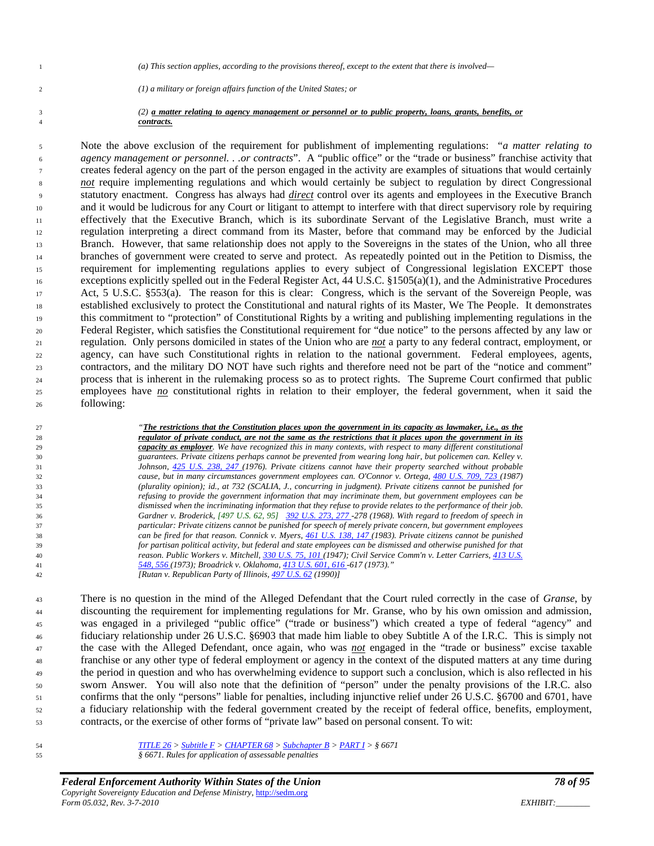*(a) This section applies, according to the provisions thereof, except to the extent that there is involved—*

*(1) a military or foreign affairs function of the United States; or* 

#### *(2) a matter relating to agency management or personnel or to public property, loans, grants, benefits, or contracts.*

 Note the above exclusion of the requirement for publishment of implementing regulations: "*a matter relating to agency management or personnel. . .or contracts*". A "public office" or the "trade or business" franchise activity that creates federal agency on the part of the person engaged in the activity are examples of situations that would certainly <sup>8</sup> *not* require implementing regulations and which would certainly be subject to regulation by direct Congressional statutory enactment. Congress has always had *direct* control over its agents and employees in the Executive Branch and it would be ludicrous for any Court or litigant to attempt to interfere with that direct supervisory role by requiring effectively that the Executive Branch, which is its subordinate Servant of the Legislative Branch, must write a regulation interpreting a direct command from its Master, before that command may be enforced by the Judicial Branch. However, that same relationship does not apply to the Sovereigns in the states of the Union, who all three branches of government were created to serve and protect. As repeatedly pointed out in the Petition to Dismiss, the requirement for implementing regulations applies to every subject of Congressional legislation EXCEPT those exceptions explicitly spelled out in the Federal Register Act, 44 U.S.C. §1505(a)(1), and the Administrative Procedures Act, 5 U.S.C. §553(a). The reason for this is clear: Congress, which is the servant of the Sovereign People, was established exclusively to protect the Constitutional and natural rights of its Master, We The People. It demonstrates this commitment to "protection" of Constitutional Rights by a writing and publishing implementing regulations in the Federal Register, which satisfies the Constitutional requirement for "due notice" to the persons affected by any law or regulation. Only persons domiciled in states of the Union who are *not* a party to any federal contract, employment, or agency, can have such Constitutional rights in relation to the national government. Federal employees, agents, contractors, and the military DO NOT have such rights and therefore need not be part of the "notice and comment" process that is inherent in the rulemaking process so as to protect rights. The Supreme Court confirmed that public employees have *no* constitutional rights in relation to their employer, the federal government, when it said the following:

 *"The restrictions that the Constitution places upon the government in its capacity as lawmaker, i.e., as the regulator of private conduct, are not the same as the restrictions that it places upon the government in its capacity as employer. We have recognized this in many contexts, with respect to many different constitutional guarantees. Private citizens perhaps cannot be prevented from wearing long hair, but policemen can. Kelley v. Johnson, [425 U.S. 238, 247 \(](http://caselaw.lp.findlaw.com/cgi-bin/getcase.pl?navby=case&court=us&vol=425&invol=238#247)1976). Private citizens cannot have their property searched without probable cause, but in many circumstances government employees can. O'Connor v. Ortega[, 480 U.S. 709, 723 \(1](http://caselaw.lp.findlaw.com/cgi-bin/getcase.pl?navby=case&court=us&vol=480&invol=709#723)987) (plurality opinion); id., at 732 (SCALIA, J., concurring in judgment). Private citizens cannot be punished for refusing to provide the government information that may incriminate them, but government employees can be dismissed when the incriminating information that they refuse to provide relates to the performance of their job. Gardner v. Broderick, [497 U.S. 62, 95] [392 U.S. 273, 277 -](http://caselaw.lp.findlaw.com/cgi-bin/getcase.pl?navby=case&court=us&vol=392&invol=273#277)278 (1968). With regard to freedom of speech in particular: Private citizens cannot be punished for speech of merely private concern, but government employees can be fired for that reason. Connick v. Myers, [461 U.S. 138, 147 \(](http://caselaw.lp.findlaw.com/cgi-bin/getcase.pl?navby=case&court=us&vol=461&invol=138#147)1983). Private citizens cannot be punished for partisan political activity, but federal and state employees can be dismissed and otherwise punished for that reason. Public Workers v. Mitchell[, 330 U.S. 75, 101 \(](http://caselaw.lp.findlaw.com/cgi-bin/getcase.pl?navby=case&court=us&vol=330&invol=75#101)1947); Civil Service Comm'n v. Letter Carriers[, 413 U.S.](http://caselaw.lp.findlaw.com/cgi-bin/getcase.pl?navby=case&court=us&vol=413&invol=548#556)  [548, 556 \(](http://caselaw.lp.findlaw.com/cgi-bin/getcase.pl?navby=case&court=us&vol=413&invol=548#556)1973); Broadrick v. Oklahoma, [413 U.S. 601, 616 -](http://caselaw.lp.findlaw.com/cgi-bin/getcase.pl?navby=case&court=us&vol=413&invol=601#616)617 (1973)." [Rutan v. Republican Party of Illinois[, 497 U.S. 62](http://caselaw.lp.findlaw.com/scripts/getcase.pl?court=us&vol=497&invol=62) (1990)]*

 There is no question in the mind of the Alleged Defendant that the Court ruled correctly in the case of *Granse*, by discounting the requirement for implementing regulations for Mr. Granse, who by his own omission and admission, was engaged in a privileged "public office" ("trade or business") which created a type of federal "agency" and fiduciary relationship under 26 U.S.C. §6903 that made him liable to obey Subtitle A of the I.R.C. This is simply not the case with the Alleged Defendant, once again, who was *not* engaged in the "trade or business" excise taxable franchise or any other type of federal employment or agency in the context of the disputed matters at any time during the period in question and who has overwhelming evidence to support such a conclusion, which is also reflected in his sworn Answer. You will also note that the definition of "person" under the penalty provisions of the I.R.C. also confirms that the only "persons" liable for penalties, including injunctive relief under 26 U.S.C. §6700 and 6701, have a fiduciary relationship with the federal government created by the receipt of federal office, benefits, employment, contracts, or the exercise of other forms of "private law" based on personal consent. To wit:

 *[TITLE 26](http://www4.law.cornell.edu/uscode/html/uscode26/usc_sup_01_26.html) > [Subtitle F](http://www4.law.cornell.edu/uscode/html/uscode26/usc_sup_01_26_10_F.html) [> CHAPTER 68](http://www4.law.cornell.edu/uscode/html/uscode26/usc_sup_01_26_10_F_20_68.html) [> Subchapter B](http://www4.law.cornell.edu/uscode/html/uscode26/usc_sup_01_26_10_F_20_68_30_B.html) > [PART I](http://www4.law.cornell.edu/uscode/html/uscode26/usc_sup_01_26_10_F_20_68_30_B_40_I.html) > § 6671 § 6671. Rules for application of assessable penalties*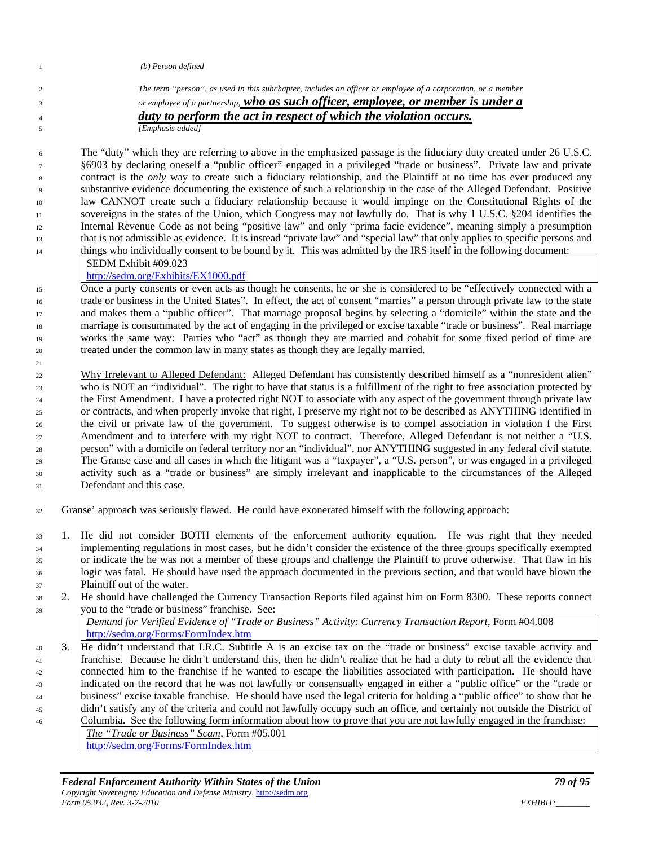| (b) Person defined                                                                                                   |
|----------------------------------------------------------------------------------------------------------------------|
| The term "person", as used in this subchapter, includes an officer or employee of a corporation, or a member         |
| or employee of a partnership, who as such officer, employee, or member is under a                                    |
| duty to perform the act in respect of which the violation occurs.                                                    |
| [Emphasis added]                                                                                                     |
|                                                                                                                      |
| The "duty" which they are referring to above in the emphasized passage is the fiduciary duty created under 26 U.S.C. |
| 86903 by declaring oneself a "public officer" engaged in a privileged "trade or business". Private law and private   |

 §6903 by declaring oneself a "public officer" engaged in a privileged "trade or business". Private law and private contract is the *only* way to create such a fiduciary relationship, and the Plaintiff at no time has ever produced any substantive evidence documenting the existence of such a relationship in the case of the Alleged Defendant. Positive law CANNOT create such a fiduciary relationship because it would impinge on the Constitutional Rights of the sovereigns in the states of the Union, which Congress may not lawfully do. That is why 1 U.S.C. §204 identifies the Internal Revenue Code as not being "positive law" and only "prima facie evidence", meaning simply a presumption that is not admissible as evidence. It is instead "private law" and "special law" that only applies to specific persons and things who individually consent to be bound by it. This was admitted by the IRS itself in the following document:

SEDM Exhibit #09.023

## <http://sedm.org/Exhibits/EX1000.pdf>

 Once a party consents or even acts as though he consents, he or she is considered to be "effectively connected with a trade or business in the United States". In effect, the act of consent "marries" a person through private law to the state and makes them a "public officer". That marriage proposal begins by selecting a "domicile" within the state and the marriage is consummated by the act of engaging in the privileged or excise taxable "trade or business". Real marriage works the same way: Parties who "act" as though they are married and cohabit for some fixed period of time are treated under the common law in many states as though they are legally married.

 Why Irrelevant to Alleged Defendant: Alleged Defendant has consistently described himself as a "nonresident alien" who is NOT an "individual". The right to have that status is a fulfillment of the right to free association protected by the First Amendment. I have a protected right NOT to associate with any aspect of the government through private law or contracts, and when properly invoke that right, I preserve my right not to be described as ANYTHING identified in the civil or private law of the government. To suggest otherwise is to compel association in violation f the First 27 Amendment and to interfere with my right NOT to contract. Therefore, Alleged Defendant is not neither a "U.S. person" with a domicile on federal territory nor an "individual", nor ANYTHING suggested in any federal civil statute. The Granse case and all cases in which the litigant was a "taxpayer", a "U.S. person", or was engaged in a privileged activity such as a "trade or business" are simply irrelevant and inapplicable to the circumstances of the Alleged Defendant and this case.

Granse' approach was seriously flawed. He could have exonerated himself with the following approach:

- 1. He did not consider BOTH elements of the enforcement authority equation. He was right that they needed implementing regulations in most cases, but he didn't consider the existence of the three groups specifically exempted or indicate the he was not a member of these groups and challenge the Plaintiff to prove otherwise. That flaw in his logic was fatal. He should have used the approach documented in the previous section, and that would have blown the Plaintiff out of the water.
- 2. He should have challenged the Currency Transaction Reports filed against him on Form 8300. These reports connect you to the "trade or business" franchise. See:

*Demand for Verified Evidence of "Trade or Business" Activity: Currency Transaction Report*, Form #04.008 <http://sedm.org/Forms/FormIndex.htm>

 3. He didn't understand that I.R.C. Subtitle A is an excise tax on the "trade or business" excise taxable activity and franchise. Because he didn't understand this, then he didn't realize that he had a duty to rebut all the evidence that connected him to the franchise if he wanted to escape the liabilities associated with participation. He should have indicated on the record that he was not lawfully or consensually engaged in either a "public office" or the "trade or business" excise taxable franchise. He should have used the legal criteria for holding a "public office" to show that he didn't satisfy any of the criteria and could not lawfully occupy such an office, and certainly not outside the District of Columbia. See the following form information about how to prove that you are not lawfully engaged in the franchise:

*The "Trade or Business" Scam*, Form #05.001 <http://sedm.org/Forms/FormIndex.htm>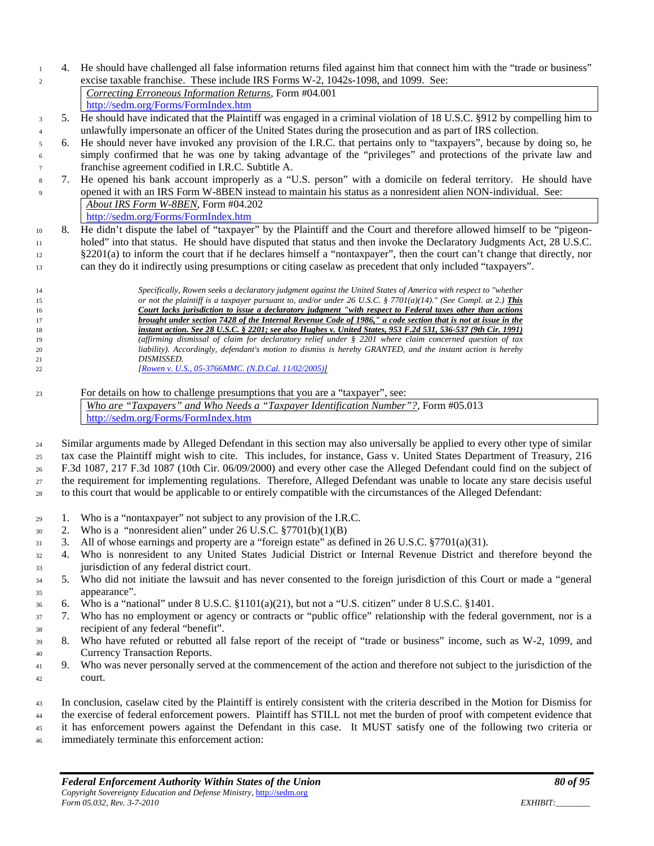4. He should have challenged all false information returns filed against him that connect him with the "trade or business" excise taxable franchise. These include IRS Forms W-2, 1042s-1098, and 1099. See:

*Correcting Erroneous Information Returns*, Form #04.001 <http://sedm.org/Forms/FormIndex.htm>

- 5. He should have indicated that the Plaintiff was engaged in a criminal violation of 18 U.S.C. §912 by compelling him to unlawfully impersonate an officer of the United States during the prosecution and as part of IRS collection.
- 6. He should never have invoked any provision of the I.R.C. that pertains only to "taxpayers", because by doing so, he simply confirmed that he was one by taking advantage of the "privileges" and protections of the private law and franchise agreement codified in I.R.C. Subtitle A.
- 7. He opened his bank account improperly as a "U.S. person" with a domicile on federal territory. He should have opened it with an IRS Form W-8BEN instead to maintain his status as a nonresident alien NON-individual. See: *About IRS Form W-8BEN*, Form #04.202 <http://sedm.org/Forms/FormIndex.htm>
- 10 8. He didn't dispute the label of "taxpayer" by the Plaintiff and the Court and therefore allowed himself to be "pigeon- holed" into that status. He should have disputed that status and then invoke the Declaratory Judgments Act, 28 U.S.C. §2201(a) to inform the court that if he declares himself a "nontaxpayer", then the court can't change that directly, nor can they do it indirectly using presumptions or citing caselaw as precedent that only included "taxpayers".
- *Specifically, Rowen seeks a declaratory judgment against the United States of America with respect to "whether or not the plaintiff is a taxpayer pursuant to, and/or under 26 U.S.C. § 7701(a)(14)." (See Compl. at 2.) This Court lacks jurisdiction to issue a declaratory judgment "with respect to Federal taxes other than actions brought under section 7428 of the Internal Revenue Code of 1986," a code section that is not at issue in the instant action. See 28 U.S.C. § 2201; see also Hughes v. United States, 953 F.2d 531, 536-537 (9th Cir. 1991) (affirming dismissal of claim for declaratory relief under § 2201 where claim concerned question of tax liability). Accordingly, defendant's motion to dismiss is hereby GRANTED, and the instant action is hereby DISMISSED. [\[Rowen v. U.S., 05-3766MMC. \(N.D.Cal. 11/02/2005\)\]](http://famguardian.org/TaxFreedom/CitesByTopic/Taxpayer-RowenVUS-05-3766MMC.pdf)*
- For details on how to challenge presumptions that you are a "taxpayer", see: *Who are "Taxpayers" and Who Needs a "Taxpayer Identification Number"?*, Form #05.013 <http://sedm.org/Forms/FormIndex.htm>

24 Similar arguments made by Alleged Defendant in this section may also universally be applied to every other type of similar tax case the Plaintiff might wish to cite. This includes, for instance, Gass v. United States Department of Treasury, 216 F.3d 1087, 217 F.3d 1087 (10th Cir. 06/09/2000) and every other case the Alleged Defendant could find on the subject of the requirement for implementing regulations. Therefore, Alleged Defendant was unable to locate any stare decisis useful to this court that would be applicable to or entirely compatible with the circumstances of the Alleged Defendant:

- 1. Who is a "nontaxpayer" not subject to any provision of the I.R.C.
- $30 \quad 2.$  Who is a "nonresident alien" under 26 U.S.C.  $\frac{$7701(b)(1)(B)}{2}$
- 3. All of whose earnings and property are a "foreign estate" as defined in 26 U.S.C. §7701(a)(31).
- 4. Who is nonresident to any United States Judicial District or Internal Revenue District and therefore beyond the 33 jurisdiction of any federal district court.
- 5. Who did not initiate the lawsuit and has never consented to the foreign jurisdiction of this Court or made a "general appearance".
- 6. Who is a "national" under 8 U.S.C. §1101(a)(21), but not a "U.S. citizen" under 8 U.S.C. §1401.
- 7. Who has no employment or agency or contracts or "public office" relationship with the federal government, nor is a recipient of any federal "benefit".
- 8. Who have refuted or rebutted all false report of the receipt of "trade or business" income, such as W-2, 1099, and Currency Transaction Reports.
- 9. Who was never personally served at the commencement of the action and therefore not subject to the jurisdiction of the court.
- In conclusion, caselaw cited by the Plaintiff is entirely consistent with the criteria described in the Motion for Dismiss for the exercise of federal enforcement powers. Plaintiff has STILL not met the burden of proof with competent evidence that it has enforcement powers against the Defendant in this case. It MUST satisfy one of the following two criteria or
- immediately terminate this enforcement action: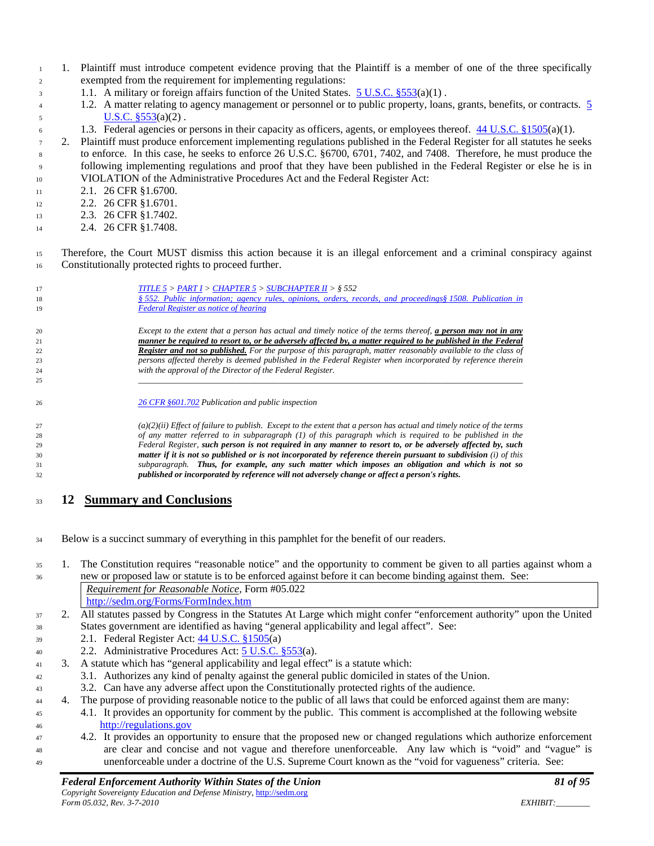- 1. Plaintiff must introduce competent evidence proving that the Plaintiff is a member of one of the three specifically exempted from the requirement for implementing regulations:
- 1.1. A military or foreign affairs function of the United States. [5 U.S.C. §553\(](http://www4.law.cornell.edu/uscode/html/uscode05/usc_sec_05_00000553----000-.html)a)(1) .
- 1.2. A matter relating to agency management or personnel or to public property, loans, grants, benefits, or contracts. [5](http://www4.law.cornell.edu/uscode/html/uscode05/usc_sec_05_00000553----000-.html)   $U.S.C. \S 553(a)(2)$ .
- 6 1.3. Federal agencies or persons in their capacity as officers, agents, or employees thereof.  $44 \text{ U.S.C.}$  §1505(a)(1).
- 2. Plaintiff must produce enforcement implementing regulations published in the Federal Register for all statutes he seeks to enforce. In this case, he seeks to enforce 26 U.S.C. §6700, 6701, 7402, and 7408. Therefore, he must produce the following implementing regulations and proof that they have been published in the Federal Register or else he is in VIOLATION of the Administrative Procedures Act and the Federal Register Act:
- 11 2.1. 26 CFR §1.6700.
- 12 2.2. 26 CFR §1.6701.
- 13 2.3. 26 CFR §1.7402.
- 14 2.4. 26 CFR §1.7408.
- Therefore, the Court MUST dismiss this action because it is an illegal enforcement and a criminal conspiracy against Constitutionally protected rights to proceed further.

| 17<br>18<br>19 | TITLE $5 > PART I > CHAPTER 5 > SUBCHAPTER II > § 552$<br>§ 552. Public information; agency rules, opinions, orders, records, and proceedings§ 1508. Publication in<br><b>Federal Register as notice of hearing</b> |
|----------------|---------------------------------------------------------------------------------------------------------------------------------------------------------------------------------------------------------------------|
| 20             | Except to the extent that a person has actual and timely notice of the terms thereof, a person may not in any                                                                                                       |
| 21             | manner be required to resort to, or be adversely affected by, a matter required to be published in the Federal                                                                                                      |
| 22             | <b>Register and not so published.</b> For the purpose of this paragraph, matter reasonably available to the class of                                                                                                |
| 23             | persons affected thereby is deemed published in the Federal Register when incorporated by reference therein                                                                                                         |
| 24             | with the approval of the Director of the Federal Register.                                                                                                                                                          |
| 25             |                                                                                                                                                                                                                     |
| 26             | 26 CFR §601.702 Publication and public inspection                                                                                                                                                                   |

 *(a)(2)(ii) Effect of failure to publish. Except to the extent that a person has actual and timely notice of the terms of any matter referred to in subparagraph (1) of this paragraph which is required to be published in the Federal Register, such person is not required in any manner to resort to, or be adversely affected by, such matter if it is not so published or is not incorporated by reference therein pursuant to subdivision (i) of this subparagraph. Thus, for example, any such matter which imposes an obligation and which is not so published or incorporated by reference will not adversely change or affect a person's rights.*

# **12 Summary and Conclusions**

- Below is a succinct summary of everything in this pamphlet for the benefit of our readers.
- 1. The Constitution requires "reasonable notice" and the opportunity to comment be given to all parties against whom a new or proposed law or statute is to be enforced against before it can become binding against them. See: *Requirement for Reasonable Notice*, Form #05.022
	- <http://sedm.org/Forms/FormIndex.htm>
- 2. All statutes passed by Congress in the Statutes At Large which might confer "enforcement authority" upon the United States government are identified as having "general applicability and legal affect". See:
- 2.1. Federal Register Act: 44 [U.S.C. §1505\(](http://www.law.cornell.edu/uscode/html/uscode44/usc_sec_44_00001505----000-.html)a)
- 2.2. Administrative Procedures Act: [5 U.S.C. §553\(](http://www.law.cornell.edu/uscode/html/uscode05/usc_sec_05_00000553----000-.html)a).
- 3. A statute which has "general applicability and legal effect" is a statute which:
- 3.1. Authorizes any kind of penalty against the general public domiciled in states of the Union.
- 3.2. Can have any adverse affect upon the Constitutionally protected rights of the audience.
- 4. The purpose of providing reasonable notice to the public of all laws that could be enforced against them are many:
- 4.1. It provides an opportunity for comment by the public. This comment is accomplished at the following website [http://regulations.gov](http://regulations.gov/)
- 4.2. It provides an opportunity to ensure that the proposed new or changed regulations which authorize enforcement are clear and concise and not vague and therefore unenforceable. Any law which is "void" and "vague" is unenforceable under a doctrine of the U.S. Supreme Court known as the "void for vagueness" criteria. See: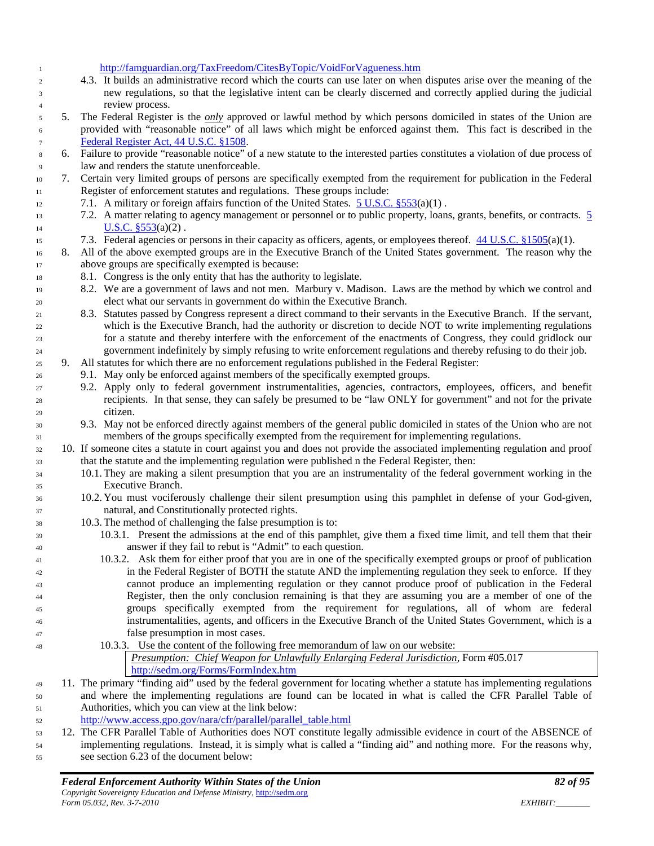<http://famguardian.org/TaxFreedom/CitesByTopic/VoidForVagueness.htm>

- 4.3. It builds an administrative record which the courts can use later on when disputes arise over the meaning of the new regulations, so that the legislative intent can be clearly discerned and correctly applied during the judicial review process.
- 5. The Federal Register is the *only* approved or lawful method by which persons domiciled in states of the Union are provided with "reasonable notice" of all laws which might be enforced against them. This fact is described in the [Federal Register Act, 44 U.S.C. §1508.](http://www.law.cornell.edu/uscode/html/uscode44/usc_sec_44_00001508----000-.html)
- 6. Failure to provide "reasonable notice" of a new statute to the interested parties constitutes a violation of due process of law and renders the statute unenforceable.
- 7. Certain very limited groups of persons are specifically exempted from the requirement for publication in the Federal Register of enforcement statutes and regulations. These groups include:
- 12 7.1. A military or foreign affairs function of the United States.  $5 \text{ U.S.C. }$  \$553(a)(1).
- 7.2. A matter relating to agency management or personnel or to public property, loans, grants, benefits, or contracts. [5](http://www4.law.cornell.edu/uscode/html/uscode05/usc_sec_05_00000553----000-.html)  14  $U.S.C. \S 553(a)(2)$ .
- 15 7.3. Federal agencies or persons in their capacity as officers, agents, or employees thereof.  $44 \text{ U.S.C.} \frac{81505(a)(1)}{1}$ .
- 16 8. All of the above exempted groups are in the Executive Branch of the United States government. The reason why the above groups are specifically exempted is because:
- 8.1. Congress is the only entity that has the authority to legislate.
- 19 8.2. We are a government of laws and not men. Marbury v. Madison. Laws are the method by which we control and elect what our servants in government do within the Executive Branch.
- 8.3. Statutes passed by Congress represent a direct command to their servants in the Executive Branch. If the servant, which is the Executive Branch, had the authority or discretion to decide NOT to write implementing regulations for a statute and thereby interfere with the enforcement of the enactments of Congress, they could gridlock our government indefinitely by simply refusing to write enforcement regulations and thereby refusing to do their job.
- 9. All statutes for which there are no enforcement regulations published in the Federal Register:
- 9.1. May only be enforced against members of the specifically exempted groups.
- 9.2. Apply only to federal government instrumentalities, agencies, contractors, employees, officers, and benefit recipients. In that sense, they can safely be presumed to be "law ONLY for government" and not for the private citizen.
- 9.3. May not be enforced directly against members of the general public domiciled in states of the Union who are not members of the groups specifically exempted from the requirement for implementing regulations.
- 10. If someone cites a statute in court against you and does not provide the associated implementing regulation and proof that the statute and the implementing regulation were published n the Federal Register, then:
- 10.1. They are making a silent presumption that you are an instrumentality of the federal government working in the Executive Branch.
- 10.2. You must vociferously challenge their silent presumption using this pamphlet in defense of your God-given, natural, and Constitutionally protected rights.
- 10.3. The method of challenging the false presumption is to:
- 10.3.1. Present the admissions at the end of this pamphlet, give them a fixed time limit, and tell them that their answer if they fail to rebut is "Admit" to each question.
- 10.3.2. Ask them for either proof that you are in one of the specifically exempted groups or proof of publication in the Federal Register of BOTH the statute AND the implementing regulation they seek to enforce. If they cannot produce an implementing regulation or they cannot produce proof of publication in the Federal Register, then the only conclusion remaining is that they are assuming you are a member of one of the groups specifically exempted from the requirement for regulations, all of whom are federal instrumentalities, agents, and officers in the Executive Branch of the United States Government, which is a false presumption in most cases.
- 10.3.3. Use the content of the following free memorandum of law on our website:

| Presumption: Chief Weapon for Unlawfully Enlarging Federal Jurisdiction, Form #05.017 |  |  |  |  |  |  |
|---------------------------------------------------------------------------------------|--|--|--|--|--|--|
| http://sedm.org/Forms/FormIndex.htm                                                   |  |  |  |  |  |  |

- 11. The primary "finding aid" used by the federal government for locating whether a statute has implementing regulations and where the implementing regulations are found can be located in what is called the CFR Parallel Table of Authorities, which you can view at the link below:
- [http://www.access.gpo.gov/nara/cfr/parallel/parallel\\_table.html](http://www.access.gpo.gov/nara/cfr/parallel/parallel_table.html)
- 12. The CFR Parallel Table of Authorities does NOT constitute legally admissible evidence in court of the ABSENCE of implementing regulations. Instead, it is simply what is called a "finding aid" and nothing more. For the reasons why, see section 6.23 of the document below: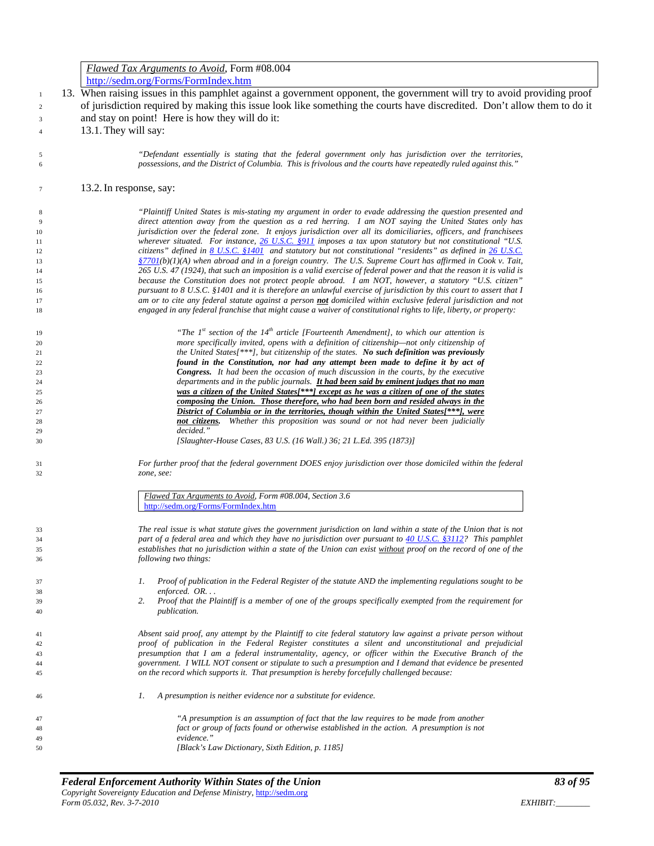|                      | <i>Flawed Tax Arguments to Avoid, Form #08.004</i>                                                                                                                                                                       |
|----------------------|--------------------------------------------------------------------------------------------------------------------------------------------------------------------------------------------------------------------------|
|                      | http://sedm.org/Forms/FormIndex.htm                                                                                                                                                                                      |
| $\mathbf{1}$         | 13. When raising issues in this pamphlet against a government opponent, the government will try to avoid providing proof                                                                                                 |
|                      | of jurisdiction required by making this issue look like something the courts have discredited. Don't allow them to do it                                                                                                 |
| $\overline{c}$       |                                                                                                                                                                                                                          |
| 3                    | and stay on point! Here is how they will do it:                                                                                                                                                                          |
| $\overline{4}$       | 13.1. They will say:                                                                                                                                                                                                     |
|                      |                                                                                                                                                                                                                          |
| 5                    | "Defendant essentially is stating that the federal government only has jurisdiction over the territories,                                                                                                                |
| 6                    | possessions, and the District of Columbia. This is frivolous and the courts have repeatedly ruled against this."                                                                                                         |
|                      |                                                                                                                                                                                                                          |
| $\tau$               | 13.2. In response, say:                                                                                                                                                                                                  |
|                      |                                                                                                                                                                                                                          |
| 8                    | "Plaintiff United States is mis-stating my argument in order to evade addressing the question presented and                                                                                                              |
| $\overline{9}$<br>10 | direct attention away from the question as a red herring. I am NOT saying the United States only has<br>jurisdiction over the federal zone. It enjoys jurisdiction over all its domiciliaries, officers, and franchisees |
| 11                   | wherever situated. For instance, $26$ U.S.C. $8911$ imposes a tax upon statutory but not constitutional "U.S.                                                                                                            |
| 12                   | citizens" defined in $8$ U.S.C. $$1401$ and statutory but not constitutional "residents" as defined in $26$ U.S.C.                                                                                                       |
| 13                   | $\frac{87701(b)}{1}$ (A) when abroad and in a foreign country. The U.S. Supreme Court has affirmed in Cook v. Tait,                                                                                                      |
| 14                   | 265 U.S. 47 (1924), that such an imposition is a valid exercise of federal power and that the reason it is valid is                                                                                                      |
| 15                   | because the Constitution does not protect people abroad. I am NOT, however, a statutory "U.S. citizen"                                                                                                                   |
| 16                   | pursuant to 8 U.S.C. §1401 and it is therefore an unlawful exercise of jurisdiction by this court to assert that I                                                                                                       |
| 17                   | am or to cite any federal statute against a person <b>not</b> domiciled within exclusive federal jurisdiction and not                                                                                                    |
| 18                   | engaged in any federal franchise that might cause a waiver of constitutional rights to life, liberty, or property:                                                                                                       |
|                      | "The $Ist$ section of the $I4th$ article [Fourteenth Amendment], to which our attention is                                                                                                                               |
| 19                   | more specifically invited, opens with a definition of citizenship—not only citizenship of                                                                                                                                |
| 20<br>21             | the United States <sup>[***</sup> ], but citizenship of the states. No such definition was previously                                                                                                                    |
| 22                   | found in the Constitution, nor had any attempt been made to define it by act of                                                                                                                                          |
| 23                   | <b>Congress.</b> It had been the occasion of much discussion in the courts, by the executive                                                                                                                             |
| 24                   | departments and in the public journals. It had been said by eminent judges that no man                                                                                                                                   |
| 25                   | was a citizen of the United States[***] except as he was a citizen of one of the states                                                                                                                                  |
| 26                   | composing the Union. Those therefore, who had been born and resided always in the                                                                                                                                        |
| 27                   | District of Columbia or in the territories, though within the United States[***], were                                                                                                                                   |
| 28                   | Whether this proposition was sound or not had never been judicially<br>not citizens.<br>decided."                                                                                                                        |
| 29<br>30             | [Slaughter-House Cases, 83 U.S. (16 Wall.) 36; 21 L.Ed. 395 (1873)]                                                                                                                                                      |
|                      |                                                                                                                                                                                                                          |
| 31                   | For further proof that the federal government DOES enjoy jurisdiction over those domiciled within the federal                                                                                                            |
| 32                   | zone, see:                                                                                                                                                                                                               |
|                      |                                                                                                                                                                                                                          |
|                      | Flawed Tax Arguments to Avoid, Form #08.004, Section 3.6                                                                                                                                                                 |
|                      | http://sedm.org/Forms/FormIndex.htm                                                                                                                                                                                      |
|                      | The real issue is what statute gives the government jurisdiction on land within a state of the Union that is not                                                                                                         |
| 33<br>34             | part of a federal area and which they have no jurisdiction over pursuant to 40 U.S.C. §3112? This pamphlet                                                                                                               |
| 35                   | establishes that no jurisdiction within a state of the Union can exist without proof on the record of one of the                                                                                                         |
| 36                   | following two things:                                                                                                                                                                                                    |
|                      |                                                                                                                                                                                                                          |
| 37                   | Proof of publication in the Federal Register of the statute AND the implementing regulations sought to be<br>1.                                                                                                          |
| 38                   | enforced. OR                                                                                                                                                                                                             |
| 39                   | 2.<br>Proof that the Plaintiff is a member of one of the groups specifically exempted from the requirement for                                                                                                           |
| 40                   | <i>publication.</i>                                                                                                                                                                                                      |
|                      |                                                                                                                                                                                                                          |
| 41<br>42             | Absent said proof, any attempt by the Plaintiff to cite federal statutory law against a private person without<br>proof of publication in the Federal Register constitutes a silent and unconstitutional and prejudicial |
| 43                   | presumption that I am a federal instrumentality, agency, or officer within the Executive Branch of the                                                                                                                   |
| 44                   | government. I WILL NOT consent or stipulate to such a presumption and I demand that evidence be presented                                                                                                                |
| 45                   | on the record which supports it. That presumption is hereby forcefully challenged because:                                                                                                                               |
|                      |                                                                                                                                                                                                                          |
| 46                   | A presumption is neither evidence nor a substitute for evidence.<br>1.                                                                                                                                                   |
| 47                   | "A presumption is an assumption of fact that the law requires to be made from another                                                                                                                                    |
| 48                   | fact or group of facts found or otherwise established in the action. A presumption is not                                                                                                                                |
| 49                   | evidence."                                                                                                                                                                                                               |
| 50                   | [Black's Law Dictionary, Sixth Edition, p. 1185]                                                                                                                                                                         |
|                      |                                                                                                                                                                                                                          |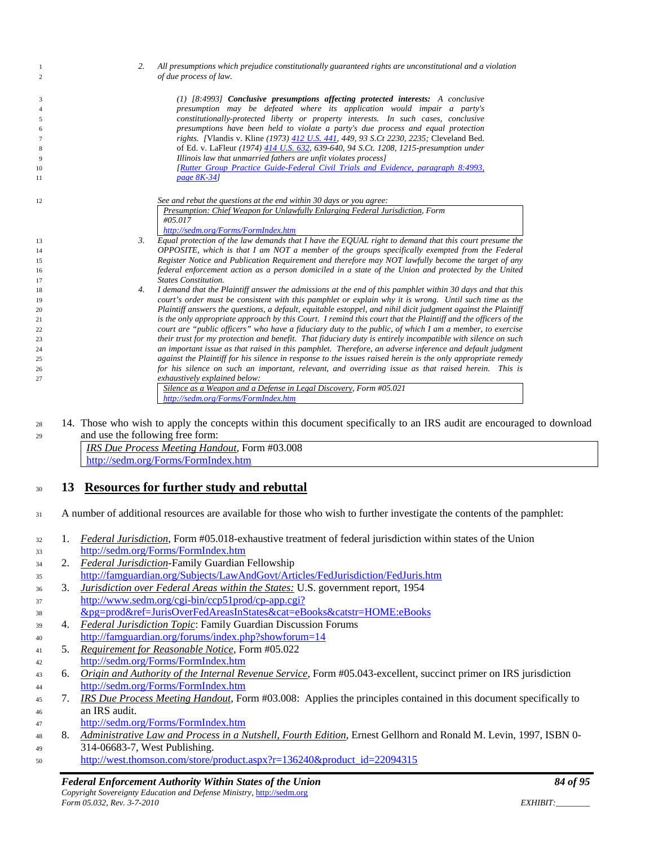| -1                  |    | 2.                               | All presumptions which prejudice constitutionally guaranteed rights are unconstitutional and a violation                             |
|---------------------|----|----------------------------------|--------------------------------------------------------------------------------------------------------------------------------------|
| 2                   |    |                                  | of due process of law.                                                                                                               |
|                     |    |                                  | $(1)$ [8:4993] Conclusive presumptions affecting protected interests: A conclusive                                                   |
| 3<br>$\overline{4}$ |    |                                  | presumption may be defeated where its application would impair a party's                                                             |
| 5                   |    |                                  | constitutionally-protected liberty or property interests. In such cases, conclusive                                                  |
| 6                   |    |                                  | presumptions have been held to violate a party's due process and equal protection                                                    |
| $\overline{7}$      |    |                                  | rights. [Vlandis v. Kline (1973) 412 U.S. 441, 449, 93 S.Ct 2230, 2235; Cleveland Bed.                                               |
| 8                   |    |                                  | of Ed. v. LaFleur (1974) 414 U.S. 632, 639-640, 94 S.Ct. 1208, 1215-presumption under                                                |
| 9                   |    |                                  | Illinois law that unmarried fathers are unfit violates process]                                                                      |
| 10<br>11            |    |                                  | [Rutter Group Practice Guide-Federal Civil Trials and Evidence, paragraph 8:4993,<br>page 8K-34]                                     |
|                     |    |                                  |                                                                                                                                      |
| 12                  |    |                                  | See and rebut the questions at the end within 30 days or you agree:                                                                  |
|                     |    |                                  | Presumption: Chief Weapon for Unlawfully Enlarging Federal Jurisdiction, Form                                                        |
|                     |    |                                  | #05.017                                                                                                                              |
|                     |    |                                  | http://sedm.org/Forms/FormIndex.htm                                                                                                  |
| 13                  |    | 3.                               | Equal protection of the law demands that I have the EQUAL right to demand that this court presume the                                |
| 14                  |    |                                  | OPPOSITE, which is that I am NOT a member of the groups specifically exempted from the Federal                                       |
| 15                  |    |                                  | Register Notice and Publication Requirement and therefore may NOT lawfully become the target of any                                  |
| 16                  |    |                                  | federal enforcement action as a person domiciled in a state of the Union and protected by the United<br><b>States Constitution.</b>  |
| 17<br>18            |    | 4.                               | I demand that the Plaintiff answer the admissions at the end of this pamphlet within 30 days and that this                           |
| 19                  |    |                                  | court's order must be consistent with this pamphlet or explain why it is wrong. Until such time as the                               |
| 20                  |    |                                  | Plaintiff answers the questions, a default, equitable estoppel, and nihil dicit judgment against the Plaintiff                       |
| 21                  |    |                                  | is the only appropriate approach by this Court. I remind this court that the Plaintiff and the officers of the                       |
| 22                  |    |                                  | court are "public officers" who have a fiduciary duty to the public, of which I am a member, to exercise                             |
| 23                  |    |                                  | their trust for my protection and benefit. That fiduciary duty is entirely incompatible with silence on such                         |
| 24                  |    |                                  | an important issue as that raised in this pamphlet. Therefore, an adverse inference and default judgment                             |
| 25                  |    |                                  | against the Plaintiff for his silence in response to the issues raised herein is the only appropriate remedy                         |
| 26                  |    |                                  | for his silence on such an important, relevant, and overriding issue as that raised herein. This is<br>exhaustively explained below: |
| 27                  |    |                                  | Silence as a Weapon and a Defense in Legal Discovery, Form #05.021                                                                   |
|                     |    |                                  | http://sedm.org/Forms/FormIndex.htm                                                                                                  |
|                     |    |                                  |                                                                                                                                      |
| 28                  |    |                                  | 14. Those who wish to apply the concepts within this document specifically to an IRS audit are encouraged to download                |
| 29                  |    | and use the following free form: |                                                                                                                                      |
|                     |    |                                  | IRS Due Process Meeting Handout, Form #03.008                                                                                        |
|                     |    |                                  | http://sedm.org/Forms/FormIndex.htm                                                                                                  |
|                     |    |                                  |                                                                                                                                      |
|                     |    |                                  |                                                                                                                                      |
| 30                  | 13 |                                  | <b>Resources for further study and rebuttal</b>                                                                                      |
|                     |    |                                  |                                                                                                                                      |
| 31                  |    |                                  | A number of additional resources are available for those who wish to further investigate the contents of the pamphlet:               |
|                     |    |                                  |                                                                                                                                      |
| 32                  | 1. |                                  | Federal Jurisdiction, Form #05.018-exhaustive treatment of federal jurisdiction within states of the Union                           |
| 33                  |    |                                  | http://sedm.org/Forms/FormIndex.htm                                                                                                  |
|                     | 2. |                                  | <b>Federal Jurisdiction-Family Guardian Fellowship</b>                                                                               |
| 34                  |    |                                  | http://famguardian.org/Subjects/LawAndGovt/Articles/FedJurisdiction/FedJuris.htm                                                     |
| 35                  |    |                                  |                                                                                                                                      |
| 36                  | 3. |                                  | <b>Jurisdiction over Federal Areas within the States: U.S. government report, 1954</b>                                               |
| 37                  |    |                                  | http://www.sedm.org/cgi-bin/ccp51prod/cp-app.cgi?                                                                                    |
| 38                  |    |                                  | &pg=prod&ref=JurisOverFedAreasInStates&cat=eBooks&catstr=HOME:eBooks                                                                 |
| 39                  | 4. |                                  | <b>Federal Jurisdiction Topic: Family Guardian Discussion Forums</b>                                                                 |
| 40                  |    |                                  | http://famguardian.org/forums/index.php?showforum=14                                                                                 |
| 41                  | 5. |                                  | Requirement for Reasonable Notice, Form #05.022                                                                                      |
| 42                  |    |                                  | http://sedm.org/Forms/FormIndex.htm                                                                                                  |
| 43                  | 6. |                                  | Origin and Authority of the Internal Revenue Service, Form #05.043-excellent, succinct primer on IRS jurisdiction                    |
|                     |    |                                  | http://sedm.org/Forms/FormIndex.htm                                                                                                  |
| 44                  | 7. |                                  | IRS Due Process Meeting Handout, Form #03.008: Applies the principles contained in this document specifically to                     |
| 45                  |    |                                  |                                                                                                                                      |
| 46                  |    | an IRS audit.                    |                                                                                                                                      |
| 47                  |    |                                  | http://sedm.org/Forms/FormIndex.htm                                                                                                  |

- 8. *Administrative Law and Process in a Nutshell, Fourth Edition*, Ernest Gellhorn and Ronald M. Levin, 1997, ISBN 0- 314-06683-7, West Publishing.
- [http://west.thomson.com/store/product.aspx?r=136240&product\\_id=22094315](http://west.thomson.com/store/product.aspx?r=136240&product_id=22094315)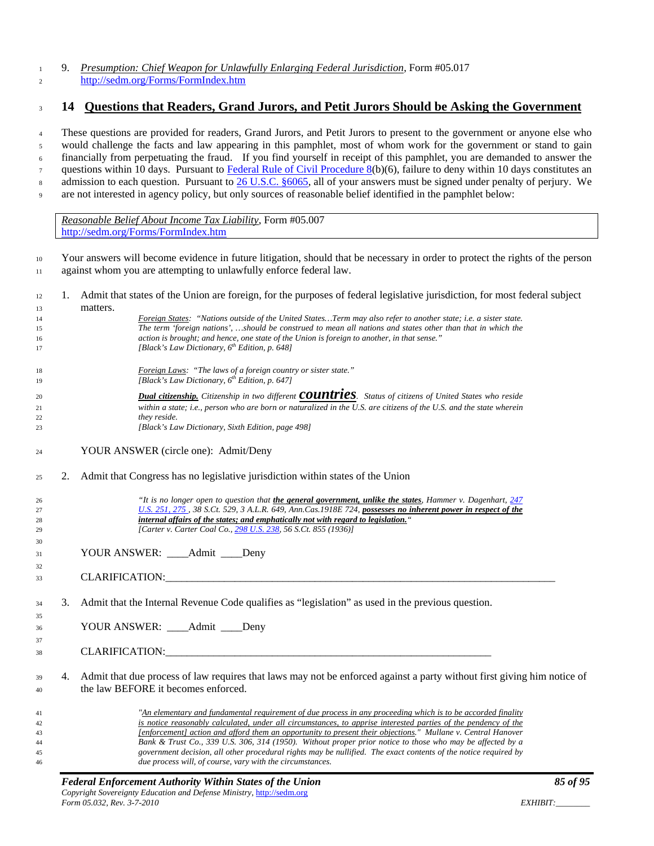#### 9. *Presumption: Chief Weapon for Unlawfully Enlarging Federal Jurisdiction*, Form #05.017 <http://sedm.org/Forms/FormIndex.htm>

## **14 Questions that Readers, Grand Jurors, and Petit Jurors Should be Asking the Government**

 These questions are provided for readers, Grand Jurors, and Petit Jurors to present to the government or anyone else who would challenge the facts and law appearing in this pamphlet, most of whom work for the government or stand to gain financially from perpetuating the fraud. If you find yourself in receipt of this pamphlet, you are demanded to answer the questions within 10 days. Pursuant t[o Federal Rule of Civil Procedure 8\(](http://www.law.cornell.edu/rules/frcp/Rule8.htm)b)(6), failure to deny within 10 days constitutes an 8 admission to each question. Pursuant to [26 U.S.C. §6065,](http://www4.law.cornell.edu/uscode/html/uscode26/usc_sec_26_00006065----000-.html) all of your answers must be signed under penalty of perjury. We are not interested in agency policy, but only sources of reasonable belief identified in the pamphlet below:

*Reasonable Belief About Income Tax Liability*, Form #05.007 <http://sedm.org/Forms/FormIndex.htm>

 Your answers will become evidence in future litigation, should that be necessary in order to protect the rights of the person against whom you are attempting to unlawfully enforce federal law.

- 1. Admit that states of the Union are foreign, for the purposes of federal legislative jurisdiction, for most federal subject matters. *Foreign States: "Nations outside of the United States…Term may also refer to another state; i.e. a sister state. The term 'foreign nations', …should be construed to mean all nations and states other than that in which the action is brought; and hence, one state of the Union is foreign to another, in that sense." [Black's Law Dictionary, 6th Edition, p. 648] Foreign Laws: "The laws of a foreign country or sister state." f [Black's Law Dictionary, 6<sup>th</sup> Edition, p. 647] Dual citizenship. Citizenship in two different countries. Status of citizens of United States who reside within a state; i.e., person who are born or naturalized in the U.S. are citizens of the U.S. and the state wherein they reside. [Black's Law Dictionary, Sixth Edition, page 498]* YOUR ANSWER (circle one): Admit/Deny
- 2. Admit that Congress has no legislative jurisdiction within states of the Union
	-

 *"It is no longer open to question that the general government, unlike the states, Hammer v. Dagenhart, [247](http://caselaw.lp.findlaw.com/cgi-bin/getcase.pl?court=us&vol=247&invol=251#275)  [U.S. 251, 275 ,](http://caselaw.lp.findlaw.com/cgi-bin/getcase.pl?court=us&vol=247&invol=251#275) 38 S.Ct. 529, 3 A.L.R. 649, Ann.Cas.1918E 724, possesses no inherent power in respect of the internal affairs of the states; and emphatically not with regard to legislation." [Carter v. Carter Coal Co., [298 U.S. 238,](http://caselaw.lp.findlaw.com/scripts/getcase.pl?navby=case&court=us&vol=298&page=238) 56 S.Ct. 855 (1936)]*

- 31 YOUR ANSWER: Admit Denv
- 33 CLARIFICATION:
- 3. Admit that the Internal Revenue Code qualifies as "legislation" as used in the previous question.
- YOUR ANSWER: \_\_\_\_Admit \_\_\_\_Deny
- CLARIFICATION:\_\_\_\_\_\_\_\_\_\_\_\_\_\_\_\_\_\_\_\_\_\_\_\_\_\_\_\_\_\_\_\_\_\_\_\_\_\_\_\_\_\_\_\_\_\_\_\_\_\_\_\_\_\_\_\_\_\_\_\_\_
- 4. Admit that due process of law requires that laws may not be enforced against a party without first giving him notice of the law BEFORE it becomes enforced.

 *"An elementary and fundamental requirement of due process in any proceeding which is to be accorded finality is notice reasonably calculated, under all circumstances, to apprise interested parties of the pendency of the [enforcement] action and afford them an opportunity to present their objections." Mullane v. Central Hanover Bank & Trust Co., 339 U.S. 306, 314 (1950). Without proper prior notice to those who may be affected by a government decision, all other procedural rights may be nullified. The exact contents of the notice required by due process will, of course, vary with the circumstances.*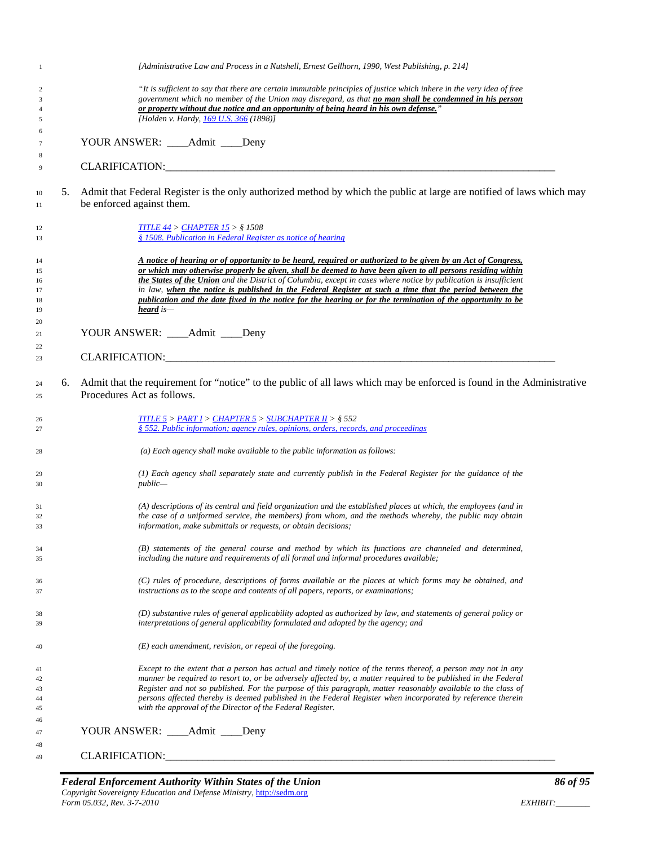| 1                                |    | [Administrative Law and Process in a Nutshell, Ernest Gellhorn, 1990, West Publishing, p. 214]                                                                                                                                                                                                                                                                                                                                                                                                                                                                                           |
|----------------------------------|----|------------------------------------------------------------------------------------------------------------------------------------------------------------------------------------------------------------------------------------------------------------------------------------------------------------------------------------------------------------------------------------------------------------------------------------------------------------------------------------------------------------------------------------------------------------------------------------------|
| 2<br>3<br>4                      |    | "It is sufficient to say that there are certain immutable principles of justice which inhere in the very idea of free<br>government which no member of the Union may disregard, as that <b>no man shall be condemned in his person</b><br>or property without due notice and an opportunity of being heard in his own defense."                                                                                                                                                                                                                                                          |
| 5                                |    | [Holden v. Hardy, 169 U.S. 366 (1898)]                                                                                                                                                                                                                                                                                                                                                                                                                                                                                                                                                   |
| 6                                |    |                                                                                                                                                                                                                                                                                                                                                                                                                                                                                                                                                                                          |
| $\overline{7}$                   |    | YOUR ANSWER: ____Admit ____Deny                                                                                                                                                                                                                                                                                                                                                                                                                                                                                                                                                          |
| 8                                |    |                                                                                                                                                                                                                                                                                                                                                                                                                                                                                                                                                                                          |
| 9                                |    | CLARIFICATION: CLARIFICATION:                                                                                                                                                                                                                                                                                                                                                                                                                                                                                                                                                            |
| 10<br>11                         | 5. | Admit that Federal Register is the only authorized method by which the public at large are notified of laws which may<br>be enforced against them.                                                                                                                                                                                                                                                                                                                                                                                                                                       |
| 12<br>13                         |    | <b>TITLE 44 &gt; CHAPTER 15 &gt; § 1508</b><br>§ 1508. Publication in Federal Register as notice of hearing                                                                                                                                                                                                                                                                                                                                                                                                                                                                              |
| 14<br>15<br>16<br>17<br>18<br>19 |    | A notice of hearing or of opportunity to be heard, required or authorized to be given by an Act of Congress,<br>or which may otherwise properly be given, shall be deemed to have been given to all persons residing within<br>the States of the Union and the District of Columbia, except in cases where notice by publication is insufficient<br>in law, when the notice is published in the Federal Register at such a time that the period between the<br>publication and the date fixed in the notice for the hearing or for the termination of the opportunity to be<br>heard is- |
| 20                               |    |                                                                                                                                                                                                                                                                                                                                                                                                                                                                                                                                                                                          |
| 21                               |    | YOUR ANSWER: _____ Admit _____ Deny                                                                                                                                                                                                                                                                                                                                                                                                                                                                                                                                                      |
| 22                               |    | CLARIFICATION: CLARIFICATION:                                                                                                                                                                                                                                                                                                                                                                                                                                                                                                                                                            |
| 23                               |    |                                                                                                                                                                                                                                                                                                                                                                                                                                                                                                                                                                                          |
| 24<br>25                         | 6. | Admit that the requirement for "notice" to the public of all laws which may be enforced is found in the Administrative<br>Procedures Act as follows.                                                                                                                                                                                                                                                                                                                                                                                                                                     |
| 26<br>27                         |    | <b>TITLE 5 &gt; PART I &gt; CHAPTER 5 &gt; SUBCHAPTER II &gt; <math>\S</math> 552</b><br>§ 552. Public information; agency rules, opinions, orders, records, and proceedings                                                                                                                                                                                                                                                                                                                                                                                                             |
| 28                               |    | (a) Each agency shall make available to the public information as follows:                                                                                                                                                                                                                                                                                                                                                                                                                                                                                                               |
| 29<br>30                         |    | (1) Each agency shall separately state and currently publish in the Federal Register for the guidance of the<br>$public-$                                                                                                                                                                                                                                                                                                                                                                                                                                                                |
| 31                               |    | (A) descriptions of its central and field organization and the established places at which, the employees (and in                                                                                                                                                                                                                                                                                                                                                                                                                                                                        |
| 32                               |    | the case of a uniformed service, the members) from whom, and the methods whereby, the public may obtain                                                                                                                                                                                                                                                                                                                                                                                                                                                                                  |
| 33                               |    | information, make submittals or requests, or obtain decisions;                                                                                                                                                                                                                                                                                                                                                                                                                                                                                                                           |
| 34<br>35                         |    | (B) statements of the general course and method by which its functions are channeled and determined,<br>including the nature and requirements of all formal and informal procedures available;                                                                                                                                                                                                                                                                                                                                                                                           |
| 36<br>37                         |    | (C) rules of procedure, descriptions of forms available or the places at which forms may be obtained, and<br>instructions as to the scope and contents of all papers, reports, or examinations;                                                                                                                                                                                                                                                                                                                                                                                          |
| 38<br>39                         |    | (D) substantive rules of general applicability adopted as authorized by law, and statements of general policy or<br>interpretations of general applicability formulated and adopted by the agency; and                                                                                                                                                                                                                                                                                                                                                                                   |
| 40                               |    | $(E)$ each amendment, revision, or repeal of the foregoing.                                                                                                                                                                                                                                                                                                                                                                                                                                                                                                                              |
| 41                               |    | Except to the extent that a person has actual and timely notice of the terms thereof, a person may not in any                                                                                                                                                                                                                                                                                                                                                                                                                                                                            |
| 42                               |    | manner be required to resort to, or be adversely affected by, a matter required to be published in the Federal                                                                                                                                                                                                                                                                                                                                                                                                                                                                           |
| 43                               |    | Register and not so published. For the purpose of this paragraph, matter reasonably available to the class of                                                                                                                                                                                                                                                                                                                                                                                                                                                                            |
| 44<br>45                         |    | persons affected thereby is deemed published in the Federal Register when incorporated by reference therein<br>with the approval of the Director of the Federal Register.                                                                                                                                                                                                                                                                                                                                                                                                                |
| 46                               |    |                                                                                                                                                                                                                                                                                                                                                                                                                                                                                                                                                                                          |
| 47                               |    | YOUR ANSWER: ____Admit ____Deny                                                                                                                                                                                                                                                                                                                                                                                                                                                                                                                                                          |
| 48                               |    |                                                                                                                                                                                                                                                                                                                                                                                                                                                                                                                                                                                          |
| 49                               |    |                                                                                                                                                                                                                                                                                                                                                                                                                                                                                                                                                                                          |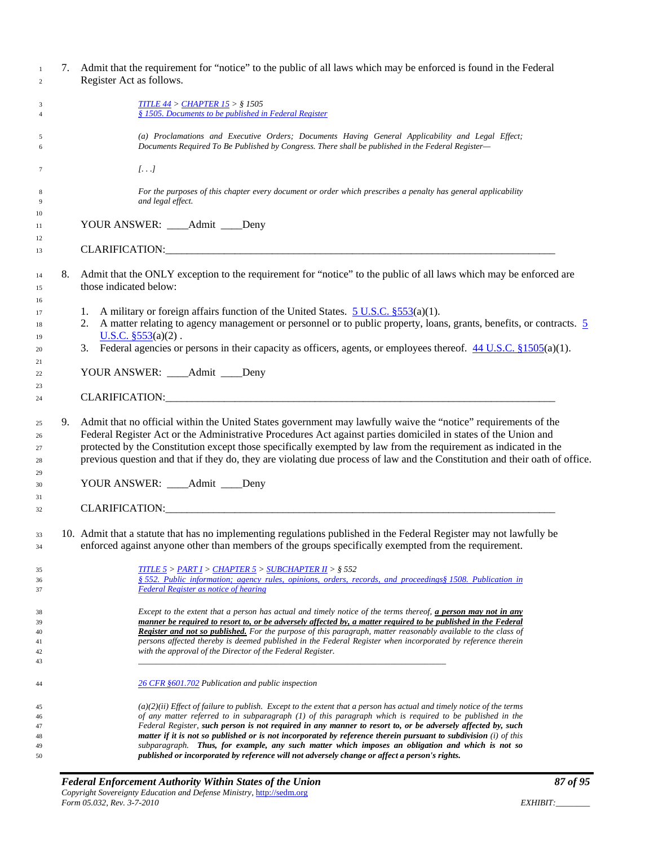| 7. Admit that the requirement for "notice" to the public of all laws which may be enforced is found in the Federal                                                                                                                                                                                                                                                                                                                                                                                                                                                         |
|----------------------------------------------------------------------------------------------------------------------------------------------------------------------------------------------------------------------------------------------------------------------------------------------------------------------------------------------------------------------------------------------------------------------------------------------------------------------------------------------------------------------------------------------------------------------------|
|                                                                                                                                                                                                                                                                                                                                                                                                                                                                                                                                                                            |
| (a) Proclamations and Executive Orders; Documents Having General Applicability and Legal Effect;<br>Documents Required To Be Published by Congress. There shall be published in the Federal Register-                                                                                                                                                                                                                                                                                                                                                                      |
|                                                                                                                                                                                                                                                                                                                                                                                                                                                                                                                                                                            |
| For the purposes of this chapter every document or order which prescribes a penalty has general applicability                                                                                                                                                                                                                                                                                                                                                                                                                                                              |
|                                                                                                                                                                                                                                                                                                                                                                                                                                                                                                                                                                            |
| CLARIFICATION: CLARIFICATION:                                                                                                                                                                                                                                                                                                                                                                                                                                                                                                                                              |
| Admit that the ONLY exception to the requirement for "notice" to the public of all laws which may be enforced are                                                                                                                                                                                                                                                                                                                                                                                                                                                          |
| 2. A matter relating to agency management or personnel or to public property, loans, grants, benefits, or contracts. $\frac{5}{2}$                                                                                                                                                                                                                                                                                                                                                                                                                                         |
| 3. Federal agencies or persons in their capacity as officers, agents, or employees thereof. $44 \text{ U.S.C.}$ \$1505(a)(1).                                                                                                                                                                                                                                                                                                                                                                                                                                              |
|                                                                                                                                                                                                                                                                                                                                                                                                                                                                                                                                                                            |
|                                                                                                                                                                                                                                                                                                                                                                                                                                                                                                                                                                            |
| Admit that no official within the United States government may lawfully waive the "notice" requirements of the<br>Federal Register Act or the Administrative Procedures Act against parties domiciled in states of the Union and<br>protected by the Constitution except those specifically exempted by law from the requirement as indicated in the<br>previous question and that if they do, they are violating due process of law and the Constitution and their oath of office.                                                                                        |
|                                                                                                                                                                                                                                                                                                                                                                                                                                                                                                                                                                            |
|                                                                                                                                                                                                                                                                                                                                                                                                                                                                                                                                                                            |
| 10. Admit that a statute that has no implementing regulations published in the Federal Register may not lawfully be<br>enforced against anyone other than members of the groups specifically exempted from the requirement.                                                                                                                                                                                                                                                                                                                                                |
| § 552. Public information; agency rules, opinions, orders, records, and proceedings§ 1508. Publication in                                                                                                                                                                                                                                                                                                                                                                                                                                                                  |
| Except to the extent that a person has actual and timely notice of the terms thereof, <b>a person may not in any</b><br>manner be required to resort to, or be adversely affected by, a matter required to be published in the Federal<br><b>Register and not so published.</b> For the purpose of this paragraph, matter reasonably available to the class of<br>persons affected thereby is deemed published in the Federal Register when incorporated by reference therein                                                                                              |
|                                                                                                                                                                                                                                                                                                                                                                                                                                                                                                                                                                            |
| $(a)(2)(ii)$ Effect of failure to publish. Except to the extent that a person has actual and timely notice of the terms<br>of any matter referred to in subparagraph (1) of this paragraph which is required to be published in the<br>Federal Register, such person is not required in any manner to resort to, or be adversely affected by, such<br>matter if it is not so published or is not incorporated by reference therein pursuant to subdivision (i) of this<br>subparagraph. Thus, for example, any such matter which imposes an obligation and which is not so |
| published or incorporated by reference will not adversely change or affect a person's rights.                                                                                                                                                                                                                                                                                                                                                                                                                                                                              |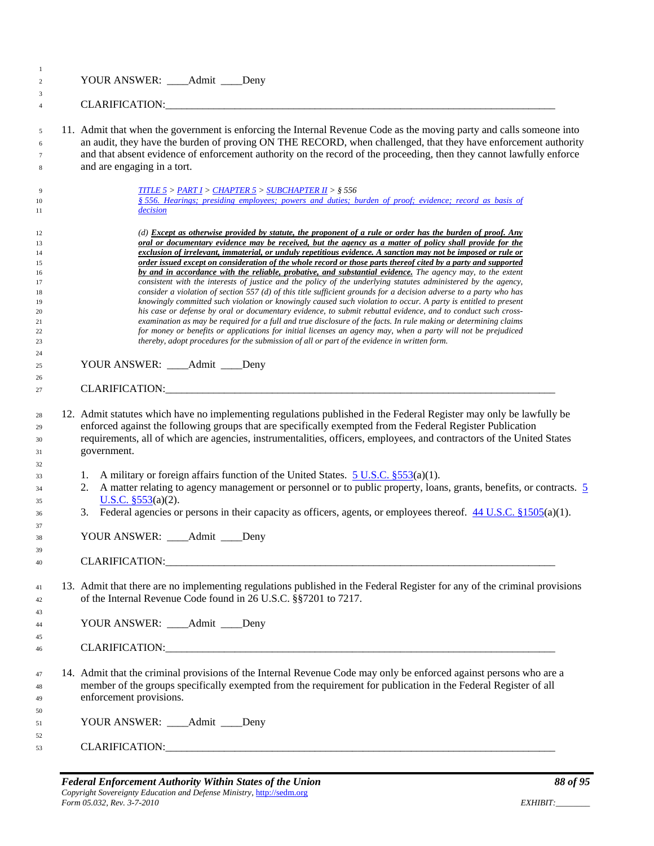| -1<br>$\overline{c}$                                                 | YOUR ANSWER: ____Admit ____Deny                                                                                                                                                                                                                                                                                                                                                                                                                                                                                                                                                                                                                                                                                                                                                                                                                                                                                                                                                                                                                                                                                                                                                                                                                                                                                                                                                        |
|----------------------------------------------------------------------|----------------------------------------------------------------------------------------------------------------------------------------------------------------------------------------------------------------------------------------------------------------------------------------------------------------------------------------------------------------------------------------------------------------------------------------------------------------------------------------------------------------------------------------------------------------------------------------------------------------------------------------------------------------------------------------------------------------------------------------------------------------------------------------------------------------------------------------------------------------------------------------------------------------------------------------------------------------------------------------------------------------------------------------------------------------------------------------------------------------------------------------------------------------------------------------------------------------------------------------------------------------------------------------------------------------------------------------------------------------------------------------|
| 3<br>$\overline{4}$                                                  |                                                                                                                                                                                                                                                                                                                                                                                                                                                                                                                                                                                                                                                                                                                                                                                                                                                                                                                                                                                                                                                                                                                                                                                                                                                                                                                                                                                        |
| 5<br>6<br>7<br>8                                                     | 11. Admit that when the government is enforcing the Internal Revenue Code as the moving party and calls someone into<br>an audit, they have the burden of proving ON THE RECORD, when challenged, that they have enforcement authority<br>and that absent evidence of enforcement authority on the record of the proceeding, then they cannot lawfully enforce<br>and are engaging in a tort.                                                                                                                                                                                                                                                                                                                                                                                                                                                                                                                                                                                                                                                                                                                                                                                                                                                                                                                                                                                          |
| 9<br>10<br>11                                                        | <b>TITLE 5 &gt; PART I &gt; CHAPTER 5 &gt; SUBCHAPTER II &gt; <math>\S</math> 556</b><br>§ 556. Hearings; presiding employees; powers and duties; burden of proof; evidence; record as basis of<br>decision                                                                                                                                                                                                                                                                                                                                                                                                                                                                                                                                                                                                                                                                                                                                                                                                                                                                                                                                                                                                                                                                                                                                                                            |
| 12<br>13<br>14<br>15<br>16<br>17<br>18<br>19<br>20<br>21<br>22<br>23 | (d) Except as otherwise provided by statute, the proponent of a rule or order has the burden of proof. Any<br>oral or documentary evidence may be received, but the agency as a matter of policy shall provide for the<br>exclusion of irrelevant, immaterial, or unduly repetitious evidence. A sanction may not be imposed or rule or<br>order issued except on consideration of the whole record or those parts thereof cited by a party and supported<br>by and in accordance with the reliable, probative, and substantial evidence. The agency may, to the extent<br>consistent with the interests of justice and the policy of the underlying statutes administered by the agency,<br>consider a violation of section 557 (d) of this title sufficient grounds for a decision adverse to a party who has<br>knowingly committed such violation or knowingly caused such violation to occur. A party is entitled to present<br>his case or defense by oral or documentary evidence, to submit rebuttal evidence, and to conduct such cross-<br>examination as may be required for a full and true disclosure of the facts. In rule making or determining claims<br>for money or benefits or applications for initial licenses an agency may, when a party will not be prejudiced<br>thereby, adopt procedures for the submission of all or part of the evidence in written form. |
| 24<br>25<br>26                                                       | YOUR ANSWER: ____Admit ____Deny<br>CLARIFICATION: CLARIFICATION:                                                                                                                                                                                                                                                                                                                                                                                                                                                                                                                                                                                                                                                                                                                                                                                                                                                                                                                                                                                                                                                                                                                                                                                                                                                                                                                       |
| 28<br>29<br>30<br>31<br>32                                           | 12. Admit statutes which have no implementing regulations published in the Federal Register may only be lawfully be<br>enforced against the following groups that are specifically exempted from the Federal Register Publication<br>requirements, all of which are agencies, instrumentalities, officers, employees, and contractors of the United States<br>government.                                                                                                                                                                                                                                                                                                                                                                                                                                                                                                                                                                                                                                                                                                                                                                                                                                                                                                                                                                                                              |
| 33<br>34<br>35<br>36<br>37                                           | A military or foreign affairs function of the United States. $5 \text{ U.S.C. }$ \$553(a)(1).<br>1.<br>A matter relating to agency management or personnel or to public property, loans, grants, benefits, or contracts. 5<br>2.<br>U.S.C. $$553(a)(2)$ .<br>Federal agencies or persons in their capacity as officers, agents, or employees thereof. $44 \text{ U.S.C.}$ §1505(a)(1).<br>3.                                                                                                                                                                                                                                                                                                                                                                                                                                                                                                                                                                                                                                                                                                                                                                                                                                                                                                                                                                                           |
| 38<br>39<br>40                                                       | YOUR ANSWER: _____ Admit _____ Deny                                                                                                                                                                                                                                                                                                                                                                                                                                                                                                                                                                                                                                                                                                                                                                                                                                                                                                                                                                                                                                                                                                                                                                                                                                                                                                                                                    |
| 41<br>42                                                             | 13. Admit that there are no implementing regulations published in the Federal Register for any of the criminal provisions<br>of the Internal Revenue Code found in 26 U.S.C. §§7201 to 7217.                                                                                                                                                                                                                                                                                                                                                                                                                                                                                                                                                                                                                                                                                                                                                                                                                                                                                                                                                                                                                                                                                                                                                                                           |
| 43<br>44<br>45                                                       | YOUR ANSWER: ____Admit ____Deny                                                                                                                                                                                                                                                                                                                                                                                                                                                                                                                                                                                                                                                                                                                                                                                                                                                                                                                                                                                                                                                                                                                                                                                                                                                                                                                                                        |
| 46                                                                   |                                                                                                                                                                                                                                                                                                                                                                                                                                                                                                                                                                                                                                                                                                                                                                                                                                                                                                                                                                                                                                                                                                                                                                                                                                                                                                                                                                                        |
| 47<br>48<br>49                                                       | 14. Admit that the criminal provisions of the Internal Revenue Code may only be enforced against persons who are a<br>member of the groups specifically exempted from the requirement for publication in the Federal Register of all<br>enforcement provisions.                                                                                                                                                                                                                                                                                                                                                                                                                                                                                                                                                                                                                                                                                                                                                                                                                                                                                                                                                                                                                                                                                                                        |
| 50<br>51<br>52                                                       | YOUR ANSWER: ____Admit ____Deny                                                                                                                                                                                                                                                                                                                                                                                                                                                                                                                                                                                                                                                                                                                                                                                                                                                                                                                                                                                                                                                                                                                                                                                                                                                                                                                                                        |
| 53                                                                   | CLARIFICATION: UNIVERSITY OF A CONTROL CLARIFICATION                                                                                                                                                                                                                                                                                                                                                                                                                                                                                                                                                                                                                                                                                                                                                                                                                                                                                                                                                                                                                                                                                                                                                                                                                                                                                                                                   |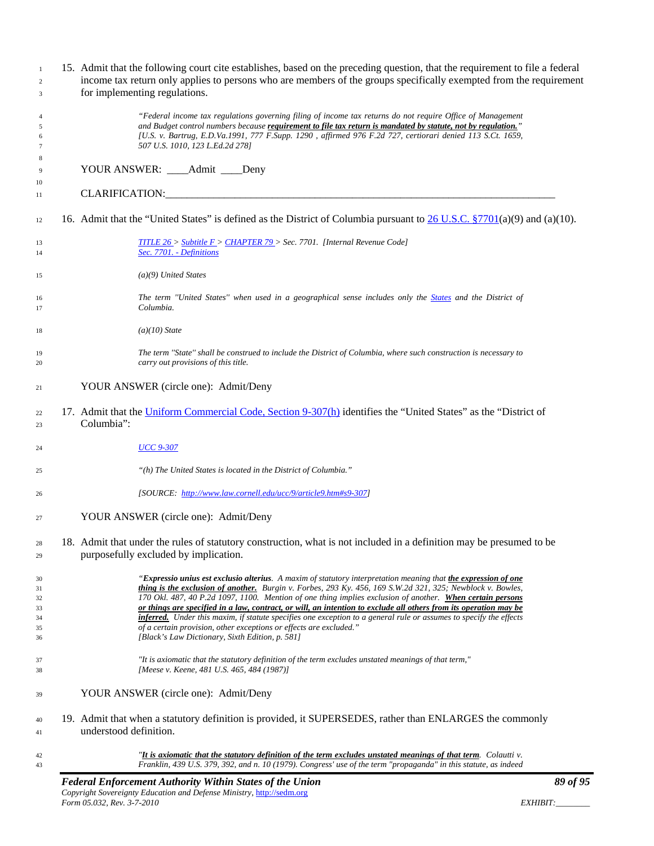| $\mathbf{1}$<br>$\overline{c}$ | 15. Admit that the following court cite establishes, based on the preceding question, that the requirement to file a federal<br>income tax return only applies to persons who are members of the groups specifically exempted from the requirement |
|--------------------------------|----------------------------------------------------------------------------------------------------------------------------------------------------------------------------------------------------------------------------------------------------|
| 3                              | for implementing regulations.                                                                                                                                                                                                                      |
| $\overline{4}$                 | "Federal income tax regulations governing filing of income tax returns do not require Office of Management                                                                                                                                         |
| 5                              | and Budget control numbers because requirement to file tax return is mandated by statute, not by regulation."<br>[U.S. v. Bartrug, E.D.Va.1991, 777 F.Supp. 1290, affirmed 976 F.2d 727, certiorari denied 113 S.Ct. 1659,                         |
| 6<br>7                         | 507 U.S. 1010, 123 L.Ed.2d 278]                                                                                                                                                                                                                    |
| 8                              |                                                                                                                                                                                                                                                    |
| 9                              | YOUR ANSWER: ____Admit ____Deny                                                                                                                                                                                                                    |
| 10                             |                                                                                                                                                                                                                                                    |
| 11                             |                                                                                                                                                                                                                                                    |
| 12                             | 16. Admit that the "United States" is defined as the District of Columbia pursuant to $26$ U.S.C. §7701(a)(9) and (a)(10).                                                                                                                         |
| 13<br>14                       | TITLE $26 >$ Subtitle $F >$ CHAPTER 79 > Sec. 7701. [Internal Revenue Code]<br>Sec. 7701. - Definitions                                                                                                                                            |
| 15                             | $(a)(9)$ United States                                                                                                                                                                                                                             |
| 16<br>17                       | The term "United States" when used in a geographical sense includes only the States and the District of<br>Columbia.                                                                                                                               |
| 18                             | $(a)(10)$ State                                                                                                                                                                                                                                    |
| 19<br>20                       | The term "State" shall be construed to include the District of Columbia, where such construction is necessary to<br>carry out provisions of this title.                                                                                            |
| 21                             | YOUR ANSWER (circle one): Admit/Deny                                                                                                                                                                                                               |
| 22<br>23                       | 17. Admit that the Uniform Commercial Code, Section 9-307(h) identifies the "United States" as the "District of<br>Columbia":                                                                                                                      |
| 24                             | <b>UCC 9-307</b>                                                                                                                                                                                                                                   |
| 25                             | "(h) The United States is located in the District of Columbia."                                                                                                                                                                                    |
| 26                             | [SOURCE: http://www.law.cornell.edu/ucc/9/article9.htm#s9-307]                                                                                                                                                                                     |
| 27                             | YOUR ANSWER (circle one): Admit/Deny                                                                                                                                                                                                               |
| 28                             | 18. Admit that under the rules of statutory construction, what is not included in a definition may be presumed to be                                                                                                                               |
| 29                             | purposefully excluded by implication.                                                                                                                                                                                                              |
| 30                             | "Expressio unius est exclusio alterius. A maxim of statutory interpretation meaning that the expression of one                                                                                                                                     |
| 31                             | thing is the exclusion of another. Burgin v. Forbes, 293 Ky. 456, 169 S.W.2d 321, 325; Newblock v. Bowles,                                                                                                                                         |
| 32                             | 170 Okl. 487, 40 P.2d 1097, 1100. Mention of one thing implies exclusion of another. When certain persons                                                                                                                                          |
| 33                             | or things are specified in a law, contract, or will, an intention to exclude all others from its operation may be                                                                                                                                  |
| 34                             | inferred. Under this maxim, if statute specifies one exception to a general rule or assumes to specify the effects<br>of a certain provision, other exceptions or effects are excluded."                                                           |
| 35<br>36                       | [Black's Law Dictionary, Sixth Edition, p. 581]                                                                                                                                                                                                    |
| 37<br>38                       | "It is axiomatic that the statutory definition of the term excludes unstated meanings of that term,"<br>[Meese v. Keene, 481 U.S. 465, 484 (1987)]                                                                                                 |
| 39                             | YOUR ANSWER (circle one): Admit/Deny                                                                                                                                                                                                               |
| 40<br>41                       | 19. Admit that when a statutory definition is provided, it SUPERSEDES, rather than ENLARGES the commonly<br>understood definition.                                                                                                                 |
| 42<br>43                       | "It is axiomatic that the statutory definition of the term excludes unstated meanings of that term. Colautti v.<br>Franklin, 439 U.S. 379, 392, and n. 10 (1979). Congress' use of the term "propaganda" in this statute, as indeed                |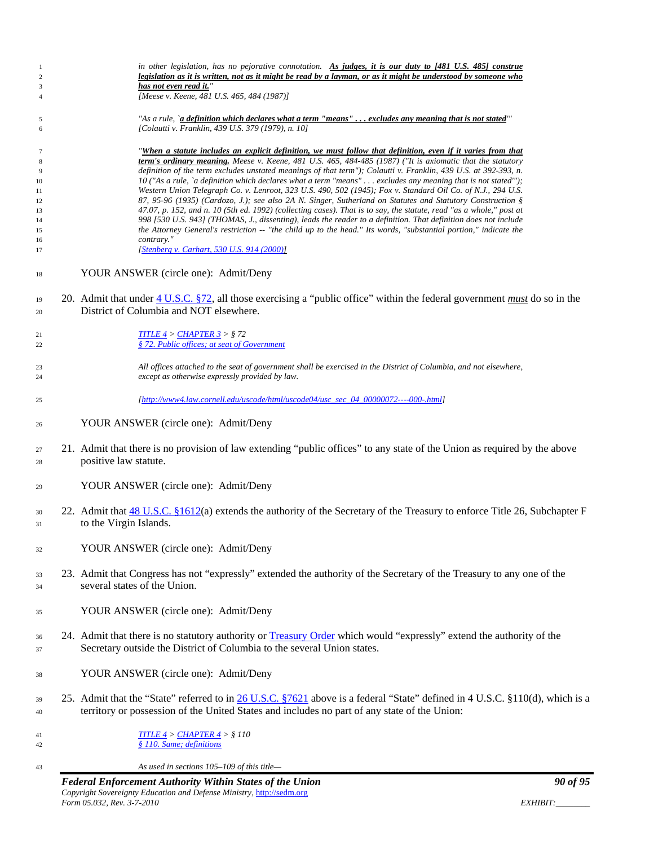| 1<br>$\overline{c}$ | in other legislation, has no pejorative connotation. As judges, it is our duty to [481 U.S. 485] construe<br>legislation as it is written, not as it might be read by a layman, or as it might be understood by someone who |
|---------------------|-----------------------------------------------------------------------------------------------------------------------------------------------------------------------------------------------------------------------------|
| 3<br>$\overline{4}$ | has not even read it."<br>[Meese v. Keene, 481 U.S. 465, 484 (1987)]                                                                                                                                                        |
| 5                   | "As a rule, `a definition which declares what a term "means" excludes any meaning that is not stated"                                                                                                                       |
| 6                   | [Colautti v. Franklin, 439 U.S. 379 (1979), n. 10]                                                                                                                                                                          |
| $\overline{7}$      | "When a statute includes an explicit definition, we must follow that definition, even if it varies from that                                                                                                                |
| 8                   | term's ordinary meaning. Meese v. Keene, 481 U.S. 465, 484-485 (1987) ("It is axiomatic that the statutory                                                                                                                  |
| 9                   | definition of the term excludes unstated meanings of that term"); Colautti v. Franklin, 439 U.S. at 392-393, n.                                                                                                             |
| 10                  | 10 ("As a rule, `a definition which declares what a term "means" excludes any meaning that is not stated");                                                                                                                 |
| 11                  | Western Union Telegraph Co. v. Lenroot, 323 U.S. 490, 502 (1945); Fox v. Standard Oil Co. of N.J., 294 U.S.<br>87, 95-96 (1935) (Cardozo, J.); see also 2A N. Singer, Sutherland on Statutes and Statutory Construction §   |
| 12<br>13            | 47.07, p. 152, and n. 10 (5th ed. 1992) (collecting cases). That is to say, the statute, read "as a whole," post at                                                                                                         |
| 14                  | 998 [530 U.S. 943] (THOMAS, J., dissenting), leads the reader to a definition. That definition does not include                                                                                                             |
| 15                  | the Attorney General's restriction -- "the child up to the head." Its words, "substantial portion," indicate the                                                                                                            |
| 16                  | contrary."                                                                                                                                                                                                                  |
| 17                  | [Stenberg v. Carhart, 530 U.S. 914 (2000)]                                                                                                                                                                                  |
| 18                  | YOUR ANSWER (circle one): Admit/Deny                                                                                                                                                                                        |
| 19<br>20            | 20. Admit that under 4 U.S.C. §72, all those exercising a "public office" within the federal government must do so in the<br>District of Columbia and NOT elsewhere.                                                        |
| 21<br>22            | TITLE $4 >$ CHAPTER $3 >$ § 72<br>§ 72. Public offices; at seat of Government                                                                                                                                               |
| 23<br>24            | All offices attached to the seat of government shall be exercised in the District of Columbia, and not elsewhere,<br>except as otherwise expressly provided by law.                                                         |
| 25                  | [http://www4.law.cornell.edu/uscode/html/uscode04/usc_sec_04_00000072----000-.html]                                                                                                                                         |
| 26                  | YOUR ANSWER (circle one): Admit/Deny                                                                                                                                                                                        |
| 27<br>28            | 21. Admit that there is no provision of law extending "public offices" to any state of the Union as required by the above<br>positive law statute.                                                                          |
| 29                  | YOUR ANSWER (circle one): Admit/Deny                                                                                                                                                                                        |
| 30<br>31            | 22. Admit that 48 U.S.C. §1612(a) extends the authority of the Secretary of the Treasury to enforce Title 26, Subchapter F<br>to the Virgin Islands.                                                                        |
| 32                  | YOUR ANSWER (circle one): Admit/Deny                                                                                                                                                                                        |
| 33<br>34            | 23. Admit that Congress has not "expressly" extended the authority of the Secretary of the Treasury to any one of the<br>several states of the Union.                                                                       |
| 35                  | YOUR ANSWER (circle one): Admit/Deny                                                                                                                                                                                        |
| 36                  | 24. Admit that there is no statutory authority or Treasury Order which would "expressly" extend the authority of the                                                                                                        |
| 37                  | Secretary outside the District of Columbia to the several Union states.                                                                                                                                                     |
|                     |                                                                                                                                                                                                                             |
| 38                  | YOUR ANSWER (circle one): Admit/Deny                                                                                                                                                                                        |
| 39                  | 25. Admit that the "State" referred to in 26 U.S.C. §7621 above is a federal "State" defined in 4 U.S.C. §110(d), which is a                                                                                                |
| 40                  | territory or possession of the United States and includes no part of any state of the Union:                                                                                                                                |
| 41<br>42            | <u>TITLE <math>4 &gt;</math> CHAPTER <math>4 &gt;</math> § 110</u><br>§ 110. Same; definitions                                                                                                                              |
| 43                  | As used in sections $105-109$ of this title-                                                                                                                                                                                |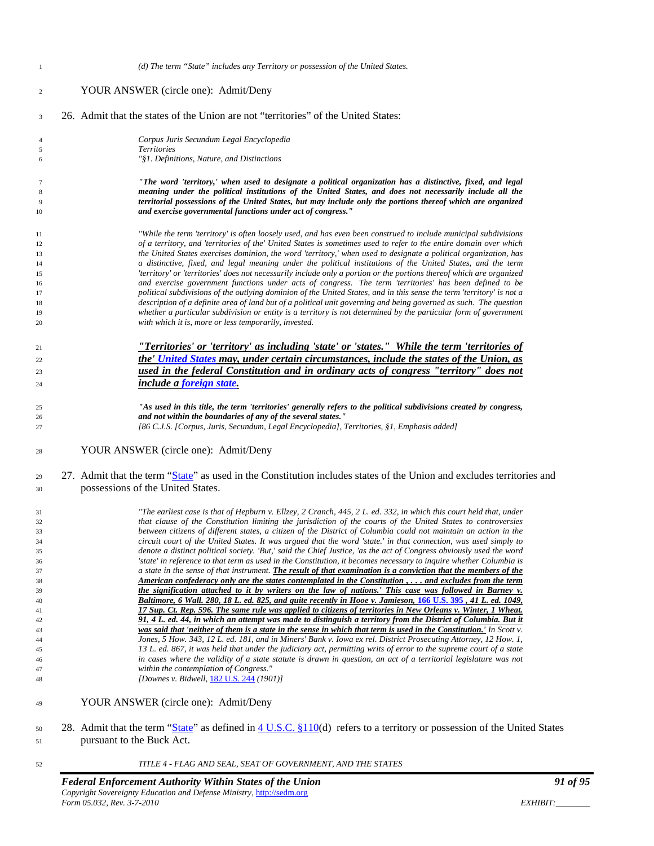| $\mathbf{1}$ | (d) The term "State" includes any Territory or possession of the United States.                                                                                                                                                                                                       |
|--------------|---------------------------------------------------------------------------------------------------------------------------------------------------------------------------------------------------------------------------------------------------------------------------------------|
| 2            | YOUR ANSWER (circle one): Admit/Deny                                                                                                                                                                                                                                                  |
| 3            | 26. Admit that the states of the Union are not "territories" of the United States:                                                                                                                                                                                                    |
| 4            | Corpus Juris Secundum Legal Encyclopedia                                                                                                                                                                                                                                              |
| 5<br>6       | <b>Territories</b><br>"§1. Definitions, Nature, and Distinctions                                                                                                                                                                                                                      |
| 7            | "The word 'territory,' when used to designate a political organization has a distinctive, fixed, and legal                                                                                                                                                                            |
| 8<br>9<br>10 | meaning under the political institutions of the United States, and does not necessarily include all the<br>territorial possessions of the United States, but may include only the portions thereof which are organized<br>and exercise governmental functions under act of congress." |
|              |                                                                                                                                                                                                                                                                                       |
| 11<br>12     | "While the term 'territory' is often loosely used, and has even been construed to include municipal subdivisions<br>of a territory, and 'territories of the' United States is sometimes used to refer to the entire domain over which                                                 |
| 13           | the United States exercises dominion, the word 'territory,' when used to designate a political organization, has                                                                                                                                                                      |
| 14           | a distinctive, fixed, and legal meaning under the political institutions of the United States, and the term                                                                                                                                                                           |
| 15           | 'territory' or 'territories' does not necessarily include only a portion or the portions thereof which are organized                                                                                                                                                                  |
| 16           | and exercise government functions under acts of congress. The term 'territories' has been defined to be                                                                                                                                                                               |
| 17<br>18     | political subdivisions of the outlying dominion of the United States, and in this sense the term 'territory' is not a<br>description of a definite area of land but of a political unit governing and being governed as such. The question                                            |
| 19           | whether a particular subdivision or entity is a territory is not determined by the particular form of government                                                                                                                                                                      |
| 20           | with which it is, more or less temporarily, invested.                                                                                                                                                                                                                                 |
|              | "Territories' or 'territory' as including 'state' or 'states." While the term 'territories of                                                                                                                                                                                         |
| 21           | the' United States may, under certain circumstances, include the states of the Union, as                                                                                                                                                                                              |
| 22           |                                                                                                                                                                                                                                                                                       |
| 23           | used in the federal Constitution and in ordinary acts of congress "territory" does not                                                                                                                                                                                                |
| 24           | include a foreign state.                                                                                                                                                                                                                                                              |
| 25           | "As used in this title, the term 'territories' generally refers to the political subdivisions created by congress,                                                                                                                                                                    |
| 26           | and not within the boundaries of any of the several states."                                                                                                                                                                                                                          |
| 27           | [86 C.J.S. [Corpus, Juris, Secundum, Legal Encyclopedia], Territories, §1, Emphasis added]                                                                                                                                                                                            |
| 28           | YOUR ANSWER (circle one): Admit/Deny                                                                                                                                                                                                                                                  |
| 29           | 27. Admit that the term "State" as used in the Constitution includes states of the Union and excludes territories and                                                                                                                                                                 |
| 30           | possessions of the United States.                                                                                                                                                                                                                                                     |
| 31           | "The earliest case is that of Hepburn v. Ellzey, 2 Cranch, 445, 2 L. ed. 332, in which this court held that, under                                                                                                                                                                    |
| 32           | that clause of the Constitution limiting the jurisdiction of the courts of the United States to controversies                                                                                                                                                                         |
| 33           | between citizens of different states, a citizen of the District of Columbia could not maintain an action in the                                                                                                                                                                       |
| 34<br>35     | circuit court of the United States. It was argued that the word 'state.' in that connection, was used simply to<br>denote a distinct political society. 'But,' said the Chief Justice, 'as the act of Congress obviously used the word                                                |
| 36           | 'state' in reference to that term as used in the Constitution, it becomes necessary to inquire whether Columbia is                                                                                                                                                                    |
| 37           | a state in the sense of that instrument. The result of that examination is a conviction that the members of the                                                                                                                                                                       |
| 38           | American confederacy only are the states contemplated in the Constitution,and excludes from the term                                                                                                                                                                                  |
| 39           | the signification attached to it by writers on the law of nations.' This case was followed in Barney v.                                                                                                                                                                               |
| 40           | Baltimore, 6 Wall. 280, 18 L. ed. 825, and quite recently in Hooe v. Jamieson, 166 U.S. 395, 41 L. ed. 1049,                                                                                                                                                                          |
| 41<br>42     | 17 Sup. Ct. Rep. 596. The same rule was applied to citizens of territories in New Orleans v. Winter, 1 Wheat.<br>91, 4 L. ed. 44, in which an attempt was made to distinguish a territory from the District of Columbia. But it                                                       |
| 43           | was said that 'neither of them is a state in the sense in which that term is used in the Constitution.' In Scott v.                                                                                                                                                                   |
| 44           | Jones, 5 How. 343, 12 L. ed. 181, and in Miners' Bank v. Iowa ex rel. District Prosecuting Attorney, 12 How. 1,                                                                                                                                                                       |
| 45           | 13 L. ed. 867, it was held that under the judiciary act, permitting writs of error to the supreme court of a state                                                                                                                                                                    |
| 46           | in cases where the validity of a state statute is drawn in question, an act of a territorial legislature was not                                                                                                                                                                      |
| 47<br>48     | within the contemplation of Congress."<br>[Downes v. Bidwell, 182 U.S. 244 (1901)]                                                                                                                                                                                                    |
|              | YOUR ANSWER (circle one): Admit/Deny                                                                                                                                                                                                                                                  |
| 49           |                                                                                                                                                                                                                                                                                       |
| 50           | 28. Admit that the term "State" as defined in 4 U.S.C. §110(d) refers to a territory or possession of the United States                                                                                                                                                               |
| 51           | pursuant to the Buck Act.                                                                                                                                                                                                                                                             |
| 52           | TITLE 4 - FLAG AND SEAL, SEAT OF GOVERNMENT, AND THE STATES                                                                                                                                                                                                                           |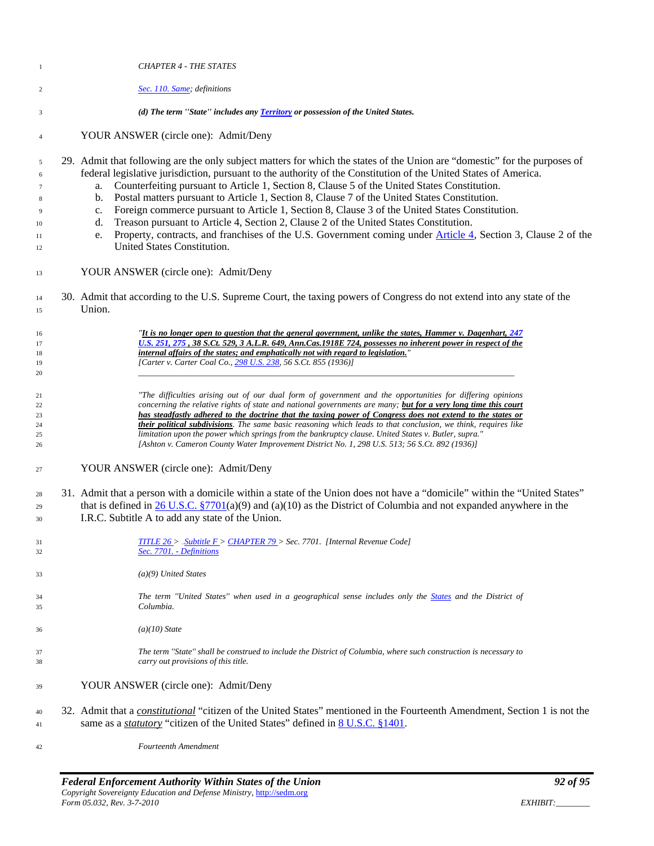| -1                                            | <b>CHAPTER 4 - THE STATES</b>                                                                                                                                                                                                                                                                                                                                                                                                                                                                                                                                                                                                                                                                                                                                                                                                                                   |
|-----------------------------------------------|-----------------------------------------------------------------------------------------------------------------------------------------------------------------------------------------------------------------------------------------------------------------------------------------------------------------------------------------------------------------------------------------------------------------------------------------------------------------------------------------------------------------------------------------------------------------------------------------------------------------------------------------------------------------------------------------------------------------------------------------------------------------------------------------------------------------------------------------------------------------|
| 2                                             | Sec. 110. Same; definitions                                                                                                                                                                                                                                                                                                                                                                                                                                                                                                                                                                                                                                                                                                                                                                                                                                     |
| 3                                             | (d) The term "State" includes any Territory or possession of the United States.                                                                                                                                                                                                                                                                                                                                                                                                                                                                                                                                                                                                                                                                                                                                                                                 |
| $\overline{4}$                                | YOUR ANSWER (circle one): Admit/Deny                                                                                                                                                                                                                                                                                                                                                                                                                                                                                                                                                                                                                                                                                                                                                                                                                            |
| 5<br>6<br>7<br>8<br>9<br>10<br>11<br>12<br>13 | 29. Admit that following are the only subject matters for which the states of the Union are "domestic" for the purposes of<br>federal legislative jurisdiction, pursuant to the authority of the Constitution of the United States of America.<br>Counterfeiting pursuant to Article 1, Section 8, Clause 5 of the United States Constitution.<br>a.<br>Postal matters pursuant to Article 1, Section 8, Clause 7 of the United States Constitution.<br>b.<br>Foreign commerce pursuant to Article 1, Section 8, Clause 3 of the United States Constitution.<br>c.<br>Treason pursuant to Article 4, Section 2, Clause 2 of the United States Constitution.<br>d.<br>Property, contracts, and franchises of the U.S. Government coming under Article 4, Section 3, Clause 2 of the<br>e.<br>United States Constitution.<br>YOUR ANSWER (circle one): Admit/Deny |
|                                               |                                                                                                                                                                                                                                                                                                                                                                                                                                                                                                                                                                                                                                                                                                                                                                                                                                                                 |
| 14<br>15                                      | 30. Admit that according to the U.S. Supreme Court, the taxing powers of Congress do not extend into any state of the<br>Union.                                                                                                                                                                                                                                                                                                                                                                                                                                                                                                                                                                                                                                                                                                                                 |
| 16                                            | "It is no longer open to question that the general government, unlike the states, Hammer v. Dagenhart, 247                                                                                                                                                                                                                                                                                                                                                                                                                                                                                                                                                                                                                                                                                                                                                      |
| 17                                            | U.S. 251, 275, 38 S.Ct. 529, 3 A.L.R. 649, Ann.Cas.1918E 724, possesses no inherent power in respect of the<br>internal affairs of the states; and emphatically not with regard to legislation."                                                                                                                                                                                                                                                                                                                                                                                                                                                                                                                                                                                                                                                                |
| 18<br>19                                      | [Carter v. Carter Coal Co., 298 U.S. 238, 56 S.Ct. 855 (1936)]                                                                                                                                                                                                                                                                                                                                                                                                                                                                                                                                                                                                                                                                                                                                                                                                  |
| 20                                            |                                                                                                                                                                                                                                                                                                                                                                                                                                                                                                                                                                                                                                                                                                                                                                                                                                                                 |
| 21                                            | "The difficulties arising out of our dual form of government and the opportunities for differing opinions                                                                                                                                                                                                                                                                                                                                                                                                                                                                                                                                                                                                                                                                                                                                                       |
| 22                                            | concerning the relative rights of state and national governments are many; but for a very long time this court                                                                                                                                                                                                                                                                                                                                                                                                                                                                                                                                                                                                                                                                                                                                                  |
| 23                                            | has steadfastly adhered to the doctrine that the taxing power of Congress does not extend to the states or                                                                                                                                                                                                                                                                                                                                                                                                                                                                                                                                                                                                                                                                                                                                                      |
| 24<br>25                                      | their political subdivisions. The same basic reasoning which leads to that conclusion, we think, requires like<br>limitation upon the power which springs from the bankruptcy clause. United States v. Butler, supra."                                                                                                                                                                                                                                                                                                                                                                                                                                                                                                                                                                                                                                          |
| 26                                            | [Ashton v. Cameron County Water Improvement District No. 1, 298 U.S. 513; 56 S.Ct. 892 (1936)]                                                                                                                                                                                                                                                                                                                                                                                                                                                                                                                                                                                                                                                                                                                                                                  |
| 27                                            | YOUR ANSWER (circle one): Admit/Deny                                                                                                                                                                                                                                                                                                                                                                                                                                                                                                                                                                                                                                                                                                                                                                                                                            |
| 28                                            | 31. Admit that a person with a domicile within a state of the Union does not have a "domicile" within the "United States"                                                                                                                                                                                                                                                                                                                                                                                                                                                                                                                                                                                                                                                                                                                                       |
| 29                                            | that is defined in $26$ U.S.C. §7701(a)(9) and (a)(10) as the District of Columbia and not expanded anywhere in the                                                                                                                                                                                                                                                                                                                                                                                                                                                                                                                                                                                                                                                                                                                                             |
| 30                                            | I.R.C. Subtitle A to add any state of the Union.                                                                                                                                                                                                                                                                                                                                                                                                                                                                                                                                                                                                                                                                                                                                                                                                                |
| 31<br>32                                      | TITLE $26$ > _Subtitle $F$ > CHAPTER 79 > Sec. 7701. [Internal Revenue Code]<br>Sec. 7701. - Definitions                                                                                                                                                                                                                                                                                                                                                                                                                                                                                                                                                                                                                                                                                                                                                        |
| 33                                            | $(a)(9)$ United States                                                                                                                                                                                                                                                                                                                                                                                                                                                                                                                                                                                                                                                                                                                                                                                                                                          |
| 34<br>35                                      | The term "United States" when used in a geographical sense includes only the States and the District of<br>Columbia.                                                                                                                                                                                                                                                                                                                                                                                                                                                                                                                                                                                                                                                                                                                                            |
| 36                                            | $(a)(10)$ State                                                                                                                                                                                                                                                                                                                                                                                                                                                                                                                                                                                                                                                                                                                                                                                                                                                 |
| 37<br>38                                      | The term "State" shall be construed to include the District of Columbia, where such construction is necessary to<br>carry out provisions of this title.                                                                                                                                                                                                                                                                                                                                                                                                                                                                                                                                                                                                                                                                                                         |
| 39                                            | YOUR ANSWER (circle one): Admit/Deny                                                                                                                                                                                                                                                                                                                                                                                                                                                                                                                                                                                                                                                                                                                                                                                                                            |
| 40<br>41                                      | 32. Admit that a <i>constitutional</i> "citizen of the United States" mentioned in the Fourteenth Amendment, Section 1 is not the<br>same as a <i>statutory</i> "citizen of the United States" defined in 8 U.S.C. §1401.                                                                                                                                                                                                                                                                                                                                                                                                                                                                                                                                                                                                                                       |
| 42                                            | Fourteenth Amendment                                                                                                                                                                                                                                                                                                                                                                                                                                                                                                                                                                                                                                                                                                                                                                                                                                            |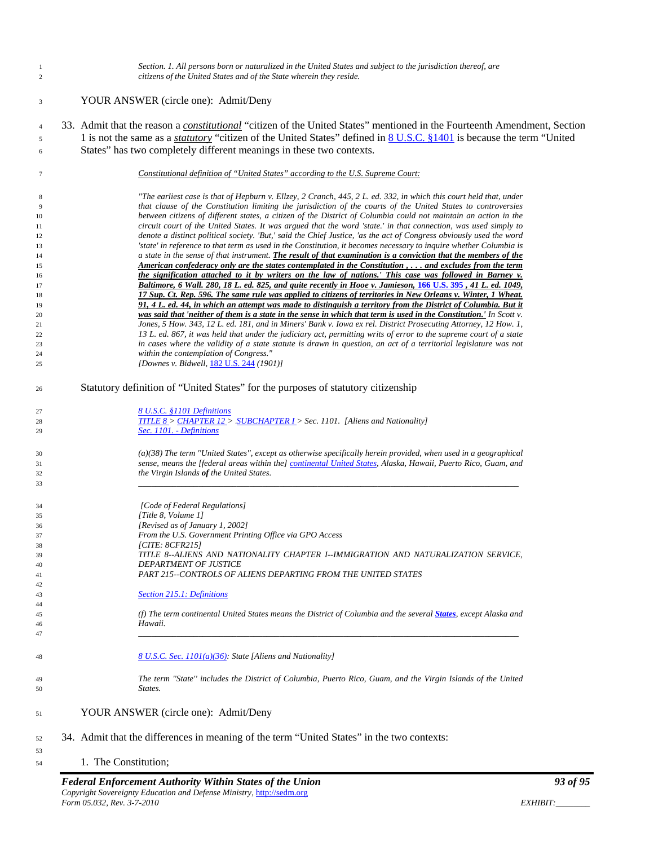|          | Federal Enforcement Authority Within States of the Union                                                                                                                                                                               | 93 of 95 |
|----------|----------------------------------------------------------------------------------------------------------------------------------------------------------------------------------------------------------------------------------------|----------|
| 53<br>54 | 1. The Constitution;                                                                                                                                                                                                                   |          |
| 52       | 34. Admit that the differences in meaning of the term "United States" in the two contexts:                                                                                                                                             |          |
| 51       | YOUR ANSWER (circle one): Admit/Deny                                                                                                                                                                                                   |          |
| 49<br>50 | The term "State" includes the District of Columbia, Puerto Rico, Guam, and the Virgin Islands of the United<br>States.                                                                                                                 |          |
| 48       | 8 U.S.C. Sec. 1101(a)(36): State [Aliens and Nationality]                                                                                                                                                                              |          |
| 46<br>47 | Hawaii.                                                                                                                                                                                                                                |          |
| 44<br>45 | (f) The term continental United States means the District of Columbia and the several <b>States</b> , except Alaska and                                                                                                                |          |
| 43       | <b>Section 215.1: Definitions</b>                                                                                                                                                                                                      |          |
| 41<br>42 |                                                                                                                                                                                                                                        |          |
| 40       | DEPARTMENT OF JUSTICE<br>PART 215--CONTROLS OF ALIENS DEPARTING FROM THE UNITED STATES                                                                                                                                                 |          |
| 38<br>39 | [CITE: $8CFR215$ ]<br>TITLE 8--ALIENS AND NATIONALITY CHAPTER I--IMMIGRATION AND NATURALIZATION SERVICE,                                                                                                                               |          |
| 37       | From the U.S. Government Printing Office via GPO Access                                                                                                                                                                                |          |
| 36       | [Revised as of January 1, 2002]                                                                                                                                                                                                        |          |
| 34<br>35 | [Code of Federal Regulations]<br>[Title 8, Volume 1]                                                                                                                                                                                   |          |
| 33       |                                                                                                                                                                                                                                        |          |
| 31<br>32 | sense, means the [federal areas within the] continental United States, Alaska, Hawaii, Puerto Rico, Guam, and<br>the Virgin Islands of the United States.                                                                              |          |
| 30       | $(a)(38)$ The term "United States", except as otherwise specifically herein provided, when used in a geographical                                                                                                                      |          |
| 29       | Sec. 1101. - Definitions                                                                                                                                                                                                               |          |
| 27<br>28 | 8 U.S.C. §1101 Definitions<br><b>TITLE 8 &gt; CHAPTER 12 &gt; SUBCHAPTER 1 &gt; Sec. 1101.</b> [Aliens and Nationality]                                                                                                                |          |
| 26       | Statutory definition of "United States" for the purposes of statutory citizenship                                                                                                                                                      |          |
| 25       | [Downes v. Bidwell, 182 U.S. 244 (1901)]                                                                                                                                                                                               |          |
| 24       | within the contemplation of Congress."                                                                                                                                                                                                 |          |
| 22<br>23 | 13 L. ed. 867, it was held that under the judiciary act, permitting writs of error to the supreme court of a state<br>in cases where the validity of a state statute is drawn in question, an act of a territorial legislature was not |          |
| 21       | Jones, 5 How. 343, 12 L. ed. 181, and in Miners' Bank v. Iowa ex rel. District Prosecuting Attorney, 12 How. 1,                                                                                                                        |          |
| 19<br>20 | 91, 4 L, ed. 44, in which an attempt was made to distinguish a territory from the District of Columbia. But it<br>was said that 'neither of them is a state in the sense in which that term is used in the Constitution.' In Scott v.  |          |
| 18       | 17 Sup. Ct. Rep. 596. The same rule was applied to citizens of territories in New Orleans v. Winter, 1 Wheat.                                                                                                                          |          |
| 16<br>17 | the signification attached to it by writers on the law of nations.' This case was followed in Barney v.<br>Baltimore, 6 Wall. 280, 18 L. ed. 825, and quite recently in Hooe v. Jamieson, 166 U.S. 395, 41 L. ed. 1049,                |          |
| 15       | American confederacy only are the states contemplated in the Constitution, and excludes from the term                                                                                                                                  |          |
| 13<br>14 | 'state' in reference to that term as used in the Constitution, it becomes necessary to inquire whether Columbia is<br>a state in the sense of that instrument. The result of that examination is a conviction that the members of the  |          |
| 12       | denote a distinct political society. 'But,' said the Chief Justice, 'as the act of Congress obviously used the word                                                                                                                    |          |
| 10<br>11 | between citizens of different states, a citizen of the District of Columbia could not maintain an action in the<br>circuit court of the United States. It was argued that the word 'state.' in that connection, was used simply to     |          |
| 9        | that clause of the Constitution limiting the jurisdiction of the courts of the United States to controversies                                                                                                                          |          |
| 8        | "The earliest case is that of Hepburn v. Ellzey, 2 Cranch, 445, 2 L. ed. 332, in which this court held that, under                                                                                                                     |          |
| 7        | Constitutional definition of "United States" according to the U.S. Supreme Court:                                                                                                                                                      |          |
| 6        | States" has two completely different meanings in these two contexts.                                                                                                                                                                   |          |
| 4<br>5   | 1 is not the same as a <i>statutory</i> "citizen of the United States" defined in 8 U.S.C. §1401 is because the term "United                                                                                                           |          |
|          | 33. Admit that the reason a constitutional "citizen of the United States" mentioned in the Fourteenth Amendment, Section                                                                                                               |          |
| 3        | YOUR ANSWER (circle one): Admit/Deny                                                                                                                                                                                                   |          |
| 2        | citizens of the United States and of the State wherein they reside.                                                                                                                                                                    |          |
| 1        | Section. 1. All persons born or naturalized in the United States and subject to the jurisdiction thereof, are                                                                                                                          |          |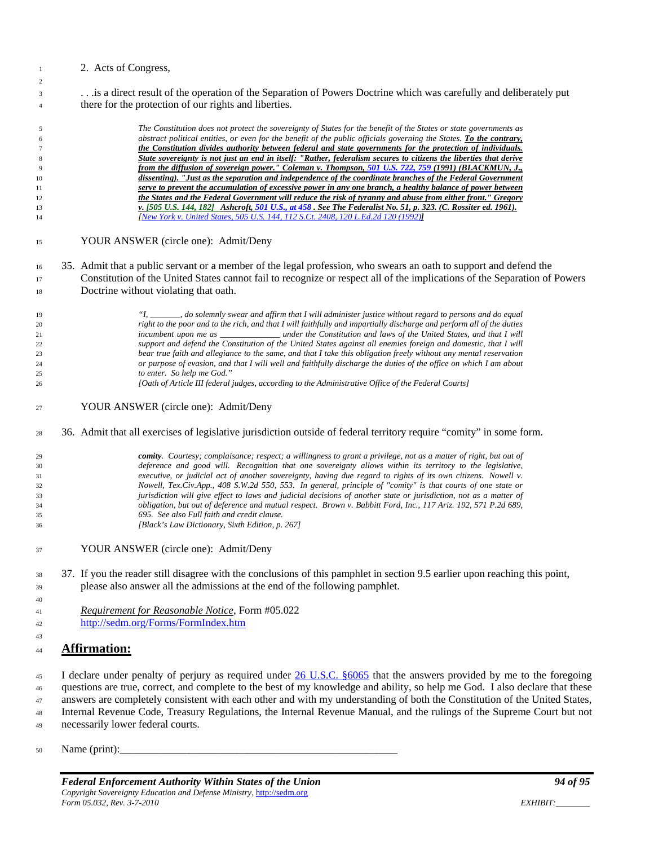#### 2. Acts of Congress,

 . . .is a direct result of the operation of the Separation of Powers Doctrine which was carefully and deliberately put there for the protection of our rights and liberties.

 *The Constitution does not protect the sovereignty of States for the benefit of the States or state governments as abstract political entities, or even for the benefit of the public officials governing the States. To the contrary, the Constitution divides authority between federal and state governments for the protection of individuals. State sovereignty is not just an end in itself: "Rather, federalism secures to citizens the liberties that derive from the diffusion of sovereign power." Coleman v. Thompson, [501 U.S. 722, 759 \(](http://caselaw.lp.findlaw.com/cgi-bin/getcase.pl?navby=case&court=us&vol=501&invol=722#759)1991) (BLACKMUN, J., dissenting). "Just as the separation and independence of the coordinate branches of the Federal Government serve to prevent the accumulation of excessive power in any one branch, a healthy balance of power between the States and the Federal Government will reduce the risk of tyranny and abuse from either front." Gregory v. [505 U.S. 144, 182] Ashcroft[, 501 U.S., at 458 .](http://caselaw.lp.findlaw.com/cgi-bin/getcase.pl?navby=volpage&court=us&vol=501&page=458#458) See The Federalist No. 51, p. 323. (C. Rossiter ed. 1961). [\[New York v. United States, 505 U.S. 144, 112 S.Ct. 2408, 120 L.Ed.2d 120 \(1992\)](http://caselaw.lp.findlaw.com/scripts/getcase.pl?court=us&vol=505&invol=144)]* YOUR ANSWER (circle one): Admit/Deny 35. Admit that a public servant or a member of the legal profession, who swears an oath to support and defend the Constitution of the United States cannot fail to recognize or respect all of the implications of the Separation of Powers Doctrine without violating that oath. *"I, \_\_\_\_\_\_\_, do solemnly swear and affirm that I will administer justice without regard to persons and do equal* 

 *right to the poor and to the rich, and that I will faithfully and impartially discharge and perform all of the duties incumbent upon me as \_\_\_\_\_\_\_\_\_\_\_\_\_\_ under the Constitution and laws of the United States, and that I will support and defend the Constitution of the United States against all enemies foreign and domestic, that I will bear true faith and allegiance to the same, and that I take this obligation freely without any mental reservation or purpose of evasion, and that I will well and faithfully discharge the duties of the office on which I am about to enter. So help me God." [Oath of Article III federal judges, according to the Administrative Office of the Federal Courts]*

### YOUR ANSWER (circle one): Admit/Deny

#### 36. Admit that all exercises of legislative jurisdiction outside of federal territory require "comity" in some form.

 *comity. Courtesy; complaisance; respect; a willingness to grant a privilege, not as a matter of right, but out of deference and good will. Recognition that one sovereignty allows within its territory to the legislative, executive, or judicial act of another sovereignty, having due regard to rights of its own citizens. Nowell v. Nowell, Tex.Civ.App., 408 S.W.2d 550, 553. In general, principle of "comity" is that courts of one state or jurisdiction will give effect to laws and judicial decisions of another state or jurisdiction, not as a matter of obligation, but out of deference and mutual respect. Brown v. Babbitt Ford, Inc., 117 Ariz. 192, 571 P.2d 689, 695. See also Full faith and credit clause. [Black's Law Dictionary, Sixth Edition, p. 267]*

- YOUR ANSWER (circle one): Admit/Deny
- 37. If you the reader still disagree with the conclusions of this pamphlet in section [9.5](#page-62-0) earlier upon reaching this point, please also answer all the admissions at the end of the following pamphlet.
- *Requirement for Reasonable Notice*, Form #05.022 <http://sedm.org/Forms/FormIndex.htm>

### **Affirmation:**

 I declare under penalty of perjury as required under [26 U.S.C. §6065](http://assembler.law.cornell.edu/uscode/html/uscode26/usc_sec_26_00006065----000-.html) that the answers provided by me to the foregoing questions are true, correct, and complete to the best of my knowledge and ability, so help me God. I also declare that these answers are completely consistent with each other and with my understanding of both the Constitution of the United States, Internal Revenue Code, Treasury Regulations, the Internal Revenue Manual, and the rulings of the Supreme Court but not necessarily lower federal courts.

Name (print):